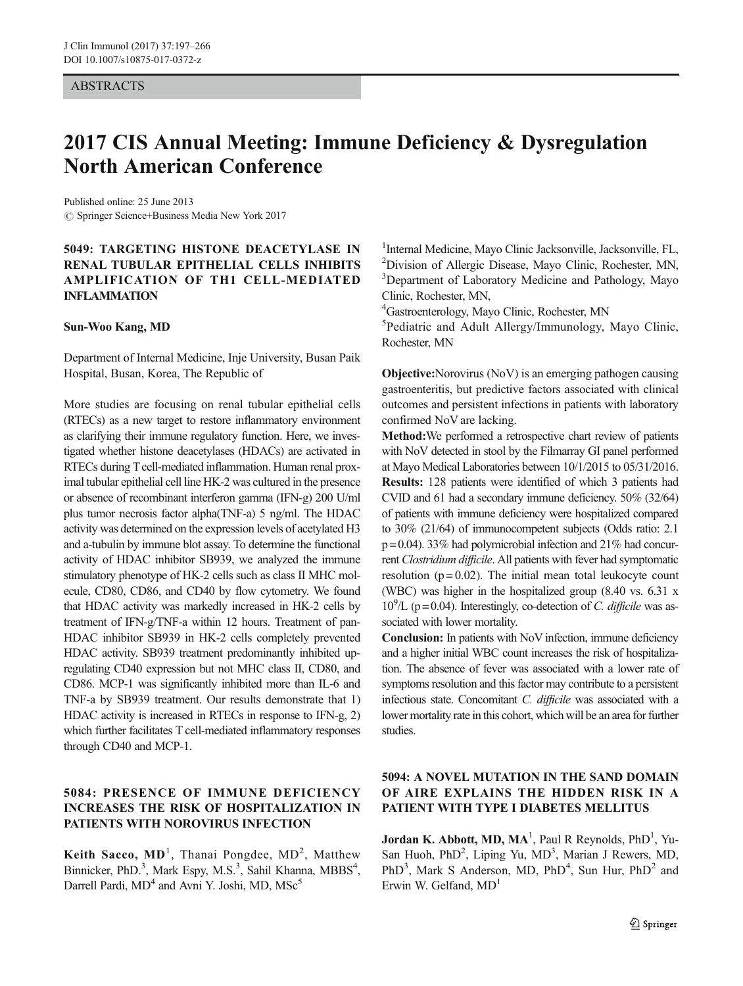#### ABSTRACTS

# 2017 CIS Annual Meeting: Immune Deficiency & Dysregulation North American Conference

 $\circled{c}$  Springer Science+Business Media New York 2017 Published online: 25 June 2013

### 5049: TARGETING HISTONE DEACETYLASE IN RENAL TUBULAR EPITHELIAL CELLS INHIBITS AMPLIFICATION OF TH1 CELL-MEDIATED INFLAMMATION

#### Sun-Woo Kang, MD

Department of Internal Medicine, Inje University, Busan Paik Hospital, Busan, Korea, The Republic of

More studies are focusing on renal tubular epithelial cells (RTECs) as a new target to restore inflammatory environment as clarifying their immune regulatory function. Here, we investigated whether histone deacetylases (HDACs) are activated in RTECs during T cell-mediated inflammation. Human renal proximal tubular epithelial cell line HK-2 was cultured in the presence or absence of recombinant interferon gamma (IFN-g) 200 U/ml plus tumor necrosis factor alpha(TNF-a) 5 ng/ml. The HDAC activity was determined on the expression levels of acetylated H3 and a-tubulin by immune blot assay. To determine the functional activity of HDAC inhibitor SB939, we analyzed the immune stimulatory phenotype of HK-2 cells such as class II MHC molecule, CD80, CD86, and CD40 by flow cytometry. We found that HDAC activity was markedly increased in HK-2 cells by treatment of IFN-g/TNF-a within 12 hours. Treatment of pan-HDAC inhibitor SB939 in HK-2 cells completely prevented HDAC activity. SB939 treatment predominantly inhibited upregulating CD40 expression but not MHC class II, CD80, and CD86. MCP-1 was significantly inhibited more than IL-6 and TNF-a by SB939 treatment. Our results demonstrate that 1) HDAC activity is increased in RTECs in response to IFN-g, 2) which further facilitates T cell-mediated inflammatory responses through CD40 and MCP-1.

### 5084: PRESENCE OF IMMUNE DEFICIENCY INCREASES THE RISK OF HOSPITALIZATION IN PATIENTS WITH NOROVIRUS INFECTION

Keith Sacco, MD<sup>1</sup>, Thanai Pongdee, MD<sup>2</sup>, Matthew Binnicker, PhD.<sup>3</sup>, Mark Espy, M.S.<sup>3</sup>, Sahil Khanna, MBBS<sup>4</sup>, Darrell Pardi, MD<sup>4</sup> and Avni Y. Joshi, MD, MSc<sup>5</sup>

<sup>1</sup>Internal Medicine, Mayo Clinic Jacksonville, Jacksonville, FL, <sup>2</sup>Division of Allergic Disease, Mayo Clinic, Bochester, MN Division of Allergic Disease, Mayo Clinic, Rochester, MN, <sup>3</sup>Department of Laboratory Medicine and Pathology, Mayo Clinic, Rochester, MN,

<sup>4</sup>Gastroenterology, Mayo Clinic, Rochester, MN<br><sup>5</sup> Pediatric, and Adult, Allergy/Immunology

<sup>5</sup>Pediatric and Adult Allergy/Immunology, Mayo Clinic, Rochester, MN

Objective:Norovirus (NoV) is an emerging pathogen causing gastroenteritis, but predictive factors associated with clinical outcomes and persistent infections in patients with laboratory confirmed NoV are lacking.

Method:We performed a retrospective chart review of patients with NoV detected in stool by the Filmarray GI panel performed at Mayo Medical Laboratories between 10/1/2015 to 05/31/2016. Results: 128 patients were identified of which 3 patients had CVID and 61 had a secondary immune deficiency. 50% (32/64) of patients with immune deficiency were hospitalized compared to 30% (21/64) of immunocompetent subjects (Odds ratio: 2.1  $p = 0.04$ ). 33% had polymicrobial infection and 21% had concurrent Clostridium difficile. All patients with fever had symptomatic resolution ( $p = 0.02$ ). The initial mean total leukocyte count (WBC) was higher in the hospitalized group (8.40 vs. 6.31 x  $10^9$ /L (p = 0.04). Interestingly, co-detection of *C. difficile* was associated with lower mortality.

Conclusion: In patients with NoV infection, immune deficiency and a higher initial WBC count increases the risk of hospitalization. The absence of fever was associated with a lower rate of symptoms resolution and this factor may contribute to a persistent infectious state. Concomitant C. difficile was associated with a lower mortality rate in this cohort, which will be an area for further studies.

# 5094: A NOVEL MUTATION IN THE SAND DOMAIN OF AIRE EXPLAINS THE HIDDEN RISK IN A PATIENT WITH TYPE I DIABETES MELLITUS

Jordan K. Abbott, MD,  $MA<sup>1</sup>$ , Paul R Reynolds, PhD<sup>1</sup>, Yu-San Huoh, PhD<sup>2</sup>, Liping Yu, MD<sup>3</sup>, Marian J Rewers, MD, PhD<sup>3</sup>, Mark S Anderson, MD, PhD<sup>4</sup>, Sun Hur, PhD<sup>2</sup> and Erwin W. Gelfand,  $MD<sup>1</sup>$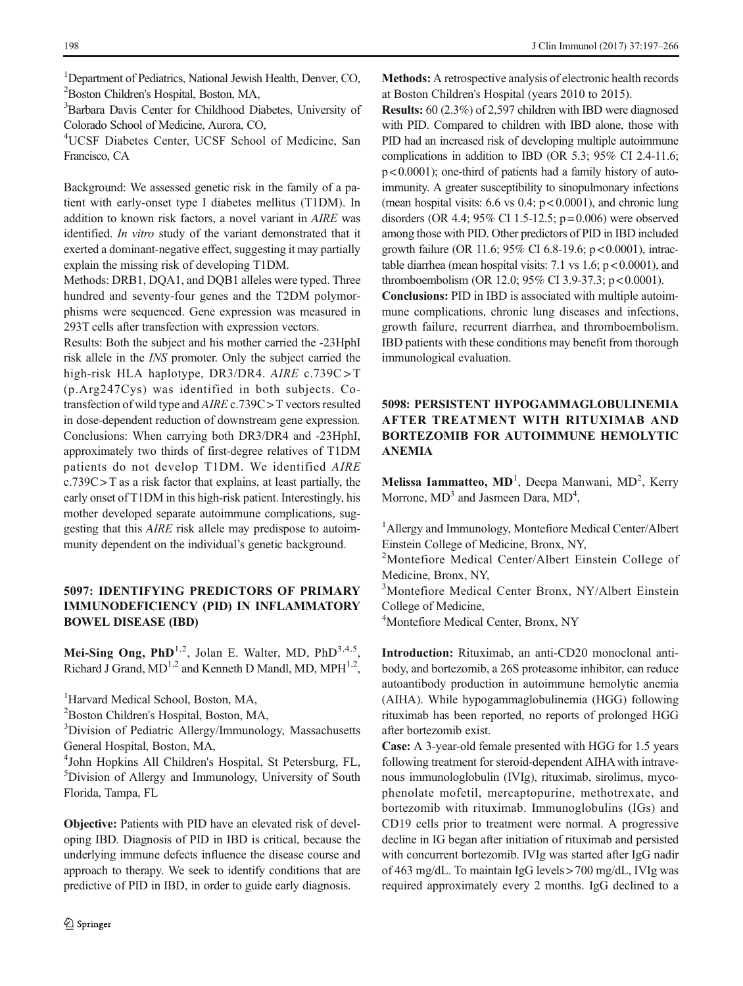<sup>1</sup>Department of Pediatrics, National Jewish Health, Denver, CO, 2 Boston Children's Hospital, Boston, MA,

3 Barbara Davis Center for Childhood Diabetes, University of Colorado School of Medicine, Aurora, CO,

4 UCSF Diabetes Center, UCSF School of Medicine, San Francisco, CA

Background: We assessed genetic risk in the family of a patient with early-onset type I diabetes mellitus (T1DM). In addition to known risk factors, a novel variant in AIRE was identified. In vitro study of the variant demonstrated that it exerted a dominant-negative effect, suggesting it may partially explain the missing risk of developing T1DM.

Methods: DRB1, DQA1, and DQB1 alleles were typed. Three hundred and seventy-four genes and the T2DM polymorphisms were sequenced. Gene expression was measured in 293T cells after transfection with expression vectors.

Results: Both the subject and his mother carried the -23HphI risk allele in the INS promoter. Only the subject carried the high-risk HLA haplotype, DR3/DR4. AIRE c.739C > T (p.Arg247Cys) was identified in both subjects. Cotransfection of wild type and AIRE c.739C > T vectors resulted in dose-dependent reduction of downstream gene expression. Conclusions: When carrying both DR3/DR4 and -23HphI, approximately two thirds of first-degree relatives of T1DM patients do not develop T1DM. We identified AIRE  $c.739C > T$  as a risk factor that explains, at least partially, the early onset of T1DM in this high-risk patient. Interestingly, his mother developed separate autoimmune complications, suggesting that this AIRE risk allele may predispose to autoimmunity dependent on the individual's genetic background.

### 5097: IDENTIFYING PREDICTORS OF PRIMARY IMMUNODEFICIENCY (PID) IN INFLAMMATORY BOWEL DISEASE (IBD)

Mei-Sing Ong, PhD<sup>1,2</sup>, Jolan E. Walter, MD, PhD<sup>3,4,5</sup>, Richard J Grand,  $MD^{1,2}$  and Kenneth D Mandl, MD,  $MPH^{1,2}$ ,

<sup>1</sup>Harvard Medical School, Boston, MA,

2 Boston Children's Hospital, Boston, MA,

<sup>3</sup>Division of Pediatric Allergy/Immunology, Massachusetts General Hospital, Boston, MA,

4 John Hopkins All Children's Hospital, St Petersburg, FL, 5 Division of Allergy and Immunology, University of South Florida, Tampa, FL

Objective: Patients with PID have an elevated risk of developing IBD. Diagnosis of PID in IBD is critical, because the underlying immune defects influence the disease course and approach to therapy. We seek to identify conditions that are predictive of PID in IBD, in order to guide early diagnosis.

Methods: A retrospective analysis of electronic health records at Boston Children's Hospital (years 2010 to 2015).

Results: 60 (2.3%) of 2,597 children with IBD were diagnosed with PID. Compared to children with IBD alone, those with PID had an increased risk of developing multiple autoimmune complications in addition to IBD (OR 5.3; 95% CI 2.4-11.6; p < 0.0001); one-third of patients had a family history of autoimmunity. A greater susceptibility to sinopulmonary infections (mean hospital visits:  $6.6$  vs  $0.4$ ;  $p < 0.0001$ ), and chronic lung disorders (OR 4.4; 95% CI 1.5-12.5;  $p = 0.006$ ) were observed among those with PID. Other predictors of PID in IBD included growth failure (OR 11.6; 95% CI 6.8-19.6; p < 0.0001), intractable diarrhea (mean hospital visits:  $7.1$  vs  $1.6$ ;  $p < 0.0001$ ), and thromboembolism (OR 12.0; 95% CI 3.9-37.3; p < 0.0001).

Conclusions: PID in IBD is associated with multiple autoimmune complications, chronic lung diseases and infections, growth failure, recurrent diarrhea, and thromboembolism. IBD patients with these conditions may benefit from thorough immunological evaluation.

### 5098: PERSISTENT HYPOGAMMAGLOBULINEMIA AFTER TREATMENT WITH RITUXIMAB AND BORTEZOMIB FOR AUTOIMMUNE HEMOLYTIC ANEMIA

Melissa Iammatteo, MD<sup>1</sup>, Deepa Manwani, MD<sup>2</sup>, Kerry Morrone,  $MD<sup>3</sup>$  and Jasmeen Dara,  $MD<sup>4</sup>$ ,

1 Allergy and Immunology, Montefiore Medical Center/Albert Einstein College of Medicine, Bronx, NY,

<sup>2</sup>Montefiore Medical Center/Albert Einstein College of Medicine, Bronx, NY,

3 Montefiore Medical Center Bronx, NY/Albert Einstein College of Medicine,

4 Montefiore Medical Center, Bronx, NY

Introduction: Rituximab, an anti-CD20 monoclonal antibody, and bortezomib, a 26S proteasome inhibitor, can reduce autoantibody production in autoimmune hemolytic anemia (AIHA). While hypogammaglobulinemia (HGG) following rituximab has been reported, no reports of prolonged HGG after bortezomib exist.

Case: A 3-year-old female presented with HGG for 1.5 years following treatment for steroid-dependent AIHA with intravenous immunologlobulin (IVIg), rituximab, sirolimus, mycophenolate mofetil, mercaptopurine, methotrexate, and bortezomib with rituximab. Immunoglobulins (IGs) and CD19 cells prior to treatment were normal. A progressive decline in IG began after initiation of rituximab and persisted with concurrent bortezomib. IVIg was started after IgG nadir of 463 mg/dL. To maintain IgG levels > 700 mg/dL, IVIg was required approximately every 2 months. IgG declined to a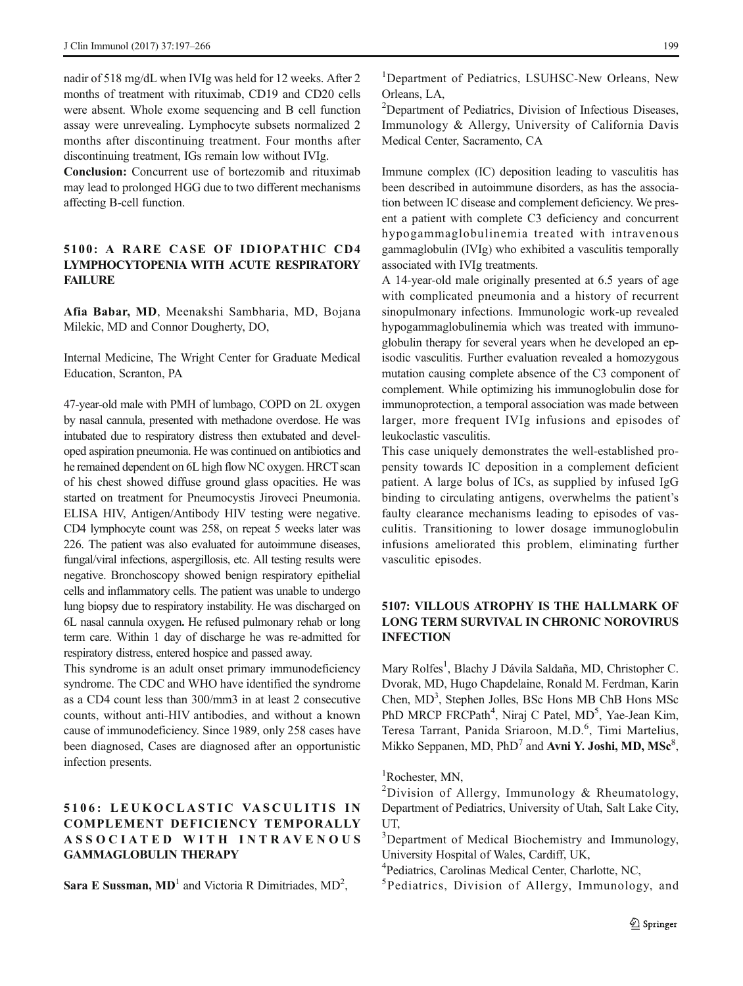nadir of 518 mg/dL when IVIg was held for 12 weeks. After 2 months of treatment with rituximab, CD19 and CD20 cells were absent. Whole exome sequencing and B cell function assay were unrevealing. Lymphocyte subsets normalized 2 months after discontinuing treatment. Four months after discontinuing treatment, IGs remain low without IVIg.

Conclusion: Concurrent use of bortezomib and rituximab may lead to prolonged HGG due to two different mechanisms affecting B-cell function.

### 5100: A RARE CASE OF IDIOPATHIC CD4 LYMPHOCYTOPENIA WITH ACUTE RESPIRATORY **FAILURE**

Afia Babar, MD, Meenakshi Sambharia, MD, Bojana Milekic, MD and Connor Dougherty, DO,

Internal Medicine, The Wright Center for Graduate Medical Education, Scranton, PA

47-year-old male with PMH of lumbago, COPD on 2L oxygen by nasal cannula, presented with methadone overdose. He was intubated due to respiratory distress then extubated and developed aspiration pneumonia. He was continued on antibiotics and he remained dependent on 6L high flow NC oxygen. HRCT scan of his chest showed diffuse ground glass opacities. He was started on treatment for Pneumocystis Jiroveci Pneumonia. ELISA HIV, Antigen/Antibody HIV testing were negative. CD4 lymphocyte count was 258, on repeat 5 weeks later was 226. The patient was also evaluated for autoimmune diseases, fungal/viral infections, aspergillosis, etc. All testing results were negative. Bronchoscopy showed benign respiratory epithelial cells and inflammatory cells. The patient was unable to undergo lung biopsy due to respiratory instability. He was discharged on 6L nasal cannula oxygen. He refused pulmonary rehab or long term care. Within 1 day of discharge he was re-admitted for respiratory distress, entered hospice and passed away.

This syndrome is an adult onset primary immunodeficiency syndrome. The CDC and WHO have identified the syndrome as a CD4 count less than 300/mm3 in at least 2 consecutive counts, without anti-HIV antibodies, and without a known cause of immunodeficiency. Since 1989, only 258 cases have been diagnosed, Cases are diagnosed after an opportunistic infection presents.

### 5106: LEUKOCLASTIC VASCULITIS IN COMPLEMENT DEFICIENCY TEMPORALLY A S SO C I ATE D W ITH I NT R AVE NO U S GAMMAGLOBULIN THERAPY

Sara E Sussman,  $MD<sup>1</sup>$  and Victoria R Dimitriades,  $MD<sup>2</sup>$ ,

<sup>1</sup>Department of Pediatrics, LSUHSC-New Orleans, New Orleans, LA,

<sup>2</sup>Department of Pediatrics, Division of Infectious Diseases, Immunology & Allergy, University of California Davis Medical Center, Sacramento, CA

Immune complex (IC) deposition leading to vasculitis has been described in autoimmune disorders, as has the association between IC disease and complement deficiency. We present a patient with complete C3 deficiency and concurrent hypogammaglobulinemia treated with intravenous gammaglobulin (IVIg) who exhibited a vasculitis temporally associated with IVIg treatments.

A 14-year-old male originally presented at 6.5 years of age with complicated pneumonia and a history of recurrent sinopulmonary infections. Immunologic work-up revealed hypogammaglobulinemia which was treated with immunoglobulin therapy for several years when he developed an episodic vasculitis. Further evaluation revealed a homozygous mutation causing complete absence of the C3 component of complement. While optimizing his immunoglobulin dose for immunoprotection, a temporal association was made between larger, more frequent IVIg infusions and episodes of leukoclastic vasculitis.

This case uniquely demonstrates the well-established propensity towards IC deposition in a complement deficient patient. A large bolus of ICs, as supplied by infused IgG binding to circulating antigens, overwhelms the patient's faulty clearance mechanisms leading to episodes of vasculitis. Transitioning to lower dosage immunoglobulin infusions ameliorated this problem, eliminating further vasculitic episodes.

### 5107: VILLOUS ATROPHY IS THE HALLMARK OF LONG TERM SURVIVAL IN CHRONIC NOROVIRUS INFECTION

Mary Rolfes<sup>1</sup>, Blachy J Dávila Saldaña, MD, Christopher C. Dvorak, MD, Hugo Chapdelaine, Ronald M. Ferdman, Karin Chen, MD<sup>3</sup>, Stephen Jolles, BSc Hons MB ChB Hons MSc PhD MRCP FRCPath<sup>4</sup>, Niraj C Patel, MD<sup>5</sup>, Yae-Jean Kim, Teresa Tarrant, Panida Sriaroon, M.D.<sup>6</sup>, Timi Martelius, Mikko Seppanen, MD,  $PhD<sup>7</sup>$  and Avni Y. Joshi, MD, MS $c<sup>8</sup>$ ,

1 Rochester, MN,

- 4 Pediatrics, Carolinas Medical Center, Charlotte, NC,
- 5 Pediatrics, Division of Allergy, Immunology, and

<sup>&</sup>lt;sup>2</sup>Division of Allergy, Immunology & Rheumatology, Department of Pediatrics, University of Utah, Salt Lake City, UT,

<sup>&</sup>lt;sup>3</sup>Department of Medical Biochemistry and Immunology, University Hospital of Wales, Cardiff, UK,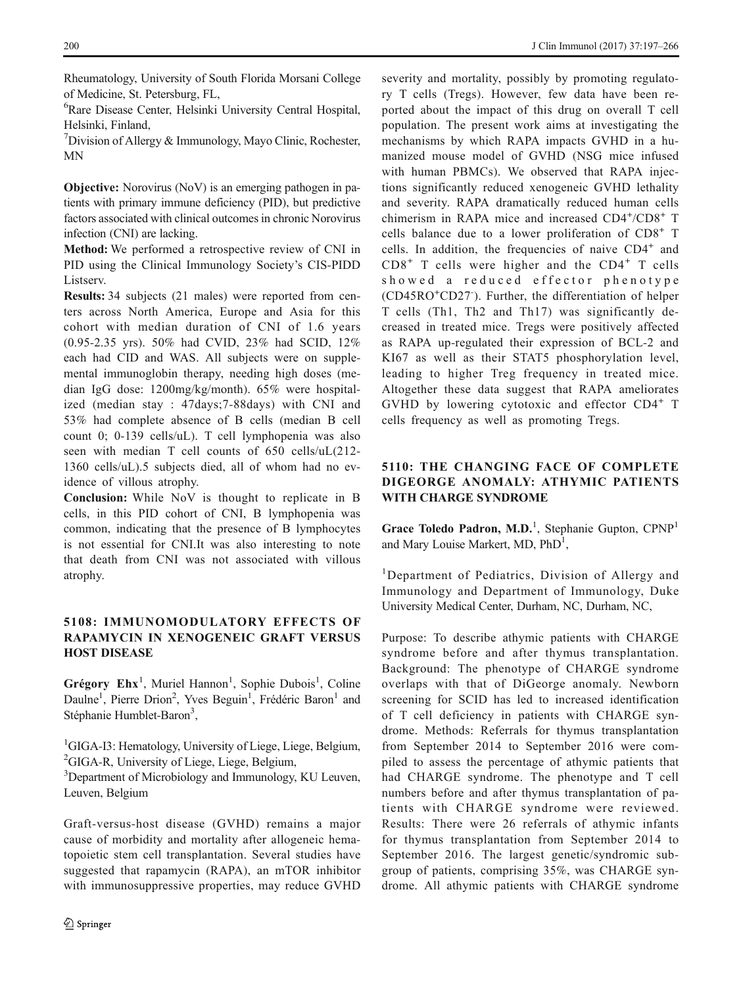Rheumatology, University of South Florida Morsani College of Medicine, St. Petersburg, FL,

6 Rare Disease Center, Helsinki University Central Hospital, Helsinki, Finland,

<sup>7</sup>Division of Allergy & Immunology, Mayo Clinic, Rochester, MN

Objective: Norovirus (NoV) is an emerging pathogen in patients with primary immune deficiency (PID), but predictive factors associated with clinical outcomes in chronic Norovirus infection (CNI) are lacking.

Method: We performed a retrospective review of CNI in PID using the Clinical Immunology Society's CIS-PIDD Listserv.

Results: 34 subjects (21 males) were reported from centers across North America, Europe and Asia for this cohort with median duration of CNI of 1.6 years (0.95-2.35 yrs). 50% had CVID, 23% had SCID, 12% each had CID and WAS. All subjects were on supplemental immunoglobin therapy, needing high doses (median IgG dose: 1200mg/kg/month). 65% were hospitalized (median stay : 47days;7-88days) with CNI and 53% had complete absence of B cells (median B cell count 0; 0-139 cells/uL). T cell lymphopenia was also seen with median T cell counts of 650 cells/uL(212- 1360 cells/uL).5 subjects died, all of whom had no evidence of villous atrophy.

Conclusion: While NoV is thought to replicate in B cells, in this PID cohort of CNI, B lymphopenia was common, indicating that the presence of B lymphocytes is not essential for CNI.It was also interesting to note that death from CNI was not associated with villous atrophy.

### 5108: IMMUNOMODULATORY EFFECTS OF RAPAMYCIN IN XENOGENEIC GRAFT VERSUS HOST DISEASE

Grégory  $Ehx<sup>1</sup>$ , Muriel Hannon<sup>1</sup>, Sophie Dubois<sup>1</sup>, Coline Daulne<sup>1</sup>, Pierre Drion<sup>2</sup>, Yves Beguin<sup>1</sup>, Frédéric Baron<sup>1</sup> and Stéphanie Humblet-Baron<sup>3</sup>,

<sup>1</sup>GIGA-I3: Hematology, University of Liege, Liege, Belgium, <sup>2</sup>GIGA-R, University of Liege, Liege, Belgium,

<sup>3</sup>Department of Microbiology and Immunology, KU Leuven, Leuven, Belgium

Graft-versus-host disease (GVHD) remains a major cause of morbidity and mortality after allogeneic hematopoietic stem cell transplantation. Several studies have suggested that rapamycin (RAPA), an mTOR inhibitor with immunosuppressive properties, may reduce GVHD

severity and mortality, possibly by promoting regulatory T cells (Tregs). However, few data have been reported about the impact of this drug on overall T cell population. The present work aims at investigating the mechanisms by which RAPA impacts GVHD in a humanized mouse model of GVHD (NSG mice infused with human PBMCs). We observed that RAPA injections significantly reduced xenogeneic GVHD lethality and severity. RAPA dramatically reduced human cells chimerism in RAPA mice and increased CD4+/CD8+ T cells balance due to a lower proliferation of CD8<sup>+</sup> T cells. In addition, the frequencies of naive CD4<sup>+</sup> and  $CD8<sup>+</sup>$  T cells were higher and the  $CD4<sup>+</sup>$  T cells showed a reduced effector phenotype (CD45RO<sup>+</sup> CD27- ). Further, the differentiation of helper T cells (Th1, Th2 and Th17) was significantly decreased in treated mice. Tregs were positively affected as RAPA up-regulated their expression of BCL-2 and KI67 as well as their STAT5 phosphorylation level, leading to higher Treg frequency in treated mice. Altogether these data suggest that RAPA ameliorates GVHD by lowering cytotoxic and effector CD4<sup>+</sup> T cells frequency as well as promoting Tregs.

### 5110: THE CHANGING FACE OF COMPLETE DIGEORGE ANOMALY: ATHYMIC PATIENTS WITH CHARGE SYNDROME

Grace Toledo Padron, M.D.<sup>1</sup>, Stephanie Gupton, CPNP<sup>1</sup> and Mary Louise Markert, MD, PhD<sup>1</sup>,

<sup>1</sup>Department of Pediatrics, Division of Allergy and Immunology and Department of Immunology, Duke University Medical Center, Durham, NC, Durham, NC,

Purpose: To describe athymic patients with CHARGE syndrome before and after thymus transplantation. Background: The phenotype of CHARGE syndrome overlaps with that of DiGeorge anomaly. Newborn screening for SCID has led to increased identification of T cell deficiency in patients with CHARGE syndrome. Methods: Referrals for thymus transplantation from September 2014 to September 2016 were compiled to assess the percentage of athymic patients that had CHARGE syndrome. The phenotype and T cell numbers before and after thymus transplantation of patients with CHARGE syndrome were reviewed. Results: There were 26 referrals of athymic infants for thymus transplantation from September 2014 to September 2016. The largest genetic/syndromic subgroup of patients, comprising 35%, was CHARGE syndrome. All athymic patients with CHARGE syndrome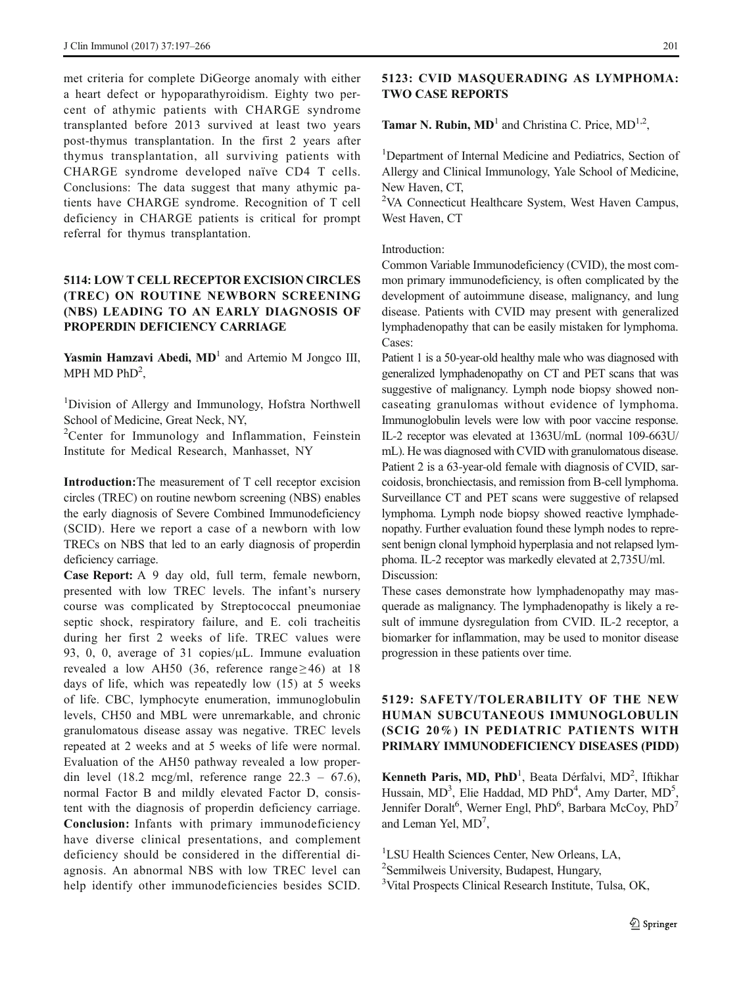met criteria for complete DiGeorge anomaly with either a heart defect or hypoparathyroidism. Eighty two percent of athymic patients with CHARGE syndrome transplanted before 2013 survived at least two years post-thymus transplantation. In the first 2 years after thymus transplantation, all surviving patients with CHARGE syndrome developed naïve CD4 T cells. Conclusions: The data suggest that many athymic patients have CHARGE syndrome. Recognition of T cell deficiency in CHARGE patients is critical for prompt referral for thymus transplantation.

### 5114: LOW T CELL RECEPTOR EXCISION CIRCLES (TREC) ON ROUTINE NEWBORN SCREENING (NBS) LEADING TO AN EARLY DIAGNOSIS OF PROPERDIN DEFICIENCY CARRIAGE

**Yasmin Hamzavi Abedi, MD**<sup>1</sup> and Artemio M Jongco III, MPH MD  $PhD<sup>2</sup>$ ,

<sup>1</sup>Division of Allergy and Immunology, Hofstra Northwell School of Medicine, Great Neck, NY,

<sup>2</sup>Center for Immunology and Inflammation, Feinstein Institute for Medical Research, Manhasset, NY

Introduction:The measurement of T cell receptor excision circles (TREC) on routine newborn screening (NBS) enables the early diagnosis of Severe Combined Immunodeficiency (SCID). Here we report a case of a newborn with low TRECs on NBS that led to an early diagnosis of properdin deficiency carriage.

Case Report: A 9 day old, full term, female newborn, presented with low TREC levels. The infant's nursery course was complicated by Streptococcal pneumoniae septic shock, respiratory failure, and E. coli tracheitis during her first 2 weeks of life. TREC values were 93, 0, 0, average of 31 copies/μL. Immune evaluation revealed a low AH50 (36, reference range  $\geq$  46) at 18 days of life, which was repeatedly low (15) at 5 weeks of life. CBC, lymphocyte enumeration, immunoglobulin levels, CH50 and MBL were unremarkable, and chronic granulomatous disease assay was negative. TREC levels repeated at 2 weeks and at 5 weeks of life were normal. Evaluation of the AH50 pathway revealed a low properdin level  $(18.2 \text{ meg/ml}, \text{ reference range } 22.3 - 67.6)$ , normal Factor B and mildly elevated Factor D, consistent with the diagnosis of properdin deficiency carriage. Conclusion: Infants with primary immunodeficiency have diverse clinical presentations, and complement deficiency should be considered in the differential diagnosis. An abnormal NBS with low TREC level can help identify other immunodeficiencies besides SCID.

#### 5123: CVID MASQUERADING AS LYMPHOMA: TWO CASE REPORTS

**Tamar N. Rubin, MD**<sup>1</sup> and Christina C. Price,  $MD<sup>1,2</sup>$ ,

<sup>1</sup>Department of Internal Medicine and Pediatrics, Section of Allergy and Clinical Immunology, Yale School of Medicine, New Haven, CT,

<sup>2</sup>VA Connecticut Healthcare System, West Haven Campus, West Haven, CT

Introduction:

Common Variable Immunodeficiency (CVID), the most common primary immunodeficiency, is often complicated by the development of autoimmune disease, malignancy, and lung disease. Patients with CVID may present with generalized lymphadenopathy that can be easily mistaken for lymphoma. Cases:

Patient 1 is a 50-year-old healthy male who was diagnosed with generalized lymphadenopathy on CT and PET scans that was suggestive of malignancy. Lymph node biopsy showed noncaseating granulomas without evidence of lymphoma. Immunoglobulin levels were low with poor vaccine response. IL-2 receptor was elevated at 1363U/mL (normal 109-663U/ mL). He was diagnosed with CVID with granulomatous disease. Patient 2 is a 63-year-old female with diagnosis of CVID, sarcoidosis, bronchiectasis, and remission from B-cell lymphoma. Surveillance CT and PET scans were suggestive of relapsed lymphoma. Lymph node biopsy showed reactive lymphadenopathy. Further evaluation found these lymph nodes to represent benign clonal lymphoid hyperplasia and not relapsed lymphoma. IL-2 receptor was markedly elevated at 2,735U/ml. Discussion:

These cases demonstrate how lymphadenopathy may masquerade as malignancy. The lymphadenopathy is likely a result of immune dysregulation from CVID. IL-2 receptor, a biomarker for inflammation, may be used to monitor disease progression in these patients over time.

### 5129: SAFETY/TOLERABILITY OF THE NEW HUMAN SUBCUTANEOUS IMMUNOGLOBULIN (SCIG 20%) IN PEDIATRIC PATIENTS WITH PRIMARY IMMUNODEFICIENCY DISEASES (PIDD)

Kenneth Paris, MD, PhD<sup>1</sup>, Beata Dérfalvi, MD<sup>2</sup>, Iftikhar Hussain, MD<sup>3</sup>, Elie Haddad, MD PhD<sup>4</sup>, Amy Darter, MD<sup>5</sup>, Jennifer Doralt<sup>6</sup>, Werner Engl, PhD<sup>6</sup>, Barbara McCoy, PhD<sup>7</sup> and Leman Yel,  $MD^7$ ,

1 LSU Health Sciences Center, New Orleans, LA,

2 Semmilweis University, Budapest, Hungary,

<sup>3</sup>Vital Prospects Clinical Research Institute, Tulsa, OK,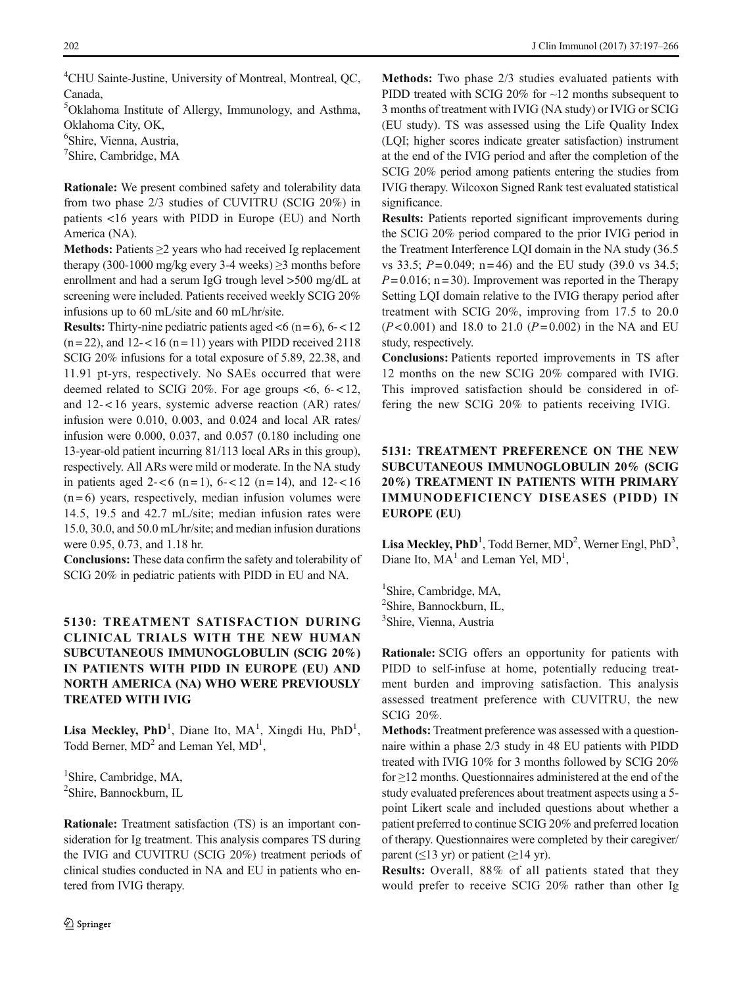4 CHU Sainte-Justine, University of Montreal, Montreal, QC, Canada,

5 Oklahoma Institute of Allergy, Immunology, and Asthma, Oklahoma City, OK,

6 Shire, Vienna, Austria,

7 Shire, Cambridge, MA

Rationale: We present combined safety and tolerability data from two phase 2/3 studies of CUVITRU (SCIG 20%) in patients <16 years with PIDD in Europe (EU) and North America (NA).

Methods: Patients ≥2 years who had received Ig replacement therapy (300-1000 mg/kg every 3-4 weeks)  $\geq$ 3 months before enrollment and had a serum IgG trough level >500 mg/dL at screening were included. Patients received weekly SCIG 20% infusions up to 60 mL/site and 60 mL/hr/site.

**Results:** Thirty-nine pediatric patients aged  $< 6$  (n = 6), 6 - < 12  $(n=22)$ , and  $12 < 16$   $(n=11)$  years with PIDD received 2118 SCIG 20% infusions for a total exposure of 5.89, 22.38, and 11.91 pt-yrs, respectively. No SAEs occurred that were deemed related to SCIG 20%. For age groups  $< 6, 6 - 12$ , and 12-<16 years, systemic adverse reaction (AR) rates/ infusion were 0.010, 0.003, and 0.024 and local AR rates/ infusion were 0.000, 0.037, and 0.057 (0.180 including one 13-year-old patient incurring 81/113 local ARs in this group), respectively. All ARs were mild or moderate. In the NA study in patients aged 2- $< 6$  (n = 1), 6- $< 12$  (n = 14), and 12- $< 16$  $(n=6)$  years, respectively, median infusion volumes were 14.5, 19.5 and 42.7 mL/site; median infusion rates were 15.0, 30.0, and 50.0 mL/hr/site; and median infusion durations were 0.95, 0.73, and 1.18 hr.

Conclusions: These data confirm the safety and tolerability of SCIG 20% in pediatric patients with PIDD in EU and NA.

### 5130: TREATMENT SATISFACTION DURING CLINICAL TRIALS WITH THE NEW HUMAN SUBCUTANEOUS IMMUNOGLOBULIN (SCIG 20%) IN PATIENTS WITH PIDD IN EUROPE (EU) AND NORTH AMERICA (NA) WHO WERE PREVIOUSLY TREATED WITH IVIG

Lisa Meckley, PhD<sup>1</sup>, Diane Ito, MA<sup>1</sup>, Xingdi Hu, PhD<sup>1</sup>, Todd Berner,  $MD<sup>2</sup>$  and Leman Yel,  $MD<sup>1</sup>$ ,

<sup>1</sup>Shire, Cambridge, MA, 2 Shire, Bannockburn, IL

Rationale: Treatment satisfaction (TS) is an important consideration for Ig treatment. This analysis compares TS during the IVIG and CUVITRU (SCIG 20%) treatment periods of clinical studies conducted in NA and EU in patients who entered from IVIG therapy.

Methods: Two phase 2/3 studies evaluated patients with PIDD treated with SCIG 20% for ~12 months subsequent to 3 months of treatment with IVIG (NA study) or IVIG or SCIG (EU study). TS was assessed using the Life Quality Index (LQI; higher scores indicate greater satisfaction) instrument at the end of the IVIG period and after the completion of the SCIG 20% period among patients entering the studies from IVIG therapy. Wilcoxon Signed Rank test evaluated statistical significance.

Results: Patients reported significant improvements during the SCIG 20% period compared to the prior IVIG period in the Treatment Interference LQI domain in the NA study (36.5 vs 33.5;  $P = 0.049$ ; n = 46) and the EU study (39.0 vs 34.5;  $P = 0.016$ ; n = 30). Improvement was reported in the Therapy Setting LQI domain relative to the IVIG therapy period after treatment with SCIG 20%, improving from 17.5 to 20.0  $(P< 0.001)$  and 18.0 to 21.0  $(P= 0.002)$  in the NA and EU study, respectively.

Conclusions: Patients reported improvements in TS after 12 months on the new SCIG 20% compared with IVIG. This improved satisfaction should be considered in offering the new SCIG 20% to patients receiving IVIG.

# 5131: TREATMENT PREFERENCE ON THE NEW SUBCUTANEOUS IMMUNOGLOBULIN 20% (SCIG 20%) TREATMENT IN PATIENTS WITH PRIMARY IMMUNODEFICIENCY DISEASES (PIDD) IN EUROPE (EU)

Lisa Meckley,  $PhD<sup>1</sup>$ , Todd Berner, MD<sup>2</sup>, Werner Engl,  $PhD<sup>3</sup>$ , Diane Ito,  $MA<sup>1</sup>$  and Leman Yel,  $MD<sup>1</sup>$ ,

<sup>1</sup>Shire, Cambridge, MA, 2 Shire, Bannockburn, IL, 3 Shire, Vienna, Austria

Rationale: SCIG offers an opportunity for patients with PIDD to self-infuse at home, potentially reducing treatment burden and improving satisfaction. This analysis assessed treatment preference with CUVITRU, the new SCIG 20%.

Methods: Treatment preference was assessed with a questionnaire within a phase 2/3 study in 48 EU patients with PIDD treated with IVIG 10% for 3 months followed by SCIG 20% for ≥12 months. Questionnaires administered at the end of the study evaluated preferences about treatment aspects using a 5 point Likert scale and included questions about whether a patient preferred to continue SCIG 20% and preferred location of therapy. Questionnaires were completed by their caregiver/ parent ( $\leq$ 13 yr) or patient ( $\geq$ 14 yr).

Results: Overall, 88% of all patients stated that they would prefer to receive SCIG 20% rather than other Ig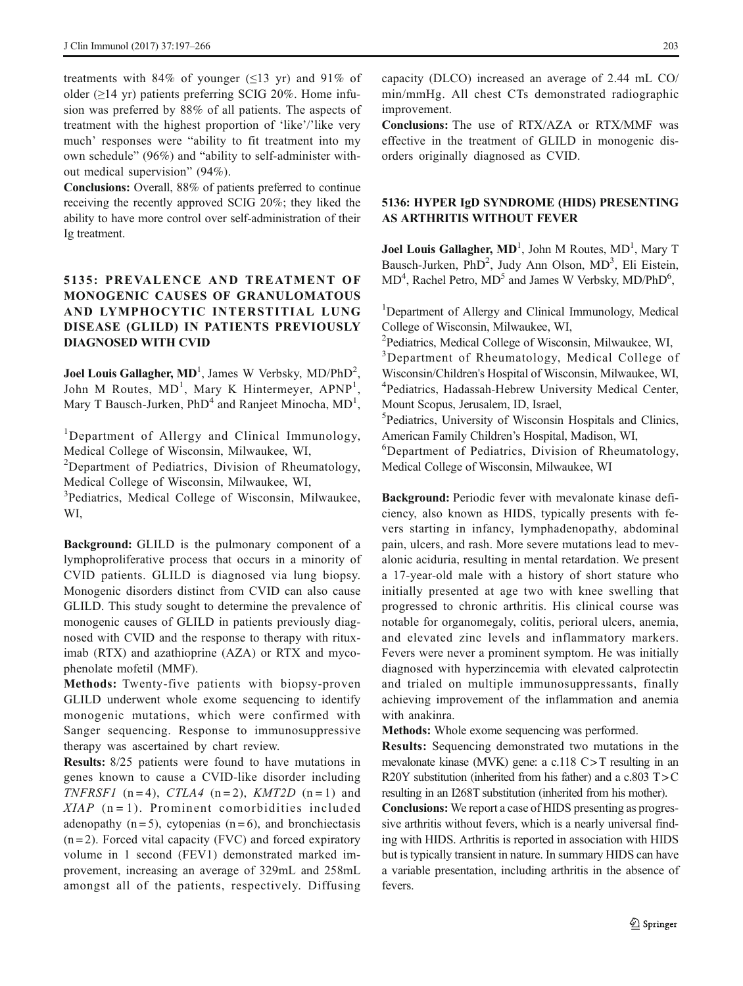treatments with 84% of younger ( $\leq$ 13 yr) and 91% of older  $(\geq)$ 14 yr) patients preferring SCIG 20%. Home infusion was preferred by 88% of all patients. The aspects of treatment with the highest proportion of 'like'/'like very much' responses were "ability to fit treatment into my own schedule" (96%) and "ability to self-administer without medical supervision" (94%).

Conclusions: Overall, 88% of patients preferred to continue receiving the recently approved SCIG 20%; they liked the ability to have more control over self-administration of their Ig treatment.

# 5135: PREVALENCE AND TREATMENT OF MONOGENIC CAUSES OF GRANULOMATOUS AND LYMPHOCYTIC INTERSTITIAL LUNG DISEASE (GLILD) IN PATIENTS PREVIOUSLY DIAGNOSED WITH CVID

Joel Louis Gallagher,  $MD<sup>1</sup>$ , James W Verbsky,  $MD/PhD<sup>2</sup>$ , John M Routes, MD<sup>1</sup>, Mary K Hintermeyer, APNP<sup>1</sup>, Mary T Bausch-Jurken,  $PhD<sup>4</sup>$  and Ranjeet Minocha,  $MD<sup>1</sup>$ ,

<sup>1</sup>Department of Allergy and Clinical Immunology, Medical College of Wisconsin, Milwaukee, WI,

<sup>2</sup>Department of Pediatrics, Division of Rheumatology, Medical College of Wisconsin, Milwaukee, WI,

<sup>3</sup>Pediatrics, Medical College of Wisconsin, Milwaukee, WI,

Background: GLILD is the pulmonary component of a lymphoproliferative process that occurs in a minority of CVID patients. GLILD is diagnosed via lung biopsy. Monogenic disorders distinct from CVID can also cause GLILD. This study sought to determine the prevalence of monogenic causes of GLILD in patients previously diagnosed with CVID and the response to therapy with rituximab (RTX) and azathioprine (AZA) or RTX and mycophenolate mofetil (MMF).

Methods: Twenty-five patients with biopsy-proven GLILD underwent whole exome sequencing to identify monogenic mutations, which were confirmed with Sanger sequencing. Response to immunosuppressive therapy was ascertained by chart review.

Results: 8/25 patients were found to have mutations in genes known to cause a CVID-like disorder including TNFRSF1 (n=4), CTLA4 (n=2), KMT2D (n=1) and  $XIAP$  (n = 1). Prominent comorbidities included adenopathy  $(n=5)$ , cytopenias  $(n=6)$ , and bronchiectasis  $(n=2)$ . Forced vital capacity (FVC) and forced expiratory volume in 1 second (FEV1) demonstrated marked improvement, increasing an average of 329mL and 258mL amongst all of the patients, respectively. Diffusing

capacity (DLCO) increased an average of 2.44 mL CO/ min/mmHg. All chest CTs demonstrated radiographic improvement.

Conclusions: The use of RTX/AZA or RTX/MMF was effective in the treatment of GLILD in monogenic disorders originally diagnosed as CVID.

### 5136: HYPER IgD SYNDROME (HIDS) PRESENTING AS ARTHRITIS WITHOUT FEVER

Joel Louis Gallagher, MD<sup>1</sup>, John M Routes, MD<sup>1</sup>, Mary T Bausch-Jurken, PhD<sup>2</sup>, Judy Ann Olson, MD<sup>3</sup>, Eli Eistein, MD<sup>4</sup>, Rachel Petro, MD<sup>5</sup> and James W Verbsky, MD/PhD<sup>6</sup>,

<sup>1</sup>Department of Allergy and Clinical Immunology, Medical College of Wisconsin, Milwaukee, WI,

2 Pediatrics, Medical College of Wisconsin, Milwaukee, WI, <sup>3</sup>Department of Rheumatology, Medical College of

Wisconsin/Children's Hospital of Wisconsin, Milwaukee, WI, 4 Pediatrics, Hadassah-Hebrew University Medical Center, Mount Scopus, Jerusalem, ID, Israel,

5 Pediatrics, University of Wisconsin Hospitals and Clinics, American Family Children's Hospital, Madison, WI,

6 Department of Pediatrics, Division of Rheumatology, Medical College of Wisconsin, Milwaukee, WI

Background: Periodic fever with mevalonate kinase deficiency, also known as HIDS, typically presents with fevers starting in infancy, lymphadenopathy, abdominal pain, ulcers, and rash. More severe mutations lead to mevalonic aciduria, resulting in mental retardation. We present a 17-year-old male with a history of short stature who initially presented at age two with knee swelling that progressed to chronic arthritis. His clinical course was notable for organomegaly, colitis, perioral ulcers, anemia, and elevated zinc levels and inflammatory markers. Fevers were never a prominent symptom. He was initially diagnosed with hyperzincemia with elevated calprotectin and trialed on multiple immunosuppressants, finally achieving improvement of the inflammation and anemia with anakinra.

Methods: Whole exome sequencing was performed.

Results: Sequencing demonstrated two mutations in the mevalonate kinase (MVK) gene: a  $c$ .118 C  $>$  T resulting in an R20Y substitution (inherited from his father) and a  $c.803$  T  $>$  C resulting in an I268T substitution (inherited from his mother).

Conclusions: We report a case of HIDS presenting as progressive arthritis without fevers, which is a nearly universal finding with HIDS. Arthritis is reported in association with HIDS but is typically transient in nature. In summary HIDS can have a variable presentation, including arthritis in the absence of fevers.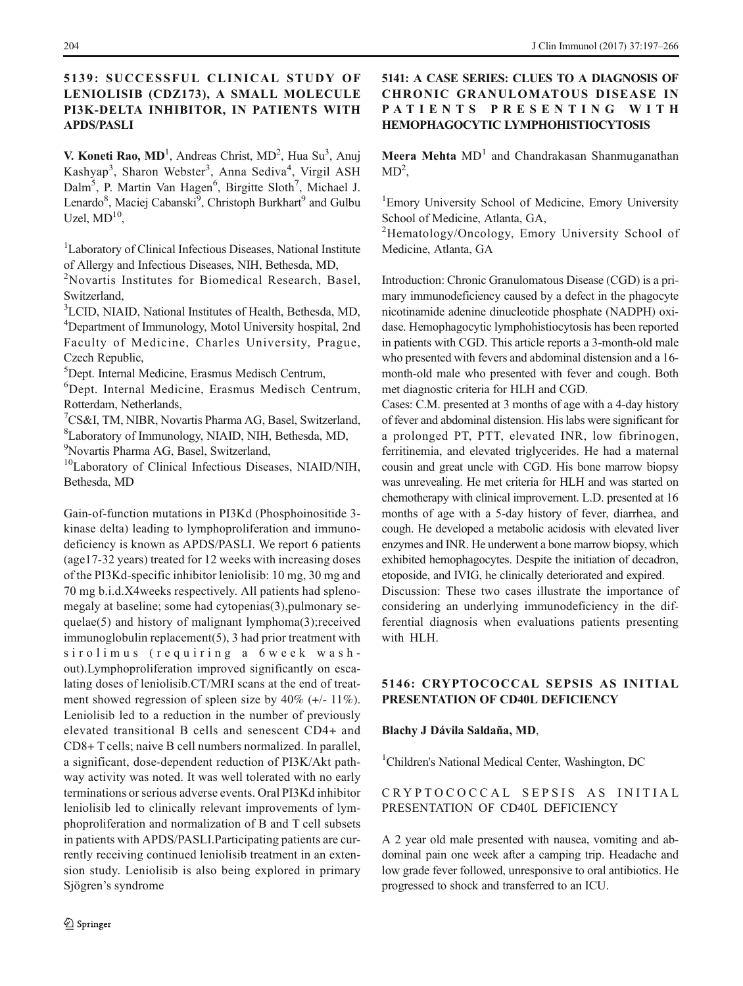### 5139: SUCCESSFUL CLINICAL STUDY OF LENIOLISIB (CDZ173), A SMALL MOLECULE PI3K-DELTA INHIBITOR, IN PATIENTS WITH APDS/PASLI

V. Koneti Rao, MD<sup>1</sup>, Andreas Christ, MD<sup>2</sup>, Hua Su<sup>3</sup>, Anuj Kashyap<sup>3</sup>, Sharon Webster<sup>3</sup>, Anna Sediva<sup>4</sup>, Virgil ASH Dalm<sup>5</sup>, P. Martin Van Hagen<sup>6</sup>, Birgitte Sloth<sup>7</sup>, Michael J. Lenardo<sup>8</sup>, Maciej Cabanski<sup>9</sup>, Christoph Burkhart<sup>9</sup> and Gulbu Uzel,  $MD<sup>10</sup>$ .

<sup>1</sup>Laboratory of Clinical Infectious Diseases, National Institute of Allergy and Infectious Diseases, NIH, Bethesda, MD,

2 Novartis Institutes for Biomedical Research, Basel, Switzerland,

3 LCID, NIAID, National Institutes of Health, Bethesda, MD, 4 Department of Immunology, Motol University hospital, 2nd Faculty of Medicine, Charles University, Prague, Czech Republic,

5 Dept. Internal Medicine, Erasmus Medisch Centrum,

6 Dept. Internal Medicine, Erasmus Medisch Centrum, Rotterdam, Netherlands,

7 CS&I, TM, NIBR, Novartis Pharma AG, Basel, Switzerland, 8 Laboratory of Immunology, NIAID, NIH, Bethesda, MD,

9 Novartis Pharma AG, Basel, Switzerland,

10Laboratory of Clinical Infectious Diseases, NIAID/NIH, Bethesda, MD

Gain-of-function mutations in PI3Kd (Phosphoinositide 3 kinase delta) leading to lymphoproliferation and immunodeficiency is known as APDS/PASLI. We report 6 patients (age17-32 years) treated for 12 weeks with increasing doses of the PI3Kd-specific inhibitor leniolisib: 10 mg, 30 mg and 70 mg b.i.d.X4weeks respectively. All patients had splenomegaly at baseline; some had cytopenias(3),pulmonary sequelae(5) and history of malignant lymphoma(3);received immunoglobulin replacement(5), 3 had prior treatment with sirolimus (requiring a 6week washout).Lymphoproliferation improved significantly on escalating doses of leniolisib.CT/MRI scans at the end of treatment showed regression of spleen size by 40% (+/- 11%). Leniolisib led to a reduction in the number of previously elevated transitional B cells and senescent CD4+ and CD8+ T cells; naive B cell numbers normalized. In parallel, a significant, dose-dependent reduction of PI3K/Akt pathway activity was noted. It was well tolerated with no early terminations or serious adverse events. Oral PI3Kd inhibitor leniolisib led to clinically relevant improvements of lymphoproliferation and normalization of B and T cell subsets in patients with APDS/PASLI.Participating patients are currently receiving continued leniolisib treatment in an extension study. Leniolisib is also being explored in primary Sjögren's syndrome

### 5141: A CASE SERIES: CLUES TO A DIAGNOSIS OF CHRONIC GRANULOMATOUS DISEASE IN PATIENTS PRESENTING WITH HEMOPHAGOCYTIC LYMPHOHISTIOCYTOSIS

Meera Mehta  $MD<sup>1</sup>$  and Chandrakasan Shanmuganathan  $MD<sup>2</sup>$ ,

<sup>1</sup>Emory University School of Medicine, Emory University School of Medicine, Atlanta, GA,

<sup>2</sup>Hematology/Oncology, Emory University School of Medicine, Atlanta, GA

Introduction: Chronic Granulomatous Disease (CGD) is a primary immunodeficiency caused by a defect in the phagocyte nicotinamide adenine dinucleotide phosphate (NADPH) oxidase. Hemophagocytic lymphohistiocytosis has been reported in patients with CGD. This article reports a 3-month-old male who presented with fevers and abdominal distension and a 16 month-old male who presented with fever and cough. Both met diagnostic criteria for HLH and CGD.

Cases: C.M. presented at 3 months of age with a 4-day history of fever and abdominal distension. His labs were significant for a prolonged PT, PTT, elevated INR, low fibrinogen, ferritinemia, and elevated triglycerides. He had a maternal cousin and great uncle with CGD. His bone marrow biopsy was unrevealing. He met criteria for HLH and was started on chemotherapy with clinical improvement. L.D. presented at 16 months of age with a 5-day history of fever, diarrhea, and cough. He developed a metabolic acidosis with elevated liver enzymes and INR. He underwent a bone marrow biopsy, which exhibited hemophagocytes. Despite the initiation of decadron, etoposide, and IVIG, he clinically deteriorated and expired.

Discussion: These two cases illustrate the importance of considering an underlying immunodeficiency in the differential diagnosis when evaluations patients presenting with HLH.

### 5146: CRYPTOCOCCAL SEPSIS AS INITIAL PRESENTATION OF CD40L DEFICIENCY

#### Blachy J Dávila Saldaña, MD,

<sup>1</sup>Children's National Medical Center, Washington, DC

#### CRYPTOCOCCAL SEPSIS AS INITIAL PRESENTATION OF CD40L DEFICIENCY

A 2 year old male presented with nausea, vomiting and abdominal pain one week after a camping trip. Headache and low grade fever followed, unresponsive to oral antibiotics. He progressed to shock and transferred to an ICU.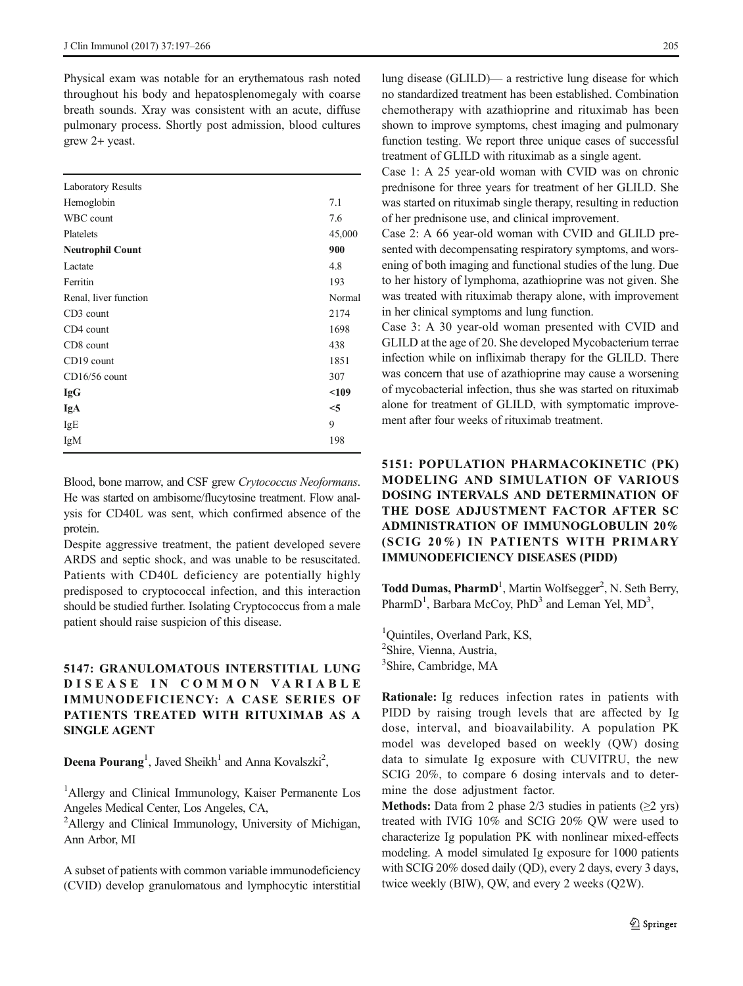Physical exam was notable for an erythematous rash noted throughout his body and hepatosplenomegaly with coarse breath sounds. Xray was consistent with an acute, diffuse pulmonary process. Shortly post admission, blood cultures grew 2+ yeast.

| <b>Laboratory Results</b> |        |
|---------------------------|--------|
| Hemoglobin                | 7.1    |
| WBC count                 | 7.6    |
| Platelets                 | 45,000 |
| <b>Neutrophil Count</b>   | 900    |
| Lactate                   | 4.8    |
| Ferritin                  | 193    |
| Renal, liver function     | Normal |
| CD <sub>3</sub> count     | 2174   |
| CD4 count                 | 1698   |
| CD8 count                 | 438    |
| CD19 count                | 1851   |
| $CD16/56$ count           | 307    |
| <b>IgG</b>                | < 109  |
| IgA                       | $<$ 5  |
| IgE                       | 9      |
| IgM                       | 198    |
|                           |        |

Blood, bone marrow, and CSF grew Crytococcus Neoformans. He was started on ambisome/flucytosine treatment. Flow analysis for CD40L was sent, which confirmed absence of the protein.

Despite aggressive treatment, the patient developed severe ARDS and septic shock, and was unable to be resuscitated. Patients with CD40L deficiency are potentially highly predisposed to cryptococcal infection, and this interaction should be studied further. Isolating Cryptococcus from a male patient should raise suspicion of this disease.

### 5147: GRANULOMATOUS INTERSTITIAL LUNG D I SEASE IN COMMON VARIABLE IMMUNODEFICIENCY: A CASE SERIES OF PATIENTS TREATED WITH RITUXIMAB AS A SINGLE AGENT

Deena Pourang<sup>1</sup>, Javed Sheikh<sup>1</sup> and Anna Kovalszki<sup>2</sup>,

<sup>1</sup>Allergy and Clinical Immunology, Kaiser Permanente Los Angeles Medical Center, Los Angeles, CA,

<sup>2</sup>Allergy and Clinical Immunology, University of Michigan, Ann Arbor, MI

A subset of patients with common variable immunodeficiency (CVID) develop granulomatous and lymphocytic interstitial

lung disease (GLILD)— a restrictive lung disease for which no standardized treatment has been established. Combination chemotherapy with azathioprine and rituximab has been shown to improve symptoms, chest imaging and pulmonary function testing. We report three unique cases of successful treatment of GLILD with rituximab as a single agent.

Case 1: A 25 year-old woman with CVID was on chronic prednisone for three years for treatment of her GLILD. She was started on rituximab single therapy, resulting in reduction of her prednisone use, and clinical improvement.

Case 2: A 66 year-old woman with CVID and GLILD presented with decompensating respiratory symptoms, and worsening of both imaging and functional studies of the lung. Due to her history of lymphoma, azathioprine was not given. She was treated with rituximab therapy alone, with improvement in her clinical symptoms and lung function.

Case 3: A 30 year-old woman presented with CVID and GLILD at the age of 20. She developed Mycobacterium terrae infection while on infliximab therapy for the GLILD. There was concern that use of azathioprine may cause a worsening of mycobacterial infection, thus she was started on rituximab alone for treatment of GLILD, with symptomatic improvement after four weeks of rituximab treatment.

# 5151: POPULATION PHARMACOKINETIC (PK) MODELING AND SIMULATION OF VARIOUS DOSING INTERVALS AND DETERMINATION OF THE DOSE ADJUSTMENT FACTOR AFTER SC ADMINISTRATION OF IMMUNOGLOBULIN 20% (SCIG 20%) IN PATIENTS WITH PRIMARY IMMUNODEFICIENCY DISEASES (PIDD)

Todd Dumas, PharmD<sup>1</sup>, Martin Wolfsegger<sup>2</sup>, N. Seth Berry, PharmD<sup>1</sup>, Barbara McCoy, PhD<sup>3</sup> and Leman Yel, MD<sup>3</sup>,

<sup>1</sup>Quintiles, Overland Park, KS, <sup>2</sup>Shire, Vienna, Austria, 3 Shire, Cambridge, MA

Rationale: Ig reduces infection rates in patients with PIDD by raising trough levels that are affected by Ig dose, interval, and bioavailability. A population PK model was developed based on weekly (QW) dosing data to simulate Ig exposure with CUVITRU, the new SCIG 20%, to compare 6 dosing intervals and to determine the dose adjustment factor.

**Methods:** Data from 2 phase  $2/3$  studies in patients ( $\geq 2$  yrs) treated with IVIG 10% and SCIG 20% QW were used to characterize Ig population PK with nonlinear mixed-effects modeling. A model simulated Ig exposure for 1000 patients with SCIG 20% dosed daily (QD), every 2 days, every 3 days, twice weekly (BIW), QW, and every 2 weeks (Q2W).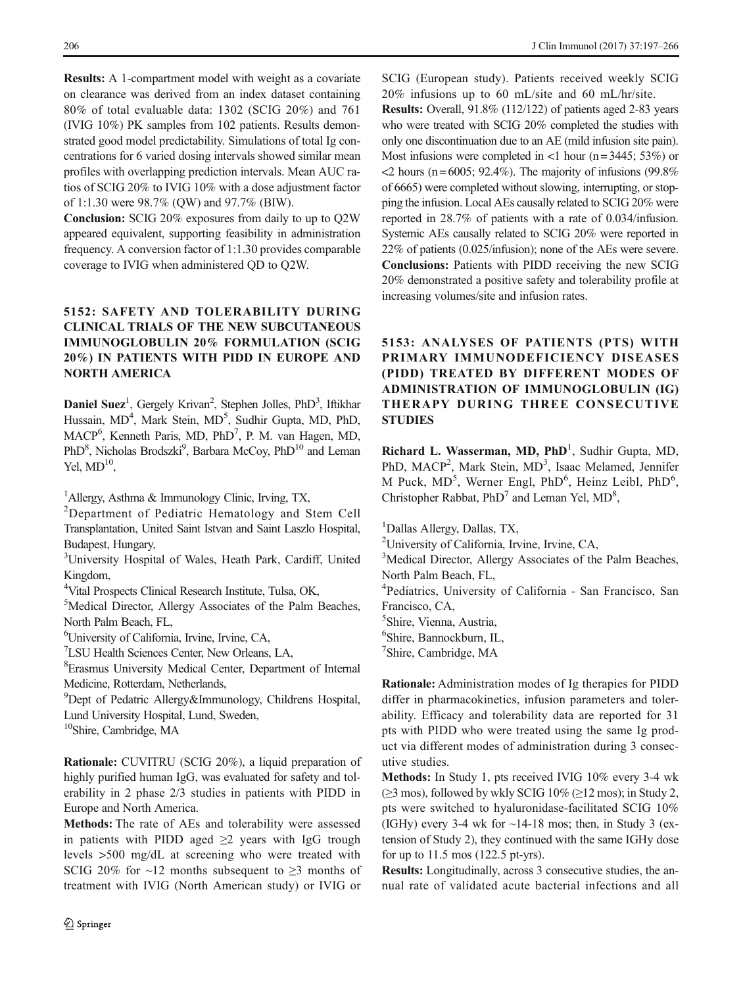Results: A 1-compartment model with weight as a covariate on clearance was derived from an index dataset containing 80% of total evaluable data: 1302 (SCIG 20%) and 761 (IVIG 10%) PK samples from 102 patients. Results demonstrated good model predictability. Simulations of total Ig concentrations for 6 varied dosing intervals showed similar mean profiles with overlapping prediction intervals. Mean AUC ratios of SCIG 20% to IVIG 10% with a dose adjustment factor of 1:1.30 were 98.7% (QW) and 97.7% (BIW).

Conclusion: SCIG 20% exposures from daily to up to Q2W appeared equivalent, supporting feasibility in administration frequency. A conversion factor of 1:1.30 provides comparable coverage to IVIG when administered QD to Q2W.

### 5152: SAFETY AND TOLERABILITY DURING CLINICAL TRIALS OF THE NEW SUBCUTANEOUS IMMUNOGLOBULIN 20% FORMULATION (SCIG 20%) IN PATIENTS WITH PIDD IN EUROPE AND NORTH AMERICA

Daniel Suez<sup>1</sup>, Gergely Krivan<sup>2</sup>, Stephen Jolles, PhD<sup>3</sup>, Iftikhar Hussain, MD<sup>4</sup>, Mark Stein, MD<sup>5</sup>, Sudhir Gupta, MD, PhD, MACP<sup>6</sup>, Kenneth Paris, MD, PhD<sup>7</sup>, P. M. van Hagen, MD, PhD<sup>8</sup>, Nicholas Brodszki<sup>9</sup>, Barbara McCoy, PhD<sup>10</sup> and Leman Yel,  $MD<sup>10</sup>$ .

<sup>1</sup>Allergy, Asthma & Immunology Clinic, Irving, TX,

<sup>2</sup>Department of Pediatric Hematology and Stem Cell Transplantation, United Saint Istvan and Saint Laszlo Hospital, Budapest, Hungary,

<sup>3</sup>University Hospital of Wales, Heath Park, Cardiff, United Kingdom,

4 Vital Prospects Clinical Research Institute, Tulsa, OK,

5 Medical Director, Allergy Associates of the Palm Beaches, North Palm Beach, FL,

6 University of California, Irvine, Irvine, CA,

7 LSU Health Sciences Center, New Orleans, LA,

8 Erasmus University Medical Center, Department of Internal Medicine, Rotterdam, Netherlands,

9 Dept of Pedatric Allergy&Immunology, Childrens Hospital, Lund University Hospital, Lund, Sweden,

10Shire, Cambridge, MA

Rationale: CUVITRU (SCIG 20%), a liquid preparation of highly purified human IgG, was evaluated for safety and tolerability in 2 phase 2/3 studies in patients with PIDD in Europe and North America.

Methods: The rate of AEs and tolerability were assessed in patients with PIDD aged  $\geq$ 2 years with IgG trough levels >500 mg/dL at screening who were treated with SCIG 20% for  $\sim$ 12 months subsequent to  $\geq$ 3 months of treatment with IVIG (North American study) or IVIG or SCIG (European study). Patients received weekly SCIG 20% infusions up to 60 mL/site and 60 mL/hr/site.

Results: Overall, 91.8% (112/122) of patients aged 2-83 years who were treated with SCIG 20% completed the studies with only one discontinuation due to an AE (mild infusion site pain). Most infusions were completed in  $\langle$ 1 hour (n = 3445; 53%) or  $\langle$ 2 hours (n = 6005; 92.4%). The majority of infusions (99.8%) of 6665) were completed without slowing, interrupting, or stopping the infusion. Local AEs causally related to SCIG 20% were reported in 28.7% of patients with a rate of 0.034/infusion. Systemic AEs causally related to SCIG 20% were reported in 22% of patients (0.025/infusion); none of the AEs were severe. Conclusions: Patients with PIDD receiving the new SCIG 20% demonstrated a positive safety and tolerability profile at increasing volumes/site and infusion rates.

# 5153: ANALYSES OF PATIENTS (PTS) WITH PRIMARY IMMUNODEFICIENCY DISEASES (PIDD) TREATED BY DIFFERENT MODES OF ADMINISTRATION OF IMMUNOGLOBULIN (IG) THERAPY DURING THREE CONSECUTIVE **STUDIES**

Richard L. Wasserman, MD, PhD<sup>1</sup>, Sudhir Gupta, MD, PhD, MACP<sup>2</sup>, Mark Stein, MD<sup>3</sup>, Isaac Melamed, Jennifer M Puck, MD<sup>5</sup>, Werner Engl, PhD<sup>6</sup>, Heinz Leibl, PhD<sup>6</sup>, Christopher Rabbat, PhD<sup>7</sup> and Leman Yel, MD<sup>8</sup>,

1 Dallas Allergy, Dallas, TX,

2 University of California, Irvine, Irvine, CA,

<sup>3</sup>Medical Director, Allergy Associates of the Palm Beaches, North Palm Beach, FL,

4 Pediatrics, University of California - San Francisco, San Francisco, CA,

5 Shire, Vienna, Austria,

6 Shire, Bannockburn, IL,

7 Shire, Cambridge, MA

Rationale: Administration modes of Ig therapies for PIDD differ in pharmacokinetics, infusion parameters and tolerability. Efficacy and tolerability data are reported for 31 pts with PIDD who were treated using the same Ig product via different modes of administration during 3 consecutive studies.

Methods: In Study 1, pts received IVIG 10% every 3-4 wk ( $≥$ 3 mos), followed by wkly SCIG 10% ( $≥$ 12 mos); in Study 2, pts were switched to hyaluronidase-facilitated SCIG 10% (IGHy) every 3-4 wk for  $\sim$ 14-18 mos; then, in Study 3 (extension of Study 2), they continued with the same IGHy dose for up to 11.5 mos (122.5 pt-yrs).

Results: Longitudinally, across 3 consecutive studies, the annual rate of validated acute bacterial infections and all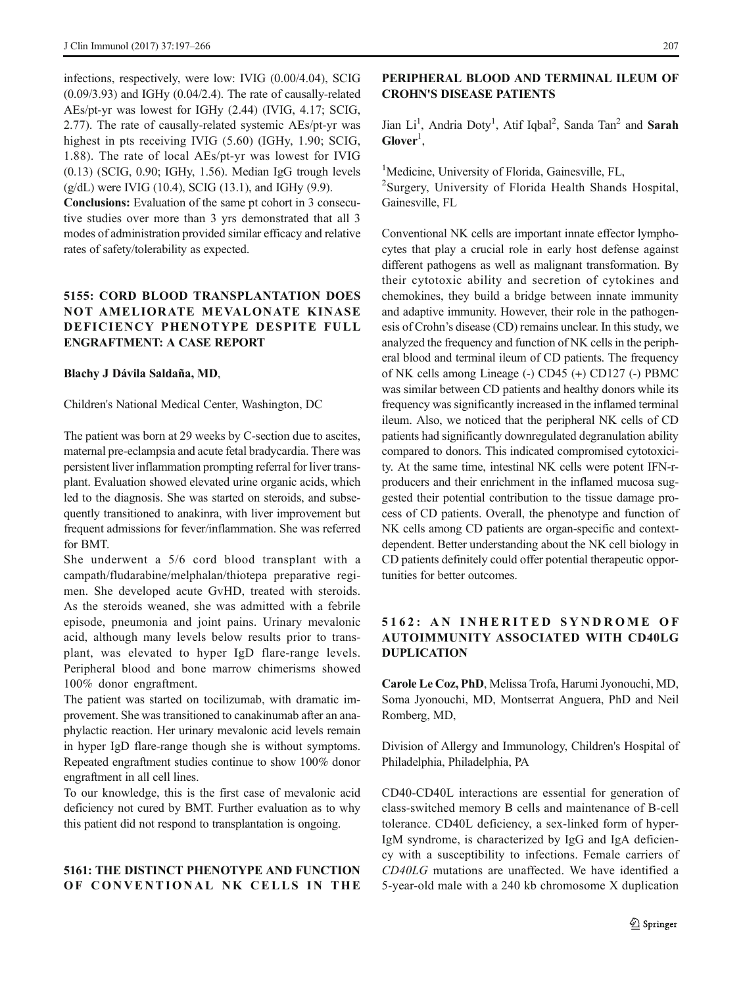infections, respectively, were low: IVIG (0.00/4.04), SCIG (0.09/3.93) and IGHy (0.04/2.4). The rate of causally-related AEs/pt-yr was lowest for IGHy (2.44) (IVIG, 4.17; SCIG, 2.77). The rate of causally-related systemic AEs/pt-yr was highest in pts receiving IVIG (5.60) (IGHy, 1.90; SCIG, 1.88). The rate of local AEs/pt-yr was lowest for IVIG (0.13) (SCIG, 0.90; IGHy, 1.56). Median IgG trough levels  $(g/dL)$  were IVIG (10.4), SCIG (13.1), and IGHy (9.9).

Conclusions: Evaluation of the same pt cohort in 3 consecutive studies over more than 3 yrs demonstrated that all 3 modes of administration provided similar efficacy and relative rates of safety/tolerability as expected.

### 5155: CORD BLOOD TRANSPLANTATION DOES NOT AMELIORATE MEVALONATE KINASE DEFICIENCY PHENOTYPE DESPITE FULL ENGRAFTMENT: A CASE REPORT

#### Blachy J Dávila Saldaña, MD,

Children's National Medical Center, Washington, DC

The patient was born at 29 weeks by C-section due to ascites, maternal pre-eclampsia and acute fetal bradycardia. There was persistent liver inflammation prompting referral for liver transplant. Evaluation showed elevated urine organic acids, which led to the diagnosis. She was started on steroids, and subsequently transitioned to anakinra, with liver improvement but frequent admissions for fever/inflammation. She was referred for BMT.

She underwent a 5/6 cord blood transplant with a campath/fludarabine/melphalan/thiotepa preparative regimen. She developed acute GvHD, treated with steroids. As the steroids weaned, she was admitted with a febrile episode, pneumonia and joint pains. Urinary mevalonic acid, although many levels below results prior to transplant, was elevated to hyper IgD flare-range levels. Peripheral blood and bone marrow chimerisms showed 100% donor engraftment.

The patient was started on tocilizumab, with dramatic improvement. She was transitioned to canakinumab after an anaphylactic reaction. Her urinary mevalonic acid levels remain in hyper IgD flare-range though she is without symptoms. Repeated engraftment studies continue to show 100% donor engraftment in all cell lines.

To our knowledge, this is the first case of mevalonic acid deficiency not cured by BMT. Further evaluation as to why this patient did not respond to transplantation is ongoing.

#### 5161: THE DISTINCT PHENOTYPE AND FUNCTION OF CONVENTIONAL NK CELLS IN THE

### PERIPHERAL BLOOD AND TERMINAL ILEUM OF CROHN'S DISEASE PATIENTS

Jian Li<sup>1</sup>, Andria Doty<sup>1</sup>, Atif Iqbal<sup>2</sup>, Sanda Tan<sup>2</sup> and Sarah  $G**I**over<sup>1</sup>,$ 

<sup>1</sup>Medicine, University of Florida, Gainesville, FL, <sup>2</sup>Surgery, University of Florida Health Shands Hospital, Gainesville, FL

Conventional NK cells are important innate effector lymphocytes that play a crucial role in early host defense against different pathogens as well as malignant transformation. By their cytotoxic ability and secretion of cytokines and chemokines, they build a bridge between innate immunity and adaptive immunity. However, their role in the pathogenesis of Crohn's disease (CD) remains unclear. In this study, we analyzed the frequency and function of NK cells in the peripheral blood and terminal ileum of CD patients. The frequency of NK cells among Lineage (-) CD45 (+) CD127 (-) PBMC was similar between CD patients and healthy donors while its frequency was significantly increased in the inflamed terminal ileum. Also, we noticed that the peripheral NK cells of CD patients had significantly downregulated degranulation ability compared to donors. This indicated compromised cytotoxicity. At the same time, intestinal NK cells were potent IFN-rproducers and their enrichment in the inflamed mucosa suggested their potential contribution to the tissue damage process of CD patients. Overall, the phenotype and function of NK cells among CD patients are organ-specific and contextdependent. Better understanding about the NK cell biology in CD patients definitely could offer potential therapeutic opportunities for better outcomes.

### 5162: AN INHERITED SYNDROME OF AUTOIMMUNITY ASSOCIATED WITH CD40LG DUPLICATION

Carole Le Coz, PhD, Melissa Trofa, Harumi Jyonouchi, MD, Soma Jyonouchi, MD, Montserrat Anguera, PhD and Neil Romberg, MD,

Division of Allergy and Immunology, Children's Hospital of Philadelphia, Philadelphia, PA

CD40-CD40L interactions are essential for generation of class-switched memory B cells and maintenance of B-cell tolerance. CD40L deficiency, a sex-linked form of hyper-IgM syndrome, is characterized by IgG and IgA deficiency with a susceptibility to infections. Female carriers of CD40LG mutations are unaffected. We have identified a 5-year-old male with a 240 kb chromosome X duplication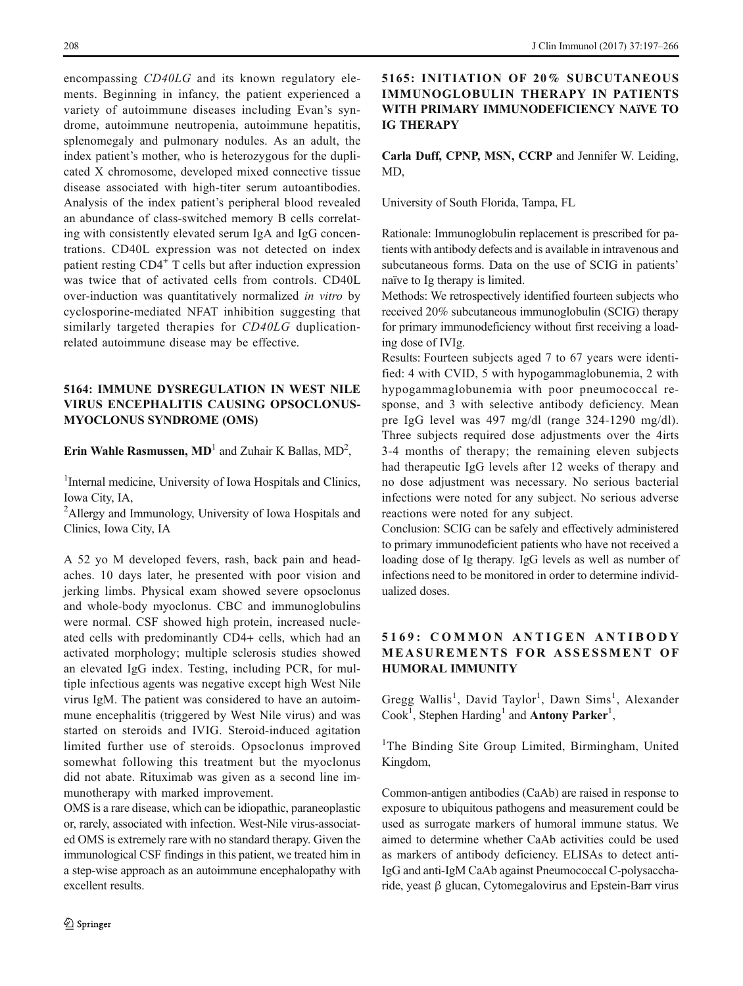encompassing CD40LG and its known regulatory elements. Beginning in infancy, the patient experienced a variety of autoimmune diseases including Evan's syndrome, autoimmune neutropenia, autoimmune hepatitis, splenomegaly and pulmonary nodules. As an adult, the index patient's mother, who is heterozygous for the duplicated X chromosome, developed mixed connective tissue disease associated with high-titer serum autoantibodies. Analysis of the index patient's peripheral blood revealed an abundance of class-switched memory B cells correlating with consistently elevated serum IgA and IgG concentrations. CD40L expression was not detected on index patient resting CD4<sup>+</sup> T cells but after induction expression was twice that of activated cells from controls. CD40L over-induction was quantitatively normalized in vitro by cyclosporine-mediated NFAT inhibition suggesting that similarly targeted therapies for CD40LG duplicationrelated autoimmune disease may be effective.

### 5164: IMMUNE DYSREGULATION IN WEST NILE VIRUS ENCEPHALITIS CAUSING OPSOCLONUS-MYOCLONUS SYNDROME (OMS)

# Erin Wahle Rasmussen,  $MD<sup>1</sup>$  and Zuhair K Ballas,  $MD<sup>2</sup>$ ,

<sup>1</sup>Internal medicine, University of Iowa Hospitals and Clinics, Iowa City, IA,

<sup>2</sup>Allergy and Immunology, University of Iowa Hospitals and Clinics, Iowa City, IA

A 52 yo M developed fevers, rash, back pain and headaches. 10 days later, he presented with poor vision and jerking limbs. Physical exam showed severe opsoclonus and whole-body myoclonus. CBC and immunoglobulins were normal. CSF showed high protein, increased nucleated cells with predominantly CD4+ cells, which had an activated morphology; multiple sclerosis studies showed an elevated IgG index. Testing, including PCR, for multiple infectious agents was negative except high West Nile virus IgM. The patient was considered to have an autoimmune encephalitis (triggered by West Nile virus) and was started on steroids and IVIG. Steroid-induced agitation limited further use of steroids. Opsoclonus improved somewhat following this treatment but the myoclonus did not abate. Rituximab was given as a second line immunotherapy with marked improvement.

OMS is a rare disease, which can be idiopathic, paraneoplastic or, rarely, associated with infection. West-Nile virus-associated OMS is extremely rare with no standard therapy. Given the immunological CSF findings in this patient, we treated him in a step-wise approach as an autoimmune encephalopathy with excellent results.

### 5165: INITIATION OF 20% SUBCUTANEOUS IMMUNOGLOBULIN THERAPY IN PATIENTS WITH PRIMARY IMMUNODEFICIENCY NAïVE TO IG THERAPY

Carla Duff, CPNP, MSN, CCRP and Jennifer W. Leiding,  $MD$ 

University of South Florida, Tampa, FL

Rationale: Immunoglobulin replacement is prescribed for patients with antibody defects and is available in intravenous and subcutaneous forms. Data on the use of SCIG in patients' naïve to Ig therapy is limited.

Methods: We retrospectively identified fourteen subjects who received 20% subcutaneous immunoglobulin (SCIG) therapy for primary immunodeficiency without first receiving a loading dose of IVIg.

Results: Fourteen subjects aged 7 to 67 years were identified: 4 with CVID, 5 with hypogammaglobunemia, 2 with hypogammaglobunemia with poor pneumococcal response, and 3 with selective antibody deficiency. Mean pre IgG level was 497 mg/dl (range 324-1290 mg/dl). Three subjects required dose adjustments over the 4irts 3-4 months of therapy; the remaining eleven subjects had therapeutic IgG levels after 12 weeks of therapy and no dose adjustment was necessary. No serious bacterial infections were noted for any subject. No serious adverse reactions were noted for any subject.

Conclusion: SCIG can be safely and effectively administered to primary immunodeficient patients who have not received a loading dose of Ig therapy. IgG levels as well as number of infections need to be monitored in order to determine individualized doses.

### 5169: COMMON ANTIGEN ANTIBODY MEASUREMENTS FOR ASSESSMENT OF HUMORAL IMMUNITY

Gregg Wallis<sup>1</sup>, David Taylor<sup>1</sup>, Dawn Sims<sup>1</sup>, Alexander Cook<sup>1</sup>, Stephen Harding<sup>1</sup> and Antony Parker<sup>1</sup>,

<sup>1</sup>The Binding Site Group Limited, Birmingham, United Kingdom,

Common-antigen antibodies (CaAb) are raised in response to exposure to ubiquitous pathogens and measurement could be used as surrogate markers of humoral immune status. We aimed to determine whether CaAb activities could be used as markers of antibody deficiency. ELISAs to detect anti-IgG and anti-IgM CaAb against Pneumococcal C-polysaccharide, yeast β glucan, Cytomegalovirus and Epstein-Barr virus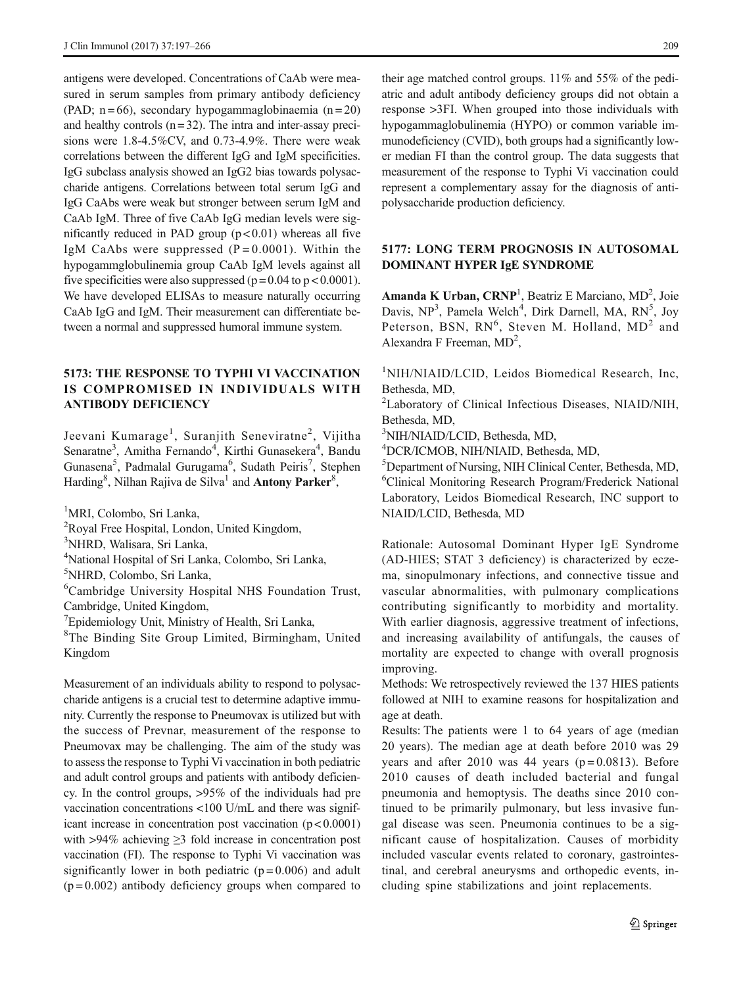antigens were developed. Concentrations of CaAb were measured in serum samples from primary antibody deficiency (PAD;  $n = 66$ ), secondary hypogammaglobinaemia ( $n = 20$ ) and healthy controls  $(n = 32)$ . The intra and inter-assay precisions were 1.8-4.5%CV, and 0.73-4.9%. There were weak correlations between the different IgG and IgM specificities. IgG subclass analysis showed an IgG2 bias towards polysaccharide antigens. Correlations between total serum IgG and IgG CaAbs were weak but stronger between serum IgM and CaAb IgM. Three of five CaAb IgG median levels were significantly reduced in PAD group  $(p < 0.01)$  whereas all five IgM CaAbs were suppressed  $(P = 0.0001)$ . Within the hypogammglobulinemia group CaAb IgM levels against all five specificities were also suppressed ( $p = 0.04$  to  $p < 0.0001$ ). We have developed ELISAs to measure naturally occurring CaAb IgG and IgM. Their measurement can differentiate between a normal and suppressed humoral immune system.

### 5173: THE RESPONSE TO TYPHI VI VACCINATION IS COMPROMISED IN INDIVIDUALS WITH ANTIBODY DEFICIENCY

Jeevani Kumarage<sup>1</sup>, Suranjith Seneviratne<sup>2</sup>, Vijitha Senaratne<sup>3</sup>, Amitha Fernando<sup>4</sup>, Kirthi Gunasekera<sup>4</sup>, Bandu Gunasena<sup>5</sup>, Padmalal Gurugama<sup>6</sup>, Sudath Peiris<sup>7</sup>, Stephen Harding<sup>8</sup>, Nilhan Rajiva de Silva<sup>1</sup> and **Antony Parker**<sup>8</sup>,

1 MRI, Colombo, Sri Lanka,

<sup>2</sup>Royal Free Hospital, London, United Kingdom,

3 NHRD, Walisara, Sri Lanka,

4 National Hospital of Sri Lanka, Colombo, Sri Lanka,

5 NHRD, Colombo, Sri Lanka,

6 Cambridge University Hospital NHS Foundation Trust, Cambridge, United Kingdom,

<sup>7</sup>Epidemiology Unit, Ministry of Health, Sri Lanka,

8 The Binding Site Group Limited, Birmingham, United Kingdom

Measurement of an individuals ability to respond to polysaccharide antigens is a crucial test to determine adaptive immunity. Currently the response to Pneumovax is utilized but with the success of Prevnar, measurement of the response to Pneumovax may be challenging. The aim of the study was to assess the response to Typhi Vi vaccination in both pediatric and adult control groups and patients with antibody deficiency. In the control groups, >95% of the individuals had pre vaccination concentrations <100 U/mL and there was significant increase in concentration post vaccination  $(p < 0.0001)$ with >94% achieving  $\geq$ 3 fold increase in concentration post vaccination (FI). The response to Typhi Vi vaccination was significantly lower in both pediatric  $(p=0.006)$  and adult  $(p=0.002)$  antibody deficiency groups when compared to

their age matched control groups. 11% and 55% of the pediatric and adult antibody deficiency groups did not obtain a response >3FI. When grouped into those individuals with hypogammaglobulinemia (HYPO) or common variable immunodeficiency (CVID), both groups had a significantly lower median FI than the control group. The data suggests that measurement of the response to Typhi Vi vaccination could represent a complementary assay for the diagnosis of antipolysaccharide production deficiency.

### 5177: LONG TERM PROGNOSIS IN AUTOSOMAL DOMINANT HYPER IgE SYNDROME

Amanda K Urban, CRNP<sup>1</sup>, Beatriz E Marciano, MD<sup>2</sup>, Joie Davis, NP<sup>3</sup>, Pamela Welch<sup>4</sup>, Dirk Darnell, MA, RN<sup>5</sup>, Joy Peterson, BSN,  $RN^6$ , Steven M. Holland,  $MD^2$  and Alexandra F Freeman, MD<sup>2</sup>,

1 NIH/NIAID/LCID, Leidos Biomedical Research, Inc, Bethesda, MD,

<sup>2</sup>Laboratory of Clinical Infectious Diseases, NIAID/NIH, Bethesda, MD,

3 NIH/NIAID/LCID, Bethesda, MD,

4 DCR/ICMOB, NIH/NIAID, Bethesda, MD,

5 Department of Nursing, NIH Clinical Center, Bethesda, MD, 6 Clinical Monitoring Research Program/Frederick National Laboratory, Leidos Biomedical Research, INC support to NIAID/LCID, Bethesda, MD

Rationale: Autosomal Dominant Hyper IgE Syndrome (AD-HIES; STAT 3 deficiency) is characterized by eczema, sinopulmonary infections, and connective tissue and vascular abnormalities, with pulmonary complications contributing significantly to morbidity and mortality. With earlier diagnosis, aggressive treatment of infections, and increasing availability of antifungals, the causes of mortality are expected to change with overall prognosis improving.

Methods: We retrospectively reviewed the 137 HIES patients followed at NIH to examine reasons for hospitalization and age at death.

Results: The patients were 1 to 64 years of age (median 20 years). The median age at death before 2010 was 29 years and after 2010 was 44 years  $(p=0.0813)$ . Before 2010 causes of death included bacterial and fungal pneumonia and hemoptysis. The deaths since 2010 continued to be primarily pulmonary, but less invasive fungal disease was seen. Pneumonia continues to be a significant cause of hospitalization. Causes of morbidity included vascular events related to coronary, gastrointestinal, and cerebral aneurysms and orthopedic events, including spine stabilizations and joint replacements.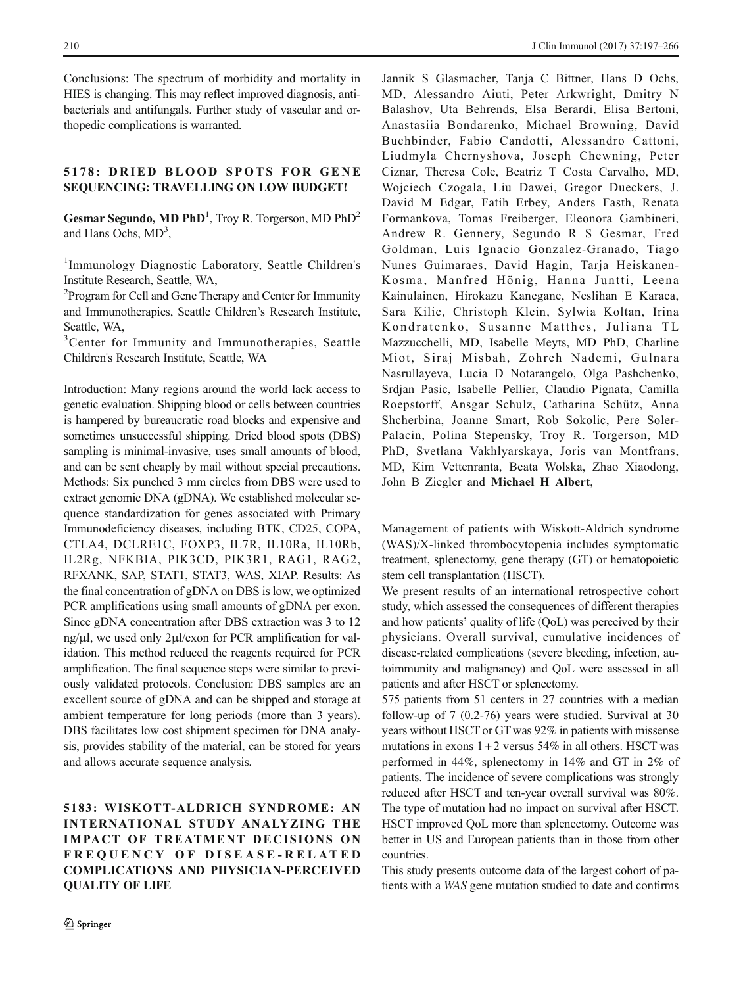Conclusions: The spectrum of morbidity and mortality in HIES is changing. This may reflect improved diagnosis, antibacterials and antifungals. Further study of vascular and orthopedic complications is warranted.

### 5178: DRIED BLOOD SPOTS FOR GENE SEQUENCING: TRAVELLING ON LOW BUDGET!

Gesmar Segundo, MD PhD<sup>1</sup>, Troy R. Torgerson, MD PhD<sup>2</sup> and Hans Ochs,  $MD<sup>3</sup>$ ,

<sup>1</sup>Immunology Diagnostic Laboratory, Seattle Children's Institute Research, Seattle, WA,

<sup>2</sup> Program for Cell and Gene Therapy and Center for Immunity and Immunotherapies, Seattle Children's Research Institute, Seattle, WA,

<sup>3</sup>Center for Immunity and Immunotherapies, Seattle Children's Research Institute, Seattle, WA

Introduction: Many regions around the world lack access to genetic evaluation. Shipping blood or cells between countries is hampered by bureaucratic road blocks and expensive and sometimes unsuccessful shipping. Dried blood spots (DBS) sampling is minimal-invasive, uses small amounts of blood, and can be sent cheaply by mail without special precautions. Methods: Six punched 3 mm circles from DBS were used to extract genomic DNA (gDNA). We established molecular sequence standardization for genes associated with Primary Immunodeficiency diseases, including BTK, CD25, COPA, CTLA4, DCLRE1C, FOXP3, IL7R, IL10Ra, IL10Rb, IL2Rg, NFKBIA, PIK3CD, PIK3R1, RAG1, RAG2, RFXANK, SAP, STAT1, STAT3, WAS, XIAP. Results: As the final concentration of gDNA on DBS is low, we optimized PCR amplifications using small amounts of gDNA per exon. Since gDNA concentration after DBS extraction was 3 to 12 ng/μl, we used only 2μl/exon for PCR amplification for validation. This method reduced the reagents required for PCR amplification. The final sequence steps were similar to previously validated protocols. Conclusion: DBS samples are an excellent source of gDNA and can be shipped and storage at ambient temperature for long periods (more than 3 years). DBS facilitates low cost shipment specimen for DNA analysis, provides stability of the material, can be stored for years and allows accurate sequence analysis.

### 5183: WISKOTT-ALDRICH SYNDROME: AN INTERNATIONAL STUDY ANALYZING THE IMPACT OF TREATMENT DECISIONS ON FREQUENCY OF DISEASE-RELATED COMPLICATIONS AND PHYSICIAN-PERCEIVED QUALITY OF LIFE

Jannik S Glasmacher, Tanja C Bittner, Hans D Ochs, MD, Alessandro Aiuti, Peter Arkwright, Dmitry N Balashov, Uta Behrends, Elsa Berardi, Elisa Bertoni, Anastasiia Bondarenko, Michael Browning, David Buchbinder, Fabio Candotti, Alessandro Cattoni, Liudmyla Chernyshova, Joseph Chewning, Peter Ciznar, Theresa Cole, Beatriz T Costa Carvalho, MD, Wojciech Czogala, Liu Dawei, Gregor Dueckers, J. David M Edgar, Fatih Erbey, Anders Fasth, Renata Formankova, Tomas Freiberger, Eleonora Gambineri, Andrew R. Gennery, Segundo R S Gesmar, Fred Goldman, Luis Ignacio Gonzalez-Granado, Tiago Nunes Guimaraes, David Hagin, Tarja Heiskanen-Kosma, Manfred Hönig, Hanna Juntti, Leena Kainulainen, Hirokazu Kanegane, Neslihan E Karaca, Sara Kilic, Christoph Klein, Sylwia Koltan, Irina Kondratenko, Susanne Matthes, Juliana TL Mazzucchelli, MD, Isabelle Meyts, MD PhD, Charline Miot, Siraj Misbah, Zohreh Nademi, Gulnara Nasrullayeva, Lucia D Notarangelo, Olga Pashchenko, Srdjan Pasic, Isabelle Pellier, Claudio Pignata, Camilla Roepstorff, Ansgar Schulz, Catharina Schütz, Anna Shcherbina, Joanne Smart, Rob Sokolic, Pere Soler-Palacin, Polina Stepensky, Troy R. Torgerson, MD PhD, Svetlana Vakhlyarskaya, Joris van Montfrans, MD, Kim Vettenranta, Beata Wolska, Zhao Xiaodong, John B Ziegler and Michael H Albert,

Management of patients with Wiskott-Aldrich syndrome (WAS)/X-linked thrombocytopenia includes symptomatic treatment, splenectomy, gene therapy (GT) or hematopoietic stem cell transplantation (HSCT).

We present results of an international retrospective cohort study, which assessed the consequences of different therapies and how patients' quality of life (QoL) was perceived by their physicians. Overall survival, cumulative incidences of disease-related complications (severe bleeding, infection, autoimmunity and malignancy) and QoL were assessed in all patients and after HSCT or splenectomy.

575 patients from 51 centers in 27 countries with a median follow-up of 7 (0.2-76) years were studied. Survival at 30 years without HSCT or GT was 92% in patients with missense mutations in exons  $1+2$  versus 54% in all others. HSCT was performed in 44%, splenectomy in 14% and GT in 2% of patients. The incidence of severe complications was strongly reduced after HSCT and ten-year overall survival was 80%. The type of mutation had no impact on survival after HSCT. HSCT improved QoL more than splenectomy. Outcome was better in US and European patients than in those from other countries.

This study presents outcome data of the largest cohort of patients with a WAS gene mutation studied to date and confirms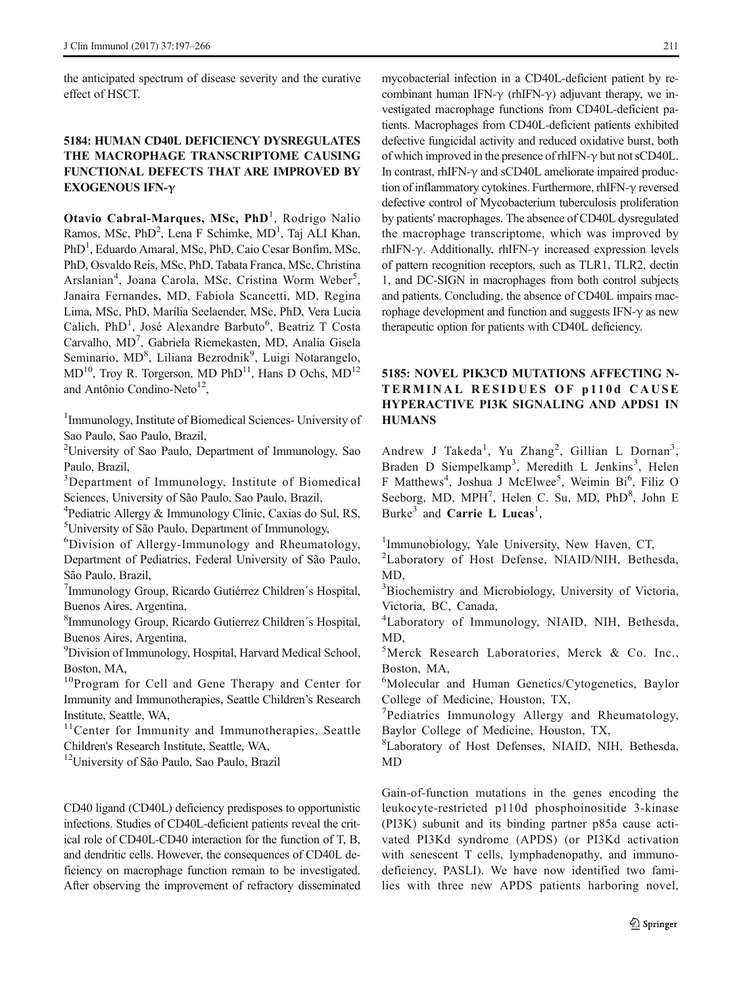the anticipated spectrum of disease severity and the curative effect of HSCT.

# 5184: HUMAN CD40L DEFICIENCY DYSREGULATES THE MACROPHAGE TRANSCRIPTOME CAUSING FUNCTIONAL DEFECTS THAT ARE IMPROVED BY EXOGENOUS IFN-γ

Otavio Cabral-Marques, MSc, PhD<sup>1</sup>, Rodrigo Nalio Ramos, MSc, PhD<sup>2</sup>, Lena F Schimke, MD<sup>1</sup>, Taj ALI Khan, PhD<sup>1</sup>, Eduardo Amaral, MSc, PhD, Caio Cesar Bonfim, MSc, PhD, Osvaldo Reis, MSc, PhD, Tabata Franca, MSc, Christina Arslanian<sup>4</sup>, Joana Carola, MSc, Cristina Worm Weber<sup>5</sup>, Janaira Fernandes, MD, Fabiola Scancetti, MD, Regina Lima, MSc, PhD, Marília Seelaender, MSc, PhD, Vera Lucia Calich, PhD<sup>1</sup>, José Alexandre Barbuto<sup>6</sup>, Beatriz T Costa Carvalho, MD<sup>7</sup>, Gabriela Riemekasten, MD, Analía Gisela Seminario, MD<sup>8</sup>, Liliana Bezrodnik<sup>9</sup>, Luigi Notarangelo,  $MD<sup>10</sup>$ , Troy R. Torgerson, MD PhD<sup>11</sup>, Hans D Ochs, MD<sup>12</sup> and Antônio Condino-Neto<sup>12</sup>,

<sup>1</sup>Immunology, Institute of Biomedical Sciences- University of Sao Paulo, Sao Paulo, Brazil,

<sup>2</sup>University of Sao Paulo, Department of Immunology, Sao Paulo, Brazil,

<sup>3</sup>Department of Immunology, Institute of Biomedical Sciences, University of São Paulo, Sao Paulo, Brazil,

4 Pediatric Allergy & Immunology Clinic, Caxias do Sul, RS, 5 University of São Paulo, Department of Immunology,

6 Division of Allergy-Immunology and Rheumatology, Department of Pediatrics, Federal University of São Paulo, São Paulo, Brazil,

7 Immunology Group, Ricardo Gutiérrez Children´s Hospital, Buenos Aires, Argentina,

8 Immunology Group, Ricardo Gutierrez Children´s Hospital, Buenos Aires, Argentina,

<sup>9</sup> Division of Immunology, Hospital, Harvard Medical School, Boston, MA,

<sup>10</sup>Program for Cell and Gene Therapy and Center for Immunity and Immunotherapies, Seattle Children's Research Institute, Seattle, WA,

<sup>11</sup>Center for Immunity and Immunotherapies, Seattle Children's Research Institute, Seattle, WA,

<sup>12</sup>University of São Paulo, Sao Paulo, Brazil

CD40 ligand (CD40L) deficiency predisposes to opportunistic infections. Studies of CD40L-deficient patients reveal the critical role of CD40L-CD40 interaction for the function of T, B, and dendritic cells. However, the consequences of CD40L deficiency on macrophage function remain to be investigated. After observing the improvement of refractory disseminated

mycobacterial infection in a CD40L-deficient patient by recombinant human IFN- $\gamma$  (rhIFN- $\gamma$ ) adjuvant therapy, we investigated macrophage functions from CD40L-deficient patients. Macrophages from CD40L-deficient patients exhibited defective fungicidal activity and reduced oxidative burst, both of which improved in the presence of rhIFN-γ but not sCD40L. In contrast, rhIFN- $\gamma$  and sCD40L ameliorate impaired production of inflammatory cytokines. Furthermore, rhIFN-γ reversed defective control of Mycobacterium tuberculosis proliferation by patients' macrophages. The absence of CD40L dysregulated the macrophage transcriptome, which was improved by rhIFN-γ. Additionally, rhIFN-γ increased expression levels of pattern recognition receptors, such as TLR1, TLR2, dectin 1, and DC-SIGN in macrophages from both control subjects and patients. Concluding, the absence of CD40L impairs macrophage development and function and suggests IFN-γ as new therapeutic option for patients with CD40L deficiency.

# 5185: NOVEL PIK3CD MUTATIONS AFFECTING N-TERMINAL RESIDUES OF p110d CAUSE HYPERACTIVE PI3K SIGNALING AND APDS1 IN **HUMANS**

Andrew J Takeda<sup>1</sup>, Yu Zhang<sup>2</sup>, Gillian L Dornan<sup>3</sup>, Braden D Siempelkamp<sup>3</sup>, Meredith L Jenkins<sup>3</sup>, Helen F Matthews<sup>4</sup>, Joshua J McElwee<sup>5</sup>, Weimin Bi<sup>6</sup>, Filiz O Seeborg, MD, MPH<sup>7</sup>, Helen C. Su, MD, PhD<sup>8</sup>, John E Burke<sup>3</sup> and **Carrie L Lucas**<sup>1</sup>,

<sup>1</sup>Immunobiology, Yale University, New Haven, CT,

<sup>2</sup>Laboratory of Host Defense, NIAID/NIH, Bethesda, MD,

<sup>3</sup>Biochemistry and Microbiology, University of Victoria, Victoria, BC, Canada,

4 Laboratory of Immunology, NIAID, NIH, Bethesda, MD,

5 Merck Research Laboratories, Merck & Co. Inc., Boston, MA,

6 Molecular and Human Genetics/Cytogenetics, Baylor College of Medicine, Houston, TX,

7 Pediatrics Immunology Allergy and Rheumatology, Baylor College of Medicine, Houston, TX,

8 Laboratory of Host Defenses, NIAID, NIH, Bethesda, MD

Gain-of-function mutations in the genes encoding the leukocyte-restricted p110d phosphoinositide 3-kinase (PI3K) subunit and its binding partner p85a cause activated PI3Kd syndrome (APDS) (or PI3Kd activation with senescent T cells, lymphadenopathy, and immunodeficiency, PASLI). We have now identified two families with three new APDS patients harboring novel,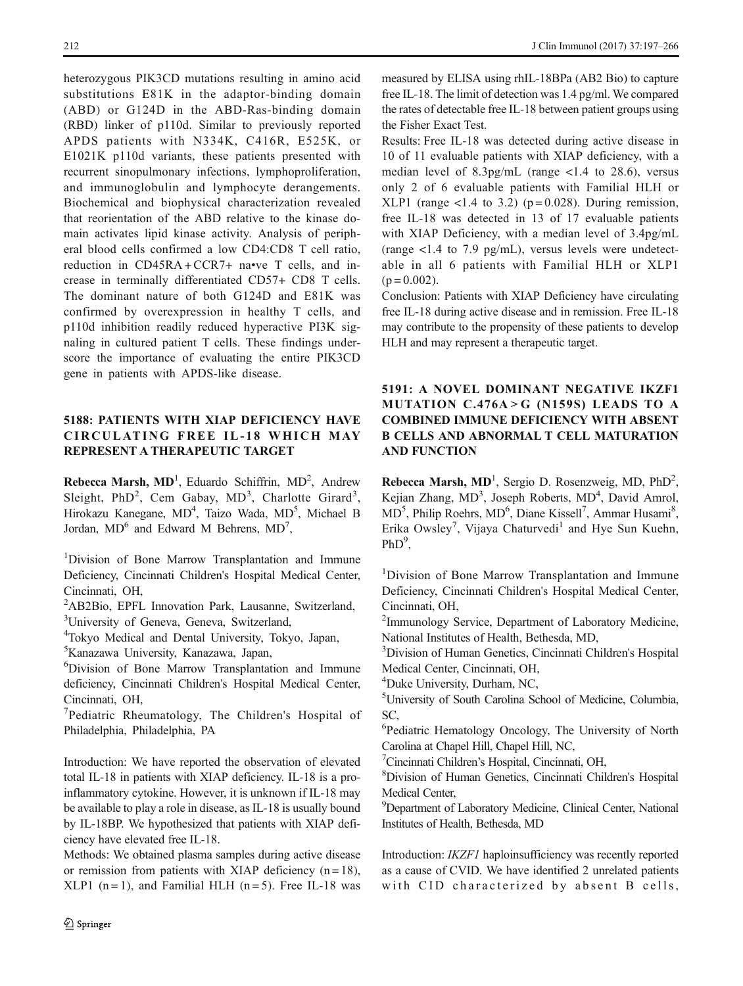heterozygous PIK3CD mutations resulting in amino acid substitutions E81K in the adaptor-binding domain (ABD) or G124D in the ABD-Ras-binding domain (RBD) linker of p110d. Similar to previously reported APDS patients with N334K, C416R, E525K, or E1021K p110d variants, these patients presented with recurrent sinopulmonary infections, lymphoproliferation, and immunoglobulin and lymphocyte derangements. Biochemical and biophysical characterization revealed that reorientation of the ABD relative to the kinase domain activates lipid kinase activity. Analysis of peripheral blood cells confirmed a low CD4:CD8 T cell ratio, reduction in CD45RA + CCR7+ na•ve T cells, and increase in terminally differentiated CD57+ CD8 T cells. The dominant nature of both G124D and E81K was confirmed by overexpression in healthy T cells, and p110d inhibition readily reduced hyperactive PI3K signaling in cultured patient T cells. These findings underscore the importance of evaluating the entire PIK3CD gene in patients with APDS-like disease.

### 5188: PATIENTS WITH XIAP DEFICIENCY HAVE CIRCULATING FREE IL -18 WHICH MAY REPRESENT A THERAPEUTIC TARGET

Rebecca Marsh,  $MD<sup>1</sup>$ , Eduardo Schiffrin,  $MD<sup>2</sup>$ , Andrew Sleight, PhD<sup>2</sup>, Cem Gabay, MD<sup>3</sup>, Charlotte Girard<sup>3</sup>, Hirokazu Kanegane, MD<sup>4</sup>, Taizo Wada, MD<sup>5</sup>, Michael B Jordan,  $MD^6$  and Edward M Behrens,  $MD^7$ ,

<sup>1</sup>Division of Bone Marrow Transplantation and Immune Deficiency, Cincinnati Children's Hospital Medical Center, Cincinnati, OH,

<sup>2</sup>AB2Bio, EPFL Innovation Park, Lausanne, Switzerland, <sup>3</sup>University of Geneva, Geneva, Switzerland,

4 Tokyo Medical and Dental University, Tokyo, Japan,

5 Kanazawa University, Kanazawa, Japan,

6 Division of Bone Marrow Transplantation and Immune deficiency, Cincinnati Children's Hospital Medical Center, Cincinnati, OH,

<sup>7</sup>Pediatric Rheumatology, The Children's Hospital of Philadelphia, Philadelphia, PA

Introduction: We have reported the observation of elevated total IL-18 in patients with XIAP deficiency. IL-18 is a proinflammatory cytokine. However, it is unknown if IL-18 may be available to play a role in disease, as IL-18 is usually bound by IL-18BP. We hypothesized that patients with XIAP deficiency have elevated free IL-18.

Methods: We obtained plasma samples during active disease or remission from patients with XIAP deficiency  $(n = 18)$ ,  $KLP1$  (n = 1), and Familial HLH (n = 5). Free IL-18 was

measured by ELISA using rhIL-18BPa (AB2 Bio) to capture free IL-18. The limit of detection was 1.4 pg/ml. We compared the rates of detectable free IL-18 between patient groups using the Fisher Exact Test.

Results: Free IL-18 was detected during active disease in 10 of 11 evaluable patients with XIAP deficiency, with a median level of 8.3pg/mL (range <1.4 to 28.6), versus only 2 of 6 evaluable patients with Familial HLH or XLP1 (range  $\langle 1.4 \rangle$  to 3.2) (p=0.028). During remission, free IL-18 was detected in 13 of 17 evaluable patients with XIAP Deficiency, with a median level of 3.4pg/mL (range <1.4 to 7.9 pg/mL), versus levels were undetectable in all 6 patients with Familial HLH or XLP1  $(p = 0.002)$ .

Conclusion: Patients with XIAP Deficiency have circulating free IL-18 during active disease and in remission. Free IL-18 may contribute to the propensity of these patients to develop HLH and may represent a therapeutic target.

# 5191: A NOVEL DOMINANT NEGATIVE IKZF1 MUTATION  $C.476A > G$  (N159S) LEADS TO A COMBINED IMMUNE DEFICIENCY WITH ABSENT B CELLS AND ABNORMAL T CELL MATURATION AND FUNCTION

Rebecca Marsh,  $MD<sup>1</sup>$ , Sergio D. Rosenzweig, MD, PhD<sup>2</sup>, Kejian Zhang, MD<sup>3</sup>, Joseph Roberts, MD<sup>4</sup>, David Amrol, MD<sup>5</sup>, Philip Roehrs, MD<sup>6</sup>, Diane Kissell<sup>7</sup>, Ammar Husami<sup>8</sup>, Erika Owsley<sup>7</sup>, Vijaya Chaturvedi<sup>1</sup> and Hye Sun Kuehn,  $PhD<sup>9</sup>$ ,

<sup>1</sup>Division of Bone Marrow Transplantation and Immune Deficiency, Cincinnati Children's Hospital Medical Center, Cincinnati, OH,

<sup>2</sup>Immunology Service, Department of Laboratory Medicine, National Institutes of Health, Bethesda, MD,

3 Division of Human Genetics, Cincinnati Children's Hospital Medical Center, Cincinnati, OH,

4 Duke University, Durham, NC,

5 University of South Carolina School of Medicine, Columbia, SC,

6 Pediatric Hematology Oncology, The University of North Carolina at Chapel Hill, Chapel Hill, NC,

7 Cincinnati Children's Hospital, Cincinnati, OH,

8 Division of Human Genetics, Cincinnati Children's Hospital Medical Center,

<sup>9</sup>Department of Laboratory Medicine, Clinical Center, National Institutes of Health, Bethesda, MD

Introduction: IKZF1 haploinsufficiency was recently reported as a cause of CVID. We have identified 2 unrelated patients with CID characterized by absent B cells,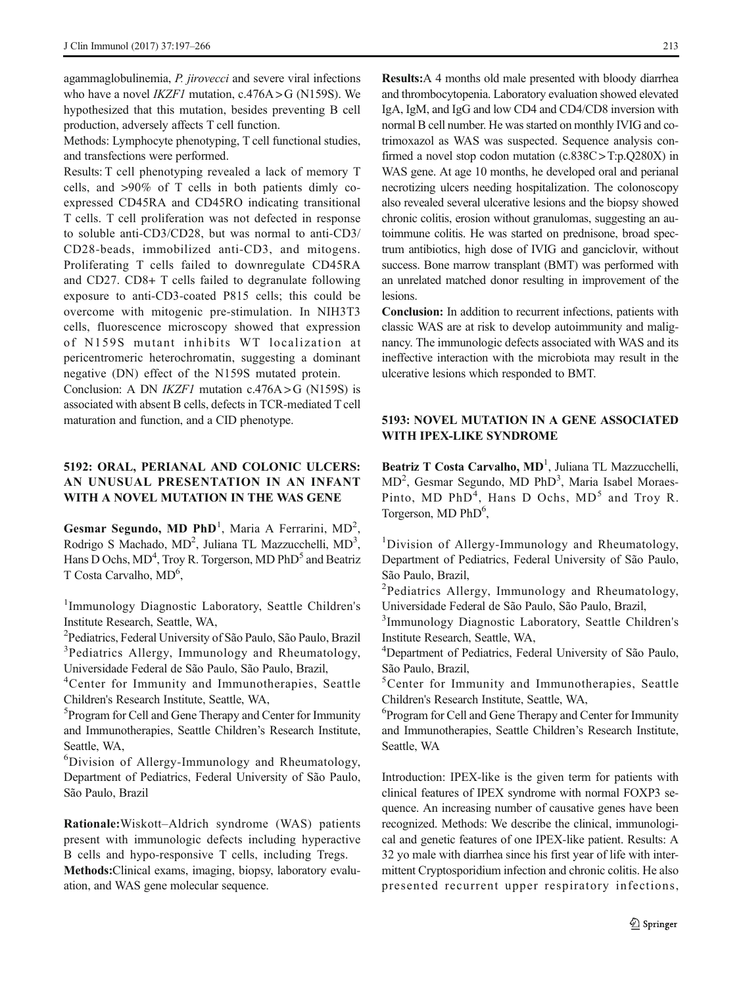agammaglobulinemia, P. *jirovecci* and severe viral infections who have a novel *IKZF1* mutation,  $c.476A > G$  (N159S). We hypothesized that this mutation, besides preventing B cell production, adversely affects T cell function.

Methods: Lymphocyte phenotyping, T cell functional studies, and transfections were performed.

Results: T cell phenotyping revealed a lack of memory T cells, and >90% of T cells in both patients dimly coexpressed CD45RA and CD45RO indicating transitional T cells. T cell proliferation was not defected in response to soluble anti-CD3/CD28, but was normal to anti-CD3/ CD28-beads, immobilized anti-CD3, and mitogens. Proliferating T cells failed to downregulate CD45RA and CD27. CD8+ T cells failed to degranulate following exposure to anti-CD3-coated P815 cells; this could be overcome with mitogenic pre-stimulation. In NIH3T3 cells, fluorescence microscopy showed that expression of N159S mutant inhibits WT localization at pericentromeric heterochromatin, suggesting a dominant negative (DN) effect of the N159S mutated protein.

Conclusion: A DN *IKZF1* mutation  $c.476A > G$  (N159S) is associated with absent B cells, defects in TCR-mediated T cell maturation and function, and a CID phenotype.

### 5192: ORAL, PERIANAL AND COLONIC ULCERS: AN UNUSUAL PRESENTATION IN AN INFANT WITH A NOVEL MUTATION IN THE WAS GENE

Gesmar Segundo, MD PhD<sup>1</sup>, Maria A Ferrarini, MD<sup>2</sup>, Rodrigo S Machado, MD<sup>2</sup>, Juliana TL Mazzucchelli, MD<sup>3</sup>, Hans D Ochs, MD<sup>4</sup>, Troy R. Torgerson, MD PhD<sup>5</sup> and Beatriz T Costa Carvalho, MD<sup>6</sup>,

<sup>1</sup>Immunology Diagnostic Laboratory, Seattle Children's Institute Research, Seattle, WA,

2 Pediatrics, Federal University of São Paulo, São Paulo, Brazil <sup>3</sup>Pediatrics Allergy, Immunology and Rheumatology, Universidade Federal de São Paulo, São Paulo, Brazil,

4 Center for Immunity and Immunotherapies, Seattle Children's Research Institute, Seattle, WA,

5 Program for Cell and Gene Therapy and Center for Immunity and Immunotherapies, Seattle Children's Research Institute, Seattle, WA,

6 Division of Allergy-Immunology and Rheumatology, Department of Pediatrics, Federal University of São Paulo, São Paulo, Brazil

Rationale:Wiskott–Aldrich syndrome (WAS) patients present with immunologic defects including hyperactive B cells and hypo-responsive T cells, including Tregs. Methods:Clinical exams, imaging, biopsy, laboratory evaluation, and WAS gene molecular sequence.

Results:A 4 months old male presented with bloody diarrhea and thrombocytopenia. Laboratory evaluation showed elevated IgA, IgM, and IgG and low CD4 and CD4/CD8 inversion with normal B cell number. He was started on monthly IVIG and cotrimoxazol as WAS was suspected. Sequence analysis confirmed a novel stop codon mutation  $(c.838C > T:p.Q280X)$  in WAS gene. At age 10 months, he developed oral and perianal necrotizing ulcers needing hospitalization. The colonoscopy also revealed several ulcerative lesions and the biopsy showed chronic colitis, erosion without granulomas, suggesting an autoimmune colitis. He was started on prednisone, broad spectrum antibiotics, high dose of IVIG and ganciclovir, without success. Bone marrow transplant (BMT) was performed with an unrelated matched donor resulting in improvement of the lesions.

Conclusion: In addition to recurrent infections, patients with classic WAS are at risk to develop autoimmunity and malignancy. The immunologic defects associated with WAS and its ineffective interaction with the microbiota may result in the ulcerative lesions which responded to BMT.

### 5193: NOVEL MUTATION IN A GENE ASSOCIATED WITH IPEX-LIKE SYNDROME

Beatriz T Costa Carvalho, MD<sup>1</sup>, Juliana TL Mazzucchelli, MD<sup>2</sup>, Gesmar Segundo, MD PhD<sup>3</sup>, Maria Isabel Moraes-Pinto, MD PhD<sup>4</sup>, Hans D Ochs, MD<sup>5</sup> and Troy R. Torgerson, MD PhD<sup>6</sup>,

<sup>1</sup>Division of Allergy-Immunology and Rheumatology, Department of Pediatrics, Federal University of São Paulo, São Paulo, Brazil,

<sup>2</sup>Pediatrics Allergy, Immunology and Rheumatology, Universidade Federal de São Paulo, São Paulo, Brazil,

<sup>3</sup>Immunology Diagnostic Laboratory, Seattle Children's Institute Research, Seattle, WA,

4 Department of Pediatrics, Federal University of São Paulo, São Paulo, Brazil,

5 Center for Immunity and Immunotherapies, Seattle Children's Research Institute, Seattle, WA,

6 Program for Cell and Gene Therapy and Center for Immunity and Immunotherapies, Seattle Children's Research Institute, Seattle, WA

Introduction: IPEX-like is the given term for patients with clinical features of IPEX syndrome with normal FOXP3 sequence. An increasing number of causative genes have been recognized. Methods: We describe the clinical, immunological and genetic features of one IPEX-like patient. Results: A 32 yo male with diarrhea since his first year of life with intermittent Cryptosporidium infection and chronic colitis. He also presented recurrent upper respiratory infections,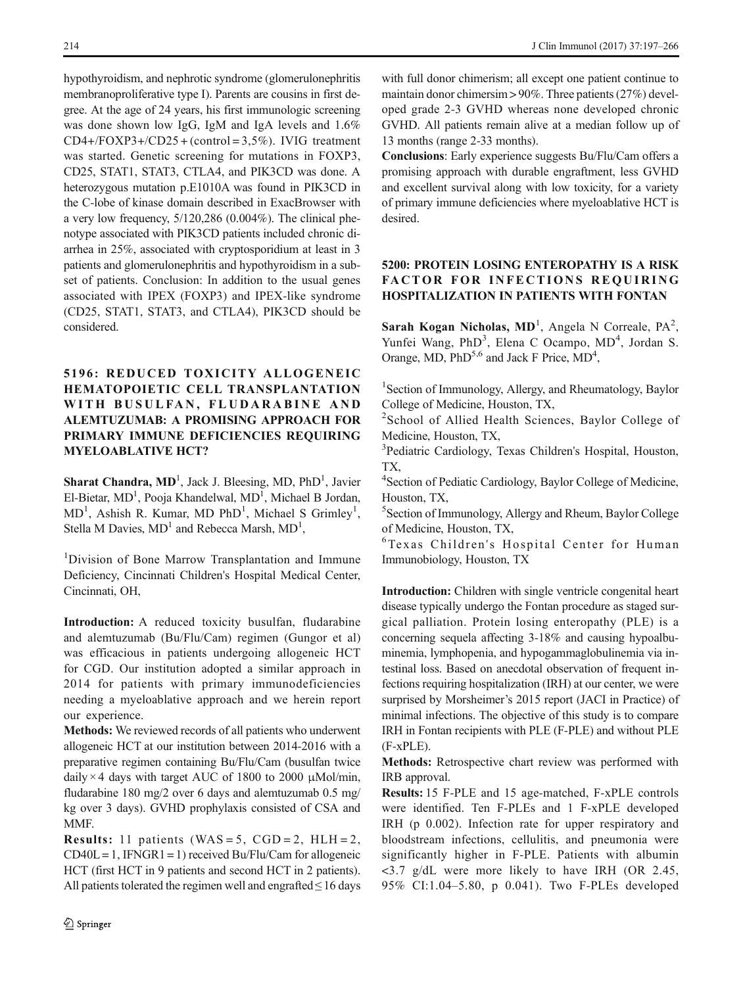hypothyroidism, and nephrotic syndrome (glomerulonephritis membranoproliferative type I). Parents are cousins in first degree. At the age of 24 years, his first immunologic screening was done shown low IgG, IgM and IgA levels and 1.6%  $CD4+/FOXP3+/CD25 + (control = 3.5\%)$ . IVIG treatment was started. Genetic screening for mutations in FOXP3, CD25, STAT1, STAT3, CTLA4, and PIK3CD was done. A heterozygous mutation p.E1010A was found in PIK3CD in the C-lobe of kinase domain described in ExacBrowser with a very low frequency, 5/120,286 (0.004%). The clinical phenotype associated with PIK3CD patients included chronic diarrhea in 25%, associated with cryptosporidium at least in 3 patients and glomerulonephritis and hypothyroidism in a subset of patients. Conclusion: In addition to the usual genes associated with IPEX (FOXP3) and IPEX-like syndrome (CD25, STAT1, STAT3, and CTLA4), PIK3CD should be considered.

# 5196: REDUCED TOXICITY ALLOGENEIC HEMATOPOIETIC CELL TRANSPLANTATION WITH BUSULFAN, FLUDARABINE AND ALEMTUZUMAB: A PROMISING APPROACH FOR PRIMARY IMMUNE DEFICIENCIES REQUIRING MYELOABLATIVE HCT?

Sharat Chandra, MD<sup>1</sup>, Jack J. Bleesing, MD, PhD<sup>1</sup>, Javier El-Bietar, MD<sup>1</sup>, Pooja Khandelwal, MD<sup>1</sup>, Michael B Jordan, MD<sup>1</sup>, Ashish R. Kumar, MD PhD<sup>1</sup>, Michael S Grimley<sup>1</sup>, Stella M Davies,  $MD<sup>1</sup>$  and Rebecca Marsh,  $MD<sup>1</sup>$ ,

<sup>1</sup>Division of Bone Marrow Transplantation and Immune Deficiency, Cincinnati Children's Hospital Medical Center, Cincinnati, OH,

Introduction: A reduced toxicity busulfan, fludarabine and alemtuzumab (Bu/Flu/Cam) regimen (Gungor et al) was efficacious in patients undergoing allogeneic HCT for CGD. Our institution adopted a similar approach in 2014 for patients with primary immunodeficiencies needing a myeloablative approach and we herein report our experience.

Methods: We reviewed records of all patients who underwent allogeneic HCT at our institution between 2014-2016 with a preparative regimen containing Bu/Flu/Cam (busulfan twice daily  $\times$  4 days with target AUC of 1800 to 2000  $\mu$ Mol/min, fludarabine 180 mg/2 over 6 days and alemtuzumab 0.5 mg/ kg over 3 days). GVHD prophylaxis consisted of CSA and MMF.

**Results:** 11 patients (WAS = 5,  $CGD = 2$ ,  $HLH = 2$ ,  $CD40L = 1$ , IFNGR1 = 1) received Bu/Flu/Cam for allogeneic HCT (first HCT in 9 patients and second HCT in 2 patients). All patients tolerated the regimen well and engrafted  $\leq$  16 days

with full donor chimerism; all except one patient continue to maintain donor chimersim > 90%. Three patients (27%) developed grade 2-3 GVHD whereas none developed chronic GVHD. All patients remain alive at a median follow up of 13 months (range 2-33 months).

Conclusions: Early experience suggests Bu/Flu/Cam offers a promising approach with durable engraftment, less GVHD and excellent survival along with low toxicity, for a variety of primary immune deficiencies where myeloablative HCT is desired.

### 5200: PROTEIN LOSING ENTEROPATHY IS A RISK FACTOR FOR INFECTIONS REQUIRING HOSPITALIZATION IN PATIENTS WITH FONTAN

Sarah Kogan Nicholas,  $MD<sup>1</sup>$ , Angela N Correale,  $PA<sup>2</sup>$ , Yunfei Wang, PhD<sup>3</sup>, Elena C Ocampo, MD<sup>4</sup>, Jordan S. Orange, MD, PhD<sup>5,6</sup> and Jack F Price, MD<sup>4</sup>,

<sup>1</sup>Section of Immunology, Allergy, and Rheumatology, Baylor College of Medicine, Houston, TX,

2 School of Allied Health Sciences, Baylor College of Medicine, Houston, TX,

<sup>3</sup>Pediatric Cardiology, Texas Children's Hospital, Houston, TX,

4 Section of Pediatic Cardiology, Baylor College of Medicine, Houston, TX,

5 Section of Immunology, Allergy and Rheum, Baylor College of Medicine, Houston, TX,

6Texas Children's Hospital Center for Human Immunobiology, Houston, TX

Introduction: Children with single ventricle congenital heart disease typically undergo the Fontan procedure as staged surgical palliation. Protein losing enteropathy (PLE) is a concerning sequela affecting 3-18% and causing hypoalbuminemia, lymphopenia, and hypogammaglobulinemia via intestinal loss. Based on anecdotal observation of frequent infections requiring hospitalization (IRH) at our center, we were surprised by Morsheimer's 2015 report (JACI in Practice) of minimal infections. The objective of this study is to compare IRH in Fontan recipients with PLE (F-PLE) and without PLE (F-xPLE).

Methods: Retrospective chart review was performed with IRB approval.

Results: 15 F-PLE and 15 age-matched, F-xPLE controls were identified. Ten F-PLEs and 1 F-xPLE developed IRH (p 0.002). Infection rate for upper respiratory and bloodstream infections, cellulitis, and pneumonia were significantly higher in F-PLE. Patients with albumin <3.7 g/dL were more likely to have IRH (OR 2.45, 95% CI:1.04–5.80, p 0.041). Two F-PLEs developed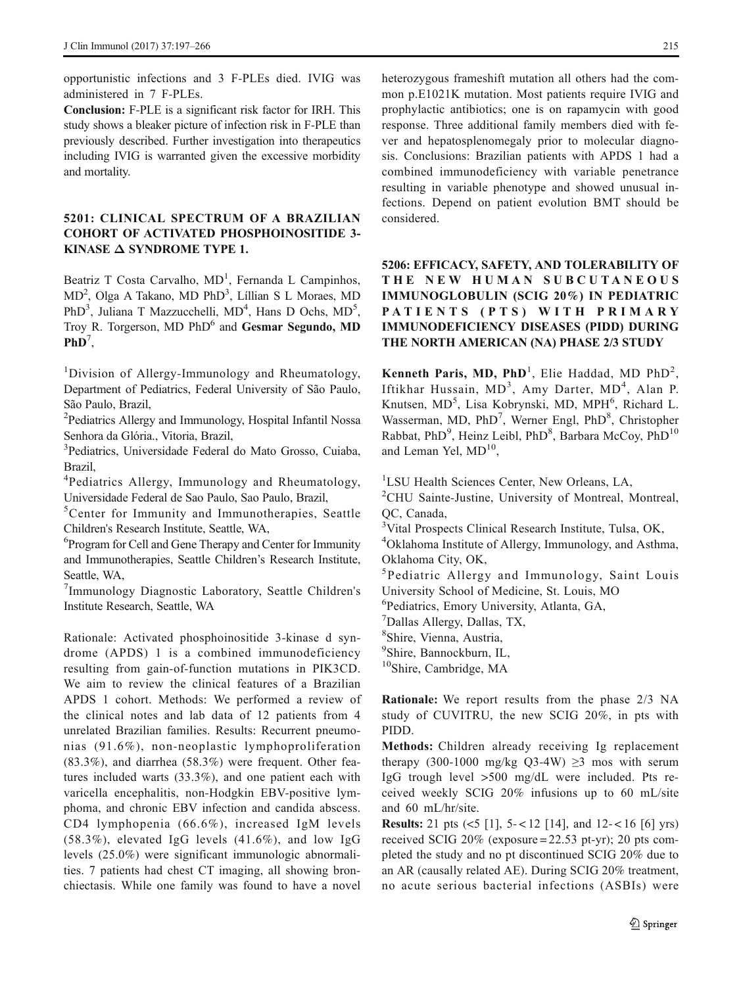opportunistic infections and 3 F-PLEs died. IVIG was administered in 7 F-PLEs.

Conclusion: F-PLE is a significant risk factor for IRH. This study shows a bleaker picture of infection risk in F-PLE than previously described. Further investigation into therapeutics including IVIG is warranted given the excessive morbidity and mortality.

### 5201: CLINICAL SPECTRUM OF A BRAZILIAN COHORT OF ACTIVATED PHOSPHOINOSITIDE 3- KINASE Δ SYNDROME TYPE 1.

Beatriz T Costa Carvalho, MD<sup>1</sup>, Fernanda L Campinhos, MD<sup>2</sup>, Olga A Takano, MD PhD<sup>3</sup>, Líllian S L Moraes, MD PhD<sup>3</sup>, Juliana T Mazzucchelli, MD<sup>4</sup>, Hans D Ochs, MD<sup>5</sup>, Troy R. Torgerson, MD PhD<sup>6</sup> and Gesmar Segundo, MD  $PhD^7$ ,

<sup>1</sup>Division of Allergy-Immunology and Rheumatology, Department of Pediatrics, Federal University of São Paulo, São Paulo, Brazil,

<sup>2</sup>Pediatrics Allergy and Immunology, Hospital Infantil Nossa Senhora da Glória., Vitoria, Brazil,

3 Pediatrics, Universidade Federal do Mato Grosso, Cuiaba, Brazil,

<sup>4</sup>Pediatrics Allergy, Immunology and Rheumatology, Universidade Federal de Sao Paulo, Sao Paulo, Brazil,

<sup>5</sup>Center for Immunity and Immunotherapies, Seattle Children's Research Institute, Seattle, WA,

6 Program for Cell and Gene Therapy and Center for Immunity and Immunotherapies, Seattle Children's Research Institute, Seattle, WA,

7 Immunology Diagnostic Laboratory, Seattle Children's Institute Research, Seattle, WA

Rationale: Activated phosphoinositide 3-kinase d syndrome (APDS) 1 is a combined immunodeficiency resulting from gain-of-function mutations in PIK3CD. We aim to review the clinical features of a Brazilian APDS 1 cohort. Methods: We performed a review of the clinical notes and lab data of 12 patients from 4 unrelated Brazilian families. Results: Recurrent pneumonias (91.6%), non-neoplastic lymphoproliferation (83.3%), and diarrhea (58.3%) were frequent. Other features included warts (33.3%), and one patient each with varicella encephalitis, non-Hodgkin EBV-positive lymphoma, and chronic EBV infection and candida abscess. CD4 lymphopenia (66.6%), increased IgM levels (58.3%), elevated IgG levels (41.6%), and low IgG levels (25.0%) were significant immunologic abnormalities. 7 patients had chest CT imaging, all showing bronchiectasis. While one family was found to have a novel

heterozygous frameshift mutation all others had the common p.E1021K mutation. Most patients require IVIG and prophylactic antibiotics; one is on rapamycin with good response. Three additional family members died with fever and hepatosplenomegaly prior to molecular diagnosis. Conclusions: Brazilian patients with APDS 1 had a combined immunodeficiency with variable penetrance resulting in variable phenotype and showed unusual infections. Depend on patient evolution BMT should be considered.

# 5206: EFFICACY, SAFETY, AND TOLERABILITY OF THE NEW HUMAN SUBCUTANEOUS IMMUNOGLOBULIN (SCIG 20%) IN PEDIATRIC PATIENTS (PTS) WITH PRIMARY IMMUNODEFICIENCY DISEASES (PIDD) DURING THE NORTH AMERICAN (NA) PHASE 2/3 STUDY

Kenneth Paris, MD, PhD<sup>1</sup>, Elie Haddad, MD PhD<sup>2</sup>, Iftikhar Hussain, MD<sup>3</sup>, Amy Darter, MD<sup>4</sup>, Alan P. Knutsen, MD<sup>5</sup>, Lisa Kobrynski, MD, MPH<sup>6</sup>, Richard L. Wasserman, MD, PhD<sup>7</sup>, Werner Engl, PhD<sup>8</sup>, Christopher Rabbat, PhD<sup>9</sup>, Heinz Leibl, PhD<sup>8</sup>, Barbara McCoy, PhD<sup>10</sup> and Leman Yel,  $MD<sup>10</sup>$ ,

<sup>1</sup>LSU Health Sciences Center, New Orleans, LA,

<sup>2</sup>CHU Sainte-Justine, University of Montreal, Montreal, QC, Canada,

<sup>3</sup>Vital Prospects Clinical Research Institute, Tulsa, OK,

4 Oklahoma Institute of Allergy, Immunology, and Asthma, Oklahoma City, OK,

5 Pediatric Allergy and Immunology, Saint Louis University School of Medicine, St. Louis, MO

6 Pediatrics, Emory University, Atlanta, GA,

7 Dallas Allergy, Dallas, TX,

8 Shire, Vienna, Austria,

9 Shire, Bannockburn, IL,

<sup>10</sup>Shire, Cambridge, MA

Rationale: We report results from the phase 2/3 NA study of CUVITRU, the new SCIG 20%, in pts with PIDD.

Methods: Children already receiving Ig replacement therapy (300-1000 mg/kg Q3-4W)  $\geq$ 3 mos with serum IgG trough level >500 mg/dL were included. Pts received weekly SCIG 20% infusions up to 60 mL/site and 60 mL/hr/site.

**Results:** 21 pts  $(<5$  [1],  $5-<12$  [14], and  $12-<16$  [6] yrs) received SCIG 20% (exposure = 22.53 pt-yr); 20 pts completed the study and no pt discontinued SCIG 20% due to an AR (causally related AE). During SCIG 20% treatment, no acute serious bacterial infections (ASBIs) were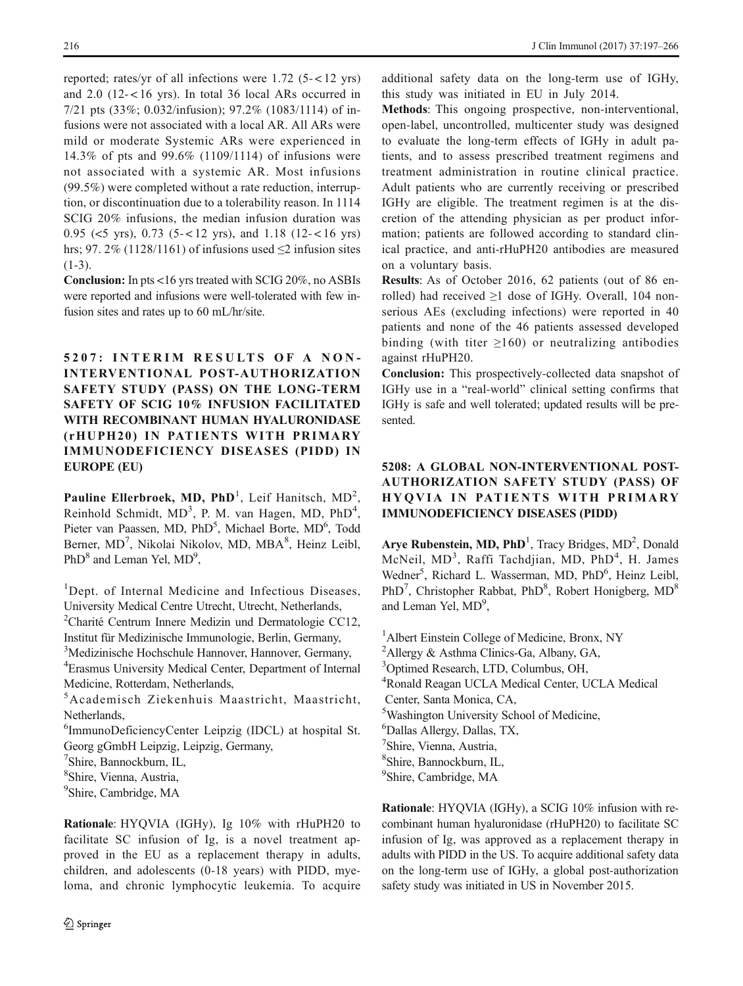reported; rates/yr of all infections were  $1.72$  (5- $< 12$  yrs) and  $2.0$  (12-<16 yrs). In total 36 local ARs occurred in 7/21 pts (33%; 0.032/infusion); 97.2% (1083/1114) of infusions were not associated with a local AR. All ARs were mild or moderate Systemic ARs were experienced in 14.3% of pts and 99.6% (1109/1114) of infusions were not associated with a systemic AR. Most infusions (99.5%) were completed without a rate reduction, interruption, or discontinuation due to a tolerability reason. In 1114 SCIG 20% infusions, the median infusion duration was 0.95 (<5 yrs), 0.73 (5-<12 yrs), and 1.18 (12-<16 yrs) hrs; 97. 2% (1128/1161) of infusions used  $\leq$  2 infusion sites  $(1-3)$ .

Conclusion: In pts <16 yrs treated with SCIG 20%, no ASBIs were reported and infusions were well-tolerated with few infusion sites and rates up to 60 mL/hr/site.

5207: INTERIM RESULTS OF A NON-INTERVENTIONAL POST-AUTHORIZATION SAFETY STUDY (PASS) ON THE LONG-TERM SAFETY OF SCIG 10% INFUSION FACILITATED WITH RECOMBINANT HUMAN HYALURONIDASE (rHUPH20) IN PATIENTS WITH PRIMARY IMMUNODEFICIENCY DISEASES (PIDD) IN EUROPE (EU)

Pauline Ellerbroek, MD, PhD<sup>1</sup>, Leif Hanitsch, MD<sup>2</sup>, Reinhold Schmidt, MD<sup>3</sup>, P. M. van Hagen, MD, PhD<sup>4</sup>, Pieter van Paassen, MD, PhD<sup>5</sup>, Michael Borte, MD<sup>6</sup>, Todd Berner, MD<sup>7</sup>, Nikolai Nikolov, MD, MBA<sup>8</sup>, Heinz Leibl, PhD<sup>8</sup> and Leman Yel, MD<sup>9</sup>,

<sup>1</sup>Dept. of Internal Medicine and Infectious Diseases, University Medical Centre Utrecht, Utrecht, Netherlands,

<sup>2</sup>Charité Centrum Innere Medizin und Dermatologie CC12, Institut für Medizinische Immunologie, Berlin, Germany,

3 Medizinische Hochschule Hannover, Hannover, Germany,

4 Erasmus University Medical Center, Department of Internal Medicine, Rotterdam, Netherlands,

5 Academisch Ziekenhuis Maastricht, Maastricht, Netherlands,

6 ImmunoDeficiencyCenter Leipzig (IDCL) at hospital St. Georg gGmbH Leipzig, Leipzig, Germany,

7 Shire, Bannockburn, IL,

8 Shire, Vienna, Austria,

<sup>9</sup>Shire, Cambridge, MA

Rationale: HYQVIA (IGHy), Ig 10% with rHuPH20 to facilitate SC infusion of Ig, is a novel treatment approved in the EU as a replacement therapy in adults, children, and adolescents (0-18 years) with PIDD, myeloma, and chronic lymphocytic leukemia. To acquire additional safety data on the long-term use of IGHy, this study was initiated in EU in July 2014.

Methods: This ongoing prospective, non-interventional, open-label, uncontrolled, multicenter study was designed to evaluate the long-term effects of IGHy in adult patients, and to assess prescribed treatment regimens and treatment administration in routine clinical practice. Adult patients who are currently receiving or prescribed IGHy are eligible. The treatment regimen is at the discretion of the attending physician as per product information; patients are followed according to standard clinical practice, and anti-rHuPH20 antibodies are measured on a voluntary basis.

Results: As of October 2016, 62 patients (out of 86 enrolled) had received  $\geq 1$  dose of IGHy. Overall, 104 nonserious AEs (excluding infections) were reported in 40 patients and none of the 46 patients assessed developed binding (with titer  $\geq 160$ ) or neutralizing antibodies against rHuPH20.

Conclusion: This prospectively-collected data snapshot of IGHy use in a "real-world" clinical setting confirms that IGHy is safe and well tolerated; updated results will be presented.

# 5208: A GLOBAL NON-INTERVENTIONAL POST-AUTHORIZATION SAFETY STUDY (PASS) OF HYQVIA IN PATIENTS WITH PRIMARY IMMUNODEFICIENCY DISEASES (PIDD)

Arye Rubenstein, MD,  $PhD<sup>1</sup>$ , Tracy Bridges, MD<sup>2</sup>, Donald McNeil, MD<sup>3</sup>, Raffi Tachdjian, MD, PhD<sup>4</sup>, H. James Wedner<sup>5</sup>, Richard L. Wasserman, MD, PhD<sup>6</sup>, Heinz Leibl, PhD<sup>7</sup>, Christopher Rabbat, PhD<sup>8</sup>, Robert Honigberg, MD<sup>8</sup> and Leman Yel, MD<sup>9</sup>,

<sup>1</sup> Albert Einstein College of Medicine, Bronx, NY <sup>2</sup>Allergy & Asthma Clinics-Ga, Albany, GA, 3 Optimed Research, LTD, Columbus, OH, 4 Ronald Reagan UCLA Medical Center, UCLA Medical Center, Santa Monica, CA, 5 Washington University School of Medicine, 6 Dallas Allergy, Dallas, TX, 7 Shire, Vienna, Austria, 8 Shire, Bannockburn, IL, <sup>9</sup>Shire, Cambridge, MA

Rationale: HYQVIA (IGHy), a SCIG 10% infusion with recombinant human hyaluronidase (rHuPH20) to facilitate SC infusion of Ig, was approved as a replacement therapy in adults with PIDD in the US. To acquire additional safety data on the long-term use of IGHy, a global post-authorization safety study was initiated in US in November 2015.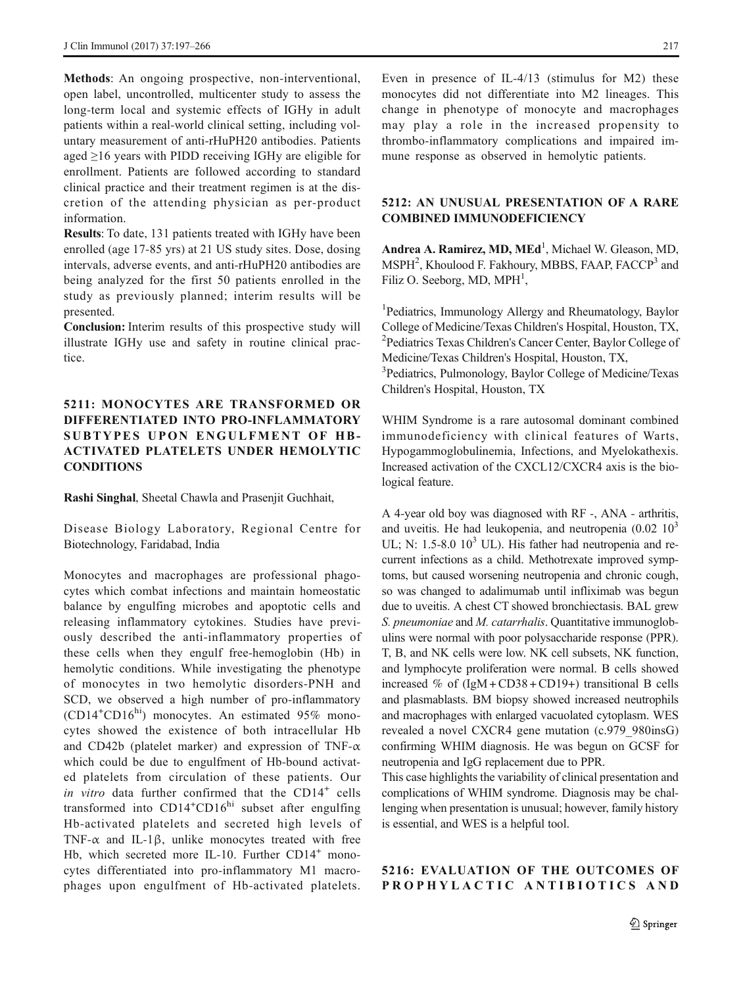Methods: An ongoing prospective, non-interventional, open label, uncontrolled, multicenter study to assess the long-term local and systemic effects of IGHy in adult patients within a real-world clinical setting, including voluntary measurement of anti-rHuPH20 antibodies. Patients aged ≥16 years with PIDD receiving IGHy are eligible for enrollment. Patients are followed according to standard clinical practice and their treatment regimen is at the discretion of the attending physician as per-product information.

Results: To date, 131 patients treated with IGHy have been enrolled (age 17-85 yrs) at 21 US study sites. Dose, dosing intervals, adverse events, and anti-rHuPH20 antibodies are being analyzed for the first 50 patients enrolled in the study as previously planned; interim results will be presented.

Conclusion: Interim results of this prospective study will illustrate IGHy use and safety in routine clinical practice.

### 5211: MONOCYTES ARE TRANSFORMED OR DIFFERENTIATED INTO PRO-INFLAMMATORY SUBTYPES UPON ENGULFMENT OF HB-ACTIVATED PLATELETS UNDER HEMOLYTIC CONDITIONS

Rashi Singhal, Sheetal Chawla and Prasenjit Guchhait,

Disease Biology Laboratory, Regional Centre for Biotechnology, Faridabad, India

Monocytes and macrophages are professional phagocytes which combat infections and maintain homeostatic balance by engulfing microbes and apoptotic cells and releasing inflammatory cytokines. Studies have previously described the anti-inflammatory properties of these cells when they engulf free-hemoglobin (Hb) in hemolytic conditions. While investigating the phenotype of monocytes in two hemolytic disorders-PNH and SCD, we observed a high number of pro-inflammatory (CD14<sup>+</sup>CD16<sup>hi</sup>) monocytes. An estimated 95% monocytes showed the existence of both intracellular Hb and CD42b (platelet marker) and expression of TNF- $\alpha$ which could be due to engulfment of Hb-bound activated platelets from circulation of these patients. Our in vitro data further confirmed that the CD14<sup>+</sup> cells transformed into CD14<sup>+</sup>CD16<sup>hi</sup> subset after engulfing Hb-activated platelets and secreted high levels of TNF- $\alpha$  and IL-1 $\beta$ , unlike monocytes treated with free Hb, which secreted more IL-10. Further CD14<sup>+</sup> monocytes differentiated into pro-inflammatory M1 macrophages upon engulfment of Hb-activated platelets.

Even in presence of IL-4/13 (stimulus for M2) these monocytes did not differentiate into M2 lineages. This change in phenotype of monocyte and macrophages may play a role in the increased propensity to thrombo-inflammatory complications and impaired immune response as observed in hemolytic patients.

#### 5212: AN UNUSUAL PRESENTATION OF A RARE COMBINED IMMUNODEFICIENCY

Andrea A. Ramirez, MD, MEd<sup>1</sup>, Michael W. Gleason, MD, MSPH<sup>2</sup>, Khoulood F. Fakhoury, MBBS, FAAP, FACCP<sup>3</sup> and Filiz O. Seeborg, MD, MPH<sup>1</sup>,

<sup>1</sup>Pediatrics, Immunology Allergy and Rheumatology, Baylor College of Medicine/Texas Children's Hospital, Houston, TX, 2 Pediatrics Texas Children's Cancer Center, Baylor College of Medicine/Texas Children's Hospital, Houston, TX, 3 Pediatrics, Pulmonology, Baylor College of Medicine/Texas Children's Hospital, Houston, TX

WHIM Syndrome is a rare autosomal dominant combined immunodeficiency with clinical features of Warts, Hypogammoglobulinemia, Infections, and Myelokathexis. Increased activation of the CXCL12/CXCR4 axis is the biological feature.

A 4-year old boy was diagnosed with RF -, ANA - arthritis, and uveitis. He had leukopenia, and neutropenia  $(0.02 \ 10^3)$ UL; N:  $1.5-8.0 10<sup>3</sup>$  UL). His father had neutropenia and recurrent infections as a child. Methotrexate improved symptoms, but caused worsening neutropenia and chronic cough, so was changed to adalimumab until infliximab was begun due to uveitis. A chest CT showed bronchiectasis. BAL grew S. pneumoniae and M. catarrhalis. Quantitative immunoglobulins were normal with poor polysaccharide response (PPR). T, B, and NK cells were low. NK cell subsets, NK function, and lymphocyte proliferation were normal. B cells showed increased % of  $(IgM + CD38 + CD19+)$  transitional B cells and plasmablasts. BM biopsy showed increased neutrophils and macrophages with enlarged vacuolated cytoplasm. WES revealed a novel CXCR4 gene mutation (c.979\_980insG) confirming WHIM diagnosis. He was begun on GCSF for neutropenia and IgG replacement due to PPR.

This case highlights the variability of clinical presentation and complications of WHIM syndrome. Diagnosis may be challenging when presentation is unusual; however, family history is essential, and WES is a helpful tool.

### 5216: EVALUATION OF THE OUTCOMES OF PROPHYLACTIC ANTIBIOTICS AND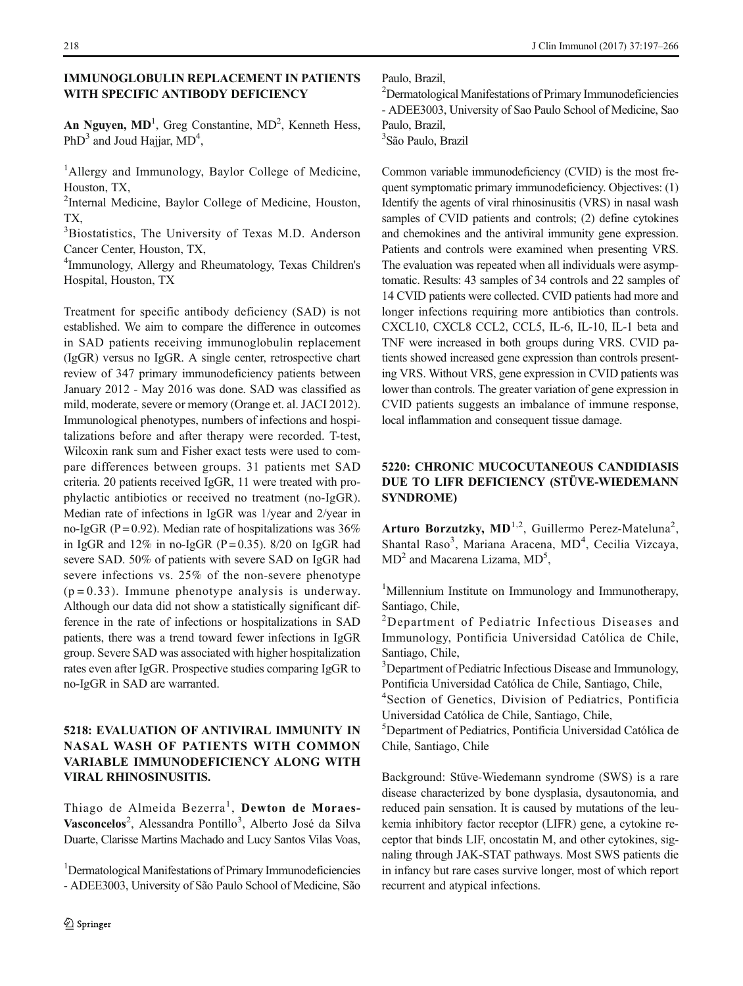An Nguyen,  $MD<sup>1</sup>$ , Greg Constantine,  $MD<sup>2</sup>$ , Kenneth Hess, PhD<sup>3</sup> and Joud Hajjar,  $MD<sup>4</sup>$ ,

<sup>1</sup>Allergy and Immunology, Baylor College of Medicine, Houston, TX,

<sup>2</sup>Internal Medicine, Baylor College of Medicine, Houston, TX,

<sup>3</sup>Biostatistics, The University of Texas M.D. Anderson Cancer Center, Houston, TX,

4 Immunology, Allergy and Rheumatology, Texas Children's Hospital, Houston, TX

Treatment for specific antibody deficiency (SAD) is not established. We aim to compare the difference in outcomes in SAD patients receiving immunoglobulin replacement (IgGR) versus no IgGR. A single center, retrospective chart review of 347 primary immunodeficiency patients between January 2012 - May 2016 was done. SAD was classified as mild, moderate, severe or memory (Orange et. al. JACI 2012). Immunological phenotypes, numbers of infections and hospitalizations before and after therapy were recorded. T-test, Wilcoxin rank sum and Fisher exact tests were used to compare differences between groups. 31 patients met SAD criteria. 20 patients received IgGR, 11 were treated with prophylactic antibiotics or received no treatment (no-IgGR). Median rate of infections in IgGR was 1/year and 2/year in no-IgGR (P = 0.92). Median rate of hospitalizations was  $36\%$ in IgGR and  $12\%$  in no-IgGR (P = 0.35). 8/20 on IgGR had severe SAD. 50% of patients with severe SAD on IgGR had severe infections vs. 25% of the non-severe phenotype  $(p = 0.33)$ . Immune phenotype analysis is underway. Although our data did not show a statistically significant difference in the rate of infections or hospitalizations in SAD patients, there was a trend toward fewer infections in IgGR group. Severe SAD was associated with higher hospitalization rates even after IgGR. Prospective studies comparing IgGR to no-IgGR in SAD are warranted.

### 5218: EVALUATION OF ANTIVIRAL IMMUNITY IN NASAL WASH OF PATIENTS WITH COMMON VARIABLE IMMUNODEFICIENCY ALONG WITH VIRAL RHINOSINUSITIS.

Thiago de Almeida Bezerra<sup>1</sup>, Dewton de Moraes-Vasconcelos<sup>2</sup>, Alessandra Pontillo<sup>3</sup>, Alberto José da Silva Duarte, Clarisse Martins Machado and Lucy Santos Vilas Voas,

<sup>1</sup>Dermatological Manifestations of Primary Immunodeficiencies - ADEE3003, University of São Paulo School of Medicine, São Paulo, Brazil,

2 Dermatological Manifestations of Primary Immunodeficiencies - ADEE3003, University of Sao Paulo School of Medicine, Sao Paulo, Brazil,

3 São Paulo, Brazil

Common variable immunodeficiency (CVID) is the most frequent symptomatic primary immunodeficiency. Objectives: (1) Identify the agents of viral rhinosinusitis (VRS) in nasal wash samples of CVID patients and controls; (2) define cytokines and chemokines and the antiviral immunity gene expression. Patients and controls were examined when presenting VRS. The evaluation was repeated when all individuals were asymptomatic. Results: 43 samples of 34 controls and 22 samples of 14 CVID patients were collected. CVID patients had more and longer infections requiring more antibiotics than controls. CXCL10, CXCL8 CCL2, CCL5, IL-6, IL-10, IL-1 beta and TNF were increased in both groups during VRS. CVID patients showed increased gene expression than controls presenting VRS. Without VRS, gene expression in CVID patients was lower than controls. The greater variation of gene expression in CVID patients suggests an imbalance of immune response, local inflammation and consequent tissue damage.

# 5220: CHRONIC MUCOCUTANEOUS CANDIDIASIS DUE TO LIFR DEFICIENCY (STÜVE-WIEDEMANN SYNDROME)

Arturo Borzutzky, MD<sup>1,2</sup>, Guillermo Perez-Mateluna<sup>2</sup>, Shantal Raso<sup>3</sup>, Mariana Aracena, MD<sup>4</sup>, Cecilia Vizcaya,  $MD<sup>2</sup>$  and Macarena Lizama,  $MD<sup>5</sup>$ ,

<sup>1</sup>Millennium Institute on Immunology and Immunotherapy, Santiago, Chile,

<sup>2</sup>Department of Pediatric Infectious Diseases and Immunology, Pontificia Universidad Católica de Chile, Santiago, Chile,

<sup>3</sup>Department of Pediatric Infectious Disease and Immunology, Pontificia Universidad Católica de Chile, Santiago, Chile,

4 Section of Genetics, Division of Pediatrics, Pontificia Universidad Católica de Chile, Santiago, Chile,

5 Department of Pediatrics, Pontificia Universidad Católica de Chile, Santiago, Chile

Background: Stüve-Wiedemann syndrome (SWS) is a rare disease characterized by bone dysplasia, dysautonomia, and reduced pain sensation. It is caused by mutations of the leukemia inhibitory factor receptor (LIFR) gene, a cytokine receptor that binds LIF, oncostatin M, and other cytokines, signaling through JAK-STAT pathways. Most SWS patients die in infancy but rare cases survive longer, most of which report recurrent and atypical infections.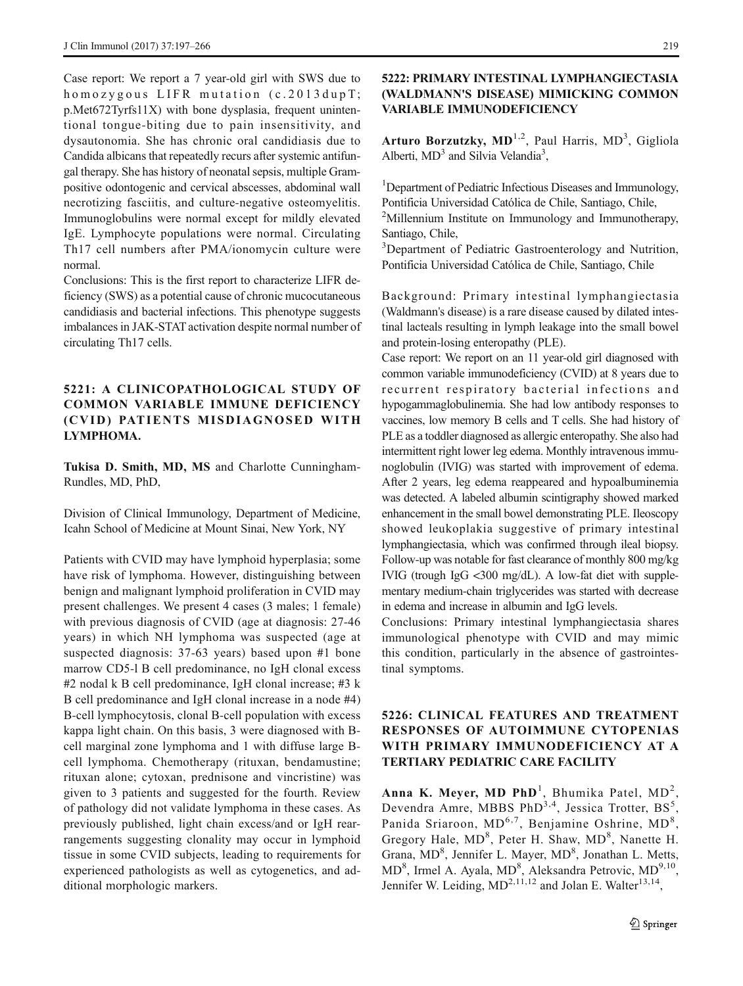Case report: We report a 7 year-old girl with SWS due to homozygous LIFR mutation (c.2013dupT; p.Met672Tyrfs11X) with bone dysplasia, frequent unintentional tongue-biting due to pain insensitivity, and dysautonomia. She has chronic oral candidiasis due to Candida albicans that repeatedly recurs after systemic antifungal therapy. She has history of neonatal sepsis, multiple Grampositive odontogenic and cervical abscesses, abdominal wall necrotizing fasciitis, and culture-negative osteomyelitis. Immunoglobulins were normal except for mildly elevated IgE. Lymphocyte populations were normal. Circulating Th17 cell numbers after PMA/ionomycin culture were normal.

Conclusions: This is the first report to characterize LIFR deficiency (SWS) as a potential cause of chronic mucocutaneous candidiasis and bacterial infections. This phenotype suggests imbalances in JAK-STAT activation despite normal number of circulating Th17 cells.

### 5221: A CLINICOPATHOLOGICAL STUDY OF COMMON VARIABLE IMMUNE DEFICIENCY (CVID) PATIENTS MISDIAGNOSED WITH LYMPHOMA.

Tukisa D. Smith, MD, MS and Charlotte Cunningham-Rundles, MD, PhD,

Division of Clinical Immunology, Department of Medicine, Icahn School of Medicine at Mount Sinai, New York, NY

Patients with CVID may have lymphoid hyperplasia; some have risk of lymphoma. However, distinguishing between benign and malignant lymphoid proliferation in CVID may present challenges. We present 4 cases (3 males; 1 female) with previous diagnosis of CVID (age at diagnosis: 27-46 years) in which NH lymphoma was suspected (age at suspected diagnosis: 37-63 years) based upon #1 bone marrow CD5-l B cell predominance, no IgH clonal excess #2 nodal k B cell predominance, IgH clonal increase; #3 k B cell predominance and IgH clonal increase in a node #4) B-cell lymphocytosis, clonal B-cell population with excess kappa light chain. On this basis, 3 were diagnosed with Bcell marginal zone lymphoma and 1 with diffuse large Bcell lymphoma. Chemotherapy (rituxan, bendamustine; rituxan alone; cytoxan, prednisone and vincristine) was given to 3 patients and suggested for the fourth. Review of pathology did not validate lymphoma in these cases. As previously published, light chain excess/and or IgH rearrangements suggesting clonality may occur in lymphoid tissue in some CVID subjects, leading to requirements for experienced pathologists as well as cytogenetics, and additional morphologic markers.

### 5222: PRIMARY INTESTINAL LYMPHANGIECTASIA (WALDMANN'S DISEASE) MIMICKING COMMON VARIABLE IMMUNODEFICIENCY

Arturo Borzutzky,  $MD^{1,2}$ , Paul Harris,  $MD^{3}$ , Gigliola Alberti,  $MD<sup>3</sup>$  and Silvia Velandia<sup>3</sup>,

<sup>1</sup>Department of Pediatric Infectious Diseases and Immunology, Pontificia Universidad Católica de Chile, Santiago, Chile,

<sup>2</sup>Millennium Institute on Immunology and Immunotherapy, Santiago, Chile,

<sup>3</sup>Department of Pediatric Gastroenterology and Nutrition, Pontificia Universidad Católica de Chile, Santiago, Chile

Background: Primary intestinal lymphangiectasia (Waldmann's disease) is a rare disease caused by dilated intestinal lacteals resulting in lymph leakage into the small bowel and protein-losing enteropathy (PLE).

Case report: We report on an 11 year-old girl diagnosed with common variable immunodeficiency (CVID) at 8 years due to recurrent respiratory bacterial infections and hypogammaglobulinemia. She had low antibody responses to vaccines, low memory B cells and T cells. She had history of PLE as a toddler diagnosed as allergic enteropathy. She also had intermittent right lower leg edema. Monthly intravenous immunoglobulin (IVIG) was started with improvement of edema. After 2 years, leg edema reappeared and hypoalbuminemia was detected. A labeled albumin scintigraphy showed marked enhancement in the small bowel demonstrating PLE. Ileoscopy showed leukoplakia suggestive of primary intestinal lymphangiectasia, which was confirmed through ileal biopsy. Follow-up was notable for fast clearance of monthly 800 mg/kg IVIG (trough IgG <300 mg/dL). A low-fat diet with supplementary medium-chain triglycerides was started with decrease in edema and increase in albumin and IgG levels.

Conclusions: Primary intestinal lymphangiectasia shares immunological phenotype with CVID and may mimic this condition, particularly in the absence of gastrointestinal symptoms.

### 5226: CLINICAL FEATURES AND TREATMENT RESPONSES OF AUTOIMMUNE CYTOPENIAS WITH PRIMARY IMMUNODEFICIENCY AT A TERTIARY PEDIATRIC CARE FACILITY

Anna K. Meyer, MD PhD<sup>1</sup>, Bhumika Patel, MD<sup>2</sup>, Devendra Amre, MBBS PhD<sup>3,4</sup>, Jessica Trotter, BS<sup>5</sup>, Panida Sriaroon, MD<sup>6,7</sup>, Benjamine Oshrine, MD<sup>8</sup>, Gregory Hale, MD<sup>8</sup>, Peter H. Shaw, MD<sup>8</sup>, Nanette H. Grana, MD<sup>8</sup>, Jennifer L. Mayer, MD<sup>8</sup>, Jonathan L. Metts, MD<sup>8</sup>, Irmel A. Ayala, MD<sup>8</sup>, Aleksandra Petrovic, MD<sup>9,10</sup>, Jennifer W. Leiding,  $MD^{2,11,12}$  and Jolan E. Walter<sup>13,14</sup>,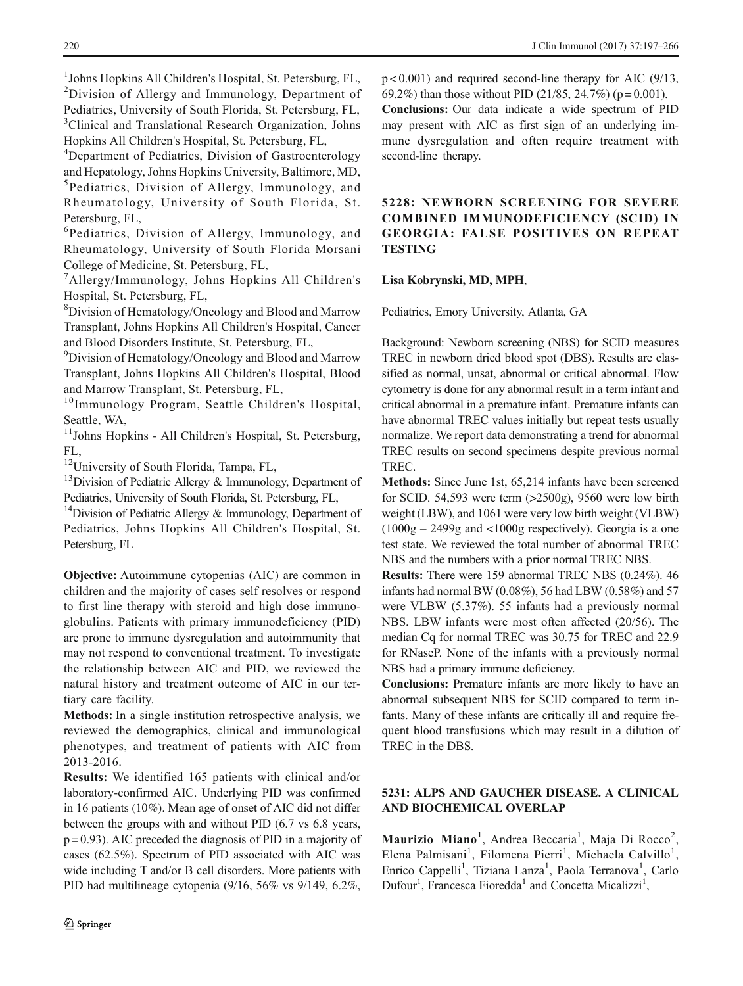<sup>1</sup>Johns Hopkins All Children's Hospital, St. Petersburg, FL, <sup>2</sup>Division of Allergy and Immunology, Department of Pediatrics, University of South Florida, St. Petersburg, FL, <sup>3</sup>Clinical and Translational Research Organization, Johns Hopkins All Children's Hospital, St. Petersburg, FL,

<sup>4</sup>Department of Pediatrics, Division of Gastroenterology and Hepatology, Johns Hopkins University, Baltimore, MD, 5 Pediatrics, Division of Allergy, Immunology, and Rheumatology, University of South Florida, St. Petersburg, FL,

6 Pediatrics, Division of Allergy, Immunology, and Rheumatology, University of South Florida Morsani College of Medicine, St. Petersburg, FL,

7 Allergy/Immunology, Johns Hopkins All Children's Hospital, St. Petersburg, FL,

8 Division of Hematology/Oncology and Blood and Marrow Transplant, Johns Hopkins All Children's Hospital, Cancer and Blood Disorders Institute, St. Petersburg, FL,

<sup>9</sup> Division of Hematology/Oncology and Blood and Marrow Transplant, Johns Hopkins All Children's Hospital, Blood and Marrow Transplant, St. Petersburg, FL,

<sup>10</sup>Immunology Program, Seattle Children's Hospital, Seattle, WA,

<sup>11</sup>Johns Hopkins - All Children's Hospital, St. Petersburg, FL,

<sup>12</sup>University of South Florida, Tampa, FL,

 $13$ Division of Pediatric Allergy & Immunology, Department of Pediatrics, University of South Florida, St. Petersburg, FL,

<sup>14</sup>Division of Pediatric Allergy  $\&$  Immunology, Department of Pediatrics, Johns Hopkins All Children's Hospital, St. Petersburg, FL

Objective: Autoimmune cytopenias (AIC) are common in children and the majority of cases self resolves or respond to first line therapy with steroid and high dose immunoglobulins. Patients with primary immunodeficiency (PID) are prone to immune dysregulation and autoimmunity that may not respond to conventional treatment. To investigate the relationship between AIC and PID, we reviewed the natural history and treatment outcome of AIC in our tertiary care facility.

Methods: In a single institution retrospective analysis, we reviewed the demographics, clinical and immunological phenotypes, and treatment of patients with AIC from 2013-2016.

Results: We identified 165 patients with clinical and/or laboratory-confirmed AIC. Underlying PID was confirmed in 16 patients (10%). Mean age of onset of AIC did not differ between the groups with and without PID (6.7 vs 6.8 years,  $p = 0.93$ ). AIC preceded the diagnosis of PID in a majority of cases (62.5%). Spectrum of PID associated with AIC was wide including T and/or B cell disorders. More patients with PID had multilineage cytopenia (9/16, 56% vs 9/149, 6.2%,

 $p < 0.001$ ) and required second-line therapy for AIC (9/13, 69.2%) than those without PID (21/85, 24.7%) ( $p = 0.001$ ).

Conclusions: Our data indicate a wide spectrum of PID may present with AIC as first sign of an underlying immune dysregulation and often require treatment with second-line therapy.

5228: NEWBORN SCREENING FOR SEVERE COMBINED IMMUNODEFICIENCY (SCID) IN GEORGIA: FALSE POSITIVES ON REPEAT **TESTING** 

#### Lisa Kobrynski, MD, MPH,

Pediatrics, Emory University, Atlanta, GA

Background: Newborn screening (NBS) for SCID measures TREC in newborn dried blood spot (DBS). Results are classified as normal, unsat, abnormal or critical abnormal. Flow cytometry is done for any abnormal result in a term infant and critical abnormal in a premature infant. Premature infants can have abnormal TREC values initially but repeat tests usually normalize. We report data demonstrating a trend for abnormal TREC results on second specimens despite previous normal TREC.

Methods: Since June 1st, 65,214 infants have been screened for SCID. 54,593 were term (>2500g), 9560 were low birth weight (LBW), and 1061 were very low birth weight (VLBW) (1000g – 2499g and <1000g respectively). Georgia is a one test state. We reviewed the total number of abnormal TREC NBS and the numbers with a prior normal TREC NBS.

Results: There were 159 abnormal TREC NBS (0.24%). 46 infants had normal BW (0.08%), 56 had LBW (0.58%) and 57 were VLBW (5.37%). 55 infants had a previously normal NBS. LBW infants were most often affected (20/56). The median Cq for normal TREC was 30.75 for TREC and 22.9 for RNaseP. None of the infants with a previously normal NBS had a primary immune deficiency.

Conclusions: Premature infants are more likely to have an abnormal subsequent NBS for SCID compared to term infants. Many of these infants are critically ill and require frequent blood transfusions which may result in a dilution of TREC in the DBS.

### 5231: ALPS AND GAUCHER DISEASE. A CLINICAL AND BIOCHEMICAL OVERLAP

Maurizio Miano<sup>1</sup>, Andrea Beccaria<sup>1</sup>, Maja Di Rocco<sup>2</sup>, Elena Palmisani<sup>1</sup>, Filomena Pierri<sup>1</sup>, Michaela Calvillo<sup>1</sup>, Enrico Cappelli<sup>1</sup>, Tiziana Lanza<sup>1</sup>, Paola Terranova<sup>1</sup>, Carlo Dufour<sup>1</sup>, Francesca Fioredda<sup>1</sup> and Concetta Micalizzi<sup>1</sup>,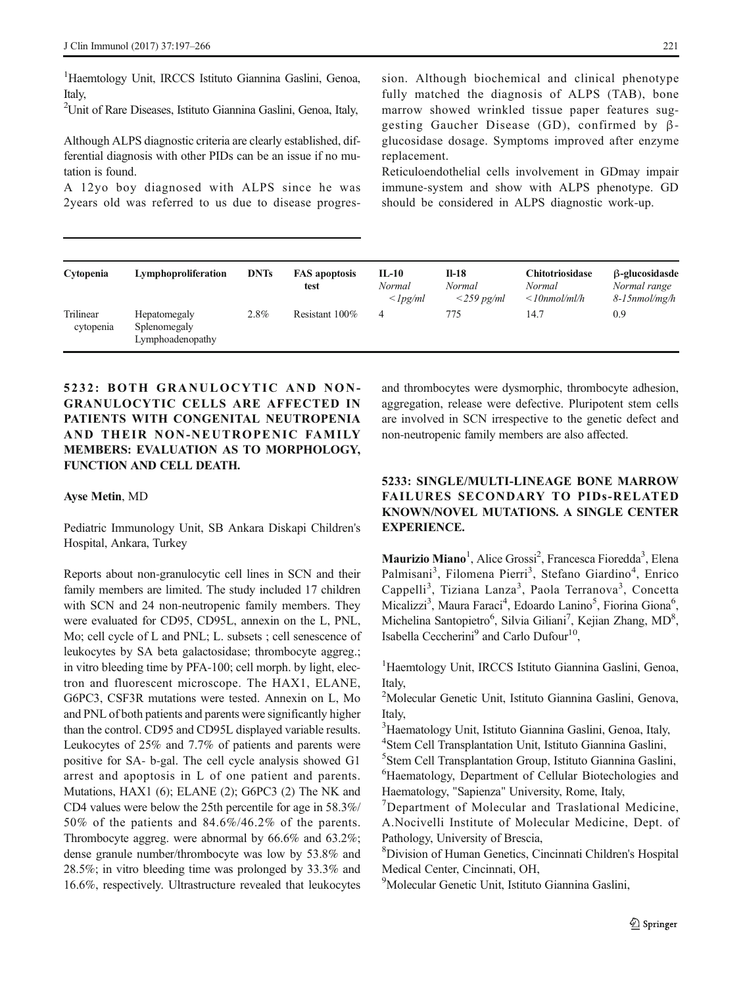<sup>1</sup>Haemtology Unit, IRCCS Istituto Giannina Gaslini, Genoa, Italy,

2 Unit of Rare Diseases, Istituto Giannina Gaslini, Genoa, Italy,

Although ALPS diagnostic criteria are clearly established, differential diagnosis with other PIDs can be an issue if no mutation is found.

A 12yo boy diagnosed with ALPS since he was 2years old was referred to us due to disease progression. Although biochemical and clinical phenotype fully matched the diagnosis of ALPS (TAB), bone marrow showed wrinkled tissue paper features suggesting Gaucher Disease (GD), confirmed by βglucosidase dosage. Symptoms improved after enzyme replacement.

Reticuloendothelial cells involvement in GDmay impair immune-system and show with ALPS phenotype. GD should be considered in ALPS diagnostic work-up.

| Cytopenia              | Lymphoproliferation                              | <b>DNTs</b> | <b>FAS</b> apoptosis<br>test | $IL-10$<br>Normal<br>$\langle$ lpg/ml | $II-18$<br>Normal<br>$\langle 259 \text{ pg/ml} \rangle$ | <b>Chitotriosidase</b><br>Normal<br>$\leq$ 10nmol/ml/h | $\beta$ -glucosidasde<br>Normal range<br>$8$ -15 $nmol/mg/h$ |
|------------------------|--------------------------------------------------|-------------|------------------------------|---------------------------------------|----------------------------------------------------------|--------------------------------------------------------|--------------------------------------------------------------|
| Trilinear<br>cytopenia | Hepatomegaly<br>Splenomegaly<br>Lymphoadenopathy | $2.8\%$     | Resistant 100%               | 4                                     | 775                                                      | 14.7                                                   | 0.9                                                          |

# 5232: BOTH GRANULOCYTIC AND NON-GRANULOCYTIC CELLS ARE AFFECTED IN PATIENTS WITH CONGENITAL NEUTROPENIA AND THEIR NON-NEUTROPENIC FAMILY MEMBERS: EVALUATION AS TO MORPHOLOGY, FUNCTION AND CELL DEATH.

#### Ayse Metin, MD

Pediatric Immunology Unit, SB Ankara Diskapi Children's Hospital, Ankara, Turkey

Reports about non-granulocytic cell lines in SCN and their family members are limited. The study included 17 children with SCN and 24 non-neutropenic family members. They were evaluated for CD95, CD95L, annexin on the L, PNL, Mo; cell cycle of L and PNL; L. subsets ; cell senescence of leukocytes by SA beta galactosidase; thrombocyte aggreg.; in vitro bleeding time by PFA-100; cell morph. by light, electron and fluorescent microscope. The HAX1, ELANE, G6PC3, CSF3R mutations were tested. Annexin on L, Mo and PNL of both patients and parents were significantly higher than the control. CD95 and CD95L displayed variable results. Leukocytes of 25% and 7.7% of patients and parents were positive for SA- b-gal. The cell cycle analysis showed G1 arrest and apoptosis in L of one patient and parents. Mutations, HAX1 (6); ELANE (2); G6PC3 (2) The NK and CD4 values were below the 25th percentile for age in 58.3%/ 50% of the patients and 84.6%/46.2% of the parents. Thrombocyte aggreg. were abnormal by 66.6% and 63.2%; dense granule number/thrombocyte was low by 53.8% and 28.5%; in vitro bleeding time was prolonged by 33.3% and 16.6%, respectively. Ultrastructure revealed that leukocytes

and thrombocytes were dysmorphic, thrombocyte adhesion, aggregation, release were defective. Pluripotent stem cells are involved in SCN irrespective to the genetic defect and non-neutropenic family members are also affected.

### 5233: SINGLE/MULTI-LINEAGE BONE MARROW FAILURES SECONDARY TO PIDs-RELATED KNOWN/NOVEL MUTATIONS. A SINGLE CENTER EXPERIENCE.

Maurizio Miano<sup>1</sup>, Alice Grossi<sup>2</sup>, Francesca Fioredda<sup>3</sup>, Elena Palmisani<sup>3</sup>, Filomena Pierri<sup>3</sup>, Stefano Giardino<sup>4</sup>, Enrico Cappelli<sup>3</sup>, Tiziana Lanza<sup>3</sup>, Paola Terranova<sup>3</sup>, Concetta Micalizzi<sup>3</sup>, Maura Faraci<sup>4</sup>, Edoardo Lanino<sup>5</sup>, Fiorina Giona<sup>6</sup>, Michelina Santopietro<sup>6</sup>, Silvia Giliani<sup>7</sup>, Kejian Zhang, MD<sup>8</sup>, Isabella Ceccherini<sup>9</sup> and Carlo Dufour<sup>10</sup>.

<sup>1</sup>Haemtology Unit, IRCCS Istituto Giannina Gaslini, Genoa, Italy,

2 Molecular Genetic Unit, Istituto Giannina Gaslini, Genova, Italy,

<sup>3</sup>Haematology Unit, Istituto Giannina Gaslini, Genoa, Italy,

4 Stem Cell Transplantation Unit, Istituto Giannina Gaslini,

5 Stem Cell Transplantation Group, Istituto Giannina Gaslini, 6 Haematology, Department of Cellular Biotechologies and Haematology, "Sapienza" University, Rome, Italy,

<sup>7</sup>Department of Molecular and Traslational Medicine, A.Nocivelli Institute of Molecular Medicine, Dept. of Pathology, University of Brescia,

8 Division of Human Genetics, Cincinnati Children's Hospital Medical Center, Cincinnati, OH,

9 Molecular Genetic Unit, Istituto Giannina Gaslini,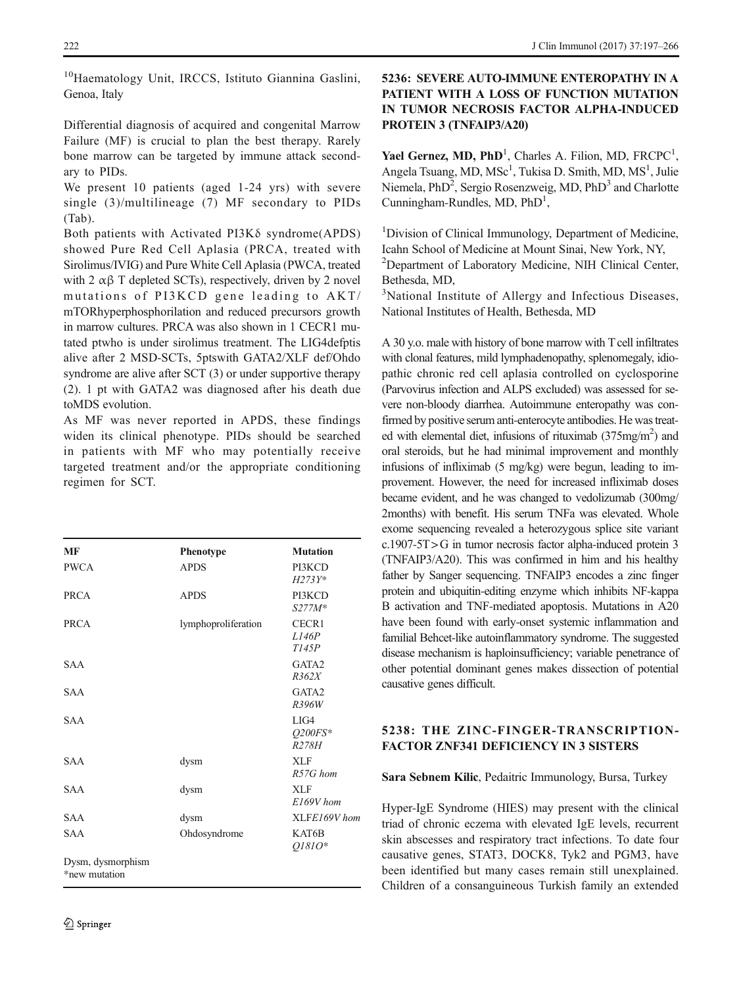<sup>10</sup>Haematology Unit, IRCCS, Istituto Giannina Gaslini, Genoa, Italy

Differential diagnosis of acquired and congenital Marrow Failure (MF) is crucial to plan the best therapy. Rarely bone marrow can be targeted by immune attack secondary to PIDs.

We present 10 patients (aged 1-24 yrs) with severe single (3)/multilineage (7) MF secondary to PIDs (Tab).

Both patients with Activated PI3Kδ syndrome(APDS) showed Pure Red Cell Aplasia (PRCA, treated with Sirolimus/IVIG) and Pure White Cell Aplasia (PWCA, treated with 2  $\alpha\beta$  T depleted SCTs), respectively, driven by 2 novel mutations of PI3KCD gene leading to AKT/ mTORhyperphosphorilation and reduced precursors growth in marrow cultures. PRCA was also shown in 1 CECR1 mutated ptwho is under sirolimus treatment. The LIG4defptis alive after 2 MSD-SCTs, 5ptswith GATA2/XLF def/Ohdo syndrome are alive after SCT (3) or under supportive therapy (2). 1 pt with GATA2 was diagnosed after his death due toMDS evolution.

As MF was never reported in APDS, these findings widen its clinical phenotype. PIDs should be searched in patients with MF who may potentially receive targeted treatment and/or the appropriate conditioning regimen for SCT.

| MF                                 | Phenotype           | <b>Mutation</b>            |
|------------------------------------|---------------------|----------------------------|
| <b>PWCA</b>                        | <b>APDS</b>         | PI3KCD<br>$H273Y*$         |
| PRCA                               | <b>APDS</b>         | PI3KCD<br>$S277M*$         |
| PRCA                               | lymphoproliferation | CECR1<br>L146P<br>T145P    |
| <b>SAA</b>                         |                     | GATA2<br>R362X             |
| <b>SAA</b>                         |                     | GATA2<br>R396W             |
| <b>SAA</b>                         |                     | LIG4<br>$O200FS*$<br>R278H |
| <b>SAA</b>                         | dysm                | <b>XLF</b><br>$R57G$ hom   |
| <b>SAA</b>                         | dysm                | <b>XLF</b><br>$E169V$ hom  |
| <b>SAA</b>                         | dysm                | XLFE169V hom               |
| <b>SAA</b>                         | Ohdosyndrome        | KAT6B<br>$01810*$          |
| Dysm, dysmorphism<br>*new mutation |                     |                            |

## 5236: SEVERE AUTO-IMMUNE ENTEROPATHY IN A PATIENT WITH A LOSS OF FUNCTION MUTATION IN TUMOR NECROSIS FACTOR ALPHA-INDUCED PROTEIN 3 (TNFAIP3/A20)

Yael Gernez, MD,  $PhD<sup>1</sup>$ , Charles A. Filion, MD, FRCPC<sup>1</sup>, Angela Tsuang, MD, MSc<sup>1</sup>, Tukisa D. Smith, MD, MS<sup>1</sup>, Julie Niemela, PhD<sup>2</sup>, Sergio Rosenzweig, MD, PhD<sup>3</sup> and Charlotte Cunningham-Rundles, MD, PhD<sup>1</sup>,

<sup>1</sup>Division of Clinical Immunology, Department of Medicine, Icahn School of Medicine at Mount Sinai, New York, NY, <sup>2</sup>Department of Laboratory Medicine, NIH Clinical Center, Bethesda, MD,

<sup>3</sup>National Institute of Allergy and Infectious Diseases, National Institutes of Health, Bethesda, MD

A 30 y.o. male with history of bone marrow with T cell infiltrates with clonal features, mild lymphadenopathy, splenomegaly, idiopathic chronic red cell aplasia controlled on cyclosporine (Parvovirus infection and ALPS excluded) was assessed for severe non-bloody diarrhea. Autoimmune enteropathy was confirmed by positive serum anti-enterocyte antibodies. He was treated with elemental diet, infusions of rituximab (375mg/m<sup>2</sup>) and oral steroids, but he had minimal improvement and monthly infusions of infliximab (5 mg/kg) were begun, leading to improvement. However, the need for increased infliximab doses became evident, and he was changed to vedolizumab (300mg/ 2months) with benefit. His serum TNFa was elevated. Whole exome sequencing revealed a heterozygous splice site variant c.1907-5T > G in tumor necrosis factor alpha-induced protein 3 (TNFAIP3/A20). This was confirmed in him and his healthy father by Sanger sequencing. TNFAIP3 encodes a zinc finger protein and ubiquitin-editing enzyme which inhibits NF-kappa B activation and TNF-mediated apoptosis. Mutations in A20 have been found with early-onset systemic inflammation and familial Behcet-like autoinflammatory syndrome. The suggested disease mechanism is haploinsufficiency; variable penetrance of other potential dominant genes makes dissection of potential causative genes difficult.

# 5238: THE ZINC-FINGER-TRANSCRIPTION-FACTOR ZNF341 DEFICIENCY IN 3 SISTERS

# Sara Sebnem Kilic, Pedaitric Immunology, Bursa, Turkey

Hyper-IgE Syndrome (HIES) may present with the clinical triad of chronic eczema with elevated IgE levels, recurrent skin abscesses and respiratory tract infections. To date four causative genes, STAT3, DOCK8, Tyk2 and PGM3, have been identified but many cases remain still unexplained. Children of a consanguineous Turkish family an extended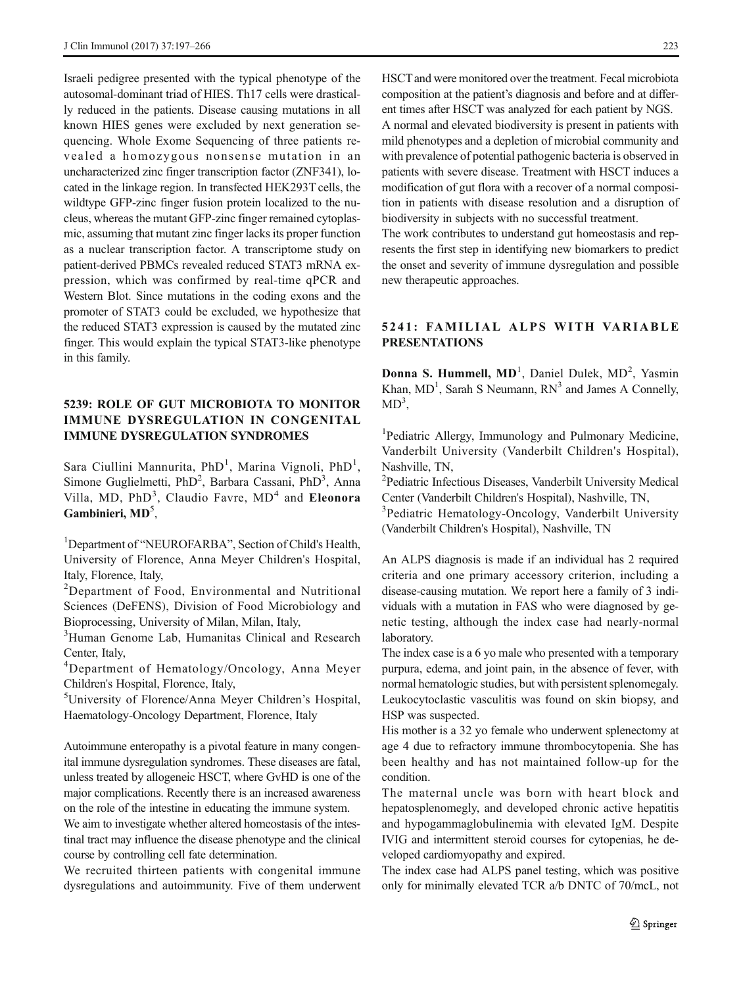Israeli pedigree presented with the typical phenotype of the autosomal-dominant triad of HIES. Th17 cells were drastically reduced in the patients. Disease causing mutations in all known HIES genes were excluded by next generation sequencing. Whole Exome Sequencing of three patients revealed a homozygous nonsense mutation in an uncharacterized zinc finger transcription factor (ZNF341), located in the linkage region. In transfected HEK293T cells, the wildtype GFP-zinc finger fusion protein localized to the nucleus, whereas the mutant GFP-zinc finger remained cytoplasmic, assuming that mutant zinc finger lacks its proper function as a nuclear transcription factor. A transcriptome study on patient-derived PBMCs revealed reduced STAT3 mRNA expression, which was confirmed by real-time qPCR and Western Blot. Since mutations in the coding exons and the promoter of STAT3 could be excluded, we hypothesize that the reduced STAT3 expression is caused by the mutated zinc finger. This would explain the typical STAT3-like phenotype in this family.

### 5239: ROLE OF GUT MICROBIOTA TO MONITOR IMMUNE DYSREGULATION IN CONGENITAL IMMUNE DYSREGULATION SYNDROMES

Sara Ciullini Mannurita, PhD<sup>1</sup>, Marina Vignoli, PhD<sup>1</sup>, Simone Guglielmetti, PhD<sup>2</sup>, Barbara Cassani, PhD<sup>3</sup>, Anna Villa, MD, PhD<sup>3</sup>, Claudio Favre, MD<sup>4</sup> and Eleonora Gambinieri, MD<sup>5</sup>,

<sup>1</sup>Department of "NEUROFARBA", Section of Child's Health, University of Florence, Anna Meyer Children's Hospital, Italy, Florence, Italy,

<sup>2</sup>Department of Food, Environmental and Nutritional Sciences (DeFENS), Division of Food Microbiology and Bioprocessing, University of Milan, Milan, Italy,

<sup>3</sup>Human Genome Lab, Humanitas Clinical and Research Center, Italy,

4 Department of Hematology/Oncology, Anna Meyer Children's Hospital, Florence, Italy,

5 University of Florence/Anna Meyer Children's Hospital, Haematology-Oncology Department, Florence, Italy

Autoimmune enteropathy is a pivotal feature in many congenital immune dysregulation syndromes. These diseases are fatal, unless treated by allogeneic HSCT, where GvHD is one of the major complications. Recently there is an increased awareness on the role of the intestine in educating the immune system.

We aim to investigate whether altered homeostasis of the intestinal tract may influence the disease phenotype and the clinical course by controlling cell fate determination.

We recruited thirteen patients with congenital immune dysregulations and autoimmunity. Five of them underwent

HSCTand were monitored over the treatment. Fecal microbiota composition at the patient's diagnosis and before and at different times after HSCT was analyzed for each patient by NGS. A normal and elevated biodiversity is present in patients with mild phenotypes and a depletion of microbial community and with prevalence of potential pathogenic bacteria is observed in patients with severe disease. Treatment with HSCT induces a modification of gut flora with a recover of a normal composition in patients with disease resolution and a disruption of biodiversity in subjects with no successful treatment.

The work contributes to understand gut homeostasis and represents the first step in identifying new biomarkers to predict the onset and severity of immune dysregulation and possible new therapeutic approaches.

### 5241: FAMILIAL ALPS WITH VARIABLE PRESENTATIONS

Donna S. Hummell, MD<sup>1</sup>, Daniel Dulek, MD<sup>2</sup>, Yasmin Khan,  $MD<sup>1</sup>$ , Sarah S Neumann,  $RN<sup>3</sup>$  and James A Connelly,  $MD<sup>3</sup>$ ,

<sup>1</sup>Pediatric Allergy, Immunology and Pulmonary Medicine, Vanderbilt University (Vanderbilt Children's Hospital), Nashville, TN,

2 Pediatric Infectious Diseases, Vanderbilt University Medical Center (Vanderbilt Children's Hospital), Nashville, TN,

<sup>3</sup>Pediatric Hematology-Oncology, Vanderbilt University (Vanderbilt Children's Hospital), Nashville, TN

An ALPS diagnosis is made if an individual has 2 required criteria and one primary accessory criterion, including a disease-causing mutation. We report here a family of 3 individuals with a mutation in FAS who were diagnosed by genetic testing, although the index case had nearly-normal laboratory.

The index case is a 6 yo male who presented with a temporary purpura, edema, and joint pain, in the absence of fever, with normal hematologic studies, but with persistent splenomegaly. Leukocytoclastic vasculitis was found on skin biopsy, and HSP was suspected.

His mother is a 32 yo female who underwent splenectomy at age 4 due to refractory immune thrombocytopenia. She has been healthy and has not maintained follow-up for the condition.

The maternal uncle was born with heart block and hepatosplenomegly, and developed chronic active hepatitis and hypogammaglobulinemia with elevated IgM. Despite IVIG and intermittent steroid courses for cytopenias, he developed cardiomyopathy and expired.

The index case had ALPS panel testing, which was positive only for minimally elevated TCR a/b DNTC of 70/mcL, not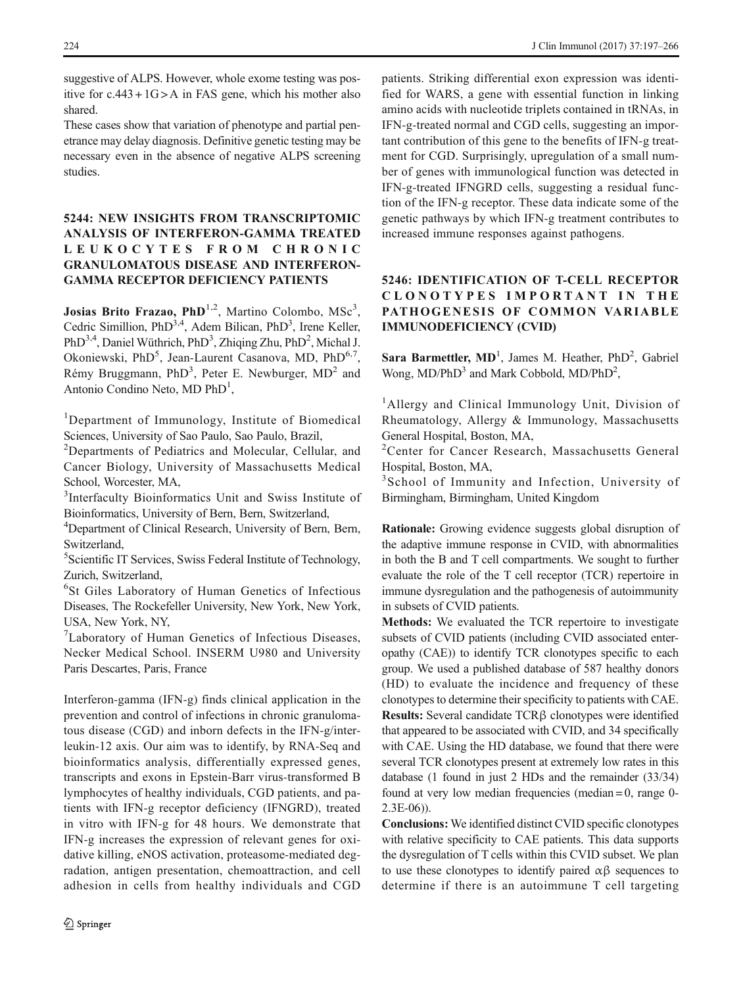suggestive of ALPS. However, whole exome testing was positive for  $c.443 + 1G > A$  in FAS gene, which his mother also shared.

These cases show that variation of phenotype and partial penetrance may delay diagnosis. Definitive genetic testing may be necessary even in the absence of negative ALPS screening studies.

### 5244: NEW INSIGHTS FROM TRANSCRIPTOMIC ANALYSIS OF INTERFERON-GAMMA TREATED LEUKOCYTES FROM CHRONIC GRANULOMATOUS DISEASE AND INTERFERON-GAMMA RECEPTOR DEFICIENCY PATIENTS

Josias Brito Frazao, PhD<sup>1,2</sup>, Martino Colombo, MSc<sup>3</sup>, Cedric Simillion, PhD<sup>3,4</sup>, Adem Bilican, PhD<sup>3</sup>, Irene Keller, PhD<sup>3,4</sup>, Daniel Wüthrich, PhD<sup>3</sup>, Zhiqing Zhu, PhD<sup>2</sup>, Michal J. Okoniewski, PhD<sup>5</sup>, Jean-Laurent Casanova, MD, PhD<sup>6,7</sup>, Rémy Bruggmann, PhD<sup>3</sup>, Peter E. Newburger, MD<sup>2</sup> and Antonio Condino Neto, MD PhD<sup>1</sup>,

<sup>1</sup>Department of Immunology, Institute of Biomedical Sciences, University of Sao Paulo, Sao Paulo, Brazil,

<sup>2</sup>Departments of Pediatrics and Molecular, Cellular, and Cancer Biology, University of Massachusetts Medical School, Worcester, MA,

3 Interfaculty Bioinformatics Unit and Swiss Institute of Bioinformatics, University of Bern, Bern, Switzerland,

<sup>4</sup>Department of Clinical Research, University of Bern, Bern, Switzerland,

5 Scientific IT Services, Swiss Federal Institute of Technology, Zurich, Switzerland,

6 St Giles Laboratory of Human Genetics of Infectious Diseases, The Rockefeller University, New York, New York, USA, New York, NY,

<sup>7</sup>Laboratory of Human Genetics of Infectious Diseases, Necker Medical School. INSERM U980 and University Paris Descartes, Paris, France

Interferon-gamma (IFN-g) finds clinical application in the prevention and control of infections in chronic granulomatous disease (CGD) and inborn defects in the IFN-g/interleukin-12 axis. Our aim was to identify, by RNA-Seq and bioinformatics analysis, differentially expressed genes, transcripts and exons in Epstein-Barr virus-transformed B lymphocytes of healthy individuals, CGD patients, and patients with IFN-g receptor deficiency (IFNGRD), treated in vitro with IFN-g for 48 hours. We demonstrate that IFN-g increases the expression of relevant genes for oxidative killing, eNOS activation, proteasome-mediated degradation, antigen presentation, chemoattraction, and cell adhesion in cells from healthy individuals and CGD

patients. Striking differential exon expression was identified for WARS, a gene with essential function in linking amino acids with nucleotide triplets contained in tRNAs, in IFN-g-treated normal and CGD cells, suggesting an important contribution of this gene to the benefits of IFN-g treatment for CGD. Surprisingly, upregulation of a small number of genes with immunological function was detected in IFN-g-treated IFNGRD cells, suggesting a residual function of the IFN-g receptor. These data indicate some of the genetic pathways by which IFN-g treatment contributes to increased immune responses against pathogens.

# 5246: IDENTIFICATION OF T-CELL RECEPTOR CLONOTYPES IMPORTANT IN THE PATHOGENESIS OF COMMON VARIABLE IMMUNODEFICIENCY (CVID)

Sara Barmettler,  $MD<sup>1</sup>$ , James M. Heather, Ph $D<sup>2</sup>$ , Gabriel Wong, MD/PhD<sup>3</sup> and Mark Cobbold, MD/PhD<sup>2</sup>,

<sup>1</sup>Allergy and Clinical Immunology Unit, Division of Rheumatology, Allergy & Immunology, Massachusetts General Hospital, Boston, MA,

2 Center for Cancer Research, Massachusetts General Hospital, Boston, MA,

3 School of Immunity and Infection, University of Birmingham, Birmingham, United Kingdom

Rationale: Growing evidence suggests global disruption of the adaptive immune response in CVID, with abnormalities in both the B and T cell compartments. We sought to further evaluate the role of the T cell receptor (TCR) repertoire in immune dysregulation and the pathogenesis of autoimmunity in subsets of CVID patients.

Methods: We evaluated the TCR repertoire to investigate subsets of CVID patients (including CVID associated enteropathy (CAE)) to identify TCR clonotypes specific to each group. We used a published database of 587 healthy donors (HD) to evaluate the incidence and frequency of these clonotypes to determine their specificity to patients with CAE. Results: Several candidate TCRβ clonotypes were identified that appeared to be associated with CVID, and 34 specifically with CAE. Using the HD database, we found that there were several TCR clonotypes present at extremely low rates in this database (1 found in just 2 HDs and the remainder (33/34) found at very low median frequencies (median = 0, range 0- 2.3E-06)).

Conclusions: We identified distinct CVID specific clonotypes with relative specificity to CAE patients. This data supports the dysregulation of T cells within this CVID subset. We plan to use these clonotypes to identify paired αβ sequences to determine if there is an autoimmune T cell targeting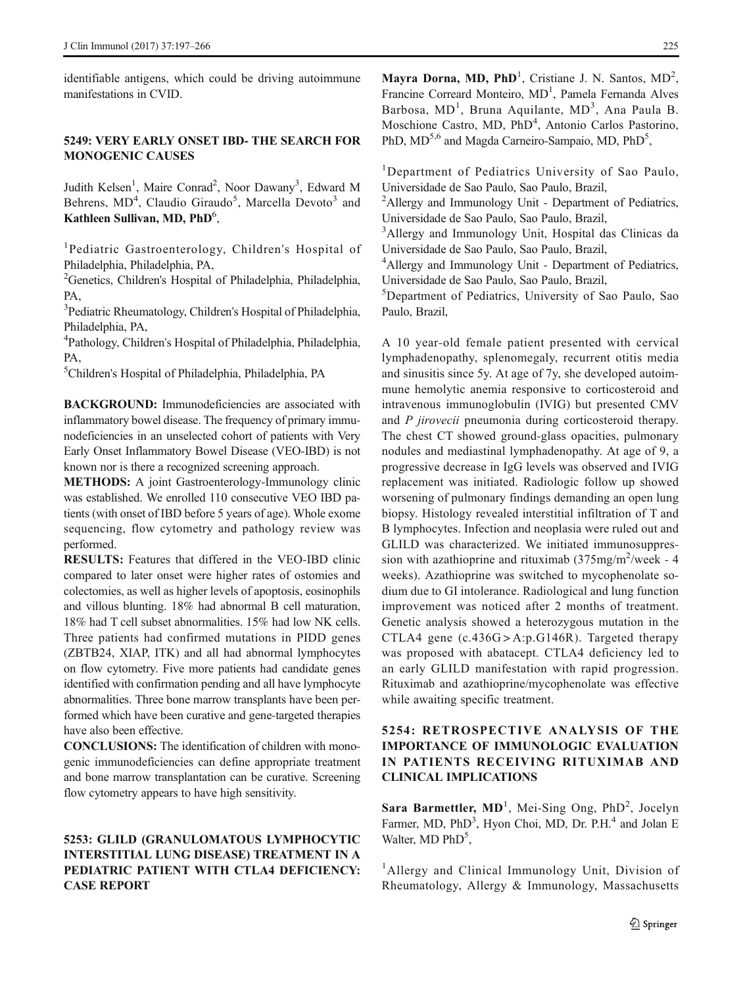identifiable antigens, which could be driving autoimmune manifestations in CVID.

#### 5249: VERY EARLY ONSET IBD- THE SEARCH FOR MONOGENIC CAUSES

Judith Kelsen<sup>1</sup>, Maire Conrad<sup>2</sup>, Noor Dawany<sup>3</sup>, Edward M Behrens, MD<sup>4</sup>, Claudio Giraudo<sup>5</sup>, Marcella Devoto<sup>3</sup> and Kathleen Sullivan, MD, PhD<sup>6</sup>,

1 Pediatric Gastroenterology, Children's Hospital of Philadelphia, Philadelphia, PA,

<sup>2</sup>Genetics, Children's Hospital of Philadelphia, Philadelphia, PA,

<sup>3</sup>Pediatric Rheumatology, Children's Hospital of Philadelphia, Philadelphia, PA,

4 Pathology, Children's Hospital of Philadelphia, Philadelphia, PA,

5 Children's Hospital of Philadelphia, Philadelphia, PA

BACKGROUND: Immunodeficiencies are associated with inflammatory bowel disease. The frequency of primary immunodeficiencies in an unselected cohort of patients with Very Early Onset Inflammatory Bowel Disease (VEO-IBD) is not known nor is there a recognized screening approach.

METHODS: A joint Gastroenterology-Immunology clinic was established. We enrolled 110 consecutive VEO IBD patients (with onset of IBD before 5 years of age). Whole exome sequencing, flow cytometry and pathology review was performed.

RESULTS: Features that differed in the VEO-IBD clinic compared to later onset were higher rates of ostomies and colectomies, as well as higher levels of apoptosis, eosinophils and villous blunting. 18% had abnormal B cell maturation, 18% had T cell subset abnormalities. 15% had low NK cells. Three patients had confirmed mutations in PIDD genes (ZBTB24, XIAP, ITK) and all had abnormal lymphocytes on flow cytometry. Five more patients had candidate genes identified with confirmation pending and all have lymphocyte abnormalities. Three bone marrow transplants have been performed which have been curative and gene-targeted therapies have also been effective.

CONCLUSIONS: The identification of children with monogenic immunodeficiencies can define appropriate treatment and bone marrow transplantation can be curative. Screening flow cytometry appears to have high sensitivity.

### 5253: GLILD (GRANULOMATOUS LYMPHOCYTIC INTERSTITIAL LUNG DISEASE) TREATMENT IN A PEDIATRIC PATIENT WITH CTLA4 DEFICIENCY: CASE REPORT

Mayra Dorna, MD, PhD<sup>1</sup>, Cristiane J. N. Santos,  $MD<sup>2</sup>$ , Francine Correard Monteiro, MD<sup>1</sup>, Pamela Fernanda Alves Barbosa, MD<sup>1</sup>, Bruna Aquilante, MD<sup>3</sup>, Ana Paula B. Moschione Castro, MD, PhD<sup>4</sup>, Antonio Carlos Pastorino, PhD, MD<sup>5,6</sup> and Magda Carneiro-Sampaio, MD, PhD<sup>5</sup>,

<sup>1</sup>Department of Pediatrics University of Sao Paulo, Universidade de Sao Paulo, Sao Paulo, Brazil,

<sup>2</sup>Allergy and Immunology Unit - Department of Pediatrics, Universidade de Sao Paulo, Sao Paulo, Brazil,

<sup>3</sup>Allergy and Immunology Unit, Hospital das Clinicas da Universidade de Sao Paulo, Sao Paulo, Brazil,

4 Allergy and Immunology Unit - Department of Pediatrics, Universidade de Sao Paulo, Sao Paulo, Brazil,

5 Department of Pediatrics, University of Sao Paulo, Sao Paulo, Brazil,

A 10 year-old female patient presented with cervical lymphadenopathy, splenomegaly, recurrent otitis media and sinusitis since 5y. At age of 7y, she developed autoimmune hemolytic anemia responsive to corticosteroid and intravenous immunoglobulin (IVIG) but presented CMV and *P jirovecii* pneumonia during corticosteroid therapy. The chest CT showed ground-glass opacities, pulmonary nodules and mediastinal lymphadenopathy. At age of 9, a progressive decrease in IgG levels was observed and IVIG replacement was initiated. Radiologic follow up showed worsening of pulmonary findings demanding an open lung biopsy. Histology revealed interstitial infiltration of T and B lymphocytes. Infection and neoplasia were ruled out and GLILD was characterized. We initiated immunosuppression with azathioprine and rituximab  $(375mg/m^2/\text{week} - 4$ weeks). Azathioprine was switched to mycophenolate sodium due to GI intolerance. Radiological and lung function improvement was noticed after 2 months of treatment. Genetic analysis showed a heterozygous mutation in the CTLA4 gene (c.436G>A:p.G146R). Targeted therapy was proposed with abatacept. CTLA4 deficiency led to an early GLILD manifestation with rapid progression. Rituximab and azathioprine/mycophenolate was effective while awaiting specific treatment.

### 5254: RETROSPECTIVE ANALYSIS OF THE IMPORTANCE OF IMMUNOLOGIC EVALUATION IN PATIENTS RECEIVING RITUXIMAB AND CLINICAL IMPLICATIONS

Sara Barmettler, MD<sup>1</sup>, Mei-Sing Ong, PhD<sup>2</sup>, Jocelyn Farmer, MD, PhD<sup>3</sup>, Hyon Choi, MD, Dr. P.H.<sup>4</sup> and Jolan E Walter, MD PhD<sup>5</sup>,

<sup>1</sup>Allergy and Clinical Immunology Unit, Division of Rheumatology, Allergy & Immunology, Massachusetts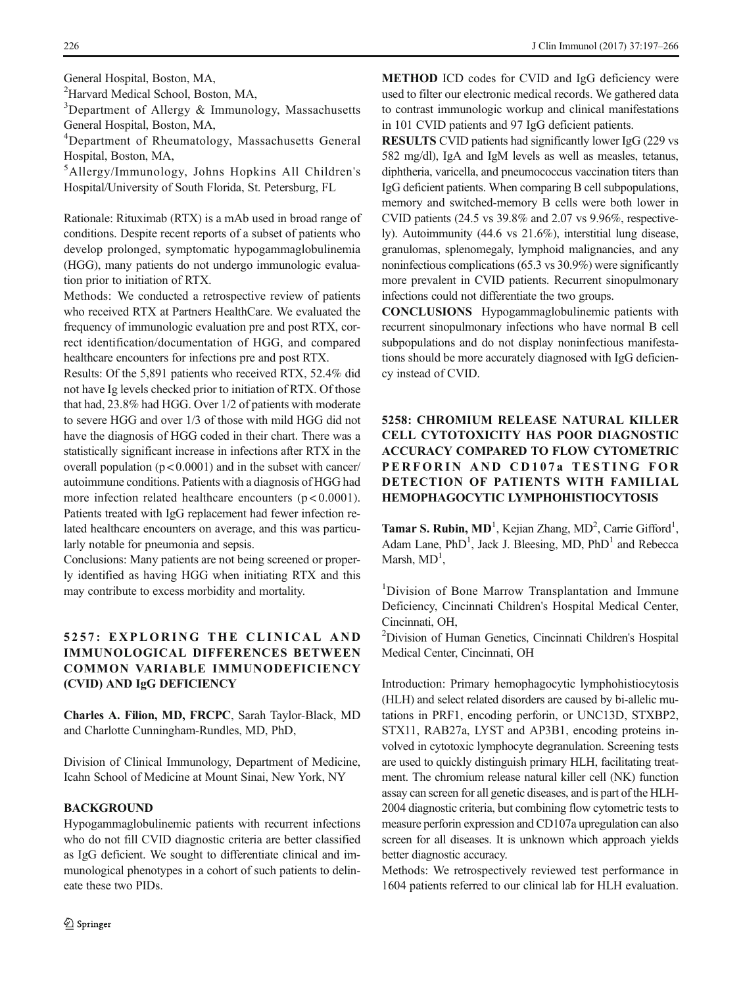<sup>2</sup>Harvard Medical School, Boston, MA,

<sup>3</sup>Department of Allergy & Immunology, Massachusetts General Hospital, Boston, MA,

4 Department of Rheumatology, Massachusetts General Hospital, Boston, MA,

5 Allergy/Immunology, Johns Hopkins All Children's Hospital/University of South Florida, St. Petersburg, FL

Rationale: Rituximab (RTX) is a mAb used in broad range of conditions. Despite recent reports of a subset of patients who develop prolonged, symptomatic hypogammaglobulinemia (HGG), many patients do not undergo immunologic evaluation prior to initiation of RTX.

Methods: We conducted a retrospective review of patients who received RTX at Partners HealthCare. We evaluated the frequency of immunologic evaluation pre and post RTX, correct identification/documentation of HGG, and compared healthcare encounters for infections pre and post RTX.

Results: Of the 5,891 patients who received RTX, 52.4% did not have Ig levels checked prior to initiation of RTX. Of those that had, 23.8% had HGG. Over 1/2 of patients with moderate to severe HGG and over 1/3 of those with mild HGG did not have the diagnosis of HGG coded in their chart. There was a statistically significant increase in infections after RTX in the overall population  $(p < 0.0001)$  and in the subset with cancer/ autoimmune conditions. Patients with a diagnosis of HGG had more infection related healthcare encounters  $(p < 0.0001)$ . Patients treated with IgG replacement had fewer infection related healthcare encounters on average, and this was particularly notable for pneumonia and sepsis.

Conclusions: Many patients are not being screened or properly identified as having HGG when initiating RTX and this may contribute to excess morbidity and mortality.

### 5257: EXPLORING THE CLINICAL AND IMMUNOLOGICAL DIFFERENCES BETWEEN COMMON VARIABLE IMMUNODEFICIENCY (CVID) AND IgG DEFICIENCY

Charles A. Filion, MD, FRCPC, Sarah Taylor-Black, MD and Charlotte Cunningham-Rundles, MD, PhD,

Division of Clinical Immunology, Department of Medicine, Icahn School of Medicine at Mount Sinai, New York, NY

#### BACKGROUND

Hypogammaglobulinemic patients with recurrent infections who do not fill CVID diagnostic criteria are better classified as IgG deficient. We sought to differentiate clinical and immunological phenotypes in a cohort of such patients to delineate these two PIDs.

METHOD ICD codes for CVID and IgG deficiency were used to filter our electronic medical records. We gathered data to contrast immunologic workup and clinical manifestations in 101 CVID patients and 97 IgG deficient patients.

RESULTS CVID patients had significantly lower IgG (229 vs 582 mg/dl), IgA and IgM levels as well as measles, tetanus, diphtheria, varicella, and pneumococcus vaccination titers than IgG deficient patients. When comparing B cell subpopulations, memory and switched-memory B cells were both lower in CVID patients (24.5 vs 39.8% and 2.07 vs 9.96%, respectively). Autoimmunity (44.6 vs 21.6%), interstitial lung disease, granulomas, splenomegaly, lymphoid malignancies, and any noninfectious complications (65.3 vs 30.9%) were significantly more prevalent in CVID patients. Recurrent sinopulmonary infections could not differentiate the two groups.

CONCLUSIONS Hypogammaglobulinemic patients with recurrent sinopulmonary infections who have normal B cell subpopulations and do not display noninfectious manifestations should be more accurately diagnosed with IgG deficiency instead of CVID.

# 5258: CHROMIUM RELEASE NATURAL KILLER CELL CYTOTOXICITY HAS POOR DIAGNOSTIC ACCURACY COMPARED TO FLOW CYTOMETRIC PERFORIN AND CD107a TESTING FOR DETECTION OF PATIENTS WITH FAMILIAL HEMOPHAGOCYTIC LYMPHOHISTIOCYTOSIS

Tamar S. Rubin, MD<sup>1</sup>, Kejian Zhang, MD<sup>2</sup>, Carrie Gifford<sup>1</sup>, Adam Lane, PhD<sup>1</sup>, Jack J. Bleesing, MD, PhD<sup>1</sup> and Rebecca Marsh,  $MD<sup>1</sup>$ ,

<sup>1</sup>Division of Bone Marrow Transplantation and Immune Deficiency, Cincinnati Children's Hospital Medical Center, Cincinnati, OH,

2 Division of Human Genetics, Cincinnati Children's Hospital Medical Center, Cincinnati, OH

Introduction: Primary hemophagocytic lymphohistiocytosis (HLH) and select related disorders are caused by bi-allelic mutations in PRF1, encoding perforin, or UNC13D, STXBP2, STX11, RAB27a, LYST and AP3B1, encoding proteins involved in cytotoxic lymphocyte degranulation. Screening tests are used to quickly distinguish primary HLH, facilitating treatment. The chromium release natural killer cell (NK) function assay can screen for all genetic diseases, and is part of the HLH-2004 diagnostic criteria, but combining flow cytometric tests to measure perforin expression and CD107a upregulation can also screen for all diseases. It is unknown which approach yields better diagnostic accuracy.

Methods: We retrospectively reviewed test performance in 1604 patients referred to our clinical lab for HLH evaluation.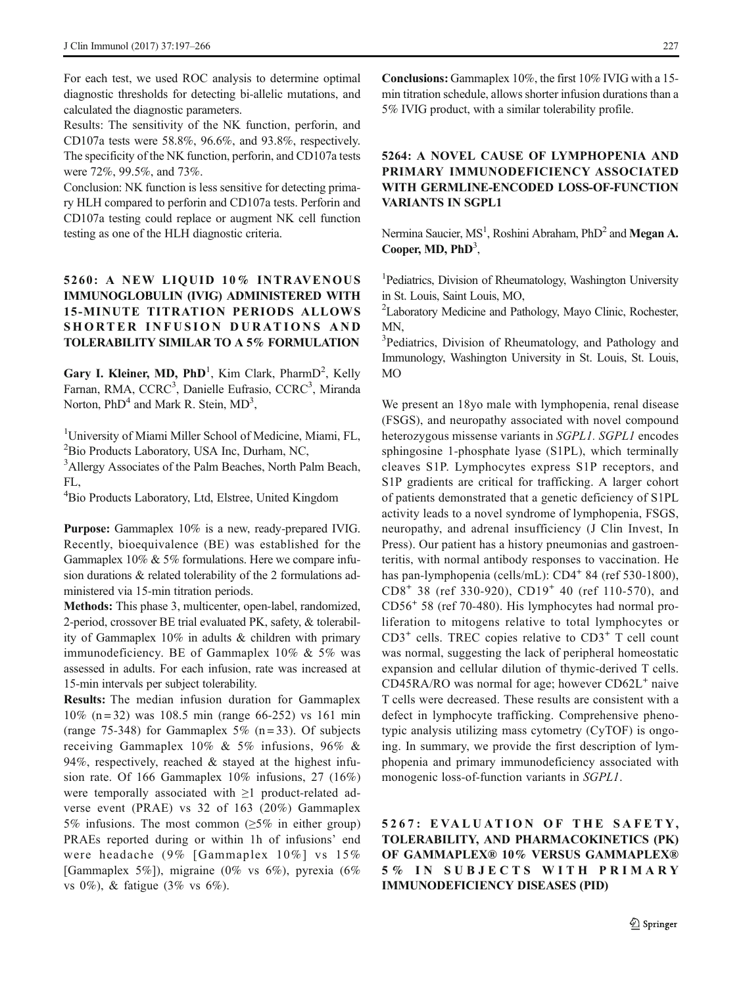For each test, we used ROC analysis to determine optimal diagnostic thresholds for detecting bi-allelic mutations, and calculated the diagnostic parameters.

Results: The sensitivity of the NK function, perforin, and CD107a tests were 58.8%, 96.6%, and 93.8%, respectively. The specificity of the NK function, perforin, and CD107a tests were 72%, 99.5%, and 73%.

Conclusion: NK function is less sensitive for detecting primary HLH compared to perforin and CD107a tests. Perforin and CD107a testing could replace or augment NK cell function testing as one of the HLH diagnostic criteria.

### 5260: A NEW LIQUID 10% INTRAVENOUS IMMUNOGLOBULIN (IVIG) ADMINISTERED WITH 15-MINUTE TITRATION PERIODS ALLOWS SHORTER INFUSION DURATIONS AND TOLERABILITY SIMILAR TO A 5% FORMULATION

Gary I. Kleiner, MD,  $PhD<sup>1</sup>$ , Kim Clark, Pharm $D<sup>2</sup>$ , Kelly Farnan, RMA, CCRC<sup>3</sup>, Danielle Eufrasio, CCRC<sup>3</sup>, Miranda Norton, PhD<sup>4</sup> and Mark R. Stein, MD<sup>3</sup>,

<sup>1</sup>University of Miami Miller School of Medicine, Miami, FL, 2 Bio Products Laboratory, USA Inc, Durham, NC,

<sup>3</sup>Allergy Associates of the Palm Beaches, North Palm Beach, FL,

4 Bio Products Laboratory, Ltd, Elstree, United Kingdom

Purpose: Gammaplex 10% is a new, ready-prepared IVIG. Recently, bioequivalence (BE) was established for the Gammaplex 10% & 5% formulations. Here we compare infusion durations & related tolerability of the 2 formulations administered via 15-min titration periods.

Methods: This phase 3, multicenter, open-label, randomized, 2-period, crossover BE trial evaluated PK, safety, & tolerability of Gammaplex 10% in adults & children with primary immunodeficiency. BE of Gammaplex 10% & 5% was assessed in adults. For each infusion, rate was increased at 15-min intervals per subject tolerability.

Results: The median infusion duration for Gammaplex 10% (n = 32) was 108.5 min (range 66-252) vs 161 min (range 75-348) for Gammaplex 5% (n=33). Of subjects receiving Gammaplex 10% & 5% infusions, 96% & 94%, respectively, reached & stayed at the highest infusion rate. Of 166 Gammaplex 10% infusions, 27 (16%) were temporally associated with ≥1 product-related adverse event (PRAE) vs 32 of 163 (20%) Gammaplex 5% infusions. The most common ( $\geq$ 5% in either group) PRAEs reported during or within 1h of infusions' end were headache (9% [Gammaplex 10%] vs 15% [Gammaplex 5%]), migraine (0% vs 6%), pyrexia (6% vs 0%), & fatigue (3% vs 6%).

Conclusions: Gammaplex 10%, the first 10% IVIG with a 15 min titration schedule, allows shorter infusion durations than a 5% IVIG product, with a similar tolerability profile.

### 5264: A NOVEL CAUSE OF LYMPHOPENIA AND PRIMARY IMMUNODEFICIENCY ASSOCIATED WITH GERMLINE-ENCODED LOSS-OF-FUNCTION VARIANTS IN SGPL1

Nermina Saucier, MS<sup>1</sup>, Roshini Abraham, PhD<sup>2</sup> and Megan A. Cooper, MD, PhD<sup>3</sup>,

<sup>1</sup>Pediatrics, Division of Rheumatology, Washington University in St. Louis, Saint Louis, MO,

<sup>2</sup>Laboratory Medicine and Pathology, Mayo Clinic, Rochester, MN,

<sup>3</sup>Pediatrics, Division of Rheumatology, and Pathology and Immunology, Washington University in St. Louis, St. Louis, MO

We present an 18yo male with lymphopenia, renal disease (FSGS), and neuropathy associated with novel compound heterozygous missense variants in SGPL1. SGPL1 encodes sphingosine 1-phosphate lyase (S1PL), which terminally cleaves S1P. Lymphocytes express S1P receptors, and S1P gradients are critical for trafficking. A larger cohort of patients demonstrated that a genetic deficiency of S1PL activity leads to a novel syndrome of lymphopenia, FSGS, neuropathy, and adrenal insufficiency (J Clin Invest, In Press). Our patient has a history pneumonias and gastroenteritis, with normal antibody responses to vaccination. He has pan-lymphopenia (cells/mL): CD4<sup>+</sup> 84 (ref 530-1800),  $CD8<sup>+</sup> 38$  (ref 330-920),  $CD19<sup>+</sup> 40$  (ref 110-570), and CD56<sup>+</sup> 58 (ref 70-480). His lymphocytes had normal proliferation to mitogens relative to total lymphocytes or  $CD3<sup>+</sup>$  cells. TREC copies relative to  $CD3<sup>+</sup>$  T cell count was normal, suggesting the lack of peripheral homeostatic expansion and cellular dilution of thymic-derived T cells.  $CD45RA/RO$  was normal for age; however  $CD62L<sup>+</sup>$  naive T cells were decreased. These results are consistent with a defect in lymphocyte trafficking. Comprehensive phenotypic analysis utilizing mass cytometry (CyTOF) is ongoing. In summary, we provide the first description of lymphopenia and primary immunodeficiency associated with monogenic loss-of-function variants in SGPL1.

5267: EVALUATION OF THE SAFETY, TOLERABILITY, AND PHARMACOKINETICS (PK) OF GAMMAPLEX® 10% VERSUS GAMMAPLEX® 5% IN SUBJECTS WITH PRIMARY IMMUNODEFICIENCY DISEASES (PID)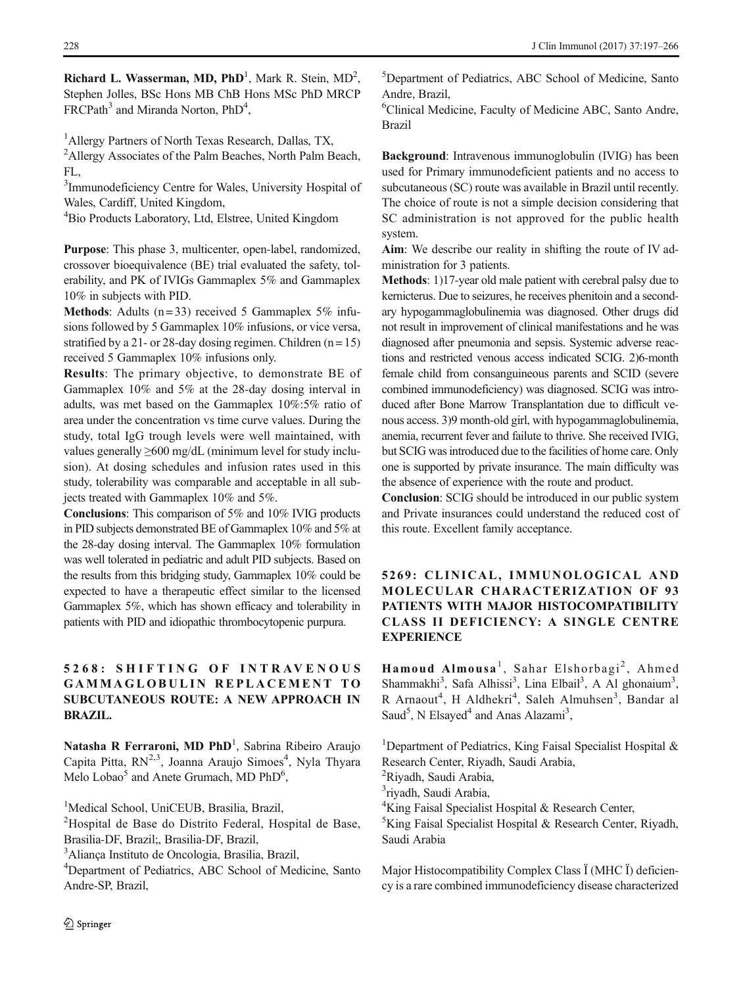Richard L. Wasserman, MD,  $PhD<sup>1</sup>$ , Mark R. Stein, MD<sup>2</sup>, Stephen Jolles, BSc Hons MB ChB Hons MSc PhD MRCP FRCPath<sup>3</sup> and Miranda Norton, PhD<sup>4</sup>,

<sup>1</sup> Allergy Partners of North Texas Research, Dallas, TX,

<sup>2</sup>Allergy Associates of the Palm Beaches, North Palm Beach, FL,

<sup>3</sup>Immunodeficiency Centre for Wales, University Hospital of Wales, Cardiff, United Kingdom,

<sup>4</sup>Bio Products Laboratory, Ltd, Elstree, United Kingdom

Purpose: This phase 3, multicenter, open-label, randomized, crossover bioequivalence (BE) trial evaluated the safety, tolerability, and PK of IVIGs Gammaplex 5% and Gammaplex 10% in subjects with PID.

**Methods:** Adults ( $n = 33$ ) received 5 Gammaplex 5% infusions followed by 5 Gammaplex 10% infusions, or vice versa, stratified by a 21- or 28-day dosing regimen. Children  $(n = 15)$ received 5 Gammaplex 10% infusions only.

Results: The primary objective, to demonstrate BE of Gammaplex 10% and 5% at the 28-day dosing interval in adults, was met based on the Gammaplex 10%:5% ratio of area under the concentration vs time curve values. During the study, total IgG trough levels were well maintained, with values generally ≥600 mg/dL (minimum level for study inclusion). At dosing schedules and infusion rates used in this study, tolerability was comparable and acceptable in all subjects treated with Gammaplex 10% and 5%.

Conclusions: This comparison of 5% and 10% IVIG products in PID subjects demonstrated BE of Gammaplex 10% and 5% at the 28-day dosing interval. The Gammaplex 10% formulation was well tolerated in pediatric and adult PID subjects. Based on the results from this bridging study, Gammaplex 10% could be expected to have a therapeutic effect similar to the licensed Gammaplex 5%, which has shown efficacy and tolerability in patients with PID and idiopathic thrombocytopenic purpura.

# 5268: SHIFTING OF INTRAVENOUS GAMMAGLOBULIN REPLACEMENT TO SUBCUTANEOUS ROUTE: A NEW APPROACH IN BRAZIL.

Natasha R Ferraroni, MD PhD<sup>1</sup>, Sabrina Ribeiro Araujo Capita Pitta, RN<sup>2,3</sup>, Joanna Araujo Simoes<sup>4</sup>, Nyla Thyara Melo Lobao<sup>5</sup> and Anete Grumach, MD PhD<sup>6</sup>,

<sup>1</sup>Medical School, UniCEUB, Brasilia, Brazil,

<sup>2</sup>Hospital de Base do Distrito Federal, Hospital de Base, Brasilia-DF, Brazil;, Brasilia-DF, Brazil,

3 Aliança Instituto de Oncologia, Brasilia, Brazil,

4 Department of Pediatrics, ABC School of Medicine, Santo Andre-SP, Brazil,

2 Springer

5 Department of Pediatrics, ABC School of Medicine, Santo Andre, Brazil,

6 Clinical Medicine, Faculty of Medicine ABC, Santo Andre, Brazil

Background: Intravenous immunoglobulin (IVIG) has been used for Primary immunodeficient patients and no access to subcutaneous (SC) route was available in Brazil until recently. The choice of route is not a simple decision considering that SC administration is not approved for the public health system.

Aim: We describe our reality in shifting the route of IV administration for 3 patients.

Methods: 1)17-year old male patient with cerebral palsy due to kernicterus. Due to seizures, he receives phenitoin and a secondary hypogammaglobulinemia was diagnosed. Other drugs did not result in improvement of clinical manifestations and he was diagnosed after pneumonia and sepsis. Systemic adverse reactions and restricted venous access indicated SCIG. 2)6-month female child from consanguineous parents and SCID (severe combined immunodeficiency) was diagnosed. SCIG was introduced after Bone Marrow Transplantation due to difficult venous access. 3)9 month-old girl, with hypogammaglobulinemia, anemia, recurrent fever and failute to thrive. She received IVIG, but SCIG was introduced due to the facilities of home care. Only one is supported by private insurance. The main difficulty was the absence of experience with the route and product.

Conclusion: SCIG should be introduced in our public system and Private insurances could understand the reduced cost of this route. Excellent family acceptance.

# 5269: CLINICAL, IMMUNOLOGICAL AND MOLECULAR CHARACTERIZATION OF 93 PATIENTS WITH MAJOR HISTOCOMPATIBILITY CLASS II DEFICIENCY: A SINGLE CENTRE **EXPERIENCE**

Hamoud Almousa<sup>1</sup>, Sahar Elshorbagi<sup>2</sup>, Ahmed Shammakhi<sup>3</sup>, Safa Alhissi<sup>3</sup>, Lina Elbail<sup>3</sup>, A Al ghonaium<sup>3</sup>, R Arnaout<sup>4</sup>, H Aldhekri<sup>4</sup>, Saleh Almuhsen<sup>3</sup>, Bandar al Saud<sup>5</sup>, N Elsayed<sup>4</sup> and Anas Alazami<sup>3</sup>,

<sup>1</sup>Department of Pediatrics, King Faisal Specialist Hospital & Research Center, Riyadh, Saudi Arabia, <sup>2</sup>Riyadh, Saudi Arabia, 3 riyadh, Saudi Arabia, 4 King Faisal Specialist Hospital & Research Center, 5 King Faisal Specialist Hospital & Research Center, Riyadh, Saudi Arabia

Major Histocompatibility Complex Class Ï (MHC Ï) deficiency is a rare combined immunodeficiency disease characterized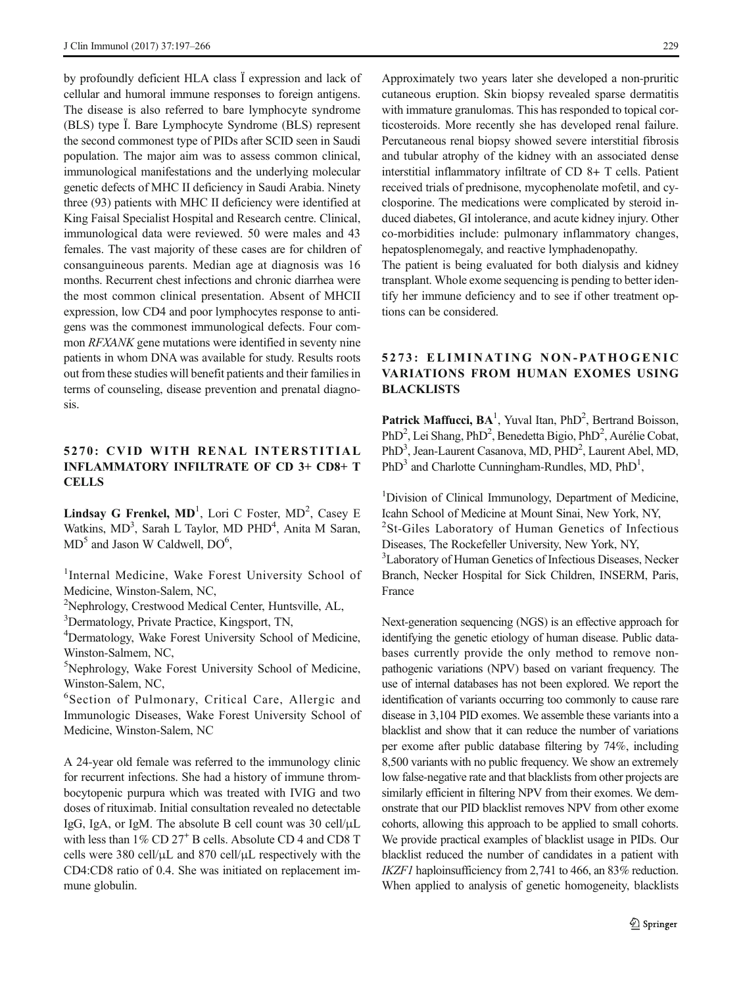by profoundly deficient HLA class Ï expression and lack of cellular and humoral immune responses to foreign antigens. The disease is also referred to bare lymphocyte syndrome (BLS) type Ï. Bare Lymphocyte Syndrome (BLS) represent the second commonest type of PIDs after SCID seen in Saudi population. The major aim was to assess common clinical, immunological manifestations and the underlying molecular genetic defects of MHC II deficiency in Saudi Arabia. Ninety three (93) patients with MHC II deficiency were identified at King Faisal Specialist Hospital and Research centre. Clinical, immunological data were reviewed. 50 were males and 43 females. The vast majority of these cases are for children of consanguineous parents. Median age at diagnosis was 16 months. Recurrent chest infections and chronic diarrhea were the most common clinical presentation. Absent of MHCII expression, low CD4 and poor lymphocytes response to antigens was the commonest immunological defects. Four common RFXANK gene mutations were identified in seventy nine patients in whom DNA was available for study. Results roots out from these studies will benefit patients and their families in terms of counseling, disease prevention and prenatal diagnosis.

### 5270: CVID WITH RENAL INTERSTITIAL INFLAMMATORY INFILTRATE OF CD 3+ CD8+ T **CELLS**

Lindsay G Frenkel,  $MD<sup>1</sup>$ , Lori C Foster,  $MD<sup>2</sup>$ , Casey E Watkins, MD<sup>3</sup>, Sarah L Taylor, MD PHD<sup>4</sup>, Anita M Saran,  $MD<sup>5</sup>$  and Jason W Caldwell,  $DO<sup>6</sup>$ ,

<sup>1</sup>Internal Medicine, Wake Forest University School of Medicine, Winston-Salem, NC,

<sup>2</sup>Nephrology, Crestwood Medical Center, Huntsville, AL,

3 Dermatology, Private Practice, Kingsport, TN,

4 Dermatology, Wake Forest University School of Medicine, Winston-Salmem, NC,

5 Nephrology, Wake Forest University School of Medicine, Winston-Salem, NC,

6 Section of Pulmonary, Critical Care, Allergic and Immunologic Diseases, Wake Forest University School of Medicine, Winston-Salem, NC

A 24-year old female was referred to the immunology clinic for recurrent infections. She had a history of immune thrombocytopenic purpura which was treated with IVIG and two doses of rituximab. Initial consultation revealed no detectable IgG, IgA, or IgM. The absolute B cell count was 30 cell/μL with less than 1% CD 27<sup>+</sup> B cells. Absolute CD 4 and CD8 T cells were 380 cell/μL and 870 cell/μL respectively with the CD4:CD8 ratio of 0.4. She was initiated on replacement immune globulin.

Approximately two years later she developed a non-pruritic cutaneous eruption. Skin biopsy revealed sparse dermatitis with immature granulomas. This has responded to topical corticosteroids. More recently she has developed renal failure. Percutaneous renal biopsy showed severe interstitial fibrosis and tubular atrophy of the kidney with an associated dense interstitial inflammatory infiltrate of CD 8+ T cells. Patient received trials of prednisone, mycophenolate mofetil, and cyclosporine. The medications were complicated by steroid induced diabetes, GI intolerance, and acute kidney injury. Other co-morbidities include: pulmonary inflammatory changes, hepatosplenomegaly, and reactive lymphadenopathy.

The patient is being evaluated for both dialysis and kidney transplant. Whole exome sequencing is pending to better identify her immune deficiency and to see if other treatment options can be considered.

### 5273: ELIMINATING NON-PATHOGENIC VARIATIONS FROM HUMAN EXOMES USING BLACKLISTS

Patrick Maffucci, BA<sup>1</sup>, Yuval Itan, PhD<sup>2</sup>, Bertrand Boisson, PhD<sup>2</sup>, Lei Shang, PhD<sup>2</sup>, Benedetta Bigio, PhD<sup>2</sup>, Aurélie Cobat, PhD<sup>3</sup>, Jean-Laurent Casanova, MD, PHD<sup>2</sup>, Laurent Abel, MD, PhD<sup>3</sup> and Charlotte Cunningham-Rundles, MD, PhD<sup>1</sup>,

<sup>1</sup>Division of Clinical Immunology, Department of Medicine, Icahn School of Medicine at Mount Sinai, New York, NY, <sup>2</sup>St-Giles Laboratory of Human Genetics of Infectious Diseases, The Rockefeller University, New York, NY, <sup>3</sup>Laboratory of Human Genetics of Infectious Diseases, Necker Branch, Necker Hospital for Sick Children, INSERM, Paris, France

Next-generation sequencing (NGS) is an effective approach for identifying the genetic etiology of human disease. Public databases currently provide the only method to remove nonpathogenic variations (NPV) based on variant frequency. The use of internal databases has not been explored. We report the identification of variants occurring too commonly to cause rare disease in 3,104 PID exomes. We assemble these variants into a blacklist and show that it can reduce the number of variations per exome after public database filtering by 74%, including 8,500 variants with no public frequency. We show an extremely low false-negative rate and that blacklists from other projects are similarly efficient in filtering NPV from their exomes. We demonstrate that our PID blacklist removes NPV from other exome cohorts, allowing this approach to be applied to small cohorts. We provide practical examples of blacklist usage in PIDs. Our blacklist reduced the number of candidates in a patient with IKZF1 haploinsufficiency from 2,741 to 466, an 83% reduction. When applied to analysis of genetic homogeneity, blacklists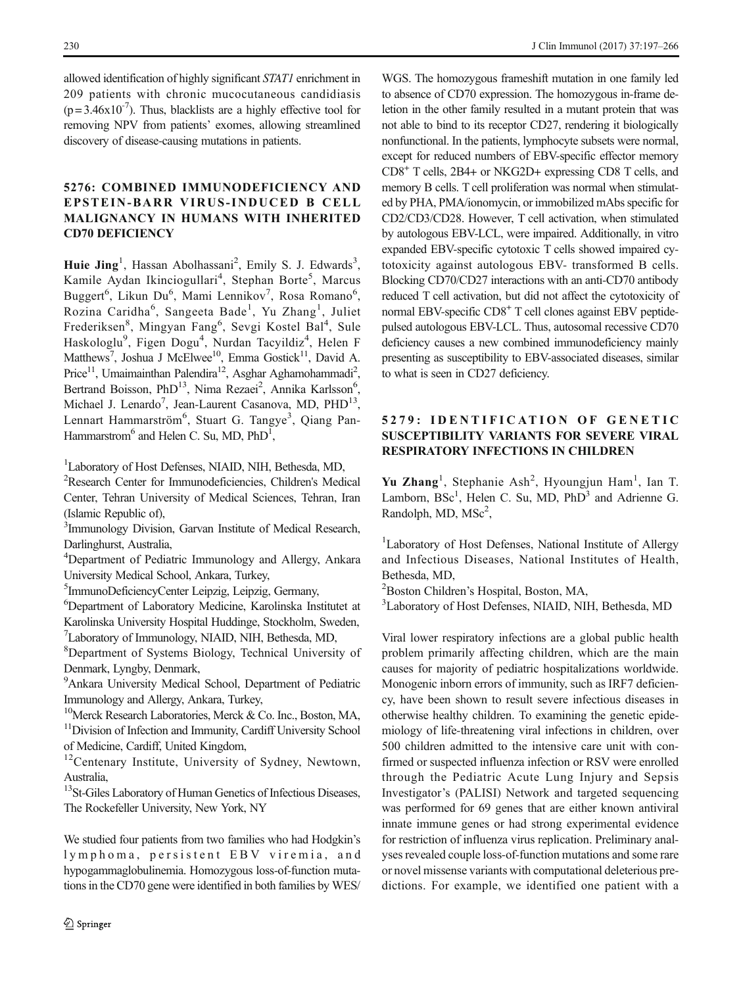allowed identification of highly significant STAT1 enrichment in 209 patients with chronic mucocutaneous candidiasis  $(p=3.46x10^{-7})$ . Thus, blacklists are a highly effective tool for removing NPV from patients' exomes, allowing streamlined discovery of disease-causing mutations in patients.

### 5276: COMBINED IMMUNODEFICIENCY AND EPSTEIN-BARR VIRUS-INDUCED B CELL MALIGNANCY IN HUMANS WITH INHERITED CD70 DEFICIENCY

Huie Jing<sup>1</sup>, Hassan Abolhassani<sup>2</sup>, Emily S. J. Edwards<sup>3</sup>, Kamile Aydan Ikinciogullari<sup>4</sup>, Stephan Borte<sup>5</sup>, Marcus Buggert<sup>6</sup>, Likun Du<sup>6</sup>, Mami Lennikov<sup>7</sup>, Rosa Romano<sup>6</sup>, Rozina Caridha<sup>6</sup>, Sangeeta Bade<sup>1</sup>, Yu Zhang<sup>1</sup>, Juliet Frederiksen<sup>8</sup>, Mingyan Fang<sup>6</sup>, Sevgi Kostel Bal<sup>4</sup>, Sule Haskologlu<sup>9</sup>, Figen Dogu<sup>4</sup>, Nurdan Tacyildiz<sup>4</sup>, Helen F Matthews<sup>7</sup>, Joshua J McElwee<sup>10</sup>, Emma Gostick<sup>11</sup>, David A. Price<sup>11</sup>, Umaimainthan Palendira<sup>12</sup>, Asghar Aghamohammadi<sup>2</sup>, Bertrand Boisson, PhD<sup>13</sup>, Nima Rezaei<sup>2</sup>, Annika Karlsson<sup>6</sup>, Michael J. Lenardo<sup>7</sup>, Jean-Laurent Casanova, MD, PHD<sup>13</sup>, Lennart Hammarström<sup>6</sup>, Stuart G. Tangye<sup>3</sup>, Qiang Pan-Hammarstrom<sup>6</sup> and Helen C. Su, MD, PhD<sup>1</sup>,

1 Laboratory of Host Defenses, NIAID, NIH, Bethesda, MD,

2 Research Center for Immunodeficiencies, Children's Medical Center, Tehran University of Medical Sciences, Tehran, Iran (Islamic Republic of),

<sup>3</sup>Immunology Division, Garvan Institute of Medical Research, Darlinghurst, Australia,

<sup>4</sup>Department of Pediatric Immunology and Allergy, Ankara University Medical School, Ankara, Turkey,

5 ImmunoDeficiencyCenter Leipzig, Leipzig, Germany,

6 Department of Laboratory Medicine, Karolinska Institutet at Karolinska University Hospital Huddinge, Stockholm, Sweden, 7 Laboratory of Immunology, NIAID, NIH, Bethesda, MD,

8 Department of Systems Biology, Technical University of Denmark, Lyngby, Denmark,

<sup>9</sup> Ankara University Medical School, Department of Pediatric Immunology and Allergy, Ankara, Turkey,

<sup>10</sup>Merck Research Laboratories, Merck & Co. Inc., Boston, MA, <sup>11</sup>Division of Infection and Immunity, Cardiff University School of Medicine, Cardiff, United Kingdom,

<sup>12</sup>Centenary Institute, University of Sydney, Newtown, Australia,

<sup>13</sup>St-Giles Laboratory of Human Genetics of Infectious Diseases, The Rockefeller University, New York, NY

We studied four patients from two families who had Hodgkin's lymphoma, persistent EBV viremia, and hypogammaglobulinemia. Homozygous loss-of-function mutations in the CD70 gene were identified in both families by WES/

WGS. The homozygous frameshift mutation in one family led to absence of CD70 expression. The homozygous in-frame deletion in the other family resulted in a mutant protein that was not able to bind to its receptor CD27, rendering it biologically nonfunctional. In the patients, lymphocyte subsets were normal, except for reduced numbers of EBV-specific effector memory CD8+ T cells, 2B4+ or NKG2D+ expressing CD8 T cells, and memory B cells. T cell proliferation was normal when stimulated by PHA, PMA/ionomycin, or immobilized mAbs specific for CD2/CD3/CD28. However, T cell activation, when stimulated by autologous EBV-LCL, were impaired. Additionally, in vitro expanded EBV-specific cytotoxic T cells showed impaired cytotoxicity against autologous EBV- transformed B cells. Blocking CD70/CD27 interactions with an anti-CD70 antibody reduced T cell activation, but did not affect the cytotoxicity of normal EBV-specific CD8<sup>+</sup> T cell clones against EBV peptidepulsed autologous EBV-LCL. Thus, autosomal recessive CD70 deficiency causes a new combined immunodeficiency mainly presenting as susceptibility to EBV-associated diseases, similar to what is seen in CD27 deficiency.

# 5279: IDENTIFICATION OF GENETIC SUSCEPTIBILITY VARIANTS FOR SEVERE VIRAL RESPIRATORY INFECTIONS IN CHILDREN

Yu Zhang<sup>1</sup>, Stephanie Ash<sup>2</sup>, Hyoungjun Ham<sup>1</sup>, Ian T. Lamborn, BSc<sup>1</sup>, Helen C. Su, MD, PhD<sup>3</sup> and Adrienne G. Randolph, MD, MSc<sup>2</sup>,

<sup>1</sup>Laboratory of Host Defenses, National Institute of Allergy and Infectious Diseases, National Institutes of Health, Bethesda, MD,

2 Boston Children's Hospital, Boston, MA,

3 Laboratory of Host Defenses, NIAID, NIH, Bethesda, MD

Viral lower respiratory infections are a global public health problem primarily affecting children, which are the main causes for majority of pediatric hospitalizations worldwide. Monogenic inborn errors of immunity, such as IRF7 deficiency, have been shown to result severe infectious diseases in otherwise healthy children. To examining the genetic epidemiology of life-threatening viral infections in children, over 500 children admitted to the intensive care unit with confirmed or suspected influenza infection or RSV were enrolled through the Pediatric Acute Lung Injury and Sepsis Investigator's (PALISI) Network and targeted sequencing was performed for 69 genes that are either known antiviral innate immune genes or had strong experimental evidence for restriction of influenza virus replication. Preliminary analyses revealed couple loss-of-function mutations and some rare or novel missense variants with computational deleterious predictions. For example, we identified one patient with a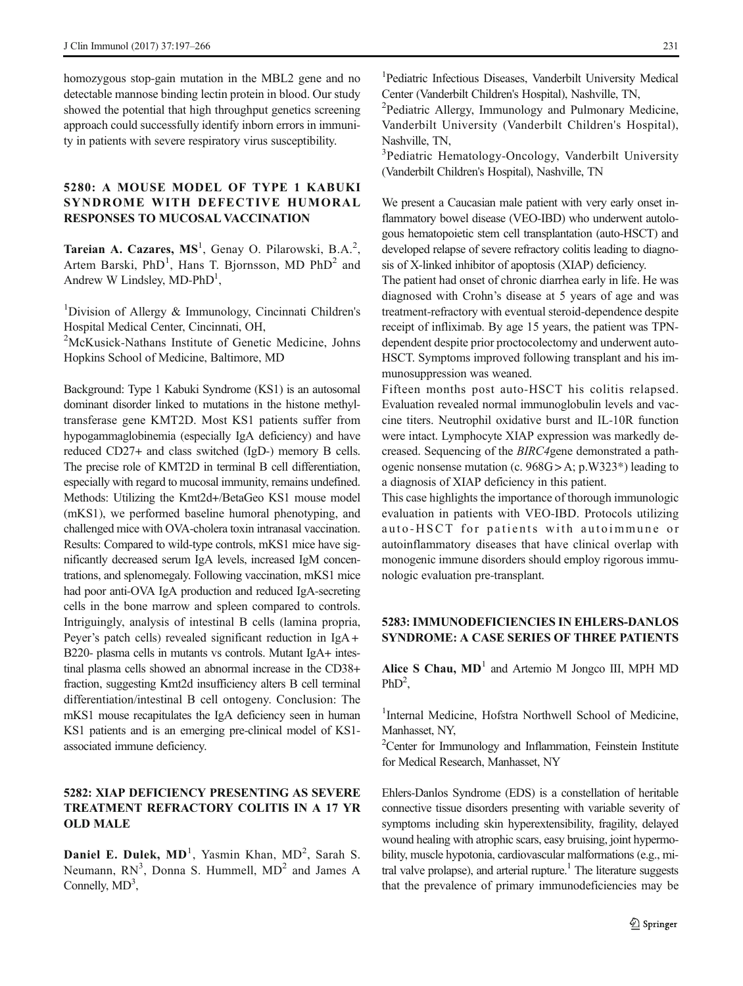homozygous stop-gain mutation in the MBL2 gene and no detectable mannose binding lectin protein in blood. Our study showed the potential that high throughput genetics screening approach could successfully identify inborn errors in immunity in patients with severe respiratory virus susceptibility.

### 5280: A MOUSE MODEL OF TYPE 1 KABUKI SYNDROME WITH DEFECTIVE HUMORAL RESPONSES TO MUCOSAL VACCINATION

Tareian A. Cazares,  $MS<sup>1</sup>$ , Genay O. Pilarowski, B.A.<sup>2</sup>, Artem Barski,  $PhD<sup>1</sup>$ , Hans T. Bjornsson, MD  $PhD<sup>2</sup>$  and Andrew W Lindsley, MD-PhD<sup>1</sup>,

<sup>1</sup>Division of Allergy & Immunology, Cincinnati Children's Hospital Medical Center, Cincinnati, OH,

<sup>2</sup>McKusick-Nathans Institute of Genetic Medicine, Johns Hopkins School of Medicine, Baltimore, MD

Background: Type 1 Kabuki Syndrome (KS1) is an autosomal dominant disorder linked to mutations in the histone methyltransferase gene KMT2D. Most KS1 patients suffer from hypogammaglobinemia (especially IgA deficiency) and have reduced CD27+ and class switched (IgD-) memory B cells. The precise role of KMT2D in terminal B cell differentiation, especially with regard to mucosal immunity, remains undefined. Methods: Utilizing the Kmt2d+/BetaGeo KS1 mouse model (mKS1), we performed baseline humoral phenotyping, and challenged mice with OVA-cholera toxin intranasal vaccination. Results: Compared to wild-type controls, mKS1 mice have significantly decreased serum IgA levels, increased IgM concentrations, and splenomegaly. Following vaccination, mKS1 mice had poor anti-OVA IgA production and reduced IgA-secreting cells in the bone marrow and spleen compared to controls. Intriguingly, analysis of intestinal B cells (lamina propria, Peyer's patch cells) revealed significant reduction in IgA + B220- plasma cells in mutants vs controls. Mutant IgA+ intestinal plasma cells showed an abnormal increase in the CD38+ fraction, suggesting Kmt2d insufficiency alters B cell terminal differentiation/intestinal B cell ontogeny. Conclusion: The mKS1 mouse recapitulates the IgA deficiency seen in human KS1 patients and is an emerging pre-clinical model of KS1 associated immune deficiency.

### 5282: XIAP DEFICIENCY PRESENTING AS SEVERE TREATMENT REFRACTORY COLITIS IN A 17 YR OLD MALE

Daniel E. Dulek, MD<sup>1</sup>, Yasmin Khan, MD<sup>2</sup>, Sarah S. Neumann,  $RN<sup>3</sup>$ , Donna S. Hummell,  $MD<sup>2</sup>$  and James A Connelly,  $MD<sup>3</sup>$ ,

1 Pediatric Infectious Diseases, Vanderbilt University Medical Center (Vanderbilt Children's Hospital), Nashville, TN, <sup>2</sup>

<sup>2</sup>Pediatric Allergy, Immunology and Pulmonary Medicine, Vanderbilt University (Vanderbilt Children's Hospital), Nashville, TN,

<sup>3</sup>Pediatric Hematology-Oncology, Vanderbilt University (Vanderbilt Children's Hospital), Nashville, TN

We present a Caucasian male patient with very early onset inflammatory bowel disease (VEO-IBD) who underwent autologous hematopoietic stem cell transplantation (auto-HSCT) and developed relapse of severe refractory colitis leading to diagnosis of X-linked inhibitor of apoptosis (XIAP) deficiency.

The patient had onset of chronic diarrhea early in life. He was diagnosed with Crohn's disease at 5 years of age and was treatment-refractory with eventual steroid-dependence despite receipt of infliximab. By age 15 years, the patient was TPNdependent despite prior proctocolectomy and underwent auto-HSCT. Symptoms improved following transplant and his immunosuppression was weaned.

Fifteen months post auto-HSCT his colitis relapsed. Evaluation revealed normal immunoglobulin levels and vaccine titers. Neutrophil oxidative burst and IL-10R function were intact. Lymphocyte XIAP expression was markedly decreased. Sequencing of the BIRC4gene demonstrated a pathogenic nonsense mutation (c. 968G > A; p.W323\*) leading to a diagnosis of XIAP deficiency in this patient.

This case highlights the importance of thorough immunologic evaluation in patients with VEO-IBD. Protocols utilizing auto-HSCT for patients with autoimmune or autoinflammatory diseases that have clinical overlap with monogenic immune disorders should employ rigorous immunologic evaluation pre-transplant.

### 5283: IMMUNODEFICIENCIES IN EHLERS-DANLOS SYNDROME: A CASE SERIES OF THREE PATIENTS

Alice S Chau,  $MD<sup>1</sup>$  and Artemio M Jongco III, MPH MD  $PhD<sup>2</sup>$ ,

<sup>1</sup>Internal Medicine, Hofstra Northwell School of Medicine, Manhasset, NY,

<sup>2</sup>Center for Immunology and Inflammation, Feinstein Institute for Medical Research, Manhasset, NY

Ehlers-Danlos Syndrome (EDS) is a constellation of heritable connective tissue disorders presenting with variable severity of symptoms including skin hyperextensibility, fragility, delayed wound healing with atrophic scars, easy bruising, joint hypermobility, muscle hypotonia, cardiovascular malformations (e.g., mitral valve prolapse), and arterial rupture.<sup>1</sup> The literature suggests that the prevalence of primary immunodeficiencies may be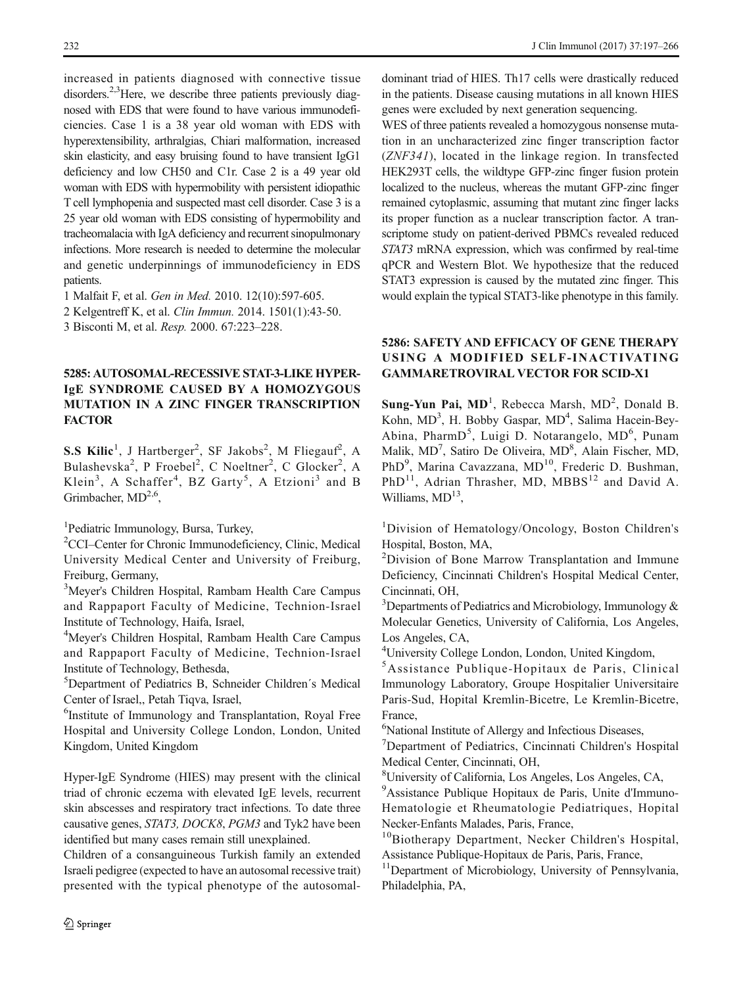increased in patients diagnosed with connective tissue disorders.<sup>2,3</sup>Here, we describe three patients previously diagnosed with EDS that were found to have various immunodeficiencies. Case 1 is a 38 year old woman with EDS with hyperextensibility, arthralgias, Chiari malformation, increased skin elasticity, and easy bruising found to have transient IgG1 deficiency and low CH50 and C1r. Case 2 is a 49 year old woman with EDS with hypermobility with persistent idiopathic T cell lymphopenia and suspected mast cell disorder. Case 3 is a 25 year old woman with EDS consisting of hypermobility and tracheomalacia with IgA deficiency and recurrent sinopulmonary infections. More research is needed to determine the molecular and genetic underpinnings of immunodeficiency in EDS patients.

1 Malfait F, et al. Gen in Med. 2010. 12(10):597-605.

2 Kelgentreff K, et al. Clin Immun. 2014. 1501(1):43-50.

3 Bisconti M, et al. Resp. 2000. 67:223–228.

### 5285: AUTOSOMAL-RECESSIVE STAT-3-LIKE HYPER-IgE SYNDROME CAUSED BY A HOMOZYGOUS MUTATION IN A ZINC FINGER TRANSCRIPTION **FACTOR**

S.S Kilic<sup>1</sup>, J Hartberger<sup>2</sup>, SF Jakobs<sup>2</sup>, M Fliegauf<sup>2</sup>, A Bulashevska<sup>2</sup>, P Froebel<sup>2</sup>, C Noeltner<sup>2</sup>, C Glocker<sup>2</sup>, A Klein<sup>3</sup>, A Schaffer<sup>4</sup>, BZ Garty<sup>5</sup>, A Etzioni<sup>3</sup> and B Grimbacher,  $MD<sup>2,6</sup>$ ,

1 Pediatric Immunology, Bursa, Turkey,

2 CCI–Center for Chronic Immunodeficiency, Clinic, Medical University Medical Center and University of Freiburg, Freiburg, Germany,

<sup>3</sup>Meyer's Children Hospital, Rambam Health Care Campus and Rappaport Faculty of Medicine, Technion-Israel Institute of Technology, Haifa, Israel,

<sup>4</sup>Meyer's Children Hospital, Rambam Health Care Campus and Rappaport Faculty of Medicine, Technion-Israel Institute of Technology, Bethesda,

5 Department of Pediatrics B, Schneider Children´s Medical Center of Israel,, Petah Tiqva, Israel,

6 Institute of Immunology and Transplantation, Royal Free Hospital and University College London, London, United Kingdom, United Kingdom

Hyper-IgE Syndrome (HIES) may present with the clinical triad of chronic eczema with elevated IgE levels, recurrent skin abscesses and respiratory tract infections. To date three causative genes, STAT3, DOCK8, PGM3 and Tyk2 have been identified but many cases remain still unexplained.

Children of a consanguineous Turkish family an extended Israeli pedigree (expected to have an autosomal recessive trait) presented with the typical phenotype of the autosomal-

dominant triad of HIES. Th17 cells were drastically reduced in the patients. Disease causing mutations in all known HIES genes were excluded by next generation sequencing.

WES of three patients revealed a homozygous nonsense mutation in an uncharacterized zinc finger transcription factor (ZNF341), located in the linkage region. In transfected HEK293T cells, the wildtype GFP-zinc finger fusion protein localized to the nucleus, whereas the mutant GFP-zinc finger remained cytoplasmic, assuming that mutant zinc finger lacks its proper function as a nuclear transcription factor. A transcriptome study on patient-derived PBMCs revealed reduced STAT3 mRNA expression, which was confirmed by real-time qPCR and Western Blot. We hypothesize that the reduced STAT3 expression is caused by the mutated zinc finger. This would explain the typical STAT3-like phenotype in this family.

### 5286: SAFETY AND EFFICACY OF GENE THERAPY USING A MODIFIED SELF-INACTIVATING GAMMARETROVIRAL VECTOR FOR SCID-X1

Sung-Yun Pai, MD<sup>1</sup>, Rebecca Marsh, MD<sup>2</sup>, Donald B. Kohn, MD<sup>3</sup>, H. Bobby Gaspar, MD<sup>4</sup>, Salima Hacein-Bey-Abina, PharmD<sup>5</sup>, Luigi D. Notarangelo, MD<sup>6</sup>, Punam Malik, MD<sup>7</sup>, Satiro De Oliveira, MD<sup>8</sup>, Alain Fischer, MD, PhD<sup>9</sup>, Marina Cavazzana, MD<sup>10</sup>, Frederic D. Bushman, PhD<sup>11</sup>, Adrian Thrasher, MD, MBBS<sup>12</sup> and David A. Williams,  $MD<sup>13</sup>$ ,

<sup>1</sup>Division of Hematology/Oncology, Boston Children's Hospital, Boston, MA,

<sup>2</sup>Division of Bone Marrow Transplantation and Immune Deficiency, Cincinnati Children's Hospital Medical Center, Cincinnati, OH,

<sup>3</sup>Departments of Pediatrics and Microbiology, Immunology & Molecular Genetics, University of California, Los Angeles, Los Angeles, CA,

4 University College London, London, United Kingdom,

5 Assistance Publique-Hopitaux de Paris, Clinical Immunology Laboratory, Groupe Hospitalier Universitaire Paris-Sud, Hopital Kremlin-Bicetre, Le Kremlin-Bicetre, France,

6 National Institute of Allergy and Infectious Diseases,

7 Department of Pediatrics, Cincinnati Children's Hospital Medical Center, Cincinnati, OH,

8 University of California, Los Angeles, Los Angeles, CA,

9 Assistance Publique Hopitaux de Paris, Unite d'Immuno-Hematologie et Rheumatologie Pediatriques, Hopital Necker-Enfants Malades, Paris, France,

<sup>10</sup>Biotherapy Department, Necker Children's Hospital, Assistance Publique-Hopitaux de Paris, Paris, France,

<sup>11</sup>Department of Microbiology, University of Pennsylvania, Philadelphia, PA,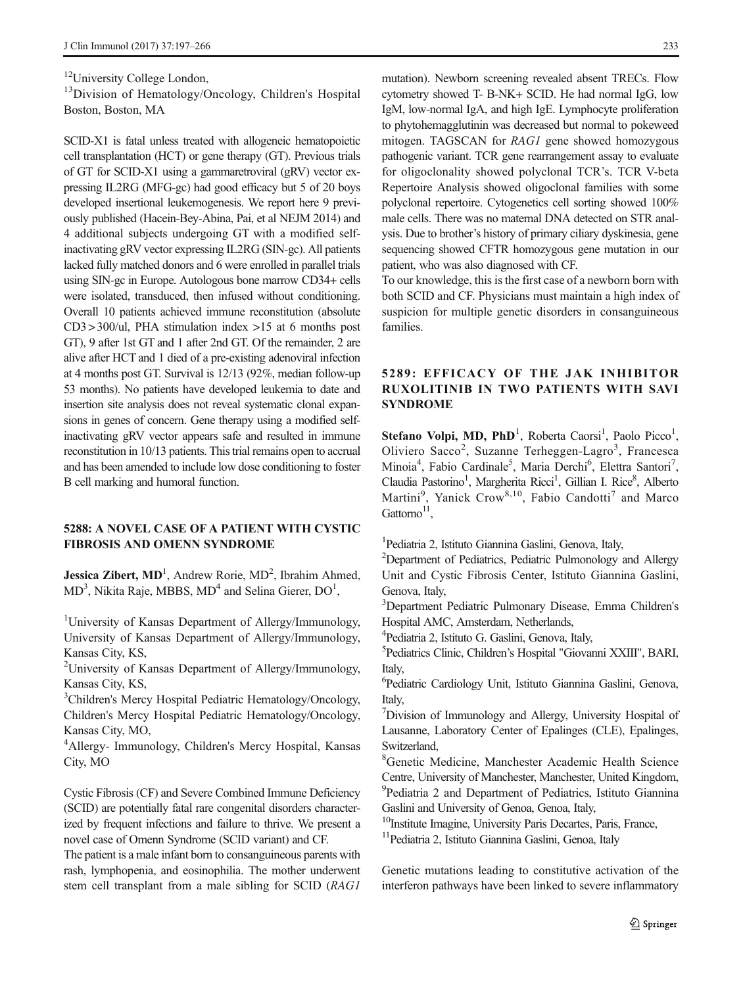<sup>12</sup>University College London,

<sup>13</sup>Division of Hematology/Oncology, Children's Hospital Boston, Boston, MA

SCID-X1 is fatal unless treated with allogeneic hematopoietic cell transplantation (HCT) or gene therapy (GT). Previous trials of GT for SCID-X1 using a gammaretroviral (gRV) vector expressing IL2RG (MFG-gc) had good efficacy but 5 of 20 boys developed insertional leukemogenesis. We report here 9 previously published (Hacein-Bey-Abina, Pai, et al NEJM 2014) and 4 additional subjects undergoing GT with a modified selfinactivating gRV vector expressing IL2RG (SIN-gc). All patients lacked fully matched donors and 6 were enrolled in parallel trials using SIN-gc in Europe. Autologous bone marrow CD34+ cells were isolated, transduced, then infused without conditioning. Overall 10 patients achieved immune reconstitution (absolute CD3 > 300/ul, PHA stimulation index >15 at 6 months post GT), 9 after 1st GT and 1 after 2nd GT. Of the remainder, 2 are alive after HCT and 1 died of a pre-existing adenoviral infection at 4 months post GT. Survival is 12/13 (92%, median follow-up 53 months). No patients have developed leukemia to date and insertion site analysis does not reveal systematic clonal expansions in genes of concern. Gene therapy using a modified selfinactivating gRV vector appears safe and resulted in immune reconstitution in 10/13 patients. This trial remains open to accrual and has been amended to include low dose conditioning to foster B cell marking and humoral function.

#### 5288: A NOVEL CASE OF A PATIENT WITH CYSTIC FIBROSIS AND OMENN SYNDROME

Jessica Zibert, MD<sup>1</sup>, Andrew Rorie, MD<sup>2</sup>, Ibrahim Ahmed,  $MD<sup>3</sup>$ , Nikita Raje, MBBS,  $MD<sup>4</sup>$  and Selina Gierer,  $DO<sup>1</sup>$ ,

<sup>1</sup>University of Kansas Department of Allergy/Immunology, University of Kansas Department of Allergy/Immunology, Kansas City, KS,

<sup>2</sup>University of Kansas Department of Allergy/Immunology, Kansas City, KS,

<sup>3</sup>Children's Mercy Hospital Pediatric Hematology/Oncology, Children's Mercy Hospital Pediatric Hematology/Oncology, Kansas City, MO,

4 Allergy- Immunology, Children's Mercy Hospital, Kansas City, MO

Cystic Fibrosis (CF) and Severe Combined Immune Deficiency (SCID) are potentially fatal rare congenital disorders characterized by frequent infections and failure to thrive. We present a novel case of Omenn Syndrome (SCID variant) and CF.

The patient is a male infant born to consanguineous parents with rash, lymphopenia, and eosinophilia. The mother underwent stem cell transplant from a male sibling for SCID (RAG1

mutation). Newborn screening revealed absent TRECs. Flow cytometry showed T- B-NK+ SCID. He had normal IgG, low IgM, low-normal IgA, and high IgE. Lymphocyte proliferation to phytohemagglutinin was decreased but normal to pokeweed mitogen. TAGSCAN for RAG1 gene showed homozygous pathogenic variant. TCR gene rearrangement assay to evaluate for oligoclonality showed polyclonal TCR's. TCR V-beta Repertoire Analysis showed oligoclonal families with some polyclonal repertoire. Cytogenetics cell sorting showed 100% male cells. There was no maternal DNA detected on STR analysis. Due to brother's history of primary ciliary dyskinesia, gene sequencing showed CFTR homozygous gene mutation in our patient, who was also diagnosed with CF.

To our knowledge, this is the first case of a newborn born with both SCID and CF. Physicians must maintain a high index of suspicion for multiple genetic disorders in consanguineous families.

# 5289: EFFICACY OF THE JAK INHIBITOR RUXOLITINIB IN TWO PATIENTS WITH SAVI SYNDROME

Stefano Volpi, MD, PhD<sup>1</sup>, Roberta Caorsi<sup>1</sup>, Paolo Picco<sup>1</sup>, Oliviero Sacco<sup>2</sup>, Suzanne Terheggen-Lagro<sup>3</sup>, Francesca Minoia<sup>4</sup>, Fabio Cardinale<sup>5</sup>, Maria Derchi<sup>6</sup>, Elettra Santori<sup>7</sup>, Claudia Pastorino<sup>1</sup>, Margherita Ricci<sup>1</sup>, Gillian I. Rice<sup>8</sup>, Alberto Martini<sup>9</sup>, Yanick Crow<sup>8,10</sup>, Fabio Candotti<sup>7</sup> and Marco  $G$ attorno $^{11}$ 

1 Pediatria 2, Istituto Giannina Gaslini, Genova, Italy,

<sup>2</sup>Department of Pediatrics, Pediatric Pulmonology and Allergy Unit and Cystic Fibrosis Center, Istituto Giannina Gaslini, Genova, Italy,

3 Department Pediatric Pulmonary Disease, Emma Children's Hospital AMC, Amsterdam, Netherlands,

4 Pediatria 2, Istituto G. Gaslini, Genova, Italy,

5 Pediatrics Clinic, Children's Hospital "Giovanni XXIII", BARI, Italy,

6 Pediatric Cardiology Unit, Istituto Giannina Gaslini, Genova, Italy,

7 Division of Immunology and Allergy, University Hospital of Lausanne, Laboratory Center of Epalinges (CLE), Epalinges, Switzerland,

8 Genetic Medicine, Manchester Academic Health Science Centre, University of Manchester, Manchester, United Kingdom, <sup>9</sup>Pediatria 2 and Department of Pediatrics, Istituto Giannina Gaslini and University of Genoa, Genoa, Italy,

<sup>10</sup>Institute Imagine, University Paris Decartes, Paris, France,

<sup>11</sup>Pediatria 2, Istituto Giannina Gaslini, Genoa, Italy

Genetic mutations leading to constitutive activation of the interferon pathways have been linked to severe inflammatory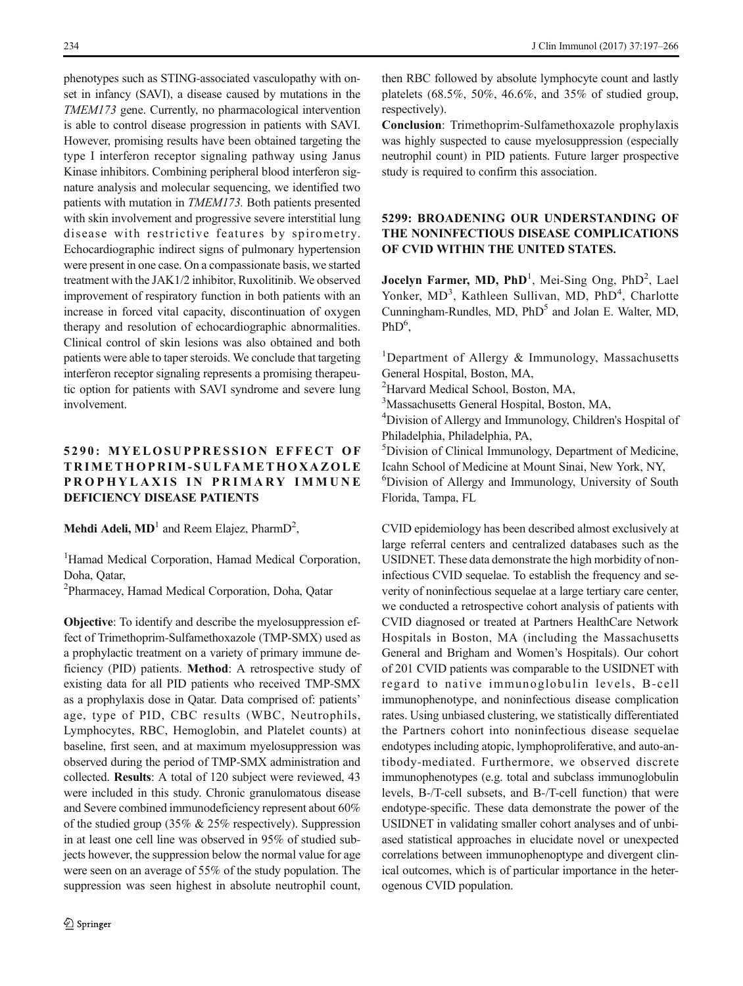phenotypes such as STING-associated vasculopathy with onset in infancy (SAVI), a disease caused by mutations in the TMEM173 gene. Currently, no pharmacological intervention is able to control disease progression in patients with SAVI. However, promising results have been obtained targeting the type I interferon receptor signaling pathway using Janus Kinase inhibitors. Combining peripheral blood interferon signature analysis and molecular sequencing, we identified two patients with mutation in TMEM173. Both patients presented with skin involvement and progressive severe interstitial lung disease with restrictive features by spirometry. Echocardiographic indirect signs of pulmonary hypertension were present in one case. On a compassionate basis, we started treatment with the JAK1/2 inhibitor, Ruxolitinib. We observed improvement of respiratory function in both patients with an increase in forced vital capacity, discontinuation of oxygen therapy and resolution of echocardiographic abnormalities. Clinical control of skin lesions was also obtained and both patients were able to taper steroids. We conclude that targeting interferon receptor signaling represents a promising therapeutic option for patients with SAVI syndrome and severe lung involvement.

# 5290: MYELOSUPPRESSION EFFECT OF TRIMETHOPRIM-SULFAMETHOXAZOLE PROPHYLAXIS IN PRIMARY IMMUNE DEFICIENCY DISEASE PATIENTS

**Mehdi Adeli, MD**<sup>1</sup> and Reem Elajez, PharmD<sup>2</sup>,

<sup>1</sup>Hamad Medical Corporation, Hamad Medical Corporation, Doha, Qatar,

2 Pharmacey, Hamad Medical Corporation, Doha, Qatar

Objective: To identify and describe the myelosuppression effect of Trimethoprim-Sulfamethoxazole (TMP-SMX) used as a prophylactic treatment on a variety of primary immune deficiency (PID) patients. Method: A retrospective study of existing data for all PID patients who received TMP-SMX as a prophylaxis dose in Qatar. Data comprised of: patients' age, type of PID, CBC results (WBC, Neutrophils, Lymphocytes, RBC, Hemoglobin, and Platelet counts) at baseline, first seen, and at maximum myelosuppression was observed during the period of TMP-SMX administration and collected. Results: A total of 120 subject were reviewed, 43 were included in this study. Chronic granulomatous disease and Severe combined immunodeficiency represent about 60% of the studied group (35% & 25% respectively). Suppression in at least one cell line was observed in 95% of studied subjects however, the suppression below the normal value for age were seen on an average of 55% of the study population. The suppression was seen highest in absolute neutrophil count,

then RBC followed by absolute lymphocyte count and lastly platelets (68.5%, 50%, 46.6%, and 35% of studied group, respectively).

Conclusion: Trimethoprim-Sulfamethoxazole prophylaxis was highly suspected to cause myelosuppression (especially neutrophil count) in PID patients. Future larger prospective study is required to confirm this association.

### 5299: BROADENING OUR UNDERSTANDING OF THE NONINFECTIOUS DISEASE COMPLICATIONS OF CVID WITHIN THE UNITED STATES.

Jocelyn Farmer, MD, PhD<sup>1</sup>, Mei-Sing Ong, PhD<sup>2</sup>, Lael Yonker, MD<sup>3</sup>, Kathleen Sullivan, MD, PhD<sup>4</sup>, Charlotte Cunningham-Rundles, MD, PhD<sup>5</sup> and Jolan E. Walter, MD,  $PhD<sup>6</sup>$ ,

<sup>1</sup>Department of Allergy & Immunology, Massachusetts General Hospital, Boston, MA,

<sup>2</sup>Harvard Medical School, Boston, MA,

3 Massachusetts General Hospital, Boston, MA,

4 Division of Allergy and Immunology, Children's Hospital of Philadelphia, Philadelphia, PA,

5 Division of Clinical Immunology, Department of Medicine, Icahn School of Medicine at Mount Sinai, New York, NY, 6 Division of Allergy and Immunology, University of South

Florida, Tampa, FL

CVID epidemiology has been described almost exclusively at large referral centers and centralized databases such as the USIDNET. These data demonstrate the high morbidity of noninfectious CVID sequelae. To establish the frequency and severity of noninfectious sequelae at a large tertiary care center, we conducted a retrospective cohort analysis of patients with CVID diagnosed or treated at Partners HealthCare Network Hospitals in Boston, MA (including the Massachusetts General and Brigham and Women's Hospitals). Our cohort of 201 CVID patients was comparable to the USIDNET with regard to native immunoglobulin levels, B-cell immunophenotype, and noninfectious disease complication rates. Using unbiased clustering, we statistically differentiated the Partners cohort into noninfectious disease sequelae endotypes including atopic, lymphoproliferative, and auto-antibody-mediated. Furthermore, we observed discrete immunophenotypes (e.g. total and subclass immunoglobulin levels, B-/T-cell subsets, and B-/T-cell function) that were endotype-specific. These data demonstrate the power of the USIDNET in validating smaller cohort analyses and of unbiased statistical approaches in elucidate novel or unexpected correlations between immunophenoptype and divergent clinical outcomes, which is of particular importance in the heterogenous CVID population.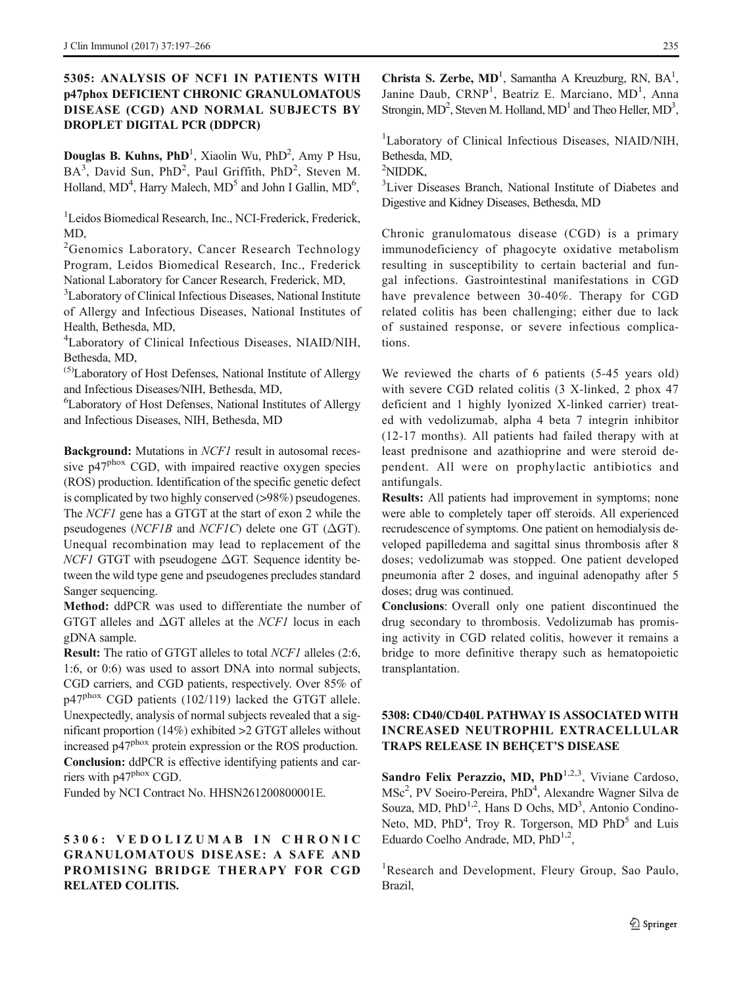### 5305: ANALYSIS OF NCF1 IN PATIENTS WITH p47phox DEFICIENT CHRONIC GRANULOMATOUS DISEASE (CGD) AND NORMAL SUBJECTS BY DROPLET DIGITAL PCR (DDPCR)

Douglas B. Kuhns, PhD<sup>1</sup>, Xiaolin Wu, PhD<sup>2</sup>, Amy P Hsu, BA<sup>3</sup>, David Sun, PhD<sup>2</sup>, Paul Griffith, PhD<sup>2</sup>, Steven M. Holland, MD<sup>4</sup>, Harry Malech, MD<sup>5</sup> and John I Gallin, MD<sup>6</sup>,

<sup>1</sup>Leidos Biomedical Research, Inc., NCI-Frederick, Frederick, MD,

<sup>2</sup> Genomics Laboratory, Cancer Research Technology Program, Leidos Biomedical Research, Inc., Frederick National Laboratory for Cancer Research, Frederick, MD,

<sup>3</sup>Laboratory of Clinical Infectious Diseases, National Institute of Allergy and Infectious Diseases, National Institutes of Health, Bethesda, MD,

4 Laboratory of Clinical Infectious Diseases, NIAID/NIH, Bethesda, MD,

(5)Laboratory of Host Defenses, National Institute of Allergy and Infectious Diseases/NIH, Bethesda, MD,

6 Laboratory of Host Defenses, National Institutes of Allergy and Infectious Diseases, NIH, Bethesda, MD

Background: Mutations in *NCF1* result in autosomal recessive p47<sup>phox</sup> CGD, with impaired reactive oxygen species (ROS) production. Identification of the specific genetic defect is complicated by two highly conserved (>98%) pseudogenes. The NCF1 gene has a GTGT at the start of exon 2 while the pseudogenes ( $NCF1B$  and  $NCF1C$ ) delete one GT ( $\Delta GT$ ). Unequal recombination may lead to replacement of the  $NCF1$  GTGT with pseudogene  $\Delta$ GT. Sequence identity between the wild type gene and pseudogenes precludes standard Sanger sequencing.

Method: ddPCR was used to differentiate the number of GTGT alleles and  $\Delta$ GT alleles at the *NCF1* locus in each gDNA sample.

Result: The ratio of GTGT alleles to total NCF1 alleles (2:6, 1:6, or 0:6) was used to assort DNA into normal subjects, CGD carriers, and CGD patients, respectively. Over 85% of p47<sup>phox</sup> CGD patients (102/119) lacked the GTGT allele. Unexpectedly, analysis of normal subjects revealed that a significant proportion (14%) exhibited >2 GTGT alleles without increased p47phox protein expression or the ROS production. Conclusion: ddPCR is effective identifying patients and carriers with p47phox CGD.

Funded by NCI Contract No. HHSN261200800001E.

# 5306: VEDOLIZUMAB IN CHRONIC GRANULOMATOUS DISEASE: A SAFE AND PROMISING BRIDGE THERAPY FOR CGD RELATED COLITIS.

Christa S. Zerbe,  $MD<sup>1</sup>$ , Samantha A Kreuzburg, RN,  $BA<sup>1</sup>$ , Janine Daub, CRNP<sup>1</sup>, Beatriz E. Marciano, MD<sup>1</sup>, Anna Strongin,  $MD^2$ , Steven M. Holland,  $MD^1$  and Theo Heller,  $MD^3$ ,

<sup>1</sup>Laboratory of Clinical Infectious Diseases, NIAID/NIH, Bethesda, MD,

2 NIDDK,

<sup>3</sup>Liver Diseases Branch, National Institute of Diabetes and Digestive and Kidney Diseases, Bethesda, MD

Chronic granulomatous disease (CGD) is a primary immunodeficiency of phagocyte oxidative metabolism resulting in susceptibility to certain bacterial and fungal infections. Gastrointestinal manifestations in CGD have prevalence between 30-40%. Therapy for CGD related colitis has been challenging; either due to lack of sustained response, or severe infectious complications.

We reviewed the charts of 6 patients (5-45 years old) with severe CGD related colitis (3 X-linked, 2 phox 47 deficient and 1 highly lyonized X-linked carrier) treated with vedolizumab, alpha 4 beta 7 integrin inhibitor (12-17 months). All patients had failed therapy with at least prednisone and azathioprine and were steroid dependent. All were on prophylactic antibiotics and antifungals.

Results: All patients had improvement in symptoms; none were able to completely taper off steroids. All experienced recrudescence of symptoms. One patient on hemodialysis developed papilledema and sagittal sinus thrombosis after 8 doses; vedolizumab was stopped. One patient developed pneumonia after 2 doses, and inguinal adenopathy after 5 doses; drug was continued.

Conclusions: Overall only one patient discontinued the drug secondary to thrombosis. Vedolizumab has promising activity in CGD related colitis, however it remains a bridge to more definitive therapy such as hematopoietic transplantation.

### 5308: CD40/CD40L PATHWAY IS ASSOCIATED WITH INCREASED NEUTROPHIL EXTRACELLULAR TRAPS RELEASE IN BEHÇET'S DISEASE

Sandro Felix Perazzio, MD,  $PhD^{1,2,3}$ , Viviane Cardoso, MSc<sup>2</sup>, PV Soeiro-Pereira, PhD<sup>4</sup>, Alexandre Wagner Silva de Souza, MD, PhD<sup>1,2</sup>, Hans D Ochs, MD<sup>3</sup>, Antonio Condino-Neto, MD, PhD<sup>4</sup>, Troy R. Torgerson, MD PhD<sup>5</sup> and Luis Eduardo Coelho Andrade, MD,  $PhD^{1,2}$ ,

<sup>1</sup>Research and Development, Fleury Group, Sao Paulo, Brazil,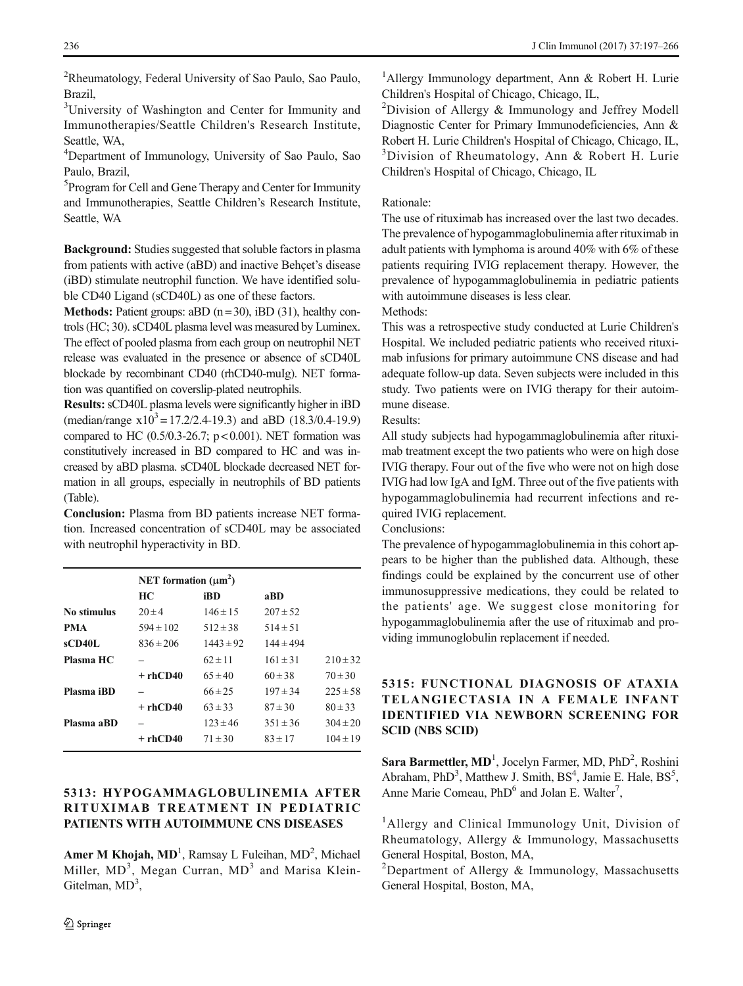<sup>2</sup>Rheumatology, Federal University of Sao Paulo, Sao Paulo, Brazil,

<sup>3</sup>University of Washington and Center for Immunity and Immunotherapies/Seattle Children's Research Institute, Seattle, WA,

4 Department of Immunology, University of Sao Paulo, Sao Paulo, Brazil,

5 Program for Cell and Gene Therapy and Center for Immunity and Immunotherapies, Seattle Children's Research Institute, Seattle, WA

Background: Studies suggested that soluble factors in plasma from patients with active (aBD) and inactive Behçet's disease (iBD) stimulate neutrophil function. We have identified soluble CD40 Ligand (sCD40L) as one of these factors.

**Methods:** Patient groups: aBD  $(n=30)$ , iBD  $(31)$ , healthy controls (HC; 30). sCD40L plasma level was measured by Luminex. The effect of pooled plasma from each group on neutrophil NET release was evaluated in the presence or absence of sCD40L blockade by recombinant CD40 (rhCD40-muIg). NET formation was quantified on coverslip-plated neutrophils.

Results: sCD40L plasma levels were significantly higher in iBD (median/range  $x10^3 = 17.2/2.4-19.3$ ) and aBD (18.3/0.4-19.9) compared to HC  $(0.5/0.3-26.7; p < 0.001)$ . NET formation was constitutively increased in BD compared to HC and was increased by aBD plasma. sCD40L blockade decreased NET formation in all groups, especially in neutrophils of BD patients (Table).

Conclusion: Plasma from BD patients increase NET formation. Increased concentration of sCD40L may be associated with neutrophil hyperactivity in BD.

|             | NET formation $(\mu m^2)$ |               |               |              |
|-------------|---------------------------|---------------|---------------|--------------|
|             | HС                        | iBD           | aBD           |              |
| No stimulus | $20 \pm 4$                | $146 \pm 15$  | $207 \pm 52$  |              |
| <b>PMA</b>  | $594 \pm 102$             | $512 \pm 38$  | $514 \pm 51$  |              |
| sCD40L      | $836 \pm 206$             | $1443 \pm 92$ | $144 \pm 494$ |              |
| Plasma HC   |                           | $62 \pm 11$   | $161 \pm 31$  | $210 \pm 32$ |
|             | $+rhCD40$                 | $65 \pm 40$   | $60 \pm 38$   | $70 \pm 30$  |
| Plasma iBD  |                           | $66 \pm 25$   | $197 \pm 34$  | $225 \pm 58$ |
|             | $+rhCD40$                 | $63 \pm 33$   | $87 \pm 30$   | $80 \pm 33$  |
| Plasma aBD  |                           | $123 \pm 46$  | $351 \pm 36$  | $304 \pm 20$ |
|             | $+rhCD40$                 | $71 \pm 30$   | $83 \pm 17$   | $104 \pm 19$ |
|             |                           |               |               |              |

### 5313: HYPOGAMMAGLOBULINEMIA AFTER RITUXIMAB TREATMENT IN PEDIATRIC PATIENTS WITH AUTOIMMUNE CNS DISEASES

Amer M Khojah, MD<sup>1</sup>, Ramsay L Fuleihan, MD<sup>2</sup>, Michael Miller, MD<sup>3</sup>, Megan Curran, MD<sup>3</sup> and Marisa Klein-Gitelman,  $MD<sup>3</sup>$ ,

<sup>1</sup>Allergy Immunology department, Ann & Robert H. Lurie Children's Hospital of Chicago, Chicago, IL,

<sup>2</sup>Division of Allergy & Immunology and Jeffrey Modell Diagnostic Center for Primary Immunodeficiencies, Ann & Robert H. Lurie Children's Hospital of Chicago, Chicago, IL, <sup>3</sup>Division of Rheumatology, Ann & Robert H. Lurie Children's Hospital of Chicago, Chicago, IL

#### Rationale:

The use of rituximab has increased over the last two decades. The prevalence of hypogammaglobulinemia after rituximab in adult patients with lymphoma is around 40% with 6% of these patients requiring IVIG replacement therapy. However, the prevalence of hypogammaglobulinemia in pediatric patients with autoimmune diseases is less clear.

Methods:

This was a retrospective study conducted at Lurie Children's Hospital. We included pediatric patients who received rituximab infusions for primary autoimmune CNS disease and had adequate follow-up data. Seven subjects were included in this study. Two patients were on IVIG therapy for their autoimmune disease.

Results:

All study subjects had hypogammaglobulinemia after rituximab treatment except the two patients who were on high dose IVIG therapy. Four out of the five who were not on high dose IVIG had low IgA and IgM. Three out of the five patients with hypogammaglobulinemia had recurrent infections and required IVIG replacement.

Conclusions:

The prevalence of hypogammaglobulinemia in this cohort appears to be higher than the published data. Although, these findings could be explained by the concurrent use of other immunosuppressive medications, they could be related to the patients' age. We suggest close monitoring for hypogammaglobulinemia after the use of rituximab and providing immunoglobulin replacement if needed.

### 5315: FUNCTIONAL DIAGNOSIS OF ATAXIA TELANGIECTASIA IN A FEMALE INFANT IDENTIFIED VIA NEWBORN SCREENING FOR SCID (NBS SCID)

Sara Barmettler, MD<sup>1</sup>, Jocelyn Farmer, MD, PhD<sup>2</sup>, Roshini Abraham, PhD<sup>3</sup>, Matthew J. Smith, BS<sup>4</sup>, Jamie E. Hale, BS<sup>5</sup>, Anne Marie Comeau, PhD<sup>6</sup> and Jolan E. Walter<sup>7</sup>,

<sup>1</sup>Allergy and Clinical Immunology Unit, Division of Rheumatology, Allergy & Immunology, Massachusetts General Hospital, Boston, MA,

<sup>2</sup>Department of Allergy & Immunology, Massachusetts General Hospital, Boston, MA,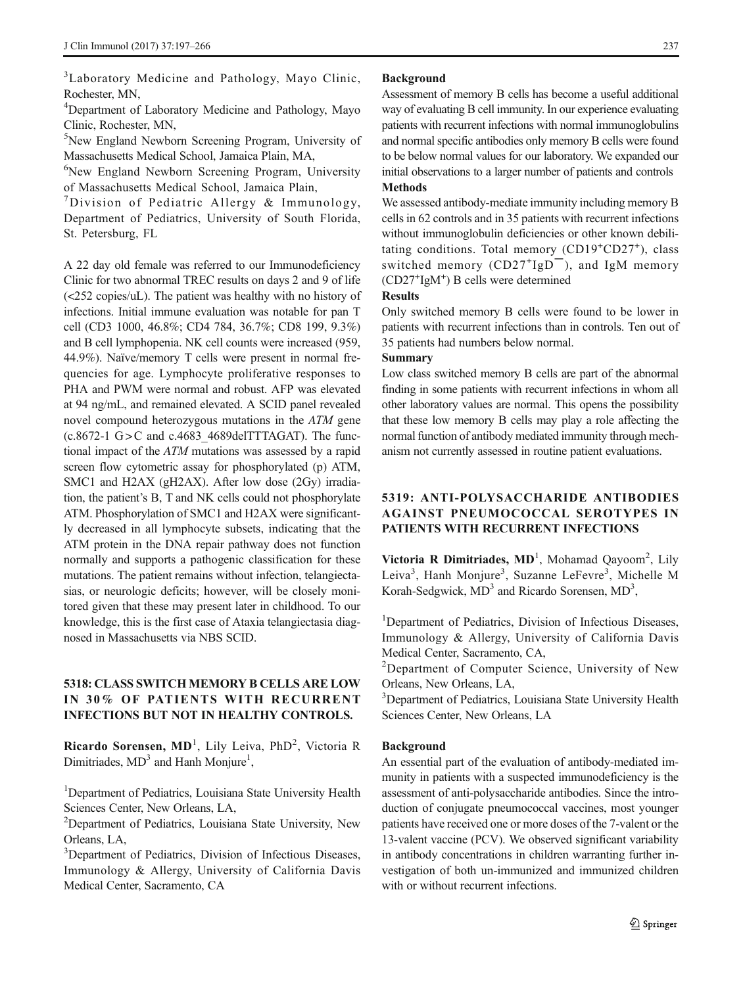<sup>3</sup>Laboratory Medicine and Pathology, Mayo Clinic, Rochester, MN,

<sup>4</sup>Department of Laboratory Medicine and Pathology, Mayo Clinic, Rochester, MN,

5 New England Newborn Screening Program, University of Massachusetts Medical School, Jamaica Plain, MA,

6 New England Newborn Screening Program, University of Massachusetts Medical School, Jamaica Plain,

7 Division of Pediatric Allergy & Immunology, Department of Pediatrics, University of South Florida, St. Petersburg, FL

A 22 day old female was referred to our Immunodeficiency Clinic for two abnormal TREC results on days 2 and 9 of life (<252 copies/uL). The patient was healthy with no history of infections. Initial immune evaluation was notable for pan T cell (CD3 1000, 46.8%; CD4 784, 36.7%; CD8 199, 9.3%) and B cell lymphopenia. NK cell counts were increased (959, 44.9%). Naïve/memory T cells were present in normal frequencies for age. Lymphocyte proliferative responses to PHA and PWM were normal and robust. AFP was elevated at 94 ng/mL, and remained elevated. A SCID panel revealed novel compound heterozygous mutations in the ATM gene  $(c.8672-1$  G  $>$  C and  $c.4683$  4689delTTTAGAT). The functional impact of the ATM mutations was assessed by a rapid screen flow cytometric assay for phosphorylated (p) ATM, SMC1 and H2AX (gH2AX). After low dose (2Gy) irradiation, the patient's B, T and NK cells could not phosphorylate ATM. Phosphorylation of SMC1 and H2AX were significantly decreased in all lymphocyte subsets, indicating that the ATM protein in the DNA repair pathway does not function normally and supports a pathogenic classification for these mutations. The patient remains without infection, telangiectasias, or neurologic deficits; however, will be closely monitored given that these may present later in childhood. To our knowledge, this is the first case of Ataxia telangiectasia diagnosed in Massachusetts via NBS SCID.

### 5318: CLASS SWITCH MEMORY B CELLS ARE LOW IN 30% OF PATIENTS WITH RECURRENT INFECTIONS BUT NOT IN HEALTHY CONTROLS.

Ricardo Sorensen, MD<sup>1</sup>, Lily Leiva, PhD<sup>2</sup>, Victoria R Dimitriades,  $MD<sup>3</sup>$  and Hanh Monjure<sup>1</sup>,

<sup>1</sup>Department of Pediatrics, Louisiana State University Health Sciences Center, New Orleans, LA,

<sup>2</sup>Department of Pediatrics, Louisiana State University, New Orleans, LA,

<sup>3</sup>Department of Pediatrics, Division of Infectious Diseases, Immunology & Allergy, University of California Davis Medical Center, Sacramento, CA

#### Background

Assessment of memory B cells has become a useful additional way of evaluating B cell immunity. In our experience evaluating patients with recurrent infections with normal immunoglobulins and normal specific antibodies only memory B cells were found to be below normal values for our laboratory. We expanded our initial observations to a larger number of patients and controls Methods

We assessed antibody-mediate immunity including memory B cells in 62 controls and in 35 patients with recurrent infections without immunoglobulin deficiencies or other known debilitating conditions. Total memory (CD19<sup>+</sup>CD27<sup>+</sup>), class switched memory  $(CD27^{+}IgD^{-})$ , and IgM memory (CD27+ IgM+ ) B cells were determined

#### Results

Only switched memory B cells were found to be lower in patients with recurrent infections than in controls. Ten out of 35 patients had numbers below normal.

#### Summary

Low class switched memory B cells are part of the abnormal finding in some patients with recurrent infections in whom all other laboratory values are normal. This opens the possibility that these low memory B cells may play a role affecting the normal function of antibody mediated immunity through mechanism not currently assessed in routine patient evaluations.

### 5319: ANTI-POLYSACCHARIDE ANTIBODIES AGAINST PNEUMOCOCCAL SEROTYPES IN PATIENTS WITH RECURRENT INFECTIONS

Victoria R Dimitriades,  $MD<sup>1</sup>$ , Mohamad Qayoom<sup>2</sup>, Lily Leiva<sup>3</sup>, Hanh Monjure<sup>3</sup>, Suzanne LeFevre<sup>3</sup>, Michelle M Korah-Sedgwick, MD<sup>3</sup> and Ricardo Sorensen, MD<sup>3</sup>,

<sup>1</sup>Department of Pediatrics, Division of Infectious Diseases, Immunology & Allergy, University of California Davis Medical Center, Sacramento, CA,

<sup>2</sup>Department of Computer Science, University of New Orleans, New Orleans, LA,

<sup>3</sup>Department of Pediatrics, Louisiana State University Health Sciences Center, New Orleans, LA

#### Background

An essential part of the evaluation of antibody-mediated immunity in patients with a suspected immunodeficiency is the assessment of anti-polysaccharide antibodies. Since the introduction of conjugate pneumococcal vaccines, most younger patients have received one or more doses of the 7-valent or the 13-valent vaccine (PCV). We observed significant variability in antibody concentrations in children warranting further investigation of both un-immunized and immunized children with or without recurrent infections.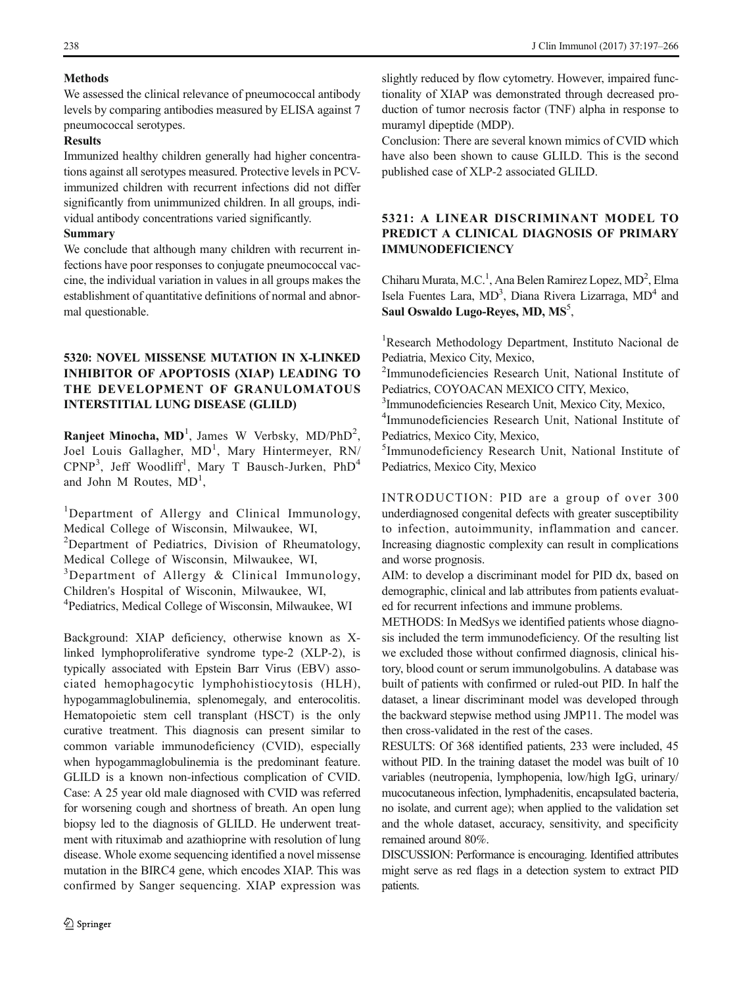#### **Methods**

We assessed the clinical relevance of pneumococcal antibody levels by comparing antibodies measured by ELISA against 7 pneumococcal serotypes.

#### **Results**

Immunized healthy children generally had higher concentrations against all serotypes measured. Protective levels in PCVimmunized children with recurrent infections did not differ significantly from unimmunized children. In all groups, individual antibody concentrations varied significantly.

#### Summary

We conclude that although many children with recurrent infections have poor responses to conjugate pneumococcal vaccine, the individual variation in values in all groups makes the establishment of quantitative definitions of normal and abnormal questionable.

### 5320: NOVEL MISSENSE MUTATION IN X-LINKED INHIBITOR OF APOPTOSIS (XIAP) LEADING TO THE DEVELOPMENT OF GRANULOMATOUS INTERSTITIAL LUNG DISEASE (GLILD)

**Ranjeet Minocha, MD**<sup>1</sup>, James W Verbsky, MD/PhD<sup>2</sup>, Joel Louis Gallagher, MD<sup>1</sup>, Mary Hintermeyer, RN/ CPNP<sup>3</sup>, Jeff Woodliff<sup>1</sup>, Mary T Bausch-Jurken, PhD<sup>4</sup> and John M Routes,  $MD<sup>1</sup>$ ,

<sup>1</sup>Department of Allergy and Clinical Immunology, Medical College of Wisconsin, Milwaukee, WI, <sup>2</sup>Department of Pediatrics, Division of Rheumatology, Medical College of Wisconsin, Milwaukee, WI, <sup>3</sup>Department of Allergy & Clinical Immunology, Children's Hospital of Wisconin, Milwaukee, WI, 4 Pediatrics, Medical College of Wisconsin, Milwaukee, WI

Background: XIAP deficiency, otherwise known as Xlinked lymphoproliferative syndrome type-2 (XLP-2), is typically associated with Epstein Barr Virus (EBV) associated hemophagocytic lymphohistiocytosis (HLH), hypogammaglobulinemia, splenomegaly, and enterocolitis. Hematopoietic stem cell transplant (HSCT) is the only curative treatment. This diagnosis can present similar to common variable immunodeficiency (CVID), especially when hypogammaglobulinemia is the predominant feature. GLILD is a known non-infectious complication of CVID. Case: A 25 year old male diagnosed with CVID was referred for worsening cough and shortness of breath. An open lung biopsy led to the diagnosis of GLILD. He underwent treatment with rituximab and azathioprine with resolution of lung disease. Whole exome sequencing identified a novel missense mutation in the BIRC4 gene, which encodes XIAP. This was confirmed by Sanger sequencing. XIAP expression was

slightly reduced by flow cytometry. However, impaired functionality of XIAP was demonstrated through decreased production of tumor necrosis factor (TNF) alpha in response to muramyl dipeptide (MDP).

Conclusion: There are several known mimics of CVID which have also been shown to cause GLILD. This is the second published case of XLP-2 associated GLILD.

### 5321: A LINEAR DISCRIMINANT MODEL TO PREDICT A CLINICAL DIAGNOSIS OF PRIMARY IMMUNODEFICIENCY

Chiharu Murata, M.C.<sup>1</sup>, Ana Belen Ramirez Lopez, MD<sup>2</sup>, Elma Isela Fuentes Lara, MD<sup>3</sup>, Diana Rivera Lizarraga, MD<sup>4</sup> and Saul Oswaldo Lugo-Reyes, MD, MS<sup>5</sup>,

<sup>1</sup>Research Methodology Department, Instituto Nacional de Pediatria, Mexico City, Mexico,

2 Immunodeficiencies Research Unit, National Institute of Pediatrics, COYOACAN MEXICO CITY, Mexico,

<sup>3</sup>Immunodeficiencies Research Unit, Mexico City, Mexico, <sup>4</sup>Immunodeficiencies, Research Unit, National Institute

<sup>4</sup>Immunodeficiencies Research Unit, National Institute of Pediatrics, Mexico City, Mexico,

5 Immunodeficiency Research Unit, National Institute of Pediatrics, Mexico City, Mexico

INTRODUCTION: PID are a group of over 300 underdiagnosed congenital defects with greater susceptibility to infection, autoimmunity, inflammation and cancer. Increasing diagnostic complexity can result in complications and worse prognosis.

AIM: to develop a discriminant model for PID dx, based on demographic, clinical and lab attributes from patients evaluated for recurrent infections and immune problems.

METHODS: In MedSys we identified patients whose diagnosis included the term immunodeficiency. Of the resulting list we excluded those without confirmed diagnosis, clinical history, blood count or serum immunolgobulins. A database was built of patients with confirmed or ruled-out PID. In half the dataset, a linear discriminant model was developed through the backward stepwise method using JMP11. The model was then cross-validated in the rest of the cases.

RESULTS: Of 368 identified patients, 233 were included, 45 without PID. In the training dataset the model was built of 10 variables (neutropenia, lymphopenia, low/high IgG, urinary/ mucocutaneous infection, lymphadenitis, encapsulated bacteria, no isolate, and current age); when applied to the validation set and the whole dataset, accuracy, sensitivity, and specificity remained around 80%.

DISCUSSION: Performance is encouraging. Identified attributes might serve as red flags in a detection system to extract PID patients.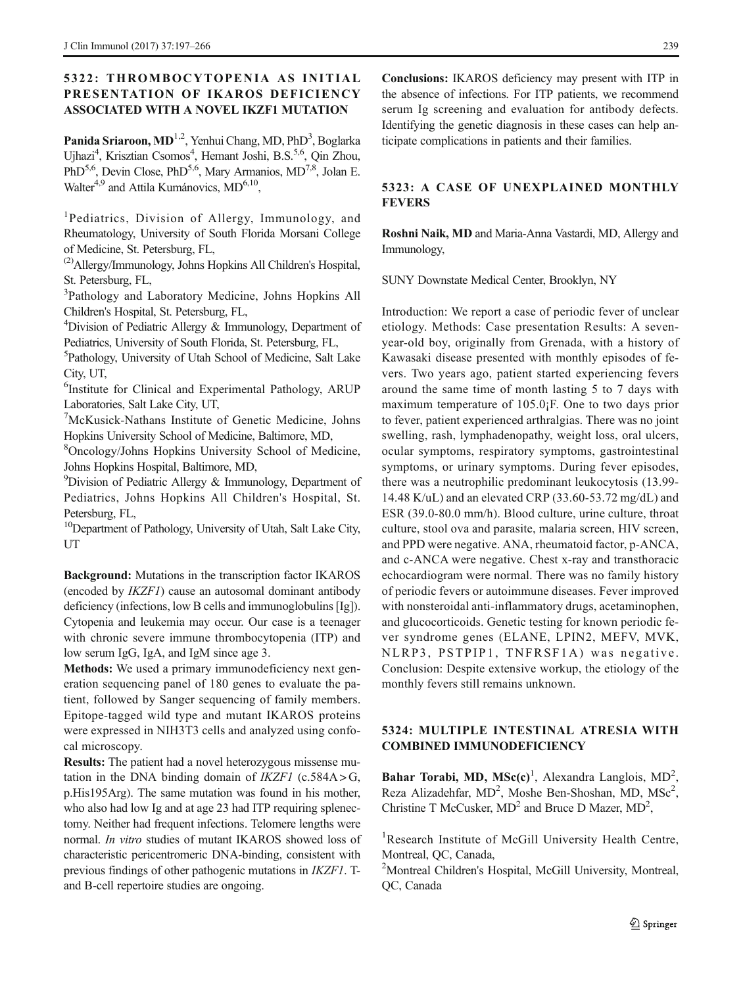### 5322: THROMBOCYTOPENIA AS INITIAL PRESENTATION OF IKAROS DEFICIENCY ASSOCIATED WITH A NOVEL IKZF1 MUTATION

Panida Sriaroon, MD<sup>1,2</sup>, Yenhui Chang, MD, PhD<sup>3</sup>, Boglarka Ujhazi<sup>4</sup>, Krisztian Csomos<sup>4</sup>, Hemant Joshi, B.S.<sup>5,6</sup>, Qin Zhou, PhD<sup>5,6</sup>, Devin Close, PhD<sup>5,6</sup>, Mary Armanios, MD<sup>7,8</sup>, Jolan E. Walter<sup>4,9</sup> and Attila Kumánovics, MD<sup>6,10</sup>,

<sup>1</sup>Pediatrics, Division of Allergy, Immunology, and Rheumatology, University of South Florida Morsani College of Medicine, St. Petersburg, FL,

(2)Allergy/Immunology, Johns Hopkins All Children's Hospital, St. Petersburg, FL,

<sup>3</sup>Pathology and Laboratory Medicine, Johns Hopkins All Children's Hospital, St. Petersburg, FL,

<sup>4</sup>Division of Pediatric Allergy & Immunology, Department of Pediatrics, University of South Florida, St. Petersburg, FL,

5 Pathology, University of Utah School of Medicine, Salt Lake City, UT,

6 Institute for Clinical and Experimental Pathology, ARUP Laboratories, Salt Lake City, UT,

7 McKusick-Nathans Institute of Genetic Medicine, Johns Hopkins University School of Medicine, Baltimore, MD,

8 Oncology/Johns Hopkins University School of Medicine, Johns Hopkins Hospital, Baltimore, MD,

<sup>9</sup>Division of Pediatric Allergy & Immunology, Department of Pediatrics, Johns Hopkins All Children's Hospital, St. Petersburg, FL,

<sup>10</sup>Department of Pathology, University of Utah, Salt Lake City, UT

Background: Mutations in the transcription factor IKAROS (encoded by IKZF1) cause an autosomal dominant antibody deficiency (infections, low B cells and immunoglobulins [Ig]). Cytopenia and leukemia may occur. Our case is a teenager with chronic severe immune thrombocytopenia (ITP) and low serum IgG, IgA, and IgM since age 3.

Methods: We used a primary immunodeficiency next generation sequencing panel of 180 genes to evaluate the patient, followed by Sanger sequencing of family members. Epitope-tagged wild type and mutant IKAROS proteins were expressed in NIH3T3 cells and analyzed using confocal microscopy.

Results: The patient had a novel heterozygous missense mutation in the DNA binding domain of  $IKZFI$  (c.584A > G, p.His195Arg). The same mutation was found in his mother, who also had low Ig and at age 23 had ITP requiring splenectomy. Neither had frequent infections. Telomere lengths were normal. In vitro studies of mutant IKAROS showed loss of characteristic pericentromeric DNA-binding, consistent with previous findings of other pathogenic mutations in IKZF1. Tand B-cell repertoire studies are ongoing.

Conclusions: IKAROS deficiency may present with ITP in the absence of infections. For ITP patients, we recommend serum Ig screening and evaluation for antibody defects. Identifying the genetic diagnosis in these cases can help anticipate complications in patients and their families.

#### 5323: A CASE OF UNEXPLAINED MONTHLY **FEVERS**

Roshni Naik, MD and Maria-Anna Vastardi, MD, Allergy and Immunology,

SUNY Downstate Medical Center, Brooklyn, NY

Introduction: We report a case of periodic fever of unclear etiology. Methods: Case presentation Results: A sevenyear-old boy, originally from Grenada, with a history of Kawasaki disease presented with monthly episodes of fevers. Two years ago, patient started experiencing fevers around the same time of month lasting 5 to 7 days with maximum temperature of 105.0¡F. One to two days prior to fever, patient experienced arthralgias. There was no joint swelling, rash, lymphadenopathy, weight loss, oral ulcers, ocular symptoms, respiratory symptoms, gastrointestinal symptoms, or urinary symptoms. During fever episodes, there was a neutrophilic predominant leukocytosis (13.99- 14.48 K/uL) and an elevated CRP (33.60-53.72 mg/dL) and ESR (39.0-80.0 mm/h). Blood culture, urine culture, throat culture, stool ova and parasite, malaria screen, HIV screen, and PPD were negative. ANA, rheumatoid factor, p-ANCA, and c-ANCA were negative. Chest x-ray and transthoracic echocardiogram were normal. There was no family history of periodic fevers or autoimmune diseases. Fever improved with nonsteroidal anti-inflammatory drugs, acetaminophen, and glucocorticoids. Genetic testing for known periodic fever syndrome genes (ELANE, LPIN2, MEFV, MVK, NLRP3, PSTPIP1, TNFRSF1A) was negative. Conclusion: Despite extensive workup, the etiology of the monthly fevers still remains unknown.

### 5324: MULTIPLE INTESTINAL ATRESIA WITH COMBINED IMMUNODEFICIENCY

Bahar Torabi, MD,  $MSc(c)^1$ , Alexandra Langlois,  $MD^2$ , Reza Alizadehfar, MD<sup>2</sup>, Moshe Ben-Shoshan, MD, MSc<sup>2</sup>, Christine T McCusker,  $MD^2$  and Bruce D Mazer,  $MD^2$ ,

<sup>1</sup>Research Institute of McGill University Health Centre, Montreal, QC, Canada,

<sup>2</sup>Montreal Children's Hospital, McGill University, Montreal, QC, Canada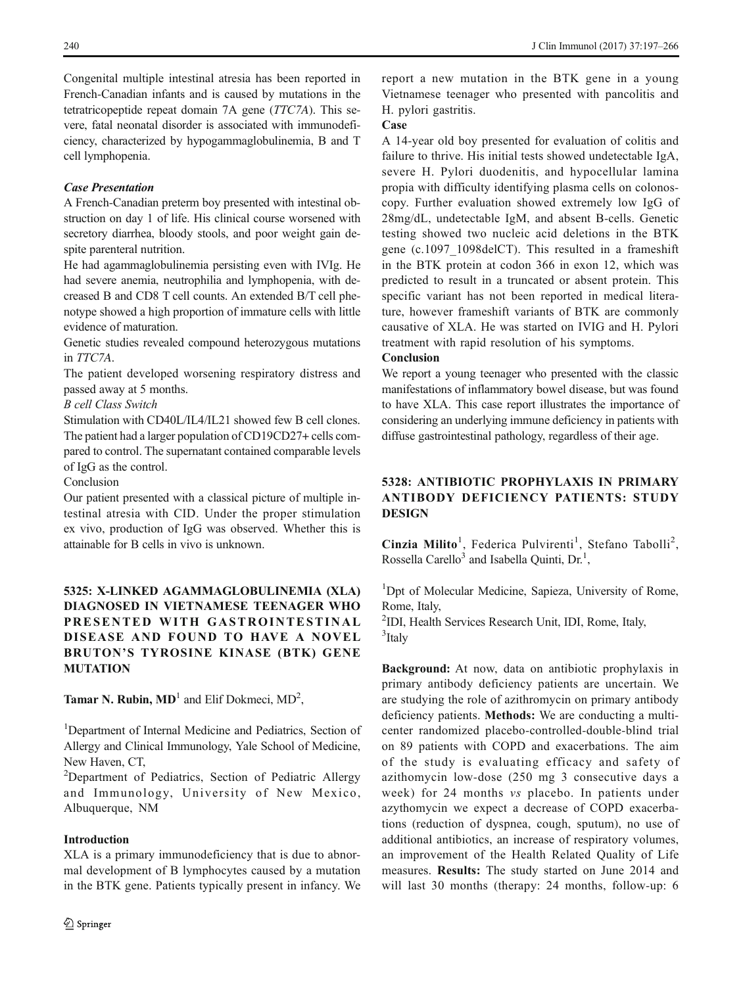Congenital multiple intestinal atresia has been reported in French-Canadian infants and is caused by mutations in the tetratricopeptide repeat domain 7A gene (TTC7A). This severe, fatal neonatal disorder is associated with immunodeficiency, characterized by hypogammaglobulinemia, B and T cell lymphopenia.

#### Case Presentation

A French-Canadian preterm boy presented with intestinal obstruction on day 1 of life. His clinical course worsened with secretory diarrhea, bloody stools, and poor weight gain despite parenteral nutrition.

He had agammaglobulinemia persisting even with IVIg. He had severe anemia, neutrophilia and lymphopenia, with decreased B and CD8 T cell counts. An extended B/T cell phenotype showed a high proportion of immature cells with little evidence of maturation.

Genetic studies revealed compound heterozygous mutations in TTC7A.

The patient developed worsening respiratory distress and passed away at 5 months.

#### B cell Class Switch

Stimulation with CD40L/IL4/IL21 showed few B cell clones. The patient had a larger population of CD19CD27+ cells compared to control. The supernatant contained comparable levels of IgG as the control.

Conclusion

Our patient presented with a classical picture of multiple intestinal atresia with CID. Under the proper stimulation ex vivo, production of IgG was observed. Whether this is attainable for B cells in vivo is unknown.

# 5325: X-LINKED AGAMMAGLOBULINEMIA (XLA) DIAGNOSED IN VIETNAMESE TEENAGER WHO PRESENTED WITH GASTROINTESTINAL DISEASE AND FOUND TO HAVE A NOVEL BRUTON'S TYROSINE KINASE (BTK) GENE MUTATION

**Tamar N. Rubin, MD**<sup>1</sup> and Elif Dokmeci,  $MD<sup>2</sup>$ ,

<sup>1</sup>Department of Internal Medicine and Pediatrics, Section of Allergy and Clinical Immunology, Yale School of Medicine, New Haven, CT,

<sup>2</sup>Department of Pediatrics, Section of Pediatric Allergy and Immunology, University of New Mexico, Albuquerque, NM

### Introduction

XLA is a primary immunodeficiency that is due to abnormal development of B lymphocytes caused by a mutation in the BTK gene. Patients typically present in infancy. We report a new mutation in the BTK gene in a young Vietnamese teenager who presented with pancolitis and H. pylori gastritis.

### Case

A 14-year old boy presented for evaluation of colitis and failure to thrive. His initial tests showed undetectable IgA, severe H. Pylori duodenitis, and hypocellular lamina propia with difficulty identifying plasma cells on colonoscopy. Further evaluation showed extremely low IgG of 28mg/dL, undetectable IgM, and absent B-cells. Genetic testing showed two nucleic acid deletions in the BTK gene (c.1097\_1098delCT). This resulted in a frameshift in the BTK protein at codon 366 in exon 12, which was predicted to result in a truncated or absent protein. This specific variant has not been reported in medical literature, however frameshift variants of BTK are commonly causative of XLA. He was started on IVIG and H. Pylori treatment with rapid resolution of his symptoms.

#### Conclusion

We report a young teenager who presented with the classic manifestations of inflammatory bowel disease, but was found to have XLA. This case report illustrates the importance of considering an underlying immune deficiency in patients with diffuse gastrointestinal pathology, regardless of their age.

# 5328: ANTIBIOTIC PROPHYLAXIS IN PRIMARY ANTIBODY DEFICIENCY PATIENTS: STUDY **DESIGN**

Cinzia Milito<sup>1</sup>, Federica Pulvirenti<sup>1</sup>, Stefano Tabolli<sup>2</sup>, Rossella Carello<sup>3</sup> and Isabella Quinti, Dr.<sup>1</sup>,

<sup>1</sup>Dpt of Molecular Medicine, Sapieza, University of Rome, Rome, Italy,

2 IDI, Health Services Research Unit, IDI, Rome, Italy, 3 Italy

Background: At now, data on antibiotic prophylaxis in primary antibody deficiency patients are uncertain. We are studying the role of azithromycin on primary antibody deficiency patients. Methods: We are conducting a multicenter randomized placebo-controlled-double-blind trial on 89 patients with COPD and exacerbations. The aim of the study is evaluating efficacy and safety of azithomycin low-dose (250 mg 3 consecutive days a week) for 24 months vs placebo. In patients under azythomycin we expect a decrease of COPD exacerbations (reduction of dyspnea, cough, sputum), no use of additional antibiotics, an increase of respiratory volumes, an improvement of the Health Related Quality of Life measures. Results: The study started on June 2014 and will last 30 months (therapy: 24 months, follow-up: 6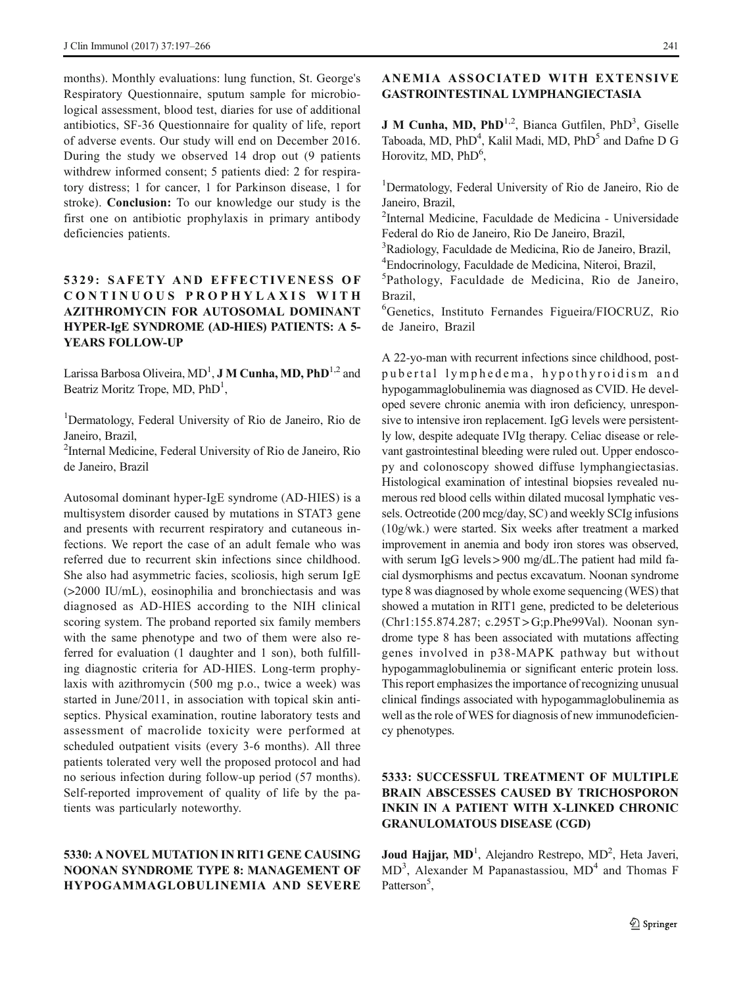months). Monthly evaluations: lung function, St. George's Respiratory Questionnaire, sputum sample for microbiological assessment, blood test, diaries for use of additional antibiotics, SF-36 Questionnaire for quality of life, report of adverse events. Our study will end on December 2016. During the study we observed 14 drop out (9 patients withdrew informed consent; 5 patients died: 2 for respiratory distress; 1 for cancer, 1 for Parkinson disease, 1 for stroke). Conclusion: To our knowledge our study is the first one on antibiotic prophylaxis in primary antibody deficiencies patients.

### 5329: SAFETY AND EFFECTIVENESS OF CONTINUOUS PROPHYLAXIS WITH AZITHROMYCIN FOR AUTOSOMAL DOMINANT HYPER-IgE SYNDROME (AD-HIES) PATIENTS: A 5- YEARS FOLLOW-UP

Larissa Barbosa Oliveira, MD<sup>1</sup>, **J M Cunha, MD, PhD**<sup>1,2</sup> and Beatriz Moritz Trope, MD, PhD<sup>1</sup>,

<sup>1</sup>Dermatology, Federal University of Rio de Janeiro, Rio de Janeiro, Brazil,

2 Internal Medicine, Federal University of Rio de Janeiro, Rio de Janeiro, Brazil

Autosomal dominant hyper-IgE syndrome (AD-HIES) is a multisystem disorder caused by mutations in STAT3 gene and presents with recurrent respiratory and cutaneous infections. We report the case of an adult female who was referred due to recurrent skin infections since childhood. She also had asymmetric facies, scoliosis, high serum IgE (>2000 IU/mL), eosinophilia and bronchiectasis and was diagnosed as AD-HIES according to the NIH clinical scoring system. The proband reported six family members with the same phenotype and two of them were also referred for evaluation (1 daughter and 1 son), both fulfilling diagnostic criteria for AD-HIES. Long-term prophylaxis with azithromycin (500 mg p.o., twice a week) was started in June/2011, in association with topical skin antiseptics. Physical examination, routine laboratory tests and assessment of macrolide toxicity were performed at scheduled outpatient visits (every 3-6 months). All three patients tolerated very well the proposed protocol and had no serious infection during follow-up period (57 months). Self-reported improvement of quality of life by the patients was particularly noteworthy.

### 5330: A NOVEL MUTATION IN RIT1 GENE CAUSING NOONAN SYNDROME TYPE 8: MANAGEMENT OF HYPOGAMMAGLOBULINEMIA AND SEVERE

### ANEMIA ASSOCIATED WITH EXTENSIVE GASTROINTESTINAL LYMPHANGIECTASIA

**J M Cunha, MD, PhD**<sup>1,2</sup>, Bianca Gutfilen, PhD<sup>3</sup>, Giselle Taboada, MD, PhD<sup>4</sup>, Kalil Madi, MD, PhD<sup>5</sup> and Dafne D G Horovitz, MD, PhD<sup>6</sup>,

<sup>1</sup>Dermatology, Federal University of Rio de Janeiro, Rio de Janeiro, Brazil,

2 Internal Medicine, Faculdade de Medicina - Universidade Federal do Rio de Janeiro, Rio De Janeiro, Brazil,

<sup>3</sup>Radiology, Faculdade de Medicina, Rio de Janeiro, Brazil, 4 Endocrinology, Faculdade de Medicina, Niteroi, Brazil,

5 Pathology, Faculdade de Medicina, Rio de Janeiro, Brazil,

6 Genetics, Instituto Fernandes Figueira/FIOCRUZ, Rio de Janeiro, Brazil

A 22-yo-man with recurrent infections since childhood, postpubertal lymphedema, hypothyroidism and hypogammaglobulinemia was diagnosed as CVID. He developed severe chronic anemia with iron deficiency, unresponsive to intensive iron replacement. IgG levels were persistently low, despite adequate IVIg therapy. Celiac disease or relevant gastrointestinal bleeding were ruled out. Upper endoscopy and colonoscopy showed diffuse lymphangiectasias. Histological examination of intestinal biopsies revealed numerous red blood cells within dilated mucosal lymphatic vessels. Octreotide (200 mcg/day, SC) and weekly SCIg infusions (10g/wk.) were started. Six weeks after treatment a marked improvement in anemia and body iron stores was observed, with serum IgG levels > 900 mg/dL. The patient had mild facial dysmorphisms and pectus excavatum. Noonan syndrome type 8 was diagnosed by whole exome sequencing (WES) that showed a mutation in RIT1 gene, predicted to be deleterious (Chr1:155.874.287; c.295T > G;p.Phe99Val). Noonan syndrome type 8 has been associated with mutations affecting genes involved in p38-MAPK pathway but without hypogammaglobulinemia or significant enteric protein loss. This report emphasizes the importance of recognizing unusual clinical findings associated with hypogammaglobulinemia as well as the role of WES for diagnosis of new immunodeficiency phenotypes.

# 5333: SUCCESSFUL TREATMENT OF MULTIPLE BRAIN ABSCESSES CAUSED BY TRICHOSPORON INKIN IN A PATIENT WITH X-LINKED CHRONIC GRANULOMATOUS DISEASE (CGD)

Joud Hajjar, MD<sup>1</sup>, Alejandro Restrepo, MD<sup>2</sup>, Heta Javeri, MD<sup>3</sup>, Alexander M Papanastassiou, MD<sup>4</sup> and Thomas F Patterson<sup>5</sup>,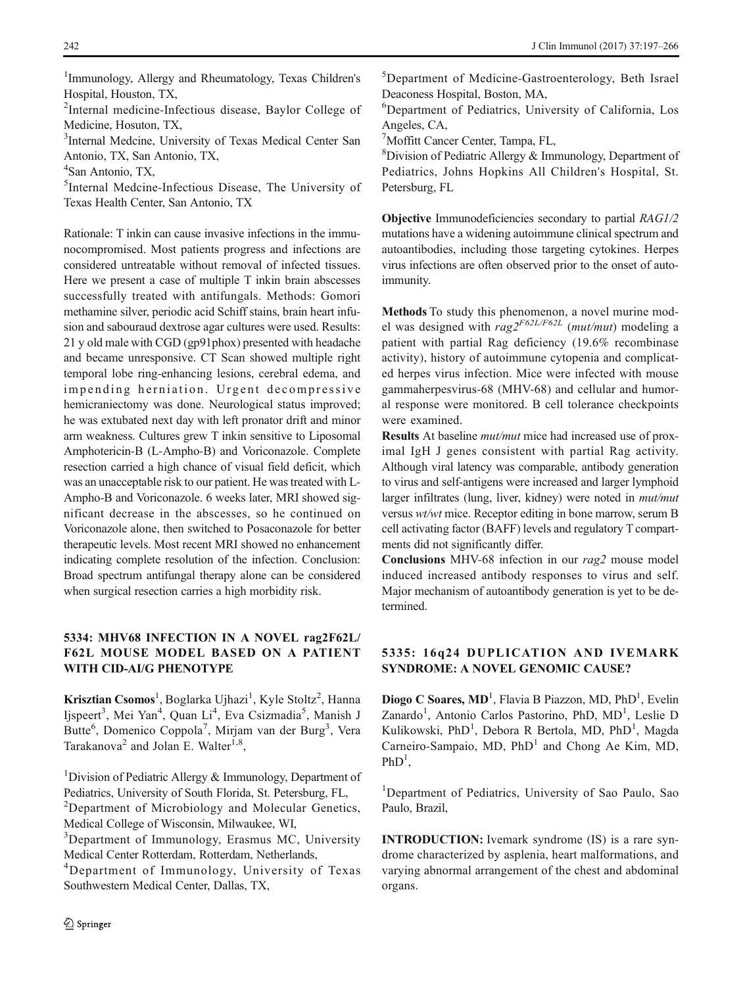1 Immunology, Allergy and Rheumatology, Texas Children's Hospital, Houston, TX,

<sup>2</sup>Internal medicine-Infectious disease, Baylor College of Medicine, Hosuton, TX,

<sup>3</sup>Internal Medcine, University of Texas Medical Center San Antonio, TX, San Antonio, TX,

4 San Antonio, TX,

5 Internal Medcine-Infectious Disease, The University of Texas Health Center, San Antonio, TX

Rationale: T inkin can cause invasive infections in the immunocompromised. Most patients progress and infections are considered untreatable without removal of infected tissues. Here we present a case of multiple T inkin brain abscesses successfully treated with antifungals. Methods: Gomori methamine silver, periodic acid Schiff stains, brain heart infusion and sabouraud dextrose agar cultures were used. Results: 21 y old male with CGD (gp91phox) presented with headache and became unresponsive. CT Scan showed multiple right temporal lobe ring-enhancing lesions, cerebral edema, and impending herniation. Urgent decompressive hemicraniectomy was done. Neurological status improved; he was extubated next day with left pronator drift and minor arm weakness. Cultures grew T inkin sensitive to Liposomal Amphotericin-B (L-Ampho-B) and Voriconazole. Complete resection carried a high chance of visual field deficit, which was an unacceptable risk to our patient. He was treated with L-Ampho-B and Voriconazole. 6 weeks later, MRI showed significant decrease in the abscesses, so he continued on Voriconazole alone, then switched to Posaconazole for better therapeutic levels. Most recent MRI showed no enhancement indicating complete resolution of the infection. Conclusion: Broad spectrum antifungal therapy alone can be considered when surgical resection carries a high morbidity risk.

### 5334: MHV68 INFECTION IN A NOVEL rag2F62L/ F62L MOUSE MODEL BASED ON A PATIENT WITH CID-AI/G PHENOTYPE

Krisztian Csomos<sup>1</sup>, Boglarka Ujhazi<sup>1</sup>, Kyle Stoltz<sup>2</sup>, Hanna Ijspeert<sup>3</sup>, Mei Yan<sup>4</sup>, Quan Li<sup>4</sup>, Eva Csizmadia<sup>5</sup>, Manish J Butte<sup>6</sup>, Domenico Coppola<sup>7</sup>, Mirjam van der Burg<sup>3</sup>, Vera Tarakanova<sup>2</sup> and Jolan E. Walter<sup>1,8</sup>,

<sup>1</sup>Division of Pediatric Allergy & Immunology, Department of Pediatrics, University of South Florida, St. Petersburg, FL,

<sup>2</sup>Department of Microbiology and Molecular Genetics, Medical College of Wisconsin, Milwaukee, WI,

<sup>3</sup>Department of Immunology, Erasmus MC, University Medical Center Rotterdam, Rotterdam, Netherlands,

4 Department of Immunology, University of Texas Southwestern Medical Center, Dallas, TX,

2 Springer

5 Department of Medicine-Gastroenterology, Beth Israel Deaconess Hospital, Boston, MA,

6 Department of Pediatrics, University of California, Los Angeles, CA,

7 Moffitt Cancer Center, Tampa, FL,

8 Division of Pediatric Allergy & Immunology, Department of Pediatrics, Johns Hopkins All Children's Hospital, St. Petersburg, FL

Objective Immunodeficiencies secondary to partial RAG1/2 mutations have a widening autoimmune clinical spectrum and autoantibodies, including those targeting cytokines. Herpes virus infections are often observed prior to the onset of autoimmunity.

Methods To study this phenomenon, a novel murine model was designed with  $rag2<sup>F62L/F62L</sup>$  (mut/mut) modeling a patient with partial Rag deficiency (19.6% recombinase activity), history of autoimmune cytopenia and complicated herpes virus infection. Mice were infected with mouse gammaherpesvirus-68 (MHV-68) and cellular and humoral response were monitored. B cell tolerance checkpoints were examined.

Results At baseline mut/mut mice had increased use of proximal IgH J genes consistent with partial Rag activity. Although viral latency was comparable, antibody generation to virus and self-antigens were increased and larger lymphoid larger infiltrates (lung, liver, kidney) were noted in mut/mut versus wt/wt mice. Receptor editing in bone marrow, serum B cell activating factor (BAFF) levels and regulatory T compartments did not significantly differ.

Conclusions MHV-68 infection in our rag2 mouse model induced increased antibody responses to virus and self. Major mechanism of autoantibody generation is yet to be determined.

### 5335: 16q24 DUPLICATION AND IVEMARK SYNDROME: A NOVEL GENOMIC CAUSE?

Diogo C Soares, MD<sup>1</sup>, Flavia B Piazzon, MD, PhD<sup>1</sup>, Evelin Zanardo<sup>1</sup>, Antonio Carlos Pastorino, PhD, MD<sup>1</sup>, Leslie D Kulikowski, PhD<sup>1</sup>, Debora R Bertola, MD, PhD<sup>1</sup>, Magda Carneiro-Sampaio,  $MD$ ,  $PhD<sup>1</sup>$  and Chong Ae Kim, MD,  $PhD<sup>1</sup>$ ,

<sup>1</sup>Department of Pediatrics, University of Sao Paulo, Sao Paulo, Brazil,

INTRODUCTION: Ivemark syndrome (IS) is a rare syndrome characterized by asplenia, heart malformations, and varying abnormal arrangement of the chest and abdominal organs.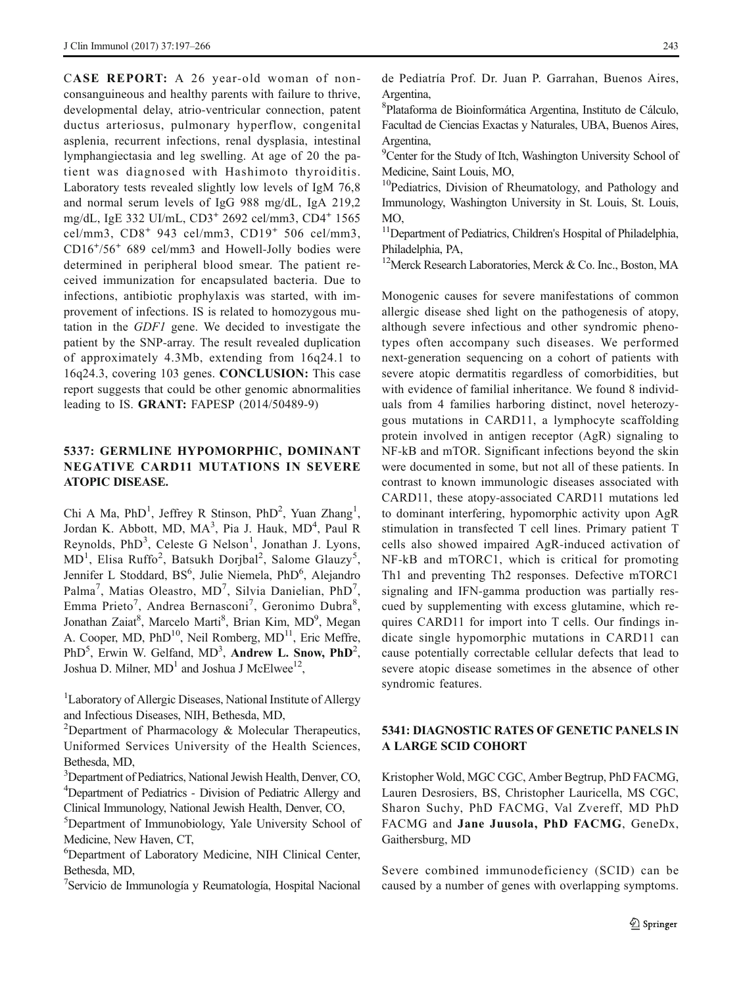CASE REPORT: A 26 year-old woman of nonconsanguineous and healthy parents with failure to thrive, developmental delay, atrio-ventricular connection, patent ductus arteriosus, pulmonary hyperflow, congenital asplenia, recurrent infections, renal dysplasia, intestinal lymphangiectasia and leg swelling. At age of 20 the patient was diagnosed with Hashimoto thyroiditis. Laboratory tests revealed slightly low levels of IgM 76,8 and normal serum levels of IgG 988 mg/dL, IgA 219,2 mg/dL, IgE 332 UI/mL, CD3<sup>+</sup> 2692 cel/mm3, CD4<sup>+</sup> 1565 cel/mm3, CD8<sup>+</sup> 943 cel/mm3, CD19<sup>+</sup> 506 cel/mm3, CD16<sup>+</sup> /56<sup>+</sup> 689 cel/mm3 and Howell-Jolly bodies were determined in peripheral blood smear. The patient received immunization for encapsulated bacteria. Due to infections, antibiotic prophylaxis was started, with improvement of infections. IS is related to homozygous mutation in the GDF1 gene. We decided to investigate the patient by the SNP-array. The result revealed duplication of approximately 4.3Mb, extending from 16q24.1 to 16q24.3, covering 103 genes. CONCLUSION: This case report suggests that could be other genomic abnormalities leading to IS. GRANT: FAPESP (2014/50489-9)

### 5337: GERMLINE HYPOMORPHIC, DOMINANT NEGATIVE CARD11 MUTATIONS IN SEVERE ATOPIC DISEASE.

Chi A Ma, PhD<sup>1</sup>, Jeffrey R Stinson, PhD<sup>2</sup>, Yuan Zhang<sup>1</sup>, Jordan K. Abbott, MD, MA<sup>3</sup>, Pia J. Hauk, MD<sup>4</sup>, Paul R Reynolds, PhD<sup>3</sup>, Celeste G Nelson<sup>1</sup>, Jonathan J. Lyons, MD<sup>1</sup>, Elisa Ruffo<sup>2</sup>, Batsukh Dorjbal<sup>2</sup>, Salome Glauzy<sup>5</sup>, Jennifer L Stoddard, BS<sup>6</sup>, Julie Niemela, PhD<sup>6</sup>, Alejandro Palma<sup>7</sup>, Matias Oleastro, MD<sup>7</sup>, Silvia Danielian, PhD<sup>7</sup>, Emma Prieto<sup>7</sup>, Andrea Bernasconi<sup>7</sup>, Geronimo Dubra<sup>8</sup>, Jonathan Zaiat8, Marcelo Marti8, Brian Kim, MD9, Megan A. Cooper, MD, PhD<sup>10</sup>, Neil Romberg, MD<sup>11</sup>, Eric Meffre, PhD<sup>5</sup>, Erwin W. Gelfand,  $MD^3$ , Andrew L. Snow, PhD<sup>2</sup>, Joshua D. Milner,  $MD<sup>1</sup>$  and Joshua J McElwee<sup>12</sup>,

<sup>1</sup>Laboratory of Allergic Diseases, National Institute of Allergy and Infectious Diseases, NIH, Bethesda, MD,

<sup>2</sup>Department of Pharmacology & Molecular Therapeutics, Uniformed Services University of the Health Sciences, Bethesda, MD,

<sup>3</sup>Department of Pediatrics, National Jewish Health, Denver, CO, 4 Department of Pediatrics - Division of Pediatric Allergy and Clinical Immunology, National Jewish Health, Denver, CO,

5 Department of Immunobiology, Yale University School of Medicine, New Haven, CT,

6 Department of Laboratory Medicine, NIH Clinical Center, Bethesda, MD,

7 Servicio de Immunología y Reumatología, Hospital Nacional

de Pediatría Prof. Dr. Juan P. Garrahan, Buenos Aires, Argentina,

8 Plataforma de Bioinformática Argentina, Instituto de Cálculo, Facultad de Ciencias Exactas y Naturales, UBA, Buenos Aires, Argentina,

<sup>9</sup>Center for the Study of Itch, Washington University School of Medicine, Saint Louis, MO,

<sup>10</sup>Pediatrics, Division of Rheumatology, and Pathology and Immunology, Washington University in St. Louis, St. Louis, MO,

<sup>11</sup>Department of Pediatrics, Children's Hospital of Philadelphia, Philadelphia, PA,

<sup>12</sup>Merck Research Laboratories, Merck & Co. Inc., Boston, MA

Monogenic causes for severe manifestations of common allergic disease shed light on the pathogenesis of atopy, although severe infectious and other syndromic phenotypes often accompany such diseases. We performed next-generation sequencing on a cohort of patients with severe atopic dermatitis regardless of comorbidities, but with evidence of familial inheritance. We found 8 individuals from 4 families harboring distinct, novel heterozygous mutations in CARD11, a lymphocyte scaffolding protein involved in antigen receptor (AgR) signaling to NF-kB and mTOR. Significant infections beyond the skin were documented in some, but not all of these patients. In contrast to known immunologic diseases associated with CARD11, these atopy-associated CARD11 mutations led to dominant interfering, hypomorphic activity upon AgR stimulation in transfected T cell lines. Primary patient T cells also showed impaired AgR-induced activation of NF-kB and mTORC1, which is critical for promoting Th1 and preventing Th2 responses. Defective mTORC1 signaling and IFN-gamma production was partially rescued by supplementing with excess glutamine, which requires CARD11 for import into T cells. Our findings indicate single hypomorphic mutations in CARD11 can cause potentially correctable cellular defects that lead to severe atopic disease sometimes in the absence of other syndromic features.

### 5341: DIAGNOSTIC RATES OF GENETIC PANELS IN A LARGE SCID COHORT

Kristopher Wold, MGC CGC, Amber Begtrup, PhD FACMG, Lauren Desrosiers, BS, Christopher Lauricella, MS CGC, Sharon Suchy, PhD FACMG, Val Zvereff, MD PhD FACMG and Jane Juusola, PhD FACMG, GeneDx, Gaithersburg, MD

Severe combined immunodeficiency (SCID) can be caused by a number of genes with overlapping symptoms.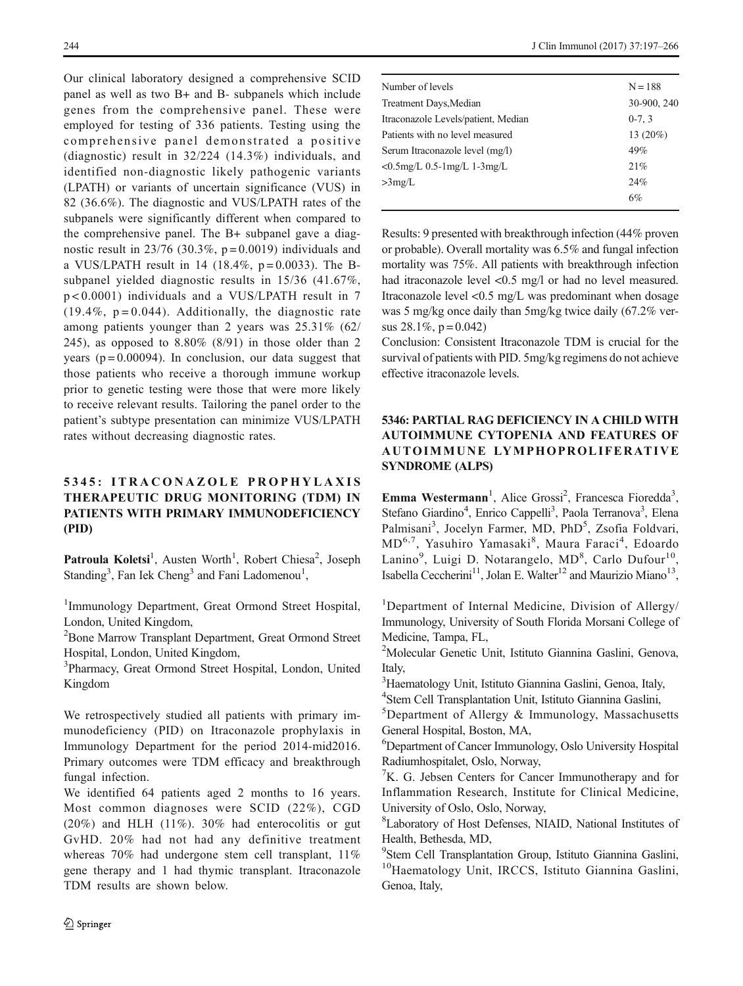Our clinical laboratory designed a comprehensive SCID panel as well as two B+ and B- subpanels which include genes from the comprehensive panel. These were employed for testing of 336 patients. Testing using the comprehensive panel demonstrated a positive (diagnostic) result in 32/224 (14.3%) individuals, and identified non-diagnostic likely pathogenic variants (LPATH) or variants of uncertain significance (VUS) in 82 (36.6%). The diagnostic and VUS/LPATH rates of the subpanels were significantly different when compared to the comprehensive panel. The B+ subpanel gave a diagnostic result in 23/76 (30.3%,  $p = 0.0019$ ) individuals and a VUS/LPATH result in 14 (18.4%,  $p = 0.0033$ ). The Bsubpanel yielded diagnostic results in 15/36 (41.67%, p < 0.0001) individuals and a VUS/LPATH result in 7  $(19.4\%, p=0.044)$ . Additionally, the diagnostic rate among patients younger than 2 years was 25.31% (62/ 245), as opposed to  $8.80\%$  (8/91) in those older than 2 years ( $p = 0.00094$ ). In conclusion, our data suggest that those patients who receive a thorough immune workup prior to genetic testing were those that were more likely to receive relevant results. Tailoring the panel order to the patient's subtype presentation can minimize VUS/LPATH rates without decreasing diagnostic rates.

# 5345: ITRACONAZOLE PROPHYLAXIS THERAPEUTIC DRUG MONITORING (TDM) IN PATIENTS WITH PRIMARY IMMUNODEFICIENCY (PID)

Patroula Koletsi<sup>1</sup>, Austen Worth<sup>1</sup>, Robert Chiesa<sup>2</sup>, Joseph Standing<sup>3</sup>, Fan Iek Cheng<sup>3</sup> and Fani Ladomenou<sup>1</sup>,

<sup>1</sup>Immunology Department, Great Ormond Street Hospital, London, United Kingdom,

<sup>2</sup>Bone Marrow Transplant Department, Great Ormond Street Hospital, London, United Kingdom,

<sup>3</sup>Pharmacy, Great Ormond Street Hospital, London, United Kingdom

We retrospectively studied all patients with primary immunodeficiency (PID) on Itraconazole prophylaxis in Immunology Department for the period 2014-mid2016. Primary outcomes were TDM efficacy and breakthrough fungal infection.

We identified 64 patients aged 2 months to 16 years. Most common diagnoses were SCID (22%), CGD  $(20\%)$  and HLH  $(11\%)$ . 30% had enterocolitis or gut GvHD. 20% had not had any definitive treatment whereas 70% had undergone stem cell transplant, 11% gene therapy and 1 had thymic transplant. Itraconazole TDM results are shown below.

| Number of levels                    | $N = 188$   |
|-------------------------------------|-------------|
| Treatment Days, Median              | 30-900, 240 |
| Itraconazole Levels/patient, Median | $0-7, 3$    |
| Patients with no level measured     | 13 $(20\%)$ |
| Serum Itraconazole level (mg/l)     | 49%         |
| $< 0.5$ mg/L 0.5-1mg/L 1-3mg/L      | 21%         |
| >3mg/L                              | 24%         |
|                                     | 6%          |
|                                     |             |

Results: 9 presented with breakthrough infection (44% proven or probable). Overall mortality was 6.5% and fungal infection mortality was 75%. All patients with breakthrough infection had itraconazole level <0.5 mg/l or had no level measured. Itraconazole level <0.5 mg/L was predominant when dosage was 5 mg/kg once daily than 5mg/kg twice daily (67.2% versus  $28.1\%$ , p = 0.042)

Conclusion: Consistent Itraconazole TDM is crucial for the survival of patients with PID. 5mg/kg regimens do not achieve effective itraconazole levels.

# 5346: PARTIAL RAG DEFICIENCY IN A CHILD WITH AUTOIMMUNE CYTOPENIA AND FEATURES OF AUTOIMMUNE LYMPHOPROLIFERATIVE SYNDROME (ALPS)

Emma Westermann<sup>1</sup>, Alice Grossi<sup>2</sup>, Francesca Fioredda<sup>3</sup>, Stefano Giardino<sup>4</sup>, Enrico Cappelli<sup>3</sup>, Paola Terranova<sup>3</sup>, Elena Palmisani<sup>3</sup>, Jocelyn Farmer, MD, PhD<sup>5</sup>, Zsofia Foldvari, MD<sup>6,7</sup>, Yasuhiro Yamasaki<sup>8</sup>, Maura Faraci<sup>4</sup>, Edoardo Lanino<sup>9</sup>, Luigi D. Notarangelo, MD<sup>8</sup>, Carlo Dufour<sup>10</sup>, Isabella Ceccherini<sup>11</sup>, Jolan E. Walter<sup>12</sup> and Maurizio Miano<sup>13</sup>,

<sup>1</sup>Department of Internal Medicine, Division of Allergy/ Immunology, University of South Florida Morsani College of Medicine, Tampa, FL,

2 Molecular Genetic Unit, Istituto Giannina Gaslini, Genova, Italy,

<sup>3</sup>Haematology Unit, Istituto Giannina Gaslini, Genoa, Italy,

4 Stem Cell Transplantation Unit, Istituto Giannina Gaslini,

5 Department of Allergy & Immunology, Massachusetts General Hospital, Boston, MA,

6 Department of Cancer Immunology, Oslo University Hospital Radiumhospitalet, Oslo, Norway,

<sup>7</sup>K. G. Jebsen Centers for Cancer Immunotherapy and for Inflammation Research, Institute for Clinical Medicine, University of Oslo, Oslo, Norway,

8 Laboratory of Host Defenses, NIAID, National Institutes of Health, Bethesda, MD,

<sup>9</sup> Stem Cell Transplantation Group, Istituto Giannina Gaslini, <sup>10</sup>Haematology Unit, IRCCS, Istituto Giannina Gaslini, Genoa, Italy,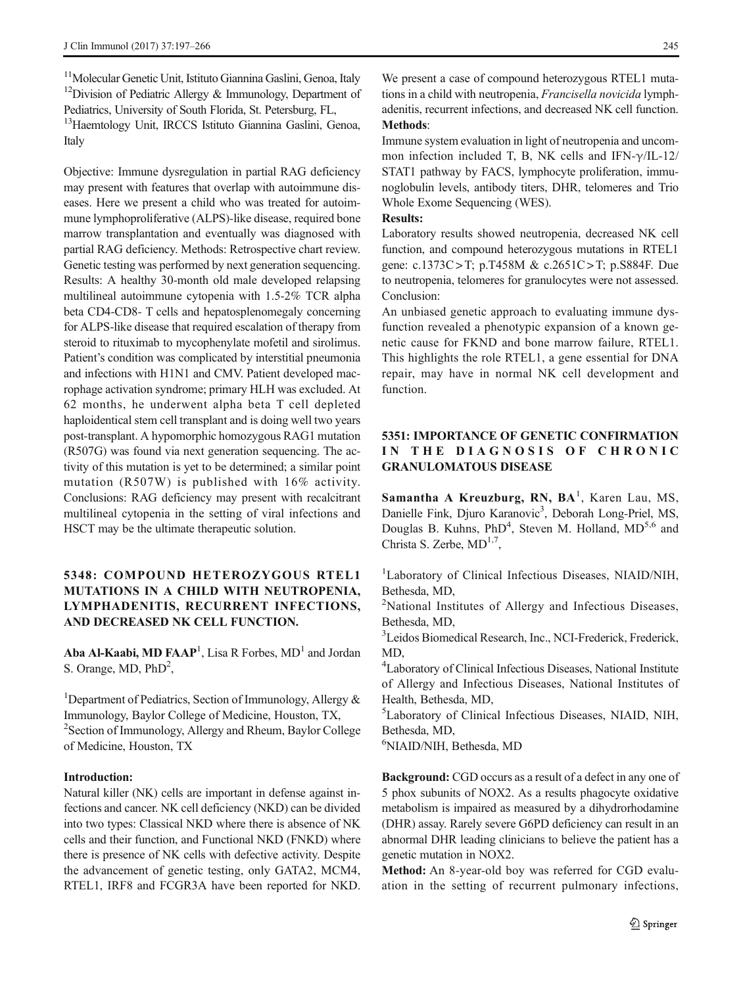<sup>11</sup>Molecular Genetic Unit, Istituto Giannina Gaslini, Genoa, Italy <sup>12</sup>Division of Pediatric Allergy  $\&$  Immunology, Department of Pediatrics, University of South Florida, St. Petersburg, FL,

<sup>13</sup>Haemtology Unit, IRCCS Istituto Giannina Gaslini, Genoa, Italy

Objective: Immune dysregulation in partial RAG deficiency may present with features that overlap with autoimmune diseases. Here we present a child who was treated for autoimmune lymphoproliferative (ALPS)-like disease, required bone marrow transplantation and eventually was diagnosed with partial RAG deficiency. Methods: Retrospective chart review. Genetic testing was performed by next generation sequencing. Results: A healthy 30-month old male developed relapsing multilineal autoimmune cytopenia with 1.5-2% TCR alpha beta CD4-CD8- T cells and hepatosplenomegaly concerning for ALPS-like disease that required escalation of therapy from steroid to rituximab to mycophenylate mofetil and sirolimus. Patient's condition was complicated by interstitial pneumonia and infections with H1N1 and CMV. Patient developed macrophage activation syndrome; primary HLH was excluded. At 62 months, he underwent alpha beta T cell depleted haploidentical stem cell transplant and is doing well two years post-transplant. A hypomorphic homozygous RAG1 mutation (R507G) was found via next generation sequencing. The activity of this mutation is yet to be determined; a similar point mutation (R507W) is published with 16% activity. Conclusions: RAG deficiency may present with recalcitrant multilineal cytopenia in the setting of viral infections and HSCT may be the ultimate therapeutic solution.

### 5348: COMPOUND HETEROZYGOUS RTEL1 MUTATIONS IN A CHILD WITH NEUTROPENIA, LYMPHADENITIS, RECURRENT INFECTIONS, AND DECREASED NK CELL FUNCTION.

Aba Al-Kaabi, MD FAAP<sup>1</sup>, Lisa R Forbes,  $MD<sup>1</sup>$  and Jordan S. Orange, MD, PhD<sup>2</sup>,

<sup>1</sup>Department of Pediatrics, Section of Immunology, Allergy & Immunology, Baylor College of Medicine, Houston, TX, <sup>2</sup> Section of Immunology, Allergy and Rheum, Baylor College of Medicine, Houston, TX

#### Introduction:

Natural killer (NK) cells are important in defense against infections and cancer. NK cell deficiency (NKD) can be divided into two types: Classical NKD where there is absence of NK cells and their function, and Functional NKD (FNKD) where there is presence of NK cells with defective activity. Despite the advancement of genetic testing, only GATA2, MCM4, RTEL1, IRF8 and FCGR3A have been reported for NKD.

We present a case of compound heterozygous RTEL1 mutations in a child with neutropenia, Francisella novicida lymphadenitis, recurrent infections, and decreased NK cell function. Methods:

Immune system evaluation in light of neutropenia and uncommon infection included T, B, NK cells and IFN- $\gamma$ /IL-12/ STAT1 pathway by FACS, lymphocyte proliferation, immunoglobulin levels, antibody titers, DHR, telomeres and Trio Whole Exome Sequencing (WES).

#### Results:

Laboratory results showed neutropenia, decreased NK cell function, and compound heterozygous mutations in RTEL1 gene: c.1373C > T; p.T458M & c.2651C > T; p.S884F. Due to neutropenia, telomeres for granulocytes were not assessed. Conclusion:

An unbiased genetic approach to evaluating immune dysfunction revealed a phenotypic expansion of a known genetic cause for FKND and bone marrow failure, RTEL1. This highlights the role RTEL1, a gene essential for DNA repair, may have in normal NK cell development and function.

### 5351: IMPORTANCE OF GENETIC CONFIRMATION IN THE DIAGNOSIS OF CHRONIC GRANULOMATOUS DISEASE

Samantha A Kreuzburg, RN, BA<sup>1</sup>, Karen Lau, MS, Danielle Fink, Djuro Karanovic<sup>3</sup>, Deborah Long-Priel, MS, Douglas B. Kuhns, PhD<sup>4</sup>, Steven M. Holland, MD<sup>5,6</sup> and Christa S. Zerbe,  $MD^{1,7}$ ,

<sup>1</sup>Laboratory of Clinical Infectious Diseases, NIAID/NIH, Bethesda, MD,

<sup>2</sup>National Institutes of Allergy and Infectious Diseases, Bethesda, MD,

3 Leidos Biomedical Research, Inc., NCI-Frederick, Frederick, MD,

4 Laboratory of Clinical Infectious Diseases, National Institute of Allergy and Infectious Diseases, National Institutes of Health, Bethesda, MD,

5 Laboratory of Clinical Infectious Diseases, NIAID, NIH, Bethesda, MD,

6 NIAID/NIH, Bethesda, MD

Background: CGD occurs as a result of a defect in any one of 5 phox subunits of NOX2. As a results phagocyte oxidative metabolism is impaired as measured by a dihydrorhodamine (DHR) assay. Rarely severe G6PD deficiency can result in an abnormal DHR leading clinicians to believe the patient has a genetic mutation in NOX2.

Method: An 8-year-old boy was referred for CGD evaluation in the setting of recurrent pulmonary infections,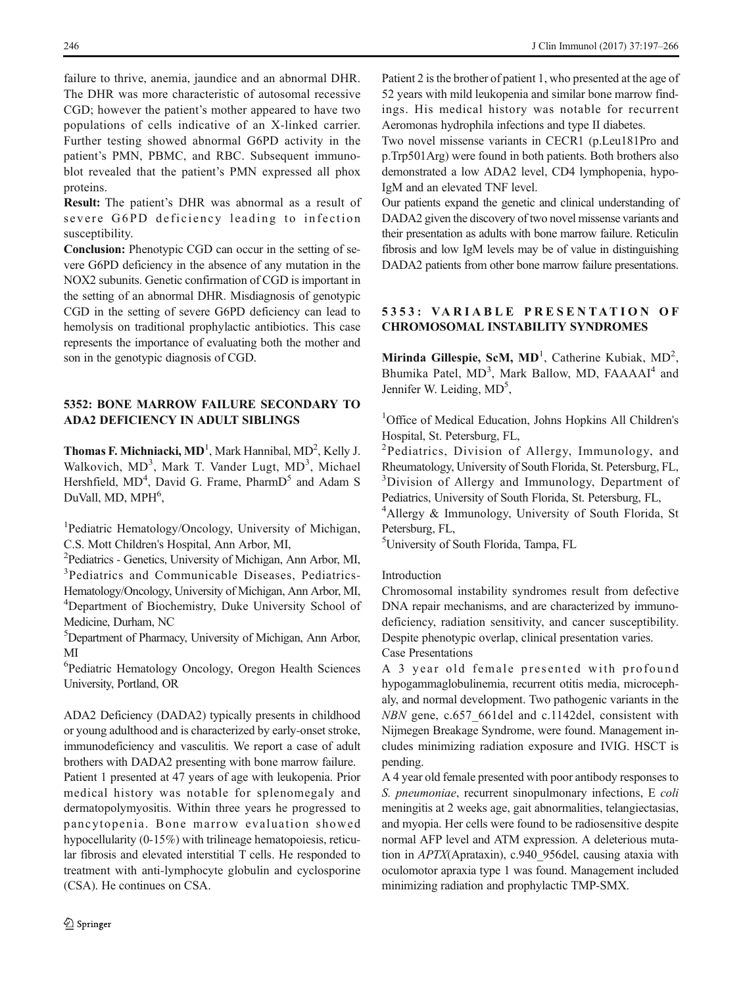failure to thrive, anemia, jaundice and an abnormal DHR. The DHR was more characteristic of autosomal recessive CGD; however the patient's mother appeared to have two populations of cells indicative of an X-linked carrier. Further testing showed abnormal G6PD activity in the patient's PMN, PBMC, and RBC. Subsequent immunoblot revealed that the patient's PMN expressed all phox proteins.

Result: The patient's DHR was abnormal as a result of severe G6PD deficiency leading to infection susceptibility.

Conclusion: Phenotypic CGD can occur in the setting of severe G6PD deficiency in the absence of any mutation in the NOX2 subunits. Genetic confirmation of CGD is important in the setting of an abnormal DHR. Misdiagnosis of genotypic CGD in the setting of severe G6PD deficiency can lead to hemolysis on traditional prophylactic antibiotics. This case represents the importance of evaluating both the mother and son in the genotypic diagnosis of CGD.

### 5352: BONE MARROW FAILURE SECONDARY TO ADA2 DEFICIENCY IN ADULT SIBLINGS

**Thomas F. Michniacki, MD**<sup>1</sup>, Mark Hannibal, MD<sup>2</sup>, Kelly J. Walkovich, MD<sup>3</sup>, Mark T. Vander Lugt, MD<sup>3</sup>, Michael Hershfield, MD<sup>4</sup>, David G. Frame, PharmD<sup>5</sup> and Adam S DuVall, MD, MPH<sup>6</sup>,

<sup>1</sup>Pediatric Hematology/Oncology, University of Michigan, C.S. Mott Children's Hospital, Ann Arbor, MI,

2 Pediatrics - Genetics, University of Michigan, Ann Arbor, MI, <sup>3</sup>Pediatrics and Communicable Diseases, Pediatrics-Hematology/Oncology, University of Michigan, Ann Arbor, MI, 4 Department of Biochemistry, Duke University School of Medicine, Durham, NC

5 Department of Pharmacy, University of Michigan, Ann Arbor, MI

6 Pediatric Hematology Oncology, Oregon Health Sciences University, Portland, OR

ADA2 Deficiency (DADA2) typically presents in childhood or young adulthood and is characterized by early-onset stroke, immunodeficiency and vasculitis. We report a case of adult brothers with DADA2 presenting with bone marrow failure.

Patient 1 presented at 47 years of age with leukopenia. Prior medical history was notable for splenomegaly and dermatopolymyositis. Within three years he progressed to pancytopenia. Bone marrow evaluation showed hypocellularity (0-15%) with trilineage hematopoiesis, reticular fibrosis and elevated interstitial T cells. He responded to treatment with anti-lymphocyte globulin and cyclosporine (CSA). He continues on CSA.

Patient 2 is the brother of patient 1, who presented at the age of 52 years with mild leukopenia and similar bone marrow findings. His medical history was notable for recurrent Aeromonas hydrophila infections and type II diabetes.

Two novel missense variants in CECR1 (p.Leu181Pro and p.Trp501Arg) were found in both patients. Both brothers also demonstrated a low ADA2 level, CD4 lymphopenia, hypo-IgM and an elevated TNF level.

Our patients expand the genetic and clinical understanding of DADA2 given the discovery of two novel missense variants and their presentation as adults with bone marrow failure. Reticulin fibrosis and low IgM levels may be of value in distinguishing DADA2 patients from other bone marrow failure presentations.

### 5353: VARIABLE PRESENTATION OF CHROMOSOMAL INSTABILITY SYNDROMES

Mirinda Gillespie, ScM,  $MD<sup>1</sup>$ , Catherine Kubiak,  $MD<sup>2</sup>$ , Bhumika Patel, MD<sup>3</sup>, Mark Ballow, MD, FAAAAI<sup>4</sup> and Jennifer W. Leiding, MD<sup>5</sup>,

<sup>1</sup>Office of Medical Education, Johns Hopkins All Children's Hospital, St. Petersburg, FL,

<sup>2</sup>Pediatrics, Division of Allergy, Immunology, and Rheumatology, University of South Florida, St. Petersburg, FL, <sup>3</sup>Division of Allergy and Immunology, Department of Pediatrics, University of South Florida, St. Petersburg, FL,

4 Allergy & Immunology, University of South Florida, St Petersburg, FL,

5 University of South Florida, Tampa, FL

#### Introduction

Chromosomal instability syndromes result from defective DNA repair mechanisms, and are characterized by immunodeficiency, radiation sensitivity, and cancer susceptibility. Despite phenotypic overlap, clinical presentation varies. Case Presentations

A 3 year old female presented with profound hypogammaglobulinemia, recurrent otitis media, microcephaly, and normal development. Two pathogenic variants in the NBN gene, c.657 661del and c.1142del, consistent with Nijmegen Breakage Syndrome, were found. Management includes minimizing radiation exposure and IVIG. HSCT is pending.

A 4 year old female presented with poor antibody responses to S. pneumoniae, recurrent sinopulmonary infections, E coli meningitis at 2 weeks age, gait abnormalities, telangiectasias, and myopia. Her cells were found to be radiosensitive despite normal AFP level and ATM expression. A deleterious mutation in APTX(Aprataxin), c.940\_956del, causing ataxia with oculomotor apraxia type 1 was found. Management included minimizing radiation and prophylactic TMP-SMX.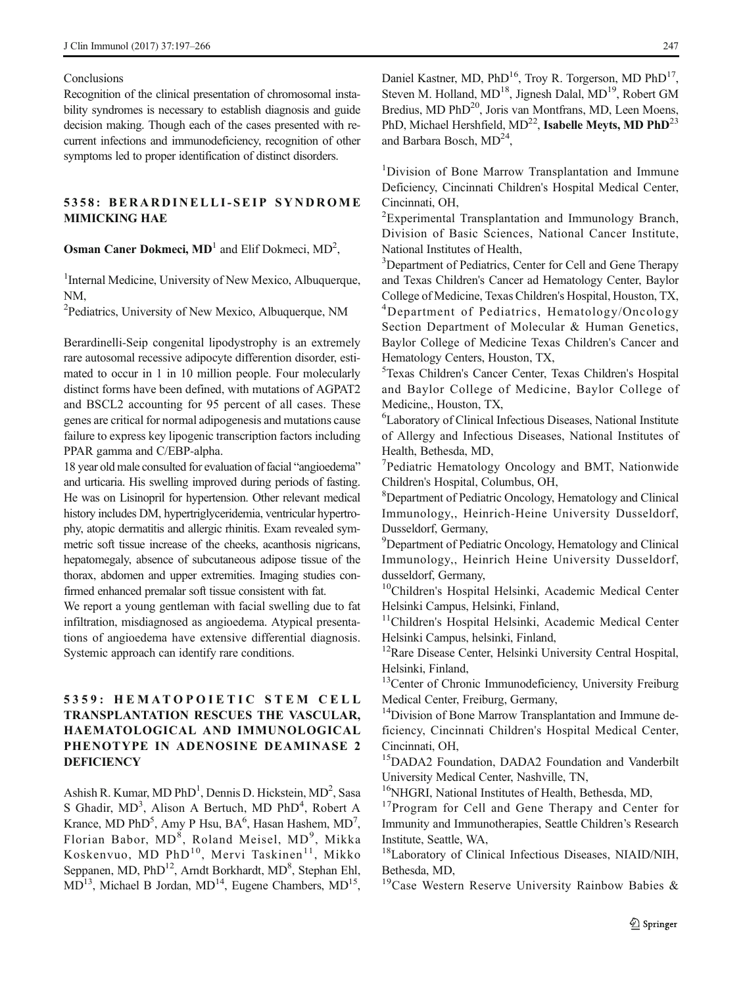#### Conclusions

Recognition of the clinical presentation of chromosomal instability syndromes is necessary to establish diagnosis and guide decision making. Though each of the cases presented with recurrent infections and immunodeficiency, recognition of other symptoms led to proper identification of distinct disorders.

### 5358: BERARDINELLI-SEIP SYNDROME MIMICKING HAE

**Osman Caner Dokmeci, MD**<sup>1</sup> and Elif Dokmeci,  $MD<sup>2</sup>$ ,

<sup>1</sup>Internal Medicine, University of New Mexico, Albuquerque, NM,

<sup>2</sup>Pediatrics, University of New Mexico, Albuquerque, NM

Berardinelli-Seip congenital lipodystrophy is an extremely rare autosomal recessive adipocyte differention disorder, estimated to occur in 1 in 10 million people. Four molecularly distinct forms have been defined, with mutations of AGPAT2 and BSCL2 accounting for 95 percent of all cases. These genes are critical for normal adipogenesis and mutations cause failure to express key lipogenic transcription factors including PPAR gamma and C/EBP-alpha.

18 year old male consulted for evaluation of facial "angioedema" and urticaria. His swelling improved during periods of fasting. He was on Lisinopril for hypertension. Other relevant medical history includes DM, hypertriglyceridemia, ventricular hypertrophy, atopic dermatitis and allergic rhinitis. Exam revealed symmetric soft tissue increase of the cheeks, acanthosis nigricans, hepatomegaly, absence of subcutaneous adipose tissue of the thorax, abdomen and upper extremities. Imaging studies confirmed enhanced premalar soft tissue consistent with fat.

We report a young gentleman with facial swelling due to fat infiltration, misdiagnosed as angioedema. Atypical presentations of angioedema have extensive differential diagnosis. Systemic approach can identify rare conditions.

### 5359: HEMATOPOIETIC STEM CELL TRANSPLANTATION RESCUES THE VASCULAR, HAEMATOLOGICAL AND IMMUNOLOGICAL PHENOTYPE IN ADENOSINE DEAMINASE 2 **DEFICIENCY**

Ashish R. Kumar, MD PhD<sup>1</sup>, Dennis D. Hickstein, MD<sup>2</sup>, Sasa S Ghadir, MD<sup>3</sup>, Alison A Bertuch, MD PhD<sup>4</sup>, Robert A Krance, MD PhD<sup>5</sup>, Amy P Hsu,  $BA^6$ , Hasan Hashem, MD<sup>7</sup>, Florian Babor, MD<sup>8</sup>, Roland Meisel, MD<sup>9</sup>, Mikka Koskenvuo, MD PhD<sup>10</sup>, Mervi Taskinen<sup>11</sup>, Mikko Seppanen, MD, PhD<sup>12</sup>, Arndt Borkhardt, MD<sup>8</sup>, Stephan Ehl,  $MD<sup>13</sup>$ , Michael B Jordan,  $MD<sup>14</sup>$ , Eugene Chambers,  $MD<sup>15</sup>$ , Daniel Kastner, MD, PhD<sup>16</sup>, Troy R. Torgerson, MD PhD<sup>17</sup>, Steven M. Holland, MD<sup>18</sup>, Jignesh Dalal, MD<sup>19</sup>, Robert GM Bredius, MD PhD<sup>20</sup>, Joris van Montfrans, MD, Leen Moens, PhD, Michael Hershfield, MD<sup>22</sup>, Isabelle Meyts, MD PhD<sup>23</sup> and Barbara Bosch,  $MD<sup>24</sup>$ ,

<sup>1</sup>Division of Bone Marrow Transplantation and Immune Deficiency, Cincinnati Children's Hospital Medical Center, Cincinnati, OH,

<sup>2</sup> Experimental Transplantation and Immunology Branch, Division of Basic Sciences, National Cancer Institute, National Institutes of Health,

<sup>3</sup>Department of Pediatrics, Center for Cell and Gene Therapy and Texas Children's Cancer ad Hematology Center, Baylor College of Medicine, Texas Children's Hospital, Houston, TX, 4 Department of Pediatrics, Hematology/Oncology Section Department of Molecular & Human Genetics, Baylor College of Medicine Texas Children's Cancer and Hematology Centers, Houston, TX,

5 Texas Children's Cancer Center, Texas Children's Hospital and Baylor College of Medicine, Baylor College of Medicine,, Houston, TX,

6 Laboratory of Clinical Infectious Diseases, National Institute of Allergy and Infectious Diseases, National Institutes of Health, Bethesda, MD,

<sup>7</sup>Pediatric Hematology Oncology and BMT, Nationwide Children's Hospital, Columbus, OH,

8 Department of Pediatric Oncology, Hematology and Clinical Immunology,, Heinrich-Heine University Dusseldorf, Dusseldorf, Germany,

<sup>9</sup>Department of Pediatric Oncology, Hematology and Clinical Immunology,, Heinrich Heine University Dusseldorf, dusseldorf, Germany,

<sup>10</sup>Children's Hospital Helsinki, Academic Medical Center Helsinki Campus, Helsinki, Finland,

<sup>11</sup>Children's Hospital Helsinki, Academic Medical Center Helsinki Campus, helsinki, Finland,

<sup>12</sup>Rare Disease Center, Helsinki University Central Hospital, Helsinki, Finland,

<sup>13</sup>Center of Chronic Immunodeficiency, University Freiburg Medical Center, Freiburg, Germany,

<sup>14</sup>Division of Bone Marrow Transplantation and Immune deficiency, Cincinnati Children's Hospital Medical Center, Cincinnati, OH,

<sup>15</sup>DADA2 Foundation, DADA2 Foundation and Vanderbilt University Medical Center, Nashville, TN,

<sup>16</sup>NHGRI, National Institutes of Health, Bethesda, MD,

<sup>17</sup>Program for Cell and Gene Therapy and Center for Immunity and Immunotherapies, Seattle Children's Research Institute, Seattle, WA,

18Laboratory of Clinical Infectious Diseases, NIAID/NIH, Bethesda, MD,

<sup>19</sup>Case Western Reserve University Rainbow Babies &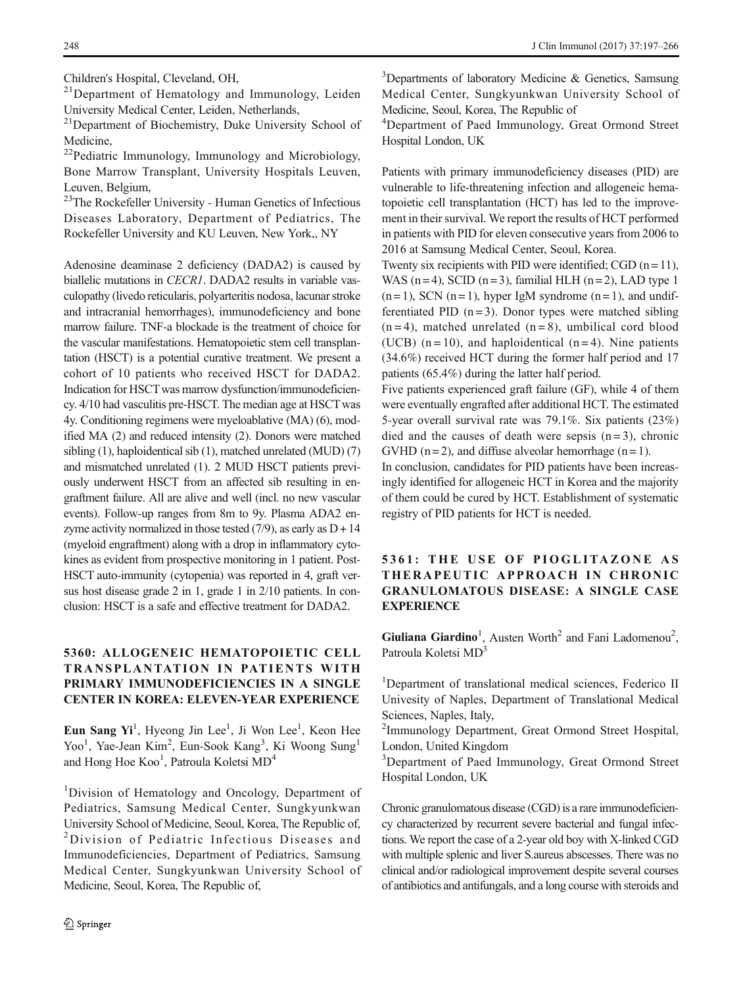Children's Hospital, Cleveland, OH,

<sup>21</sup>Department of Hematology and Immunology, Leiden University Medical Center, Leiden, Netherlands,

21Department of Biochemistry, Duke University School of Medicine,

<sup>22</sup>Pediatric Immunology, Immunology and Microbiology, Bone Marrow Transplant, University Hospitals Leuven, Leuven, Belgium,

<sup>23</sup>The Rockefeller University - Human Genetics of Infectious Diseases Laboratory, Department of Pediatrics, The Rockefeller University and KU Leuven, New York,, NY

Adenosine deaminase 2 deficiency (DADA2) is caused by biallelic mutations in CECR1. DADA2 results in variable vasculopathy (livedo reticularis, polyarteritis nodosa, lacunar stroke and intracranial hemorrhages), immunodeficiency and bone marrow failure. TNF-a blockade is the treatment of choice for the vascular manifestations. Hematopoietic stem cell transplantation (HSCT) is a potential curative treatment. We present a cohort of 10 patients who received HSCT for DADA2. Indication for HSCTwas marrow dysfunction/immunodeficiency. 4/10 had vasculitis pre-HSCT. The median age at HSCTwas 4y. Conditioning regimens were myeloablative (MA) (6), modified MA (2) and reduced intensity (2). Donors were matched sibling (1), haploidentical sib (1), matched unrelated (MUD) (7) and mismatched unrelated (1). 2 MUD HSCT patients previously underwent HSCT from an affected sib resulting in engraftment failure. All are alive and well (incl. no new vascular events). Follow-up ranges from 8m to 9y. Plasma ADA2 enzyme activity normalized in those tested  $(7/9)$ , as early as  $D + 14$ (myeloid engraftment) along with a drop in inflammatory cytokines as evident from prospective monitoring in 1 patient. Post-HSCT auto-immunity (cytopenia) was reported in 4, graft versus host disease grade 2 in 1, grade 1 in 2/10 patients. In conclusion: HSCT is a safe and effective treatment for DADA2.

### 5360: ALLOGENEIC HEMATOPOIETIC CELL TRANSPLANTATION IN PATIENTS WITH PRIMARY IMMUNODEFICIENCIES IN A SINGLE CENTER IN KOREA: ELEVEN-YEAR EXPERIENCE

Eun Sang Yi<sup>1</sup>, Hyeong Jin Lee<sup>1</sup>, Ji Won Lee<sup>1</sup>, Keon Hee Yoo<sup>1</sup>, Yae-Jean Kim<sup>2</sup>, Eun-Sook Kang<sup>3</sup>, Ki Woong Sung<sup>1</sup> and Hong Hoe Koo<sup>1</sup>, Patroula Koletsi MD<sup>4</sup>

<sup>1</sup>Division of Hematology and Oncology, Department of Pediatrics, Samsung Medical Center, Sungkyunkwan University School of Medicine, Seoul, Korea, The Republic of, <sup>2</sup> <sup>2</sup>Division of Pediatric Infectious Diseases and Immunodeficiencies, Department of Pediatrics, Samsung Medical Center, Sungkyunkwan University School of Medicine, Seoul, Korea, The Republic of,

<sup>3</sup>Departments of laboratory Medicine & Genetics, Samsung Medical Center, Sungkyunkwan University School of Medicine, Seoul, Korea, The Republic of

4 Department of Paed Immunology, Great Ormond Street Hospital London, UK

Patients with primary immunodeficiency diseases (PID) are vulnerable to life-threatening infection and allogeneic hematopoietic cell transplantation (HCT) has led to the improvement in their survival. We report the results of HCT performed in patients with PID for eleven consecutive years from 2006 to 2016 at Samsung Medical Center, Seoul, Korea.

Twenty six recipients with PID were identified; CGD  $(n = 11)$ , WAS (n = 4), SCID (n = 3), familial HLH (n = 2), LAD type 1  $(n=1)$ , SCN  $(n=1)$ , hyper IgM syndrome  $(n=1)$ , and undifferentiated PID  $(n=3)$ . Donor types were matched sibling  $(n=4)$ , matched unrelated  $(n=8)$ , umbilical cord blood (UCB)  $(n = 10)$ , and haploidentical  $(n = 4)$ . Nine patients (34.6%) received HCT during the former half period and 17 patients (65.4%) during the latter half period.

Five patients experienced graft failure (GF), while 4 of them were eventually engrafted after additional HCT. The estimated 5-year overall survival rate was 79.1%. Six patients (23%) died and the causes of death were sepsis  $(n=3)$ , chronic GVHD ( $n = 2$ ), and diffuse alveolar hemorrhage ( $n = 1$ ).

In conclusion, candidates for PID patients have been increasingly identified for allogeneic HCT in Korea and the majority of them could be cured by HCT. Establishment of systematic registry of PID patients for HCT is needed.

### 5361: THE USE OF PIOGLITAZONE AS THERAPEUTIC APPROACH IN CHRONIC GRANULOMATOUS DISEASE: A SINGLE CASE **EXPERIENCE**

Giuliana Giardino<sup>1</sup>, Austen Worth<sup>2</sup> and Fani Ladomenou<sup>2</sup>, Patroula Koletsi MD<sup>3</sup>

<sup>1</sup>Department of translational medical sciences, Federico II Univesity of Naples, Department of Translational Medical Sciences, Naples, Italy,

<sup>2</sup>Immunology Department, Great Ormond Street Hospital, London, United Kingdom

<sup>3</sup>Department of Paed Immunology, Great Ormond Street Hospital London, UK

Chronic granulomatous disease (CGD) is a rare immunodeficiency characterized by recurrent severe bacterial and fungal infections. We report the case of a 2-year old boy with X-linked CGD with multiple splenic and liver S.aureus abscesses. There was no clinical and/or radiological improvement despite several courses of antibiotics and antifungals, and a long course with steroids and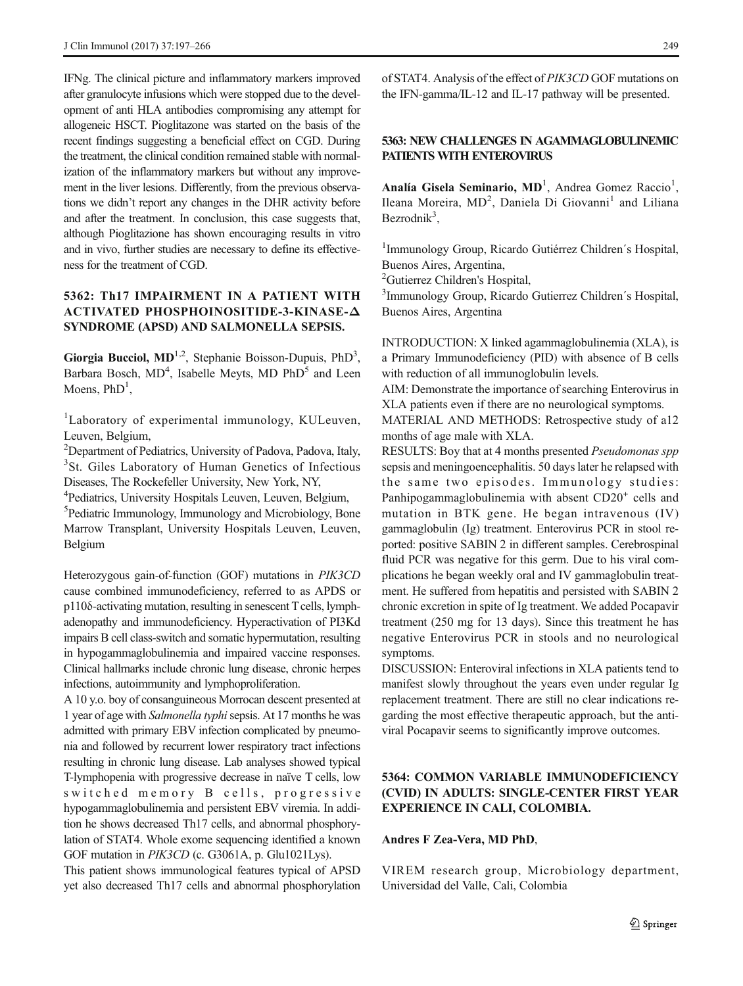IFNg. The clinical picture and inflammatory markers improved after granulocyte infusions which were stopped due to the development of anti HLA antibodies compromising any attempt for allogeneic HSCT. Pioglitazone was started on the basis of the recent findings suggesting a beneficial effect on CGD. During the treatment, the clinical condition remained stable with normalization of the inflammatory markers but without any improvement in the liver lesions. Differently, from the previous observations we didn't report any changes in the DHR activity before and after the treatment. In conclusion, this case suggests that, although Pioglitazione has shown encouraging results in vitro and in vivo, further studies are necessary to define its effectiveness for the treatment of CGD.

### 5362: Th17 IMPAIRMENT IN A PATIENT WITH ACTIVATED PHOSPHOINOSITIDE-3-KINASE-Δ SYNDROME (APSD) AND SALMONELLA SEPSIS.

Giorgia Bucciol,  $MD^{1,2}$ , Stephanie Boisson-Dupuis, PhD<sup>3</sup>, Barbara Bosch, MD<sup>4</sup>, Isabelle Meyts, MD PhD<sup>5</sup> and Leen Moens,  $PhD<sup>1</sup>$ ,

<sup>1</sup>Laboratory of experimental immunology, KULeuven, Leuven, Belgium,

<sup>2</sup>Department of Pediatrics, University of Padova, Padova, Italy, <sup>3</sup>St. Giles Laboratory of Human Genetics of Infectious Diseases, The Rockefeller University, New York, NY,

4 Pediatrics, University Hospitals Leuven, Leuven, Belgium,

5 Pediatric Immunology, Immunology and Microbiology, Bone Marrow Transplant, University Hospitals Leuven, Leuven, Belgium

Heterozygous gain-of-function (GOF) mutations in PIK3CD cause combined immunodeficiency, referred to as APDS or p110δ-activating mutation, resulting in senescent Tcells, lymphadenopathy and immunodeficiency. Hyperactivation of PI3Kd impairs B cell class-switch and somatic hypermutation, resulting in hypogammaglobulinemia and impaired vaccine responses. Clinical hallmarks include chronic lung disease, chronic herpes infections, autoimmunity and lymphoproliferation.

A 10 y.o. boy of consanguineous Morrocan descent presented at 1 year of age with Salmonella typhisepsis. At 17 months he was admitted with primary EBV infection complicated by pneumonia and followed by recurrent lower respiratory tract infections resulting in chronic lung disease. Lab analyses showed typical T-lymphopenia with progressive decrease in naïve T cells, low switched memory B cells, progressive hypogammaglobulinemia and persistent EBV viremia. In addition he shows decreased Th17 cells, and abnormal phosphorylation of STAT4. Whole exome sequencing identified a known GOF mutation in PIK3CD (c. G3061A, p. Glu1021Lys).

This patient shows immunological features typical of APSD yet also decreased Th17 cells and abnormal phosphorylation of STAT4. Analysis of the effect of PIK3CD GOF mutations on the IFN-gamma/IL-12 and IL-17 pathway will be presented.

### 5363: NEW CHALLENGES IN AGAMMAGLOBULINEMIC PATIENTS WITH ENTEROVIRUS

Analía Gisela Seminario, MD<sup>1</sup>, Andrea Gomez Raccio<sup>1</sup>, Ileana Moreira, MD<sup>2</sup>, Daniela Di Giovanni<sup>1</sup> and Liliana Bezrodnik<sup>3</sup>,

1 Immunology Group, Ricardo Gutiérrez Children´s Hospital, Buenos Aires, Argentina,

<sup>2</sup>Gutierrez Children's Hospital,

3 Immunology Group, Ricardo Gutierrez Children´s Hospital, Buenos Aires, Argentina

INTRODUCTION: X linked agammaglobulinemia (XLA), is a Primary Immunodeficiency (PID) with absence of B cells with reduction of all immunoglobulin levels.

AIM: Demonstrate the importance of searching Enterovirus in XLA patients even if there are no neurological symptoms.

MATERIAL AND METHODS: Retrospective study of a12 months of age male with XLA.

RESULTS: Boy that at 4 months presented Pseudomonas spp sepsis and meningoencephalitis. 50 days later he relapsed with the same two episodes. Immunology studies: Panhipogammaglobulinemia with absent CD20<sup>+</sup> cells and mutation in BTK gene. He began intravenous (IV) gammaglobulin (Ig) treatment. Enterovirus PCR in stool reported: positive SABIN 2 in different samples. Cerebrospinal fluid PCR was negative for this germ. Due to his viral complications he began weekly oral and IV gammaglobulin treatment. He suffered from hepatitis and persisted with SABIN 2 chronic excretion in spite of Ig treatment. We added Pocapavir treatment (250 mg for 13 days). Since this treatment he has negative Enterovirus PCR in stools and no neurological symptoms.

DISCUSSION: Enteroviral infections in XLA patients tend to manifest slowly throughout the years even under regular Ig replacement treatment. There are still no clear indications regarding the most effective therapeutic approach, but the antiviral Pocapavir seems to significantly improve outcomes.

# 5364: COMMON VARIABLE IMMUNODEFICIENCY (CVID) IN ADULTS: SINGLE-CENTER FIRST YEAR EXPERIENCE IN CALI, COLOMBIA.

#### Andres F Zea-Vera, MD PhD,

VIREM research group, Microbiology department, Universidad del Valle, Cali, Colombia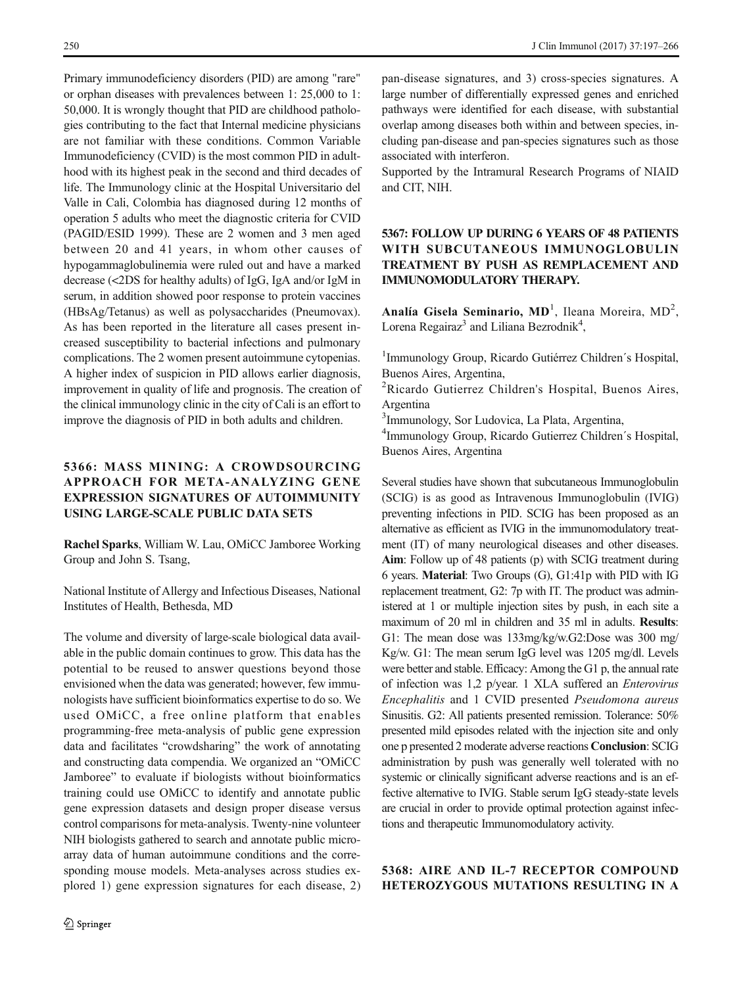Primary immunodeficiency disorders (PID) are among "rare" or orphan diseases with prevalences between 1: 25,000 to 1: 50,000. It is wrongly thought that PID are childhood pathologies contributing to the fact that Internal medicine physicians are not familiar with these conditions. Common Variable Immunodeficiency (CVID) is the most common PID in adulthood with its highest peak in the second and third decades of life. The Immunology clinic at the Hospital Universitario del Valle in Cali, Colombia has diagnosed during 12 months of operation 5 adults who meet the diagnostic criteria for CVID (PAGID/ESID 1999). These are 2 women and 3 men aged between 20 and 41 years, in whom other causes of hypogammaglobulinemia were ruled out and have a marked decrease (<2DS for healthy adults) of IgG, IgA and/or IgM in serum, in addition showed poor response to protein vaccines (HBsAg/Tetanus) as well as polysaccharides (Pneumovax). As has been reported in the literature all cases present increased susceptibility to bacterial infections and pulmonary complications. The 2 women present autoimmune cytopenias. A higher index of suspicion in PID allows earlier diagnosis, improvement in quality of life and prognosis. The creation of the clinical immunology clinic in the city of Cali is an effort to improve the diagnosis of PID in both adults and children.

# 5366: MASS MINING: A CROWDSOURCING APPROACH FOR META-ANALYZING GENE EXPRESSION SIGNATURES OF AUTOIMMUNITY USING LARGE-SCALE PUBLIC DATA SETS

Rachel Sparks, William W. Lau, OMiCC Jamboree Working Group and John S. Tsang,

National Institute of Allergy and Infectious Diseases, National Institutes of Health, Bethesda, MD

The volume and diversity of large-scale biological data available in the public domain continues to grow. This data has the potential to be reused to answer questions beyond those envisioned when the data was generated; however, few immunologists have sufficient bioinformatics expertise to do so. We used OMiCC, a free online platform that enables programming-free meta-analysis of public gene expression data and facilitates "crowdsharing" the work of annotating and constructing data compendia. We organized an "OMiCC Jamboree" to evaluate if biologists without bioinformatics training could use OMiCC to identify and annotate public gene expression datasets and design proper disease versus control comparisons for meta-analysis. Twenty-nine volunteer NIH biologists gathered to search and annotate public microarray data of human autoimmune conditions and the corresponding mouse models. Meta-analyses across studies explored 1) gene expression signatures for each disease, 2)

pan-disease signatures, and 3) cross-species signatures. A large number of differentially expressed genes and enriched pathways were identified for each disease, with substantial overlap among diseases both within and between species, including pan-disease and pan-species signatures such as those associated with interferon.

Supported by the Intramural Research Programs of NIAID and CIT, NIH.

### 5367: FOLLOW UP DURING 6 YEARS OF 48 PATIENTS WITH SUBCUTANEOUS IMMUNOGLOBULIN TREATMENT BY PUSH AS REMPLACEMENT AND IMMUNOMODULATORY THERAPY.

Analía Gisela Seminario, MD<sup>1</sup>, Ileana Moreira, MD<sup>2</sup>, Lorena Regairaz<sup>3</sup> and Liliana Bezrodnik<sup>4</sup>,

1 Immunology Group, Ricardo Gutiérrez Children´s Hospital, Buenos Aires, Argentina,

<sup>2</sup>Ricardo Gutierrez Children's Hospital, Buenos Aires, Argentina

3 Immunology, Sor Ludovica, La Plata, Argentina,

4 Immunology Group, Ricardo Gutierrez Children´s Hospital, Buenos Aires, Argentina

Several studies have shown that subcutaneous Immunoglobulin (SCIG) is as good as Intravenous Immunoglobulin (IVIG) preventing infections in PID. SCIG has been proposed as an alternative as efficient as IVIG in the immunomodulatory treatment (IT) of many neurological diseases and other diseases. Aim: Follow up of 48 patients (p) with SCIG treatment during 6 years. Material: Two Groups (G), G1:41p with PID with IG replacement treatment, G2: 7p with IT. The product was administered at 1 or multiple injection sites by push, in each site a maximum of 20 ml in children and 35 ml in adults. Results: G1: The mean dose was 133mg/kg/w.G2:Dose was 300 mg/ Kg/w. G1: The mean serum IgG level was 1205 mg/dl. Levels were better and stable. Efficacy: Among the G1 p, the annual rate of infection was 1,2 p/year. 1 XLA suffered an Enterovirus Encephalitis and 1 CVID presented Pseudomona aureus Sinusitis. G2: All patients presented remission. Tolerance: 50% presented mild episodes related with the injection site and only one p presented 2 moderate adverse reactions Conclusion: SCIG administration by push was generally well tolerated with no systemic or clinically significant adverse reactions and is an effective alternative to IVIG. Stable serum IgG steady-state levels are crucial in order to provide optimal protection against infections and therapeutic Immunomodulatory activity.

### 5368: AIRE AND IL-7 RECEPTOR COMPOUND HETEROZYGOUS MUTATIONS RESULTING IN A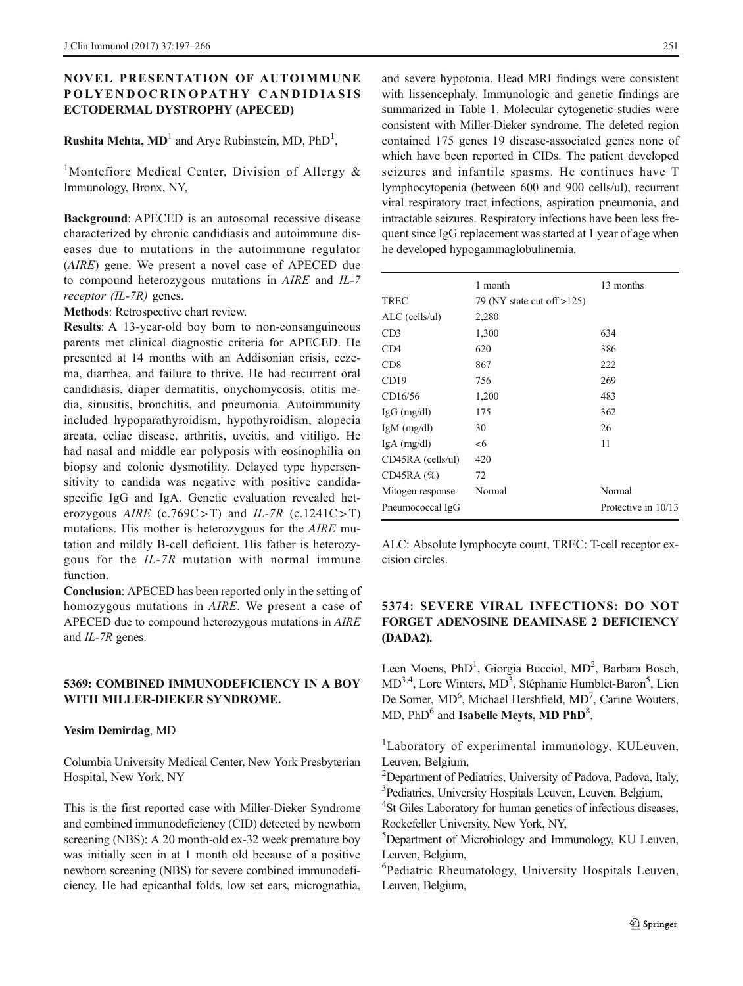### NOVEL PRESENTATION OF AUTOIMMUNE POLYENDOCRINOPATHY CANDIDIASIS ECTODERMAL DYSTROPHY (APECED)

# **Rushita Mehta, MD**<sup>1</sup> and Arye Rubinstein, MD,  $PhD<sup>1</sup>$ ,

<sup>1</sup>Montefiore Medical Center, Division of Allergy & Immunology, Bronx, NY,

Background: APECED is an autosomal recessive disease characterized by chronic candidiasis and autoimmune diseases due to mutations in the autoimmune regulator (AIRE) gene. We present a novel case of APECED due to compound heterozygous mutations in AIRE and IL-7 receptor (IL-7R) genes.

Methods: Retrospective chart review.

Results: A 13-year-old boy born to non-consanguineous parents met clinical diagnostic criteria for APECED. He presented at 14 months with an Addisonian crisis, eczema, diarrhea, and failure to thrive. He had recurrent oral candidiasis, diaper dermatitis, onychomycosis, otitis media, sinusitis, bronchitis, and pneumonia. Autoimmunity included hypoparathyroidism, hypothyroidism, alopecia areata, celiac disease, arthritis, uveitis, and vitiligo. He had nasal and middle ear polyposis with eosinophilia on biopsy and colonic dysmotility. Delayed type hypersensitivity to candida was negative with positive candidaspecific IgG and IgA. Genetic evaluation revealed heterozygous AIRE (c.769C>T) and IL-7R (c.1241C>T) mutations. His mother is heterozygous for the AIRE mutation and mildly B-cell deficient. His father is heterozygous for the IL-7R mutation with normal immune function.

Conclusion: APECED has been reported only in the setting of homozygous mutations in AIRE. We present a case of APECED due to compound heterozygous mutations in AIRE and IL-7R genes.

#### 5369: COMBINED IMMUNODEFICIENCY IN A BOY WITH MILLER-DIEKER SYNDROME.

#### Yesim Demirdag, MD

Columbia University Medical Center, New York Presbyterian Hospital, New York, NY

This is the first reported case with Miller-Dieker Syndrome and combined immunodeficiency (CID) detected by newborn screening (NBS): A 20 month-old ex-32 week premature boy was initially seen in at 1 month old because of a positive newborn screening (NBS) for severe combined immunodeficiency. He had epicanthal folds, low set ears, micrognathia,

and severe hypotonia. Head MRI findings were consistent with lissencephaly. Immunologic and genetic findings are summarized in Table 1. Molecular cytogenetic studies were consistent with Miller-Dieker syndrome. The deleted region contained 175 genes 19 disease-associated genes none of which have been reported in CIDs. The patient developed seizures and infantile spasms. He continues have T lymphocytopenia (between 600 and 900 cells/ul), recurrent viral respiratory tract infections, aspiration pneumonia, and intractable seizures. Respiratory infections have been less frequent since IgG replacement was started at 1 year of age when he developed hypogammaglobulinemia.

|                     | 1 month                       | 13 months           |
|---------------------|-------------------------------|---------------------|
| <b>TREC</b>         | 79 (NY state cut off $>125$ ) |                     |
| $ALC$ (cells/ul)    | 2,280                         |                     |
| CD3                 | 1,300                         | 634                 |
| CD4                 | 620                           | 386                 |
| CD <sub>8</sub>     | 867                           | 222                 |
| CD19                | 756                           | 269                 |
| CD16/56             | 1,200                         | 483                 |
| $IgG$ (mg/dl)       | 175                           | 362                 |
| $IgM$ (mg/dl)       | 30                            | 26                  |
| $IgA$ (mg/dl)       | $<$ 6                         | 11                  |
| $CD45RA$ (cells/ul) | 420                           |                     |
| $CD45RA$ (%)        | 72                            |                     |
| Mitogen response    | Normal                        | Normal              |
| Pneumococcal IgG    |                               | Protective in 10/13 |

ALC: Absolute lymphocyte count, TREC: T-cell receptor excision circles.

# 5374: SEVERE VIRAL INFECTIONS: DO NOT FORGET ADENOSINE DEAMINASE 2 DEFICIENCY (DADA2).

Leen Moens, PhD<sup>1</sup>, Giorgia Bucciol, MD<sup>2</sup>, Barbara Bosch, MD<sup>3,4</sup>, Lore Winters, MD<sup>3</sup>, Stéphanie Humblet-Baron<sup>5</sup>, Lien De Somer, MD<sup>6</sup>, Michael Hershfield, MD<sup>7</sup>, Carine Wouters,  $MD$ ,  $PhD<sup>6</sup>$  and Isabelle Meyts, MD PhD<sup>8</sup>,

<sup>1</sup>Laboratory of experimental immunology, KULeuven, Leuven, Belgium,

<sup>2</sup>Department of Pediatrics, University of Padova, Padova, Italy,  $3$  Pediatrics, University Hospitals Leuven, Leuven, Belgium,  $4$ St Giles I aboratory for human constitue of infectious disease

<sup>4</sup>St Giles Laboratory for human genetics of infectious diseases, Rockefeller University, New York, NY,

5 Department of Microbiology and Immunology, KU Leuven, Leuven, Belgium,

6 Pediatric Rheumatology, University Hospitals Leuven, Leuven, Belgium,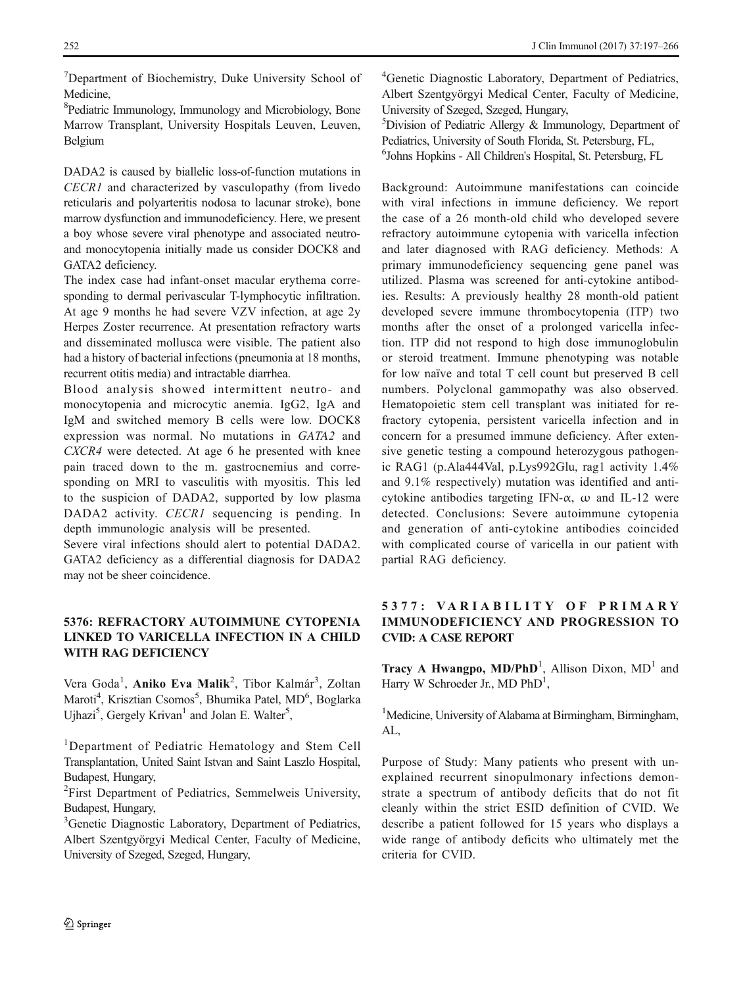<sup>7</sup>Department of Biochemistry, Duke University School of Medicine,

8 Pediatric Immunology, Immunology and Microbiology, Bone Marrow Transplant, University Hospitals Leuven, Leuven, Belgium

DADA2 is caused by biallelic loss-of-function mutations in CECR1 and characterized by vasculopathy (from livedo reticularis and polyarteritis nodosa to lacunar stroke), bone marrow dysfunction and immunodeficiency. Here, we present a boy whose severe viral phenotype and associated neutroand monocytopenia initially made us consider DOCK8 and GATA2 deficiency.

The index case had infant-onset macular erythema corresponding to dermal perivascular T-lymphocytic infiltration. At age 9 months he had severe VZV infection, at age 2y Herpes Zoster recurrence. At presentation refractory warts and disseminated mollusca were visible. The patient also had a history of bacterial infections (pneumonia at 18 months, recurrent otitis media) and intractable diarrhea.

Blood analysis showed intermittent neutro- and monocytopenia and microcytic anemia. IgG2, IgA and IgM and switched memory B cells were low. DOCK8 expression was normal. No mutations in GATA2 and CXCR4 were detected. At age 6 he presented with knee pain traced down to the m. gastrocnemius and corresponding on MRI to vasculitis with myositis. This led to the suspicion of DADA2, supported by low plasma DADA2 activity. CECR1 sequencing is pending. In depth immunologic analysis will be presented.

Severe viral infections should alert to potential DADA2. GATA2 deficiency as a differential diagnosis for DADA2 may not be sheer coincidence.

### 5376: REFRACTORY AUTOIMMUNE CYTOPENIA LINKED TO VARICELLA INFECTION IN A CHILD WITH RAG DEFICIENCY

Vera Goda<sup>1</sup>, Aniko Eva Malik<sup>2</sup>, Tibor Kalmár<sup>3</sup>, Zoltan Maroti<sup>4</sup>, Krisztian Csomos<sup>5</sup>, Bhumika Patel, MD<sup>6</sup>, Boglarka Ujhazi<sup>5</sup>, Gergely Krivan<sup>1</sup> and Jolan E. Walter<sup>5</sup>,

<sup>3</sup> Genetic Diagnostic Laboratory, Department of Pediatrics, Albert Szentgyörgyi Medical Center, Faculty of Medicine, University of Szeged, Szeged, Hungary,

4 Genetic Diagnostic Laboratory, Department of Pediatrics, Albert Szentgyörgyi Medical Center, Faculty of Medicine, University of Szeged, Szeged, Hungary,

5 Division of Pediatric Allergy & Immunology, Department of Pediatrics, University of South Florida, St. Petersburg, FL, 6 Johns Hopkins - All Children's Hospital, St. Petersburg, FL

Background: Autoimmune manifestations can coincide with viral infections in immune deficiency. We report the case of a 26 month-old child who developed severe refractory autoimmune cytopenia with varicella infection and later diagnosed with RAG deficiency. Methods: A primary immunodeficiency sequencing gene panel was utilized. Plasma was screened for anti-cytokine antibodies. Results: A previously healthy 28 month-old patient developed severe immune thrombocytopenia (ITP) two months after the onset of a prolonged varicella infection. ITP did not respond to high dose immunoglobulin or steroid treatment. Immune phenotyping was notable for low naïve and total T cell count but preserved B cell numbers. Polyclonal gammopathy was also observed. Hematopoietic stem cell transplant was initiated for refractory cytopenia, persistent varicella infection and in concern for a presumed immune deficiency. After extensive genetic testing a compound heterozygous pathogenic RAG1 (p.Ala444Val, p.Lys992Glu, rag1 activity 1.4% and 9.1% respectively) mutation was identified and anticytokine antibodies targeting IFN- $\alpha$ ,  $\omega$  and IL-12 were detected. Conclusions: Severe autoimmune cytopenia and generation of anti-cytokine antibodies coincided with complicated course of varicella in our patient with partial RAG deficiency.

# 5 3 7 7 : VA R I AB IL IT Y O F P R IM A RY IMMUNODEFICIENCY AND PROGRESSION TO CVID: A CASE REPORT

Tracy A Hwangpo,  $MD/PhD<sup>1</sup>$ , Allison Dixon,  $MD<sup>1</sup>$  and Harry W Schroeder Jr., MD PhD<sup>1</sup>,

<sup>1</sup>Medicine, University of Alabama at Birmingham, Birmingham, AL,

Purpose of Study: Many patients who present with unexplained recurrent sinopulmonary infections demonstrate a spectrum of antibody deficits that do not fit cleanly within the strict ESID definition of CVID. We describe a patient followed for 15 years who displays a wide range of antibody deficits who ultimately met the criteria for CVID.

<sup>&</sup>lt;sup>1</sup>Department of Pediatric Hematology and Stem Cell Transplantation, United Saint Istvan and Saint Laszlo Hospital, Budapest, Hungary,

<sup>&</sup>lt;sup>2</sup>First Department of Pediatrics, Semmelweis University, Budapest, Hungary,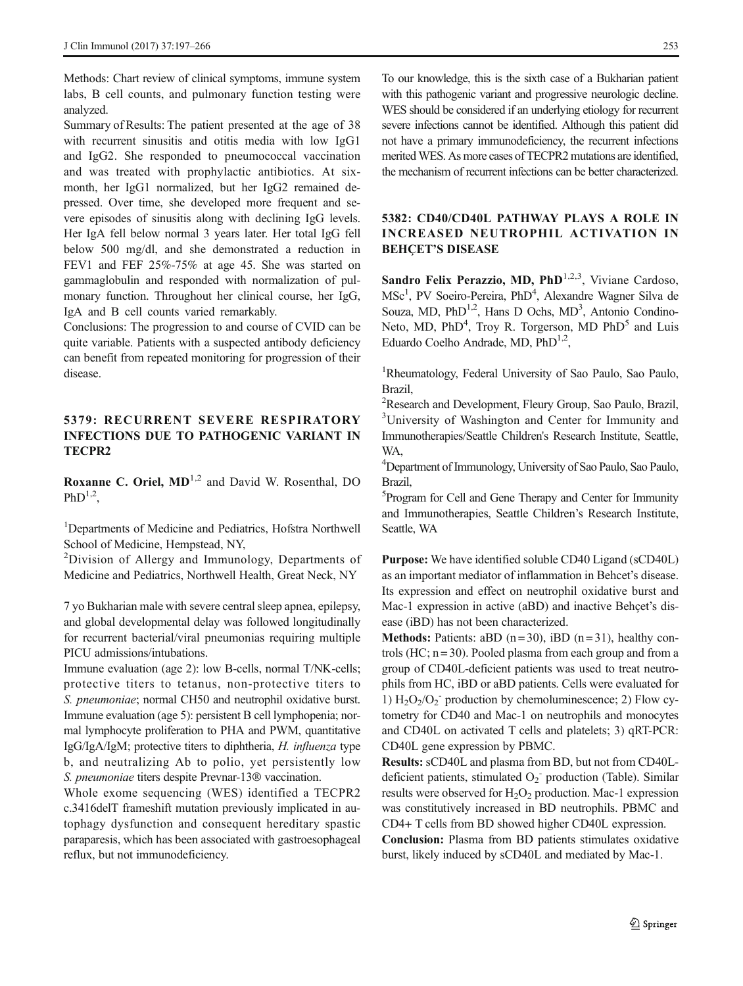Methods: Chart review of clinical symptoms, immune system labs, B cell counts, and pulmonary function testing were analyzed.

Summary of Results: The patient presented at the age of 38 with recurrent sinusitis and otitis media with low IgG1 and IgG2. She responded to pneumococcal vaccination and was treated with prophylactic antibiotics. At sixmonth, her IgG1 normalized, but her IgG2 remained depressed. Over time, she developed more frequent and severe episodes of sinusitis along with declining IgG levels. Her IgA fell below normal 3 years later. Her total IgG fell below 500 mg/dl, and she demonstrated a reduction in FEV1 and FEF 25%-75% at age 45. She was started on gammaglobulin and responded with normalization of pulmonary function. Throughout her clinical course, her IgG, IgA and B cell counts varied remarkably.

Conclusions: The progression to and course of CVID can be quite variable. Patients with a suspected antibody deficiency can benefit from repeated monitoring for progression of their disease.

### 5379: RECURRENT SEVERE RESPIRATORY INFECTIONS DUE TO PATHOGENIC VARIANT IN TECPR2

**Roxanne C. Oriel,**  $MD<sup>1,2</sup>$  **and David W. Rosenthal, DO** Ph $D^{1,2}$ .

<sup>1</sup>Departments of Medicine and Pediatrics, Hofstra Northwell School of Medicine, Hempstead, NY,

<sup>2</sup>Division of Allergy and Immunology, Departments of Medicine and Pediatrics, Northwell Health, Great Neck, NY

7 yo Bukharian male with severe central sleep apnea, epilepsy, and global developmental delay was followed longitudinally for recurrent bacterial/viral pneumonias requiring multiple PICU admissions/intubations.

Immune evaluation (age 2): low B-cells, normal T/NK-cells; protective titers to tetanus, non-protective titers to S. pneumoniae; normal CH50 and neutrophil oxidative burst. Immune evaluation (age 5): persistent B cell lymphopenia; normal lymphocyte proliferation to PHA and PWM, quantitative IgG/IgA/IgM; protective titers to diphtheria, H. influenza type b, and neutralizing Ab to polio, yet persistently low S. pneumoniae titers despite Prevnar-13® vaccination.

Whole exome sequencing (WES) identified a TECPR2 c.3416delT frameshift mutation previously implicated in autophagy dysfunction and consequent hereditary spastic paraparesis, which has been associated with gastroesophageal reflux, but not immunodeficiency.

To our knowledge, this is the sixth case of a Bukharian patient with this pathogenic variant and progressive neurologic decline. WES should be considered if an underlying etiology for recurrent severe infections cannot be identified. Although this patient did not have a primary immunodeficiency, the recurrent infections merited WES. As more cases of TECPR2 mutations are identified, the mechanism of recurrent infections can be better characterized.

### 5382: CD40/CD40L PATHWAY PLAYS A ROLE IN INCREASED NEUTROPHIL ACTIVATION IN **BEHCET'S DISEASE**

Sandro Felix Perazzio, MD,  $PhD<sup>1,2,3</sup>$ , Viviane Cardoso, MSc<sup>1</sup>, PV Soeiro-Pereira, PhD<sup>4</sup>, Alexandre Wagner Silva de Souza, MD, PhD<sup>1,2</sup>, Hans D Ochs, MD<sup>3</sup>, Antonio Condino-Neto, MD, PhD<sup>4</sup>, Troy R. Torgerson, MD PhD<sup>5</sup> and Luis Eduardo Coelho Andrade, MD, PhD<sup>1,2</sup>,

<sup>1</sup>Rheumatology, Federal University of Sao Paulo, Sao Paulo, Brazil,

<sup>2</sup>Research and Development, Fleury Group, Sao Paulo, Brazil, 3 University of Washington and Center for Immunity and Immunotherapies/Seattle Children's Research Institute, Seattle, WA,

4 Department of Immunology, University of Sao Paulo, Sao Paulo, Brazil,

5 Program for Cell and Gene Therapy and Center for Immunity and Immunotherapies, Seattle Children's Research Institute, Seattle, WA

Purpose: We have identified soluble CD40 Ligand (sCD40L) as an important mediator of inflammation in Behcet's disease. Its expression and effect on neutrophil oxidative burst and Mac-1 expression in active (aBD) and inactive Behçet's disease (iBD) has not been characterized.

Methods: Patients: aBD  $(n=30)$ , iBD  $(n=31)$ , healthy controls (HC;  $n = 30$ ). Pooled plasma from each group and from a group of CD40L-deficient patients was used to treat neutrophils from HC, iBD or aBD patients. Cells were evaluated for 1)  $H_2O_2/O_2$ <sup>-</sup> production by chemoluminescence; 2) Flow cytometry for CD40 and Mac-1 on neutrophils and monocytes and CD40L on activated T cells and platelets; 3) qRT-PCR: CD40L gene expression by PBMC.

Results: sCD40L and plasma from BD, but not from CD40Ldeficient patients, stimulated  $O_2$ <sup>-</sup> production (Table). Similar results were observed for  $H_2O_2$  production. Mac-1 expression was constitutively increased in BD neutrophils. PBMC and CD4+ T cells from BD showed higher CD40L expression. Conclusion: Plasma from BD patients stimulates oxidative burst, likely induced by sCD40L and mediated by Mac-1.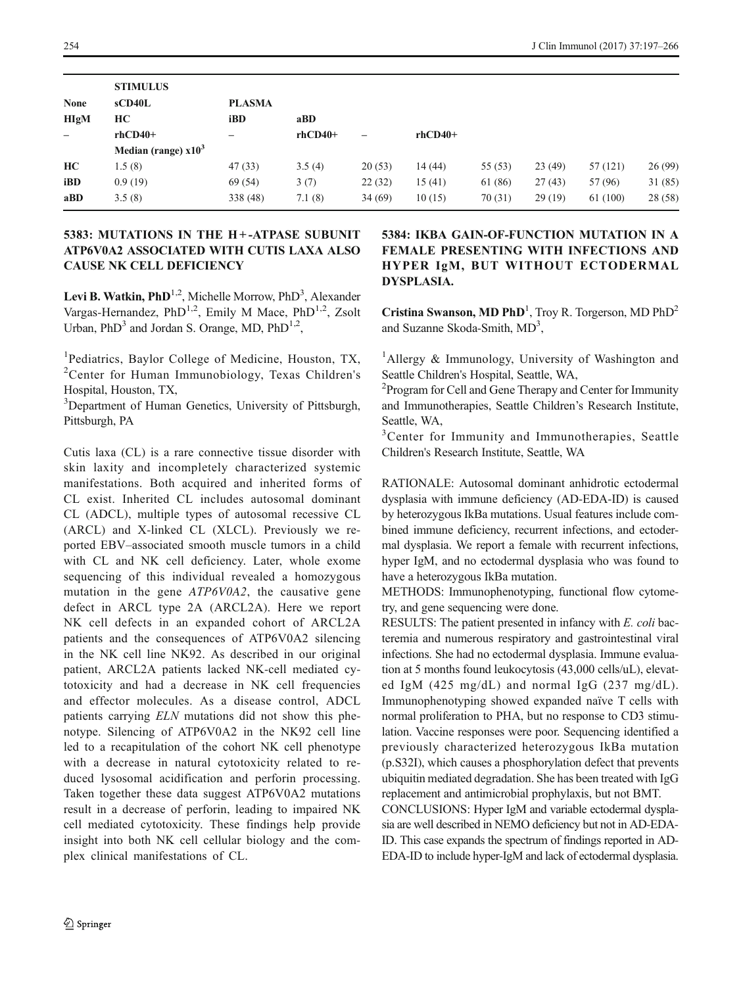|                          | <b>STIMULUS</b>       |                 |           |                          |           |         |        |          |         |
|--------------------------|-----------------------|-----------------|-----------|--------------------------|-----------|---------|--------|----------|---------|
| <b>None</b>              | sCD40L                | <b>PLASMA</b>   |           |                          |           |         |        |          |         |
| <b>HIgM</b>              | HC                    | iBD             | aBD       |                          |           |         |        |          |         |
| $\overline{\phantom{m}}$ | $rhCD40+$             | $\qquad \qquad$ | $rhCD40+$ | $\overline{\phantom{0}}$ | $rhCD40+$ |         |        |          |         |
|                          | Median (range) $x103$ |                 |           |                          |           |         |        |          |         |
| HC                       | 1.5(8)                | 47(33)          | 3.5(4)    | 20(53)                   | 14(44)    | 55(53)  | 23(49) | 57 (121) | 26(99)  |
| iBD                      | 0.9(19)               | 69 (54)         | 3(7)      | 22(32)                   | 15(41)    | 61 (86) | 27(43) | 57 (96)  | 31(85)  |
| aBD                      | 3.5(8)                | 338 (48)        | 7.1(8)    | 34(69)                   | 10(15)    | 70(31)  | 29(19) | 61 (100) | 28 (58) |

### 5383: MUTATIONS IN THE H+-ATPASE SUBUNIT ATP6V0A2 ASSOCIATED WITH CUTIS LAXA ALSO CAUSE NK CELL DEFICIENCY

Levi B. Watkin, PhD<sup>1,2</sup>, Michelle Morrow, PhD<sup>3</sup>, Alexander Vargas-Hernandez, PhD<sup>1,2</sup>, Emily M Mace, PhD<sup>1,2</sup>, Zsolt Urban,  $PhD<sup>3</sup>$  and Jordan S. Orange, MD,  $PhD<sup>1,2</sup>$ ,

<sup>1</sup>Pediatrics, Baylor College of Medicine, Houston, TX, <sup>2</sup>Center for Human Immunobiology, Texas Children's Hospital, Houston, TX,

<sup>3</sup>Department of Human Genetics, University of Pittsburgh, Pittsburgh, PA

Cutis laxa (CL) is a rare connective tissue disorder with skin laxity and incompletely characterized systemic manifestations. Both acquired and inherited forms of CL exist. Inherited CL includes autosomal dominant CL (ADCL), multiple types of autosomal recessive CL (ARCL) and X-linked CL (XLCL). Previously we reported EBV–associated smooth muscle tumors in a child with CL and NK cell deficiency. Later, whole exome sequencing of this individual revealed a homozygous mutation in the gene ATP6V0A2, the causative gene defect in ARCL type 2A (ARCL2A). Here we report NK cell defects in an expanded cohort of ARCL2A patients and the consequences of ATP6V0A2 silencing in the NK cell line NK92. As described in our original patient, ARCL2A patients lacked NK-cell mediated cytotoxicity and had a decrease in NK cell frequencies and effector molecules. As a disease control, ADCL patients carrying ELN mutations did not show this phenotype. Silencing of ATP6V0A2 in the NK92 cell line led to a recapitulation of the cohort NK cell phenotype with a decrease in natural cytotoxicity related to reduced lysosomal acidification and perforin processing. Taken together these data suggest ATP6V0A2 mutations result in a decrease of perforin, leading to impaired NK cell mediated cytotoxicity. These findings help provide insight into both NK cell cellular biology and the complex clinical manifestations of CL.

### 5384: IKBA GAIN-OF-FUNCTION MUTATION IN A FEMALE PRESENTING WITH INFECTIONS AND HYPER IgM, BUT WITHOUT ECTODERMAL DYSPLASIA.

Cristina Swanson, MD PhD<sup>1</sup>, Troy R. Torgerson, MD PhD<sup>2</sup> and Suzanne Skoda-Smith, MD<sup>3</sup>,

<sup>1</sup>Allergy & Immunology, University of Washington and Seattle Children's Hospital, Seattle, WA,

<sup>2</sup> Program for Cell and Gene Therapy and Center for Immunity and Immunotherapies, Seattle Children's Research Institute, Seattle, WA,

<sup>3</sup>Center for Immunity and Immunotherapies, Seattle Children's Research Institute, Seattle, WA

RATIONALE: Autosomal dominant anhidrotic ectodermal dysplasia with immune deficiency (AD-EDA-ID) is caused by heterozygous IkBa mutations. Usual features include combined immune deficiency, recurrent infections, and ectodermal dysplasia. We report a female with recurrent infections, hyper IgM, and no ectodermal dysplasia who was found to have a heterozygous IkBa mutation.

METHODS: Immunophenotyping, functional flow cytometry, and gene sequencing were done.

RESULTS: The patient presented in infancy with E. coli bacteremia and numerous respiratory and gastrointestinal viral infections. She had no ectodermal dysplasia. Immune evaluation at 5 months found leukocytosis (43,000 cells/uL), elevated IgM (425 mg/dL) and normal IgG (237 mg/dL). Immunophenotyping showed expanded naïve T cells with normal proliferation to PHA, but no response to CD3 stimulation. Vaccine responses were poor. Sequencing identified a previously characterized heterozygous IkBa mutation (p.S32I), which causes a phosphorylation defect that prevents ubiquitin mediated degradation. She has been treated with IgG replacement and antimicrobial prophylaxis, but not BMT.

CONCLUSIONS: Hyper IgM and variable ectodermal dysplasia are well described in NEMO deficiency but not in AD-EDA-ID. This case expands the spectrum of findings reported in AD-EDA-ID to include hyper-IgM and lack of ectodermal dysplasia.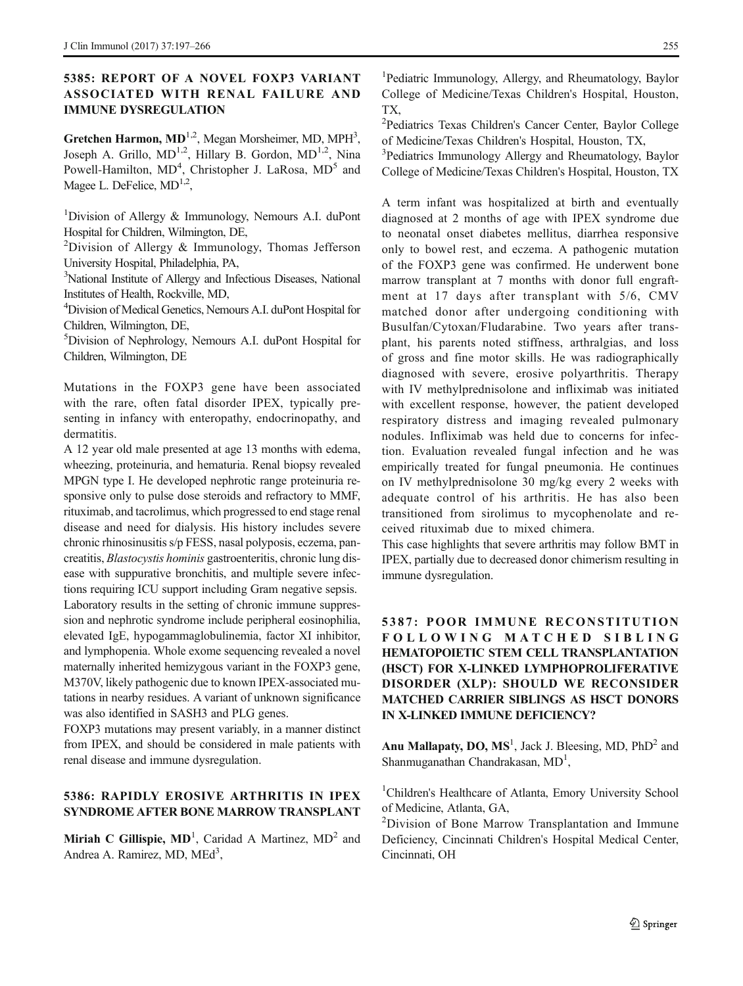### 5385: REPORT OF A NOVEL FOXP3 VARIANT ASSOCIATED WITH RENAL FAILURE AND IMMUNE DYSREGULATION

Gretchen Harmon,  $MD^{1,2}$ , Megan Morsheimer, MD, MPH<sup>3</sup>, Joseph A. Grillo,  $MD^{1,2}$ , Hillary B. Gordon,  $MD^{1,2}$ , Nina Powell-Hamilton, MD<sup>4</sup>, Christopher J. LaRosa, MD<sup>5</sup> and Magee L. DeFelice,  $MD^{1,2}$ ,

<sup>1</sup>Division of Allergy & Immunology, Nemours A.I. duPont Hospital for Children, Wilmington, DE,

<sup>2</sup>Division of Allergy & Immunology, Thomas Jefferson University Hospital, Philadelphia, PA,

3 National Institute of Allergy and Infectious Diseases, National Institutes of Health, Rockville, MD,

4 Division of Medical Genetics, Nemours A.I. duPont Hospital for Children, Wilmington, DE,

5 Division of Nephrology, Nemours A.I. duPont Hospital for Children, Wilmington, DE

Mutations in the FOXP3 gene have been associated with the rare, often fatal disorder IPEX, typically presenting in infancy with enteropathy, endocrinopathy, and dermatitis.

A 12 year old male presented at age 13 months with edema, wheezing, proteinuria, and hematuria. Renal biopsy revealed MPGN type I. He developed nephrotic range proteinuria responsive only to pulse dose steroids and refractory to MMF, rituximab, and tacrolimus, which progressed to end stage renal disease and need for dialysis. His history includes severe chronic rhinosinusitis s/p FESS, nasal polyposis, eczema, pancreatitis, Blastocystis hominis gastroenteritis, chronic lung disease with suppurative bronchitis, and multiple severe infections requiring ICU support including Gram negative sepsis. Laboratory results in the setting of chronic immune suppression and nephrotic syndrome include peripheral eosinophilia, elevated IgE, hypogammaglobulinemia, factor XI inhibitor, and lymphopenia. Whole exome sequencing revealed a novel maternally inherited hemizygous variant in the FOXP3 gene, M370V, likely pathogenic due to known IPEX-associated mutations in nearby residues. A variant of unknown significance was also identified in SASH3 and PLG genes.

FOXP3 mutations may present variably, in a manner distinct from IPEX, and should be considered in male patients with renal disease and immune dysregulation.

### 5386: RAPIDLY EROSIVE ARTHRITIS IN IPEX SYNDROME AFTER BONE MARROW TRANSPLANT

Miriah C Gillispie,  $MD<sup>1</sup>$ , Caridad A Martinez,  $MD<sup>2</sup>$  and Andrea A. Ramirez, MD, MEd<sup>3</sup>,

<sup>1</sup>Pediatric Immunology, Allergy, and Rheumatology, Baylor College of Medicine/Texas Children's Hospital, Houston, TX,

2 Pediatrics Texas Children's Cancer Center, Baylor College of Medicine/Texas Children's Hospital, Houston, TX,

<sup>3</sup>Pediatrics Immunology Allergy and Rheumatology, Baylor College of Medicine/Texas Children's Hospital, Houston, TX

A term infant was hospitalized at birth and eventually diagnosed at 2 months of age with IPEX syndrome due to neonatal onset diabetes mellitus, diarrhea responsive only to bowel rest, and eczema. A pathogenic mutation of the FOXP3 gene was confirmed. He underwent bone marrow transplant at 7 months with donor full engraftment at 17 days after transplant with 5/6, CMV matched donor after undergoing conditioning with Busulfan/Cytoxan/Fludarabine. Two years after transplant, his parents noted stiffness, arthralgias, and loss of gross and fine motor skills. He was radiographically diagnosed with severe, erosive polyarthritis. Therapy with IV methylprednisolone and infliximab was initiated with excellent response, however, the patient developed respiratory distress and imaging revealed pulmonary nodules. Infliximab was held due to concerns for infection. Evaluation revealed fungal infection and he was empirically treated for fungal pneumonia. He continues on IV methylprednisolone 30 mg/kg every 2 weeks with adequate control of his arthritis. He has also been transitioned from sirolimus to mycophenolate and received rituximab due to mixed chimera.

This case highlights that severe arthritis may follow BMT in IPEX, partially due to decreased donor chimerism resulting in immune dysregulation.

# 5387: POOR IMMUNE RECONSTITUTION FOLLOWING MATCHED SIBLING HEMATOPOIETIC STEM CELL TRANSPLANTATION (HSCT) FOR X-LINKED LYMPHOPROLIFERATIVE DISORDER (XLP): SHOULD WE RECONSIDER MATCHED CARRIER SIBLINGS AS HSCT DONORS IN X-LINKED IMMUNE DEFICIENCY?

Anu Mallapaty, DO,  $MS<sup>1</sup>$ , Jack J. Bleesing, MD,  $PhD<sup>2</sup>$  and Shanmuganathan Chandrakasan, MD<sup>1</sup>,

<sup>1</sup>Children's Healthcare of Atlanta, Emory University School of Medicine, Atlanta, GA,

<sup>2</sup>Division of Bone Marrow Transplantation and Immune Deficiency, Cincinnati Children's Hospital Medical Center, Cincinnati, OH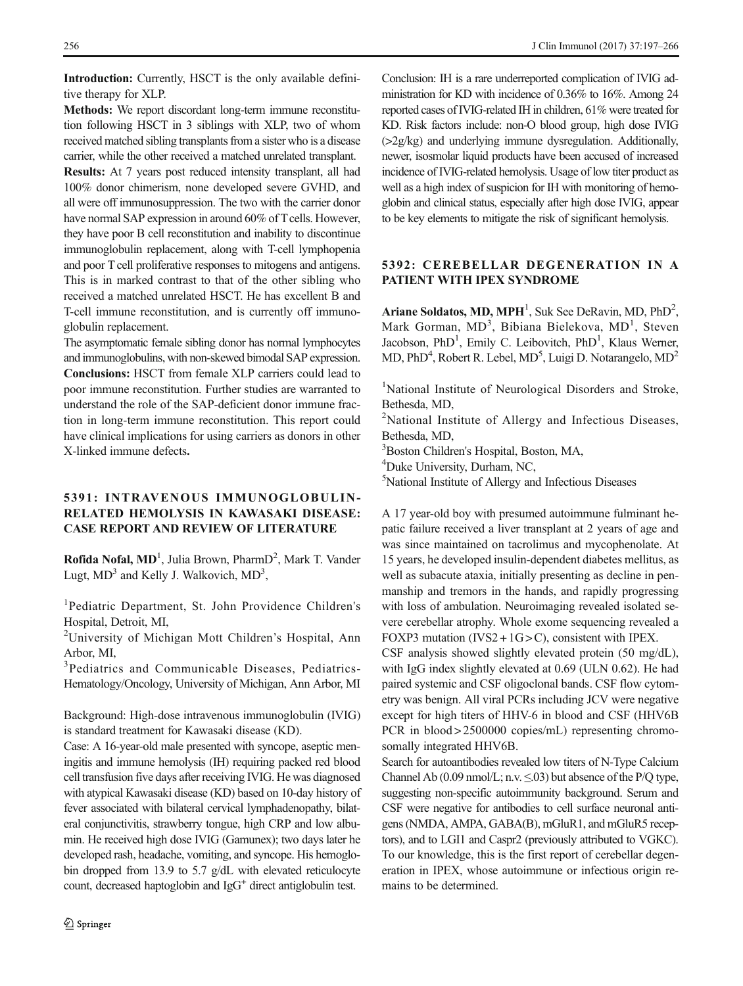Introduction: Currently, HSCT is the only available definitive therapy for XLP.

Methods: We report discordant long-term immune reconstitution following HSCT in 3 siblings with XLP, two of whom received matched sibling transplants from a sister who is a disease carrier, while the other received a matched unrelated transplant. Results: At 7 years post reduced intensity transplant, all had 100% donor chimerism, none developed severe GVHD, and all were off immunosuppression. The two with the carrier donor have normal SAP expression in around 60% of T cells. However, they have poor B cell reconstitution and inability to discontinue immunoglobulin replacement, along with T-cell lymphopenia and poor T cell proliferative responses to mitogens and antigens. This is in marked contrast to that of the other sibling who received a matched unrelated HSCT. He has excellent B and T-cell immune reconstitution, and is currently off immuno-

globulin replacement. The asymptomatic female sibling donor has normal lymphocytes and immunoglobulins, with non-skewed bimodal SAP expression. Conclusions: HSCT from female XLP carriers could lead to poor immune reconstitution. Further studies are warranted to understand the role of the SAP-deficient donor immune fraction in long-term immune reconstitution. This report could have clinical implications for using carriers as donors in other X-linked immune defects.

### 5391: INTRAVENOUS IMMUNOGLOBULIN-RELATED HEMOLYSIS IN KAWASAKI DISEASE: CASE REPORT AND REVIEW OF LITERATURE

Rofida Nofal, MD<sup>1</sup>, Julia Brown, PharmD<sup>2</sup>, Mark T. Vander Lugt,  $MD<sup>3</sup>$  and Kelly J. Walkovich,  $MD<sup>3</sup>$ ,

<sup>1</sup>Pediatric Department, St. John Providence Children's Hospital, Detroit, MI,

<sup>2</sup>University of Michigan Mott Children's Hospital, Ann Arbor, MI,

3 Pediatrics and Communicable Diseases, Pediatrics-Hematology/Oncology, University of Michigan, Ann Arbor, MI

Background: High-dose intravenous immunoglobulin (IVIG) is standard treatment for Kawasaki disease (KD).

Case: A 16-year-old male presented with syncope, aseptic meningitis and immune hemolysis (IH) requiring packed red blood cell transfusion five days after receiving IVIG. He was diagnosed with atypical Kawasaki disease (KD) based on 10-day history of fever associated with bilateral cervical lymphadenopathy, bilateral conjunctivitis, strawberry tongue, high CRP and low albumin. He received high dose IVIG (Gamunex); two days later he developed rash, headache, vomiting, and syncope. His hemoglobin dropped from 13.9 to 5.7 g/dL with elevated reticulocyte count, decreased haptoglobin and IgG<sup>+</sup> direct antiglobulin test.

Conclusion: IH is a rare underreported complication of IVIG administration for KD with incidence of 0.36% to 16%. Among 24 reported cases of IVIG-related IH in children, 61% were treated for KD. Risk factors include: non-O blood group, high dose IVIG (>2g/kg) and underlying immune dysregulation. Additionally, newer, isosmolar liquid products have been accused of increased incidence of IVIG-related hemolysis. Usage of low titer product as well as a high index of suspicion for IH with monitoring of hemoglobin and clinical status, especially after high dose IVIG, appear to be key elements to mitigate the risk of significant hemolysis.

### 5392: CEREBELLAR DEGENERATION IN A PATIENT WITH IPEX SYNDROME

Ariane Soldatos, MD, MPH<sup>1</sup>, Suk See DeRavin, MD,  $PhD<sup>2</sup>$ , Mark Gorman, MD<sup>3</sup>, Bibiana Bielekova, MD<sup>1</sup>, Steven Jacobson, PhD<sup>1</sup>, Emily C. Leibovitch, PhD<sup>1</sup>, Klaus Werner, MD, PhD<sup>4</sup>, Robert R. Lebel, MD<sup>5</sup>, Luigi D. Notarangelo, MD<sup>2</sup>

<sup>1</sup>National Institute of Neurological Disorders and Stroke, Bethesda, MD,

<sup>2</sup>National Institute of Allergy and Infectious Diseases, Bethesda, MD,

3 Boston Children's Hospital, Boston, MA,

4 Duke University, Durham, NC,

5 National Institute of Allergy and Infectious Diseases

A 17 year-old boy with presumed autoimmune fulminant hepatic failure received a liver transplant at 2 years of age and was since maintained on tacrolimus and mycophenolate. At 15 years, he developed insulin-dependent diabetes mellitus, as well as subacute ataxia, initially presenting as decline in penmanship and tremors in the hands, and rapidly progressing with loss of ambulation. Neuroimaging revealed isolated severe cerebellar atrophy. Whole exome sequencing revealed a FOXP3 mutation (IVS2 +  $1G > C$ ), consistent with IPEX.

CSF analysis showed slightly elevated protein (50 mg/dL), with IgG index slightly elevated at 0.69 (ULN 0.62). He had paired systemic and CSF oligoclonal bands. CSF flow cytometry was benign. All viral PCRs including JCV were negative except for high titers of HHV-6 in blood and CSF (HHV6B PCR in blood > 2500000 copies/mL) representing chromosomally integrated HHV6B.

Search for autoantibodies revealed low titers of N-Type Calcium Channel Ab  $(0.09 \text{ nmol/L}; \text{n.v.} \le 0.03)$  but absence of the P/Q type, suggesting non-specific autoimmunity background. Serum and CSF were negative for antibodies to cell surface neuronal antigens (NMDA, AMPA, GABA(B), mGluR1, and mGluR5 receptors), and to LGI1 and Caspr2 (previously attributed to VGKC). To our knowledge, this is the first report of cerebellar degeneration in IPEX, whose autoimmune or infectious origin remains to be determined.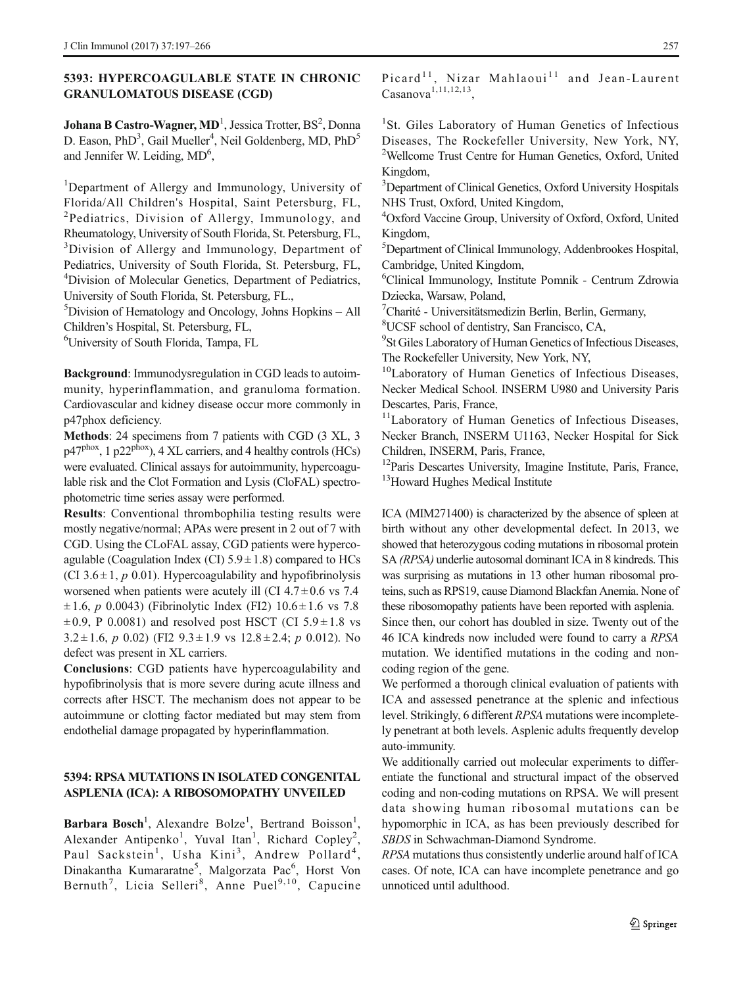### 5393: HYPERCOAGULABLE STATE IN CHRONIC GRANULOMATOUS DISEASE (CGD)

Johana B Castro-Wagner,  $MD<sup>1</sup>$ , Jessica Trotter, BS<sup>2</sup>, Donna D. Eason, PhD<sup>3</sup>, Gail Mueller<sup>4</sup>, Neil Goldenberg, MD, PhD<sup>5</sup> and Jennifer W. Leiding, MD<sup>6</sup>,

<sup>1</sup>Department of Allergy and Immunology, University of Florida/All Children's Hospital, Saint Petersburg, FL, <sup>2</sup>Pediatrics, Division of Allergy, Immunology, and Rheumatology, University of South Florida, St. Petersburg, FL, <sup>3</sup>Division of Allergy and Immunology, Department of Pediatrics, University of South Florida, St. Petersburg, FL, 4 Division of Molecular Genetics, Department of Pediatrics, University of South Florida, St. Petersburg, FL.,

5 Division of Hematology and Oncology, Johns Hopkins – All Children's Hospital, St. Petersburg, FL,

6 University of South Florida, Tampa, FL

Background: Immunodysregulation in CGD leads to autoimmunity, hyperinflammation, and granuloma formation. Cardiovascular and kidney disease occur more commonly in p47phox deficiency.

Methods: 24 specimens from 7 patients with CGD (3 XL, 3  $p47<sup>phox</sup>$ , 1 p22<sup>phox</sup>), 4 XL carriers, and 4 healthy controls (HCs) were evaluated. Clinical assays for autoimmunity, hypercoagulable risk and the Clot Formation and Lysis (CloFAL) spectrophotometric time series assay were performed.

Results: Conventional thrombophilia testing results were mostly negative/normal; APAs were present in 2 out of 7 with CGD. Using the CLoFAL assay, CGD patients were hypercoagulable (Coagulation Index (CI)  $5.9 \pm 1.8$ ) compared to HCs (CI 3.6 $\pm$ 1, p 0.01). Hypercoagulability and hypofibrinolysis worsened when patients were acutely ill (CI  $4.7 \pm 0.6$  vs 7.4  $\pm 1.6$ , p 0.0043) (Fibrinolytic Index (FI2)  $10.6 \pm 1.6$  vs 7.8  $\pm 0.9$ , P 0.0081) and resolved post HSCT (CI 5.9 $\pm 1.8$  vs  $3.2 \pm 1.6$ , p 0.02) (FI2  $9.3 \pm 1.9$  vs  $12.8 \pm 2.4$ ; p 0.012). No defect was present in XL carriers.

Conclusions: CGD patients have hypercoagulability and hypofibrinolysis that is more severe during acute illness and corrects after HSCT. The mechanism does not appear to be autoimmune or clotting factor mediated but may stem from endothelial damage propagated by hyperinflammation.

### 5394: RPSA MUTATIONS IN ISOLATED CONGENITAL ASPLENIA (ICA): A RIBOSOMOPATHY UNVEILED

Barbara Bosch<sup>1</sup>, Alexandre Bolze<sup>1</sup>, Bertrand Boisson<sup>1</sup>, Alexander Antipenko<sup>1</sup>, Yuval Itan<sup>1</sup>, Richard Copley<sup>2</sup>, Paul Sackstein<sup>1</sup>, Usha Kini<sup>3</sup>, Andrew Pollard<sup>4</sup>, Dinakantha Kumararatne<sup>5</sup>, Malgorzata Pac<sup>6</sup>, Horst Von Bernuth<sup>7</sup>, Licia Selleri<sup>8</sup>, Anne Puel<sup>9,10</sup>, Capucine Picard<sup>11</sup>, Nizar Mahlaoui<sup>11</sup> and Jean-Laurent  $Casanova<sup>1,11,12,13</sup>$ 

<sup>1</sup>St. Giles Laboratory of Human Genetics of Infectious Diseases, The Rockefeller University, New York, NY, 2 Wellcome Trust Centre for Human Genetics, Oxford, United Kingdom,

<sup>3</sup>Department of Clinical Genetics, Oxford University Hospitals NHS Trust, Oxford, United Kingdom,

4 Oxford Vaccine Group, University of Oxford, Oxford, United Kingdom,

5 Department of Clinical Immunology, Addenbrookes Hospital, Cambridge, United Kingdom,

6 Clinical Immunology, Institute Pomnik - Centrum Zdrowia Dziecka, Warsaw, Poland,

7 Charité - Universitätsmedizin Berlin, Berlin, Germany,

8 UCSF school of dentistry, San Francisco, CA,

<sup>9</sup>St Giles Laboratory of Human Genetics of Infectious Diseases, The Rockefeller University, New York, NY,

<sup>10</sup>Laboratory of Human Genetics of Infectious Diseases, Necker Medical School. INSERM U980 and University Paris Descartes, Paris, France,

<sup>11</sup>Laboratory of Human Genetics of Infectious Diseases, Necker Branch, INSERM U1163, Necker Hospital for Sick Children, INSERM, Paris, France,

<sup>12</sup>Paris Descartes University, Imagine Institute, Paris, France, <sup>13</sup>Howard Hughes Medical Institute

ICA (MIM271400) is characterized by the absence of spleen at birth without any other developmental defect. In 2013, we showed that heterozygous coding mutations in ribosomal protein SA (RPSA) underlie autosomal dominant ICA in 8 kindreds. This was surprising as mutations in 13 other human ribosomal proteins, such as RPS19, cause Diamond Blackfan Anemia. None of these ribosomopathy patients have been reported with asplenia. Since then, our cohort has doubled in size. Twenty out of the

46 ICA kindreds now included were found to carry a RPSA mutation. We identified mutations in the coding and noncoding region of the gene.

We performed a thorough clinical evaluation of patients with ICA and assessed penetrance at the splenic and infectious level. Strikingly, 6 different RPSA mutations were incompletely penetrant at both levels. Asplenic adults frequently develop auto-immunity.

We additionally carried out molecular experiments to differentiate the functional and structural impact of the observed coding and non-coding mutations on RPSA. We will present data showing human ribosomal mutations can be hypomorphic in ICA, as has been previously described for SBDS in Schwachman-Diamond Syndrome.

RPSA mutations thus consistently underlie around half of ICA cases. Of note, ICA can have incomplete penetrance and go unnoticed until adulthood.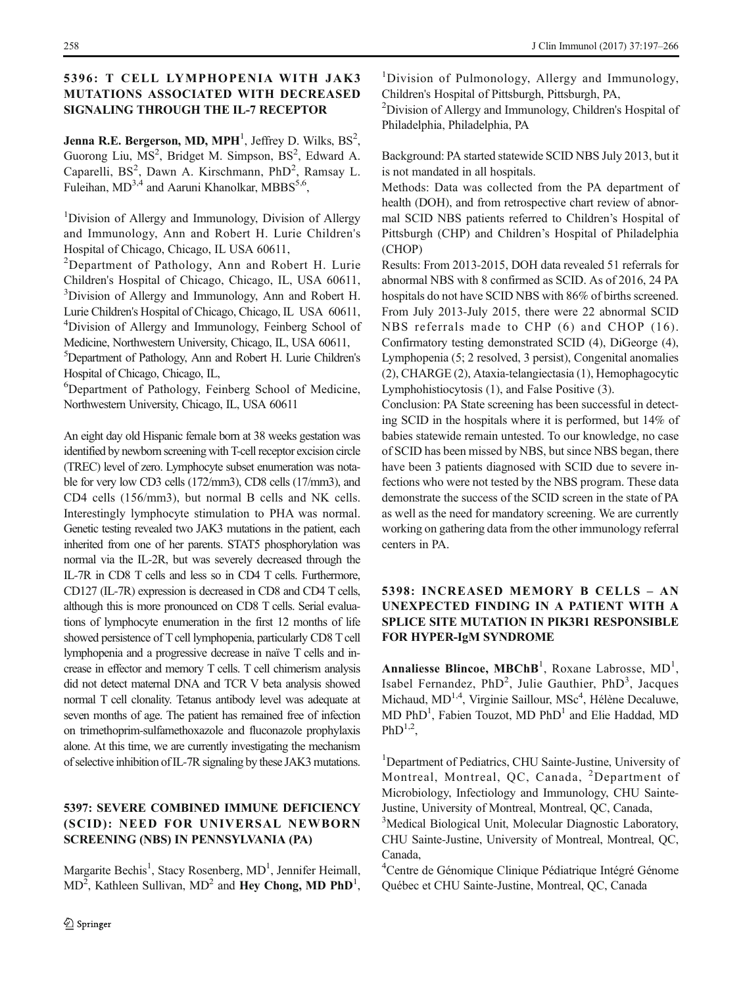### 5396: T CELL LYMPHOPENIA WITH JAK3 MUTATIONS ASSOCIATED WITH DECREASED SIGNALING THROUGH THE IL-7 RECEPTOR

Jenna R.E. Bergerson, MD, MPH<sup>1</sup>, Jeffrey D. Wilks,  $BS^2$ , Guorong Liu, MS<sup>2</sup>, Bridget M. Simpson, BS<sup>2</sup>, Edward A. Caparelli, BS<sup>2</sup>, Dawn A. Kirschmann, PhD<sup>2</sup>, Ramsay L. Fuleihan, MD<sup>3,4</sup> and Aaruni Khanolkar, MBBS<sup>5,6</sup>,

<sup>1</sup>Division of Allergy and Immunology, Division of Allergy and Immunology, Ann and Robert H. Lurie Children's Hospital of Chicago, Chicago, IL USA 60611,

<sup>2</sup>Department of Pathology, Ann and Robert H. Lurie Children's Hospital of Chicago, Chicago, IL, USA 60611, <sup>3</sup>Division of Allergy and Immunology, Ann and Robert H. Lurie Children's Hospital of Chicago, Chicago, IL USA 60611, <sup>4</sup>Division of Allergy and Immunology, Feinberg School of Medicine, Northwestern University, Chicago, IL, USA 60611,

5 Department of Pathology, Ann and Robert H. Lurie Children's Hospital of Chicago, Chicago, IL,

6 Department of Pathology, Feinberg School of Medicine, Northwestern University, Chicago, IL, USA 60611

An eight day old Hispanic female born at 38 weeks gestation was identified by newborn screening with T-cell receptor excision circle (TREC) level of zero. Lymphocyte subset enumeration was notable for very low CD3 cells (172/mm3), CD8 cells (17/mm3), and CD4 cells (156/mm3), but normal B cells and NK cells. Interestingly lymphocyte stimulation to PHA was normal. Genetic testing revealed two JAK3 mutations in the patient, each inherited from one of her parents. STAT5 phosphorylation was normal via the IL-2R, but was severely decreased through the IL-7R in CD8 T cells and less so in CD4 T cells. Furthermore, CD127 (IL-7R) expression is decreased in CD8 and CD4 T cells, although this is more pronounced on CD8 T cells. Serial evaluations of lymphocyte enumeration in the first 12 months of life showed persistence of T cell lymphopenia, particularly CD8 T cell lymphopenia and a progressive decrease in naïve T cells and increase in effector and memory T cells. T cell chimerism analysis did not detect maternal DNA and TCR V beta analysis showed normal T cell clonality. Tetanus antibody level was adequate at seven months of age. The patient has remained free of infection on trimethoprim-sulfamethoxazole and fluconazole prophylaxis alone. At this time, we are currently investigating the mechanism of selective inhibition of IL-7R signaling by these JAK3 mutations.

### 5397: SEVERE COMBINED IMMUNE DEFICIENCY (SCID): NEED FOR UNIVERSAL NEWBORN SCREENING (NBS) IN PENNSYLVANIA (PA)

Margarite Bechis<sup>1</sup>, Stacy Rosenberg, MD<sup>1</sup>, Jennifer Heimall,  $MD<sup>2</sup>$ , Kathleen Sullivan,  $MD<sup>2</sup>$  and Hey Chong, MD PhD<sup>1</sup>,

258 J Clin Immunol (2017) 37:197–266

<sup>1</sup>Division of Pulmonology, Allergy and Immunology, Children's Hospital of Pittsburgh, Pittsburgh, PA,

<sup>2</sup>Division of Allergy and Immunology, Children's Hospital of Philadelphia, Philadelphia, PA

Background: PA started statewide SCID NBS July 2013, but it is not mandated in all hospitals.

Methods: Data was collected from the PA department of health (DOH), and from retrospective chart review of abnormal SCID NBS patients referred to Children's Hospital of Pittsburgh (CHP) and Children's Hospital of Philadelphia (CHOP)

Results: From 2013-2015, DOH data revealed 51 referrals for abnormal NBS with 8 confirmed as SCID. As of 2016, 24 PA hospitals do not have SCID NBS with 86% of births screened. From July 2013-July 2015, there were 22 abnormal SCID NBS referrals made to CHP (6) and CHOP (16). Confirmatory testing demonstrated SCID (4), DiGeorge (4), Lymphopenia (5; 2 resolved, 3 persist), Congenital anomalies (2), CHARGE (2), Ataxia-telangiectasia (1), Hemophagocytic Lymphohistiocytosis (1), and False Positive (3).

Conclusion: PA State screening has been successful in detecting SCID in the hospitals where it is performed, but 14% of babies statewide remain untested. To our knowledge, no case of SCID has been missed by NBS, but since NBS began, there have been 3 patients diagnosed with SCID due to severe infections who were not tested by the NBS program. These data demonstrate the success of the SCID screen in the state of PA as well as the need for mandatory screening. We are currently working on gathering data from the other immunology referral centers in PA.

# 5398: INCREASED MEMORY B CELLS – AN UNEXPECTED FINDING IN A PATIENT WITH A SPLICE SITE MUTATION IN PIK3R1 RESPONSIBLE FOR HYPER-IgM SYNDROME

Annaliesse Blincoe, MBChB<sup>1</sup>, Roxane Labrosse, MD<sup>1</sup>, Isabel Fernandez, PhD<sup>2</sup>, Julie Gauthier, PhD<sup>3</sup>, Jacques Michaud, MD<sup>1,4</sup>, Virginie Saillour, MSc<sup>4</sup>, Hélène Decaluwe, MD PhD<sup>1</sup>, Fabien Touzot, MD PhD<sup>1</sup> and Elie Haddad, MD  $PhD^{1,2}$ .

<sup>1</sup>Department of Pediatrics, CHU Sainte-Justine, University of Montreal, Montreal, QC, Canada, <sup>2</sup>Department of Microbiology, Infectiology and Immunology, CHU Sainte-Justine, University of Montreal, Montreal, QC, Canada,

<sup>3</sup>Medical Biological Unit, Molecular Diagnostic Laboratory, CHU Sainte-Justine, University of Montreal, Montreal, QC, Canada,

4 Centre de Génomique Clinique Pédiatrique Intégré Génome Québec et CHU Sainte-Justine, Montreal, QC, Canada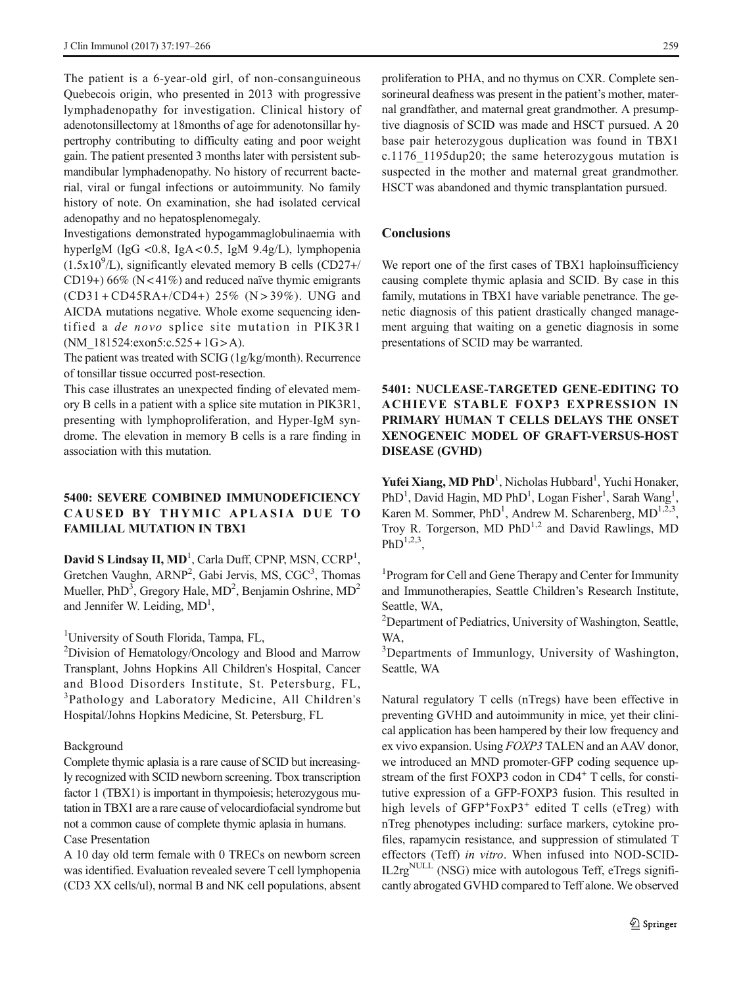The patient is a 6-year-old girl, of non-consanguineous Quebecois origin, who presented in 2013 with progressive lymphadenopathy for investigation. Clinical history of adenotonsillectomy at 18months of age for adenotonsillar hypertrophy contributing to difficulty eating and poor weight gain. The patient presented 3 months later with persistent submandibular lymphadenopathy. No history of recurrent bacterial, viral or fungal infections or autoimmunity. No family history of note. On examination, she had isolated cervical adenopathy and no hepatosplenomegaly.

Investigations demonstrated hypogammaglobulinaemia with hyperIgM (IgG <0.8, IgA < 0.5, IgM 9.4g/L), lymphopenia  $(1.5x10<sup>9</sup>/L)$ , significantly elevated memory B cells  $(CD27+)$ CD19+)  $66\%$  (N < 41%) and reduced naïve thymic emigrants (CD31 + CD45RA+/CD4+) 25% (N > 39%). UNG and AICDA mutations negative. Whole exome sequencing identified a de novo splice site mutation in PIK3R1 (NM  $181524:exon5:c.525 + 1G > A$ ).

The patient was treated with SCIG (1g/kg/month). Recurrence of tonsillar tissue occurred post-resection.

This case illustrates an unexpected finding of elevated memory B cells in a patient with a splice site mutation in PIK3R1, presenting with lymphoproliferation, and Hyper-IgM syndrome. The elevation in memory B cells is a rare finding in association with this mutation.

### 5400: SEVERE COMBINED IMMUNODEFICIENCY CAUSED BY THYMIC APLASIA DUE TO FAMILIAL MUTATION IN TBX1

David S Lindsay II,  $MD<sup>1</sup>$ , Carla Duff, CPNP, MSN, CCRP<sup>1</sup>, Gretchen Vaughn, ARNP<sup>2</sup>, Gabi Jervis, MS, CGC<sup>3</sup>, Thomas Mueller, PhD<sup>3</sup>, Gregory Hale, MD<sup>2</sup>, Benjamin Oshrine, MD<sup>2</sup> and Jennifer W. Leiding, MD<sup>1</sup>,

<sup>1</sup>University of South Florida, Tampa, FL,

<sup>2</sup>Division of Hematology/Oncology and Blood and Marrow Transplant, Johns Hopkins All Children's Hospital, Cancer and Blood Disorders Institute, St. Petersburg, FL, <sup>3</sup>Pathology and Laboratory Medicine, All Children's Hospital/Johns Hopkins Medicine, St. Petersburg, FL

#### Background

Complete thymic aplasia is a rare cause of SCID but increasingly recognized with SCID newborn screening. Tbox transcription factor 1 (TBX1) is important in thympoiesis; heterozygous mutation in TBX1 are a rare cause of velocardiofacial syndrome but not a common cause of complete thymic aplasia in humans. Case Presentation

A 10 day old term female with 0 TRECs on newborn screen was identified. Evaluation revealed severe T cell lymphopenia (CD3 XX cells/ul), normal B and NK cell populations, absent proliferation to PHA, and no thymus on CXR. Complete sensorineural deafness was present in the patient's mother, maternal grandfather, and maternal great grandmother. A presumptive diagnosis of SCID was made and HSCT pursued. A 20 base pair heterozygous duplication was found in TBX1 c.1176\_1195dup20; the same heterozygous mutation is suspected in the mother and maternal great grandmother. HSCT was abandoned and thymic transplantation pursued.

#### **Conclusions**

We report one of the first cases of TBX1 haploinsufficiency causing complete thymic aplasia and SCID. By case in this family, mutations in TBX1 have variable penetrance. The genetic diagnosis of this patient drastically changed management arguing that waiting on a genetic diagnosis in some presentations of SCID may be warranted.

### 5401: NUCLEASE-TARGETED GENE-EDITING TO ACHIEVE STABLE FOXP3 EXPRESSION IN PRIMARY HUMAN T CELLS DELAYS THE ONSET XENOGENEIC MODEL OF GRAFT-VERSUS-HOST DISEASE (GVHD)

Yufei Xiang, MD PhD<sup>1</sup>, Nicholas Hubbard<sup>1</sup>, Yuchi Honaker, PhD<sup>1</sup>, David Hagin, MD PhD<sup>1</sup>, Logan Fisher<sup>1</sup>, Sarah Wang<sup>1</sup>, Karen M. Sommer, PhD<sup>1</sup>, Andrew M. Scharenberg, MD<sup>1,2,3</sup>, Troy R. Torgerson, MD  $PhD^{1,2}$  and David Rawlings, MD  $PhD<sup>1,2,3</sup>$ 

<sup>1</sup> Program for Cell and Gene Therapy and Center for Immunity and Immunotherapies, Seattle Children's Research Institute, Seattle, WA,

<sup>2</sup>Department of Pediatrics, University of Washington, Seattle, WA,

3 Departments of Immunlogy, University of Washington, Seattle, WA

Natural regulatory T cells (nTregs) have been effective in preventing GVHD and autoimmunity in mice, yet their clinical application has been hampered by their low frequency and ex vivo expansion. Using FOXP3 TALEN and an AAV donor, we introduced an MND promoter-GFP coding sequence upstream of the first FOXP3 codon in CD4<sup>+</sup> T cells, for constitutive expression of a GFP-FOXP3 fusion. This resulted in high levels of GFP<sup>+</sup>FoxP3<sup>+</sup> edited T cells (eTreg) with nTreg phenotypes including: surface markers, cytokine profiles, rapamycin resistance, and suppression of stimulated T effectors (Teff) in vitro. When infused into NOD-SCID- $IL2rg<sup>NULL</sup>$  (NSG) mice with autologous Teff, eTregs significantly abrogated GVHD compared to Teff alone. We observed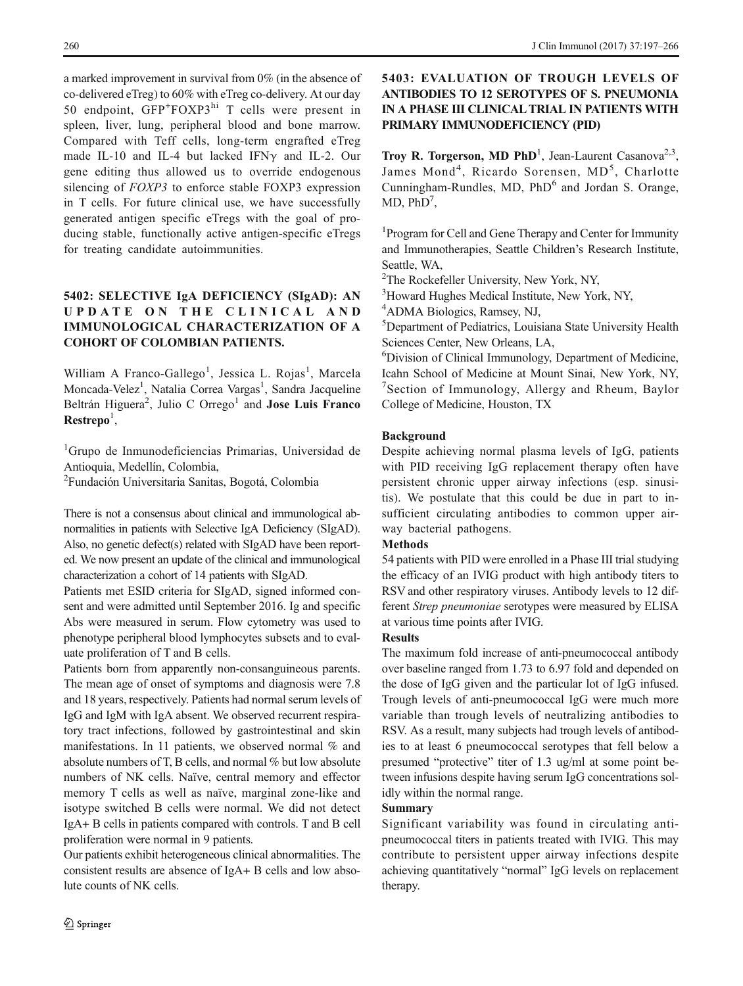a marked improvement in survival from 0% (in the absence of co-delivered eTreg) to 60% with eTreg co-delivery. At our day 50 endpoint, GFP<sup>+</sup>FOXP3<sup>hi</sup> T cells were present in spleen, liver, lung, peripheral blood and bone marrow. Compared with Teff cells, long-term engrafted eTreg made IL-10 and IL-4 but lacked IFNγ and IL-2. Our gene editing thus allowed us to override endogenous silencing of *FOXP3* to enforce stable FOXP3 expression in T cells. For future clinical use, we have successfully generated antigen specific eTregs with the goal of producing stable, functionally active antigen-specific eTregs for treating candidate autoimmunities.

# 5402: SELECTIVE IgA DEFICIENCY (SIgAD): AN UPDATE ON THE CLINICAL AND IMMUNOLOGICAL CHARACTERIZATION OF A COHORT OF COLOMBIAN PATIENTS.

William A Franco-Gallego<sup>1</sup>, Jessica L. Rojas<sup>1</sup>, Marcela Moncada-Velez<sup>1</sup>, Natalia Correa Vargas<sup>1</sup>, Sandra Jacqueline Beltrán Higuera<sup>2</sup>, Julio C Orrego<sup>1</sup> and **Jose Luis Franco**  $\textbf{Restrepo}^1,$ 

<sup>1</sup>Grupo de Inmunodeficiencias Primarias, Universidad de Antioquia, Medellín, Colombia, 2 Fundación Universitaria Sanitas, Bogotá, Colombia

There is not a consensus about clinical and immunological abnormalities in patients with Selective IgA Deficiency (SIgAD). Also, no genetic defect(s) related with SIgAD have been reported. We now present an update of the clinical and immunological characterization a cohort of 14 patients with SIgAD.

Patients met ESID criteria for SIgAD, signed informed consent and were admitted until September 2016. Ig and specific Abs were measured in serum. Flow cytometry was used to phenotype peripheral blood lymphocytes subsets and to evaluate proliferation of T and B cells.

Patients born from apparently non-consanguineous parents. The mean age of onset of symptoms and diagnosis were 7.8 and 18 years, respectively. Patients had normal serum levels of IgG and IgM with IgA absent. We observed recurrent respiratory tract infections, followed by gastrointestinal and skin manifestations. In 11 patients, we observed normal % and absolute numbers of T, B cells, and normal % but low absolute numbers of NK cells. Naïve, central memory and effector memory T cells as well as naïve, marginal zone-like and isotype switched B cells were normal. We did not detect IgA+ B cells in patients compared with controls. T and B cell proliferation were normal in 9 patients.

Our patients exhibit heterogeneous clinical abnormalities. The consistent results are absence of IgA+ B cells and low absolute counts of NK cells.

5403: EVALUATION OF TROUGH LEVELS OF ANTIBODIES TO 12 SEROTYPES OF S. PNEUMONIA IN A PHASE III CLINICALTRIAL IN PATIENTS WITH PRIMARY IMMUNODEFICIENCY (PID)

Troy R. Torgerson, MD PhD<sup>1</sup>, Jean-Laurent Casanova<sup>2,3</sup>, James Mond<sup>4</sup>, Ricardo Sorensen, MD<sup>5</sup>, Charlotte Cunningham-Rundles, MD,  $PhD<sup>6</sup>$  and Jordan S. Orange,  $MD$ ,  $PhD<sup>7</sup>$ ,

<sup>1</sup> Program for Cell and Gene Therapy and Center for Immunity and Immunotherapies, Seattle Children's Research Institute, Seattle, WA,

2 The Rockefeller University, New York, NY,

<sup>3</sup>Howard Hughes Medical Institute, New York, NY,

4 ADMA Biologics, Ramsey, NJ,

5 Department of Pediatrics, Louisiana State University Health Sciences Center, New Orleans, LA,

6 Division of Clinical Immunology, Department of Medicine, Icahn School of Medicine at Mount Sinai, New York, NY, 7 Section of Immunology, Allergy and Rheum, Baylor College of Medicine, Houston, TX

#### Background

Despite achieving normal plasma levels of IgG, patients with PID receiving IgG replacement therapy often have persistent chronic upper airway infections (esp. sinusitis). We postulate that this could be due in part to insufficient circulating antibodies to common upper airway bacterial pathogens.

#### Methods

54 patients with PID were enrolled in a Phase III trial studying the efficacy of an IVIG product with high antibody titers to RSV and other respiratory viruses. Antibody levels to 12 different Strep pneumoniae serotypes were measured by ELISA at various time points after IVIG.

#### Results

The maximum fold increase of anti-pneumococcal antibody over baseline ranged from 1.73 to 6.97 fold and depended on the dose of IgG given and the particular lot of IgG infused. Trough levels of anti-pneumococcal IgG were much more variable than trough levels of neutralizing antibodies to RSV. As a result, many subjects had trough levels of antibodies to at least 6 pneumococcal serotypes that fell below a presumed "protective" titer of 1.3 ug/ml at some point between infusions despite having serum IgG concentrations solidly within the normal range.

#### Summary

Significant variability was found in circulating antipneumococcal titers in patients treated with IVIG. This may contribute to persistent upper airway infections despite achieving quantitatively "normal" IgG levels on replacement therapy.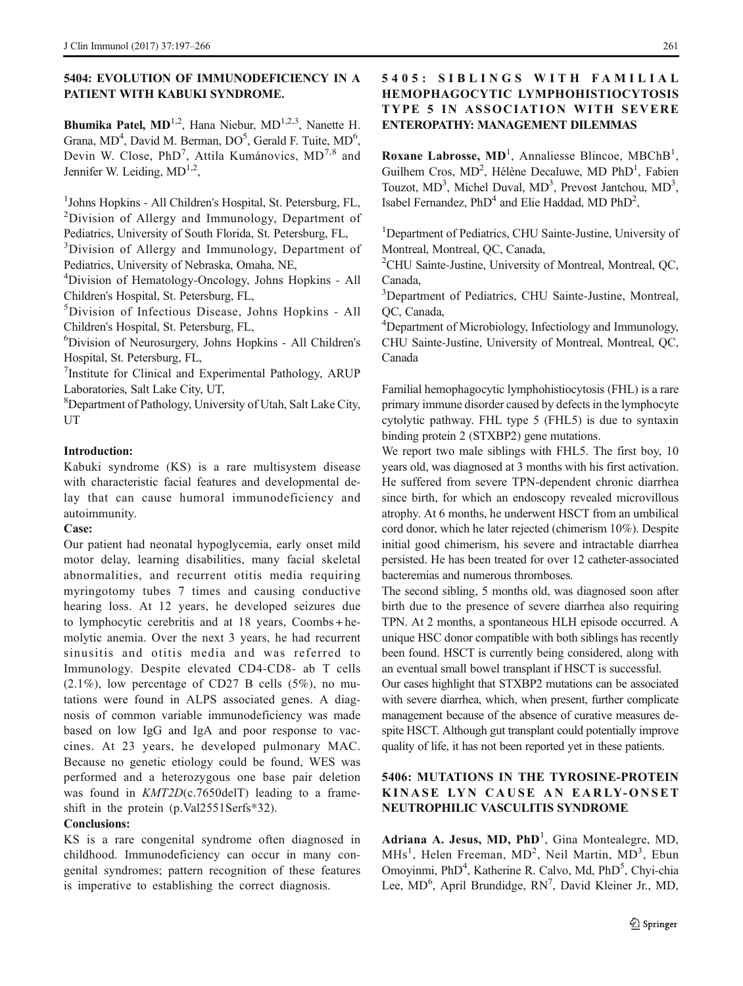### 5404: EVOLUTION OF IMMUNODEFICIENCY IN A PATIENT WITH KABUKI SYNDROME.

**Bhumika Patel, MD**<sup>1,2</sup>, Hana Niebur, MD<sup>1,2,3</sup>, Nanette H. Grana, MD<sup>4</sup>, David M. Berman, DO<sup>5</sup>, Gerald F. Tuite, MD<sup>6</sup>, Devin W. Close, PhD<sup>7</sup>, Attila Kumánovics, MD<sup>7,8</sup> and Jennifer W. Leiding,  $MD^{1,2}$ ,

<sup>1</sup>Johns Hopkins - All Children's Hospital, St. Petersburg, FL, <sup>2</sup>Division of Allergy and Immunology, Department of Pediatrics, University of South Florida, St. Petersburg, FL,

<sup>3</sup>Division of Allergy and Immunology, Department of Pediatrics, University of Nebraska, Omaha, NE,

4 Division of Hematology-Oncology, Johns Hopkins - All Children's Hospital, St. Petersburg, FL,

5 Division of Infectious Disease, Johns Hopkins - All Children's Hospital, St. Petersburg, FL,

6 Division of Neurosurgery, Johns Hopkins - All Children's Hospital, St. Petersburg, FL,

<sup>7</sup>Institute for Clinical and Experimental Pathology, ARUP Laboratories, Salt Lake City, UT,

8 Department of Pathology, University of Utah, Salt Lake City, UT

#### Introduction:

Kabuki syndrome (KS) is a rare multisystem disease with characteristic facial features and developmental delay that can cause humoral immunodeficiency and autoimmunity.

#### Case:

Our patient had neonatal hypoglycemia, early onset mild motor delay, learning disabilities, many facial skeletal abnormalities, and recurrent otitis media requiring myringotomy tubes 7 times and causing conductive hearing loss. At 12 years, he developed seizures due to lymphocytic cerebritis and at 18 years, Coombs + hemolytic anemia. Over the next 3 years, he had recurrent sinusitis and otitis media and was referred to Immunology. Despite elevated CD4-CD8- ab T cells (2.1%), low percentage of CD27 B cells (5%), no mutations were found in ALPS associated genes. A diagnosis of common variable immunodeficiency was made based on low IgG and IgA and poor response to vaccines. At 23 years, he developed pulmonary MAC. Because no genetic etiology could be found, WES was performed and a heterozygous one base pair deletion was found in KMT2D(c.7650delT) leading to a frameshift in the protein (p.Val2551Serfs\*32).

#### Conclusions:

KS is a rare congenital syndrome often diagnosed in childhood. Immunodeficiency can occur in many congenital syndromes; pattern recognition of these features is imperative to establishing the correct diagnosis.

# 5405 : SIBLINGS WITH FAMILIAL HEMOPHAGOCYTIC LYMPHOHISTIOCYTOSIS TYPE 5 IN ASSOCIATION WITH SEVERE ENTEROPATHY: MANAGEMENT DILEMMAS

Roxane Labrosse,  $MD<sup>1</sup>$ , Annaliesse Blincoe, MBChB<sup>1</sup>, Guilhem Cros, MD<sup>2</sup>, Hélène Decaluwe, MD PhD<sup>1</sup>, Fabien Touzot, MD<sup>3</sup>, Michel Duval, MD<sup>3</sup>, Prevost Jantchou, MD<sup>3</sup>, Isabel Fernandez, PhD<sup>4</sup> and Elie Haddad, MD PhD<sup>2</sup>,

<sup>1</sup>Department of Pediatrics, CHU Sainte-Justine, University of Montreal, Montreal, QC, Canada,

<sup>2</sup>CHU Sainte-Justine, University of Montreal, Montreal, QC, Canada,

3 Department of Pediatrics, CHU Sainte-Justine, Montreal, QC, Canada,

4 Department of Microbiology, Infectiology and Immunology, CHU Sainte-Justine, University of Montreal, Montreal, QC, Canada

Familial hemophagocytic lymphohistiocytosis (FHL) is a rare primary immune disorder caused by defects in the lymphocyte cytolytic pathway. FHL type 5 (FHL5) is due to syntaxin binding protein 2 (STXBP2) gene mutations.

We report two male siblings with FHL5. The first boy, 10 years old, was diagnosed at 3 months with his first activation. He suffered from severe TPN-dependent chronic diarrhea since birth, for which an endoscopy revealed microvillous atrophy. At 6 months, he underwent HSCT from an umbilical cord donor, which he later rejected (chimerism 10%). Despite initial good chimerism, his severe and intractable diarrhea persisted. He has been treated for over 12 catheter-associated bacteremias and numerous thromboses.

The second sibling, 5 months old, was diagnosed soon after birth due to the presence of severe diarrhea also requiring TPN. At 2 months, a spontaneous HLH episode occurred. A unique HSC donor compatible with both siblings has recently been found. HSCT is currently being considered, along with an eventual small bowel transplant if HSCT is successful.

Our cases highlight that STXBP2 mutations can be associated with severe diarrhea, which, when present, further complicate management because of the absence of curative measures despite HSCT. Although gut transplant could potentially improve quality of life, it has not been reported yet in these patients.

# 5406: MUTATIONS IN THE TYROSINE-PROTEIN KINASE LYN CAUSE AN EARLY-ONSET NEUTROPHILIC VASCULITIS SYNDROME

Adriana A. Jesus, MD, PhD<sup>1</sup>, Gina Montealegre, MD, MHs<sup>1</sup>, Helen Freeman, MD<sup>2</sup>, Neil Martin, MD<sup>3</sup>, Ebun Omoyinmi, PhD<sup>4</sup>, Katherine R. Calvo, Md, PhD<sup>5</sup>, Chyi-chia Lee, MD<sup>6</sup>, April Brundidge, RN<sup>7</sup>, David Kleiner Jr., MD,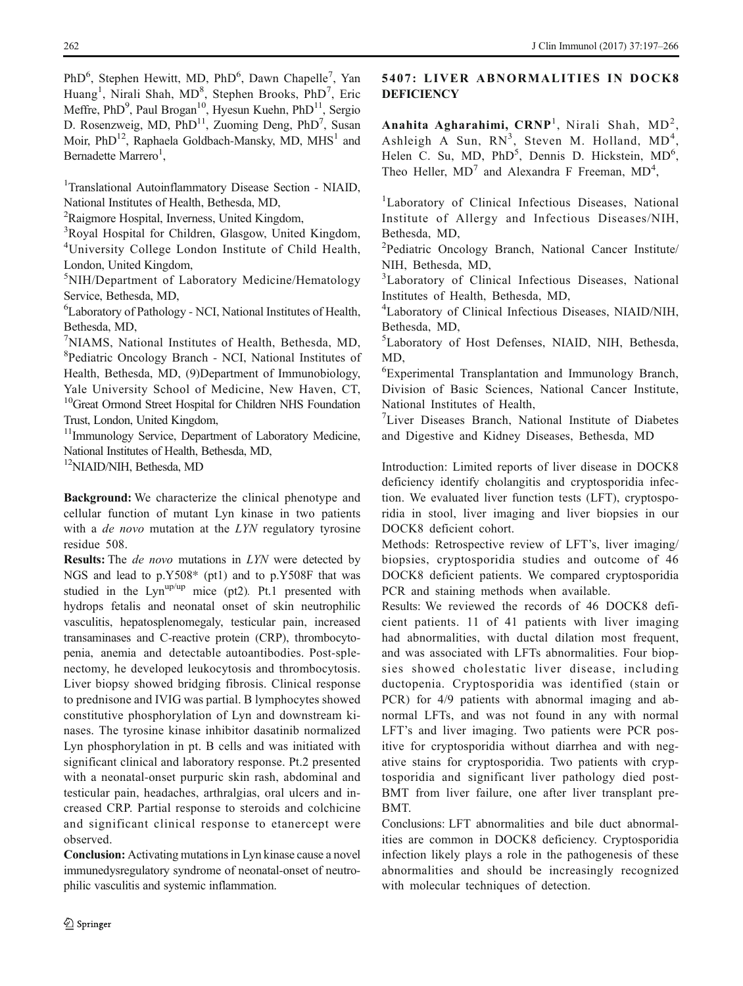PhD<sup>6</sup>, Stephen Hewitt, MD, PhD<sup>6</sup>, Dawn Chapelle<sup>7</sup>, Yan Huang<sup>1</sup>, Nirali Shah, MD<sup>8</sup>, Stephen Brooks, PhD<sup>7</sup>, Eric Meffre, PhD<sup>9</sup>, Paul Brogan<sup>10</sup>, Hyesun Kuehn, PhD<sup>11</sup>, Sergio D. Rosenzweig, MD, PhD<sup>11</sup>, Zuoming Deng, PhD<sup>7</sup>, Susan Moir,  $PhD^{12}$ , Raphaela Goldbach-Mansky, MD, MHS<sup>1</sup> and Bernadette Marrero<sup>1</sup>,

<sup>1</sup>Translational Autoinflammatory Disease Section - NIAID, National Institutes of Health, Bethesda, MD,

<sup>2</sup>Raigmore Hospital, Inverness, United Kingdom,

<sup>3</sup>Royal Hospital for Children, Glasgow, United Kingdom, 4 University College London Institute of Child Health, London, United Kingdom,

5 NIH/Department of Laboratory Medicine/Hematology Service, Bethesda, MD,

6 Laboratory of Pathology - NCI, National Institutes of Health, Bethesda, MD,

7 NIAMS, National Institutes of Health, Bethesda, MD, 8 Pediatric Oncology Branch - NCI, National Institutes of Health, Bethesda, MD, (9)Department of Immunobiology, Yale University School of Medicine, New Haven, CT, <sup>10</sup>Great Ormond Street Hospital for Children NHS Foundation Trust, London, United Kingdom,

<sup>11</sup>Immunology Service, Department of Laboratory Medicine, National Institutes of Health, Bethesda, MD,

12NIAID/NIH, Bethesda, MD

Background: We characterize the clinical phenotype and cellular function of mutant Lyn kinase in two patients with a *de novo* mutation at the *LYN* regulatory tyrosine residue 508.

Results: The *de novo* mutations in LYN were detected by NGS and lead to p.Y508\* (pt1) and to p.Y508F that was studied in the Lyn<sup>up/up</sup> mice (pt2). Pt.1 presented with hydrops fetalis and neonatal onset of skin neutrophilic vasculitis, hepatosplenomegaly, testicular pain, increased transaminases and C-reactive protein (CRP), thrombocytopenia, anemia and detectable autoantibodies. Post-splenectomy, he developed leukocytosis and thrombocytosis. Liver biopsy showed bridging fibrosis. Clinical response to prednisone and IVIG was partial. B lymphocytes showed constitutive phosphorylation of Lyn and downstream kinases. The tyrosine kinase inhibitor dasatinib normalized Lyn phosphorylation in pt. B cells and was initiated with significant clinical and laboratory response. Pt.2 presented with a neonatal-onset purpuric skin rash, abdominal and testicular pain, headaches, arthralgias, oral ulcers and increased CRP. Partial response to steroids and colchicine and significant clinical response to etanercept were observed.

Conclusion: Activating mutations in Lyn kinase cause a novel immunedysregulatory syndrome of neonatal-onset of neutrophilic vasculitis and systemic inflammation.

# 5407: LIVER ABNORMALITIES IN DOCK8 **DEFICIENCY**

Anahita Agharahimi, CRNP<sup>1</sup>, Nirali Shah, MD<sup>2</sup>, Ashleigh A Sun,  $RN^3$ , Steven M. Holland,  $MD^4$ , Helen C. Su, MD, PhD<sup>5</sup>, Dennis D. Hickstein, MD<sup>6</sup>, Theo Heller,  $MD<sup>7</sup>$  and Alexandra F Freeman,  $MD<sup>4</sup>$ ,

<sup>1</sup>Laboratory of Clinical Infectious Diseases, National Institute of Allergy and Infectious Diseases/NIH, Bethesda, MD,

<sup>2</sup>Pediatric Oncology Branch, National Cancer Institute/ NIH, Bethesda, MD,

<sup>3</sup>Laboratory of Clinical Infectious Diseases, National Institutes of Health, Bethesda, MD,

4 Laboratory of Clinical Infectious Diseases, NIAID/NIH, Bethesda, MD,

5 Laboratory of Host Defenses, NIAID, NIH, Bethesda, MD,

6 Experimental Transplantation and Immunology Branch, Division of Basic Sciences, National Cancer Institute, National Institutes of Health,

7 Liver Diseases Branch, National Institute of Diabetes and Digestive and Kidney Diseases, Bethesda, MD

Introduction: Limited reports of liver disease in DOCK8 deficiency identify cholangitis and cryptosporidia infection. We evaluated liver function tests (LFT), cryptosporidia in stool, liver imaging and liver biopsies in our DOCK8 deficient cohort.

Methods: Retrospective review of LFT's, liver imaging/ biopsies, cryptosporidia studies and outcome of 46 DOCK8 deficient patients. We compared cryptosporidia PCR and staining methods when available.

Results: We reviewed the records of 46 DOCK8 deficient patients. 11 of 41 patients with liver imaging had abnormalities, with ductal dilation most frequent, and was associated with LFTs abnormalities. Four biopsies showed cholestatic liver disease, including ductopenia. Cryptosporidia was identified (stain or PCR) for 4/9 patients with abnormal imaging and abnormal LFTs, and was not found in any with normal LFT's and liver imaging. Two patients were PCR positive for cryptosporidia without diarrhea and with negative stains for cryptosporidia. Two patients with cryptosporidia and significant liver pathology died post-BMT from liver failure, one after liver transplant pre-BMT.

Conclusions: LFT abnormalities and bile duct abnormalities are common in DOCK8 deficiency. Cryptosporidia infection likely plays a role in the pathogenesis of these abnormalities and should be increasingly recognized with molecular techniques of detection.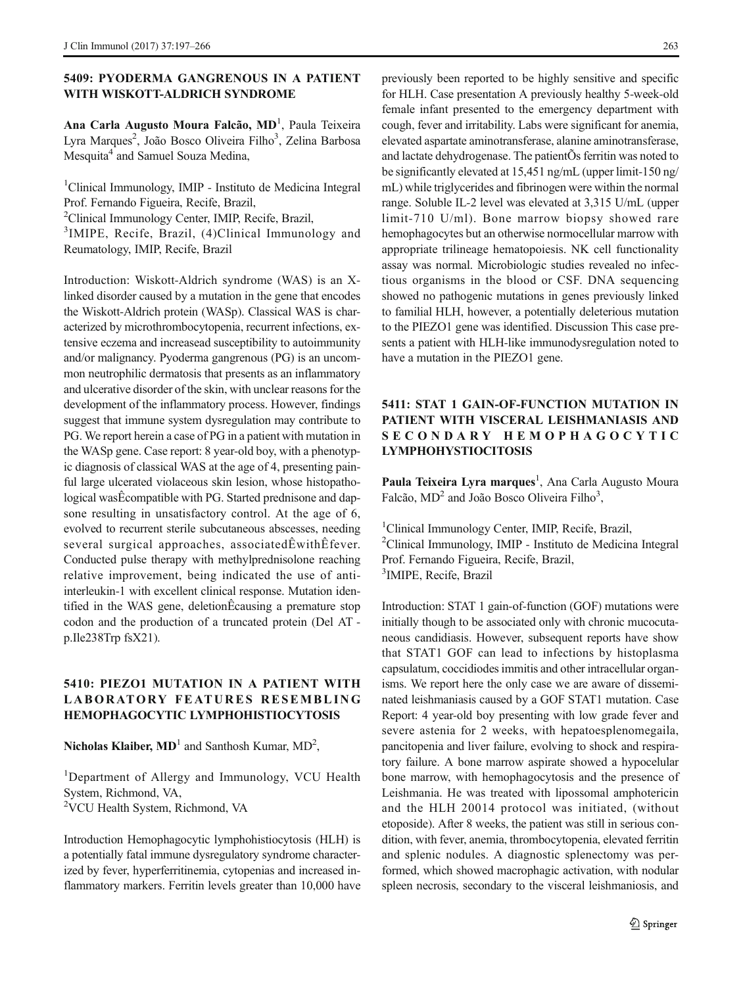### 5409: PYODERMA GANGRENOUS IN A PATIENT WITH WISKOTT-ALDRICH SYNDROME

Ana Carla Augusto Moura Falcão, MD<sup>1</sup>, Paula Teixeira Lyra Marques<sup>2</sup>, João Bosco Oliveira Filho<sup>3</sup>, Zelina Barbosa Mesquita<sup>4</sup> and Samuel Souza Medina,

1 Clinical Immunology, IMIP - Instituto de Medicina Integral Prof. Fernando Figueira, Recife, Brazil,

2 Clinical Immunology Center, IMIP, Recife, Brazil,

<sup>3</sup>IMIPE, Recife, Brazil, (4)Clinical Immunology and Reumatology, IMIP, Recife, Brazil

Introduction: Wiskott-Aldrich syndrome (WAS) is an Xlinked disorder caused by a mutation in the gene that encodes the Wiskott-Aldrich protein (WASp). Classical WAS is characterized by microthrombocytopenia, recurrent infections, extensive eczema and increasead susceptibility to autoimmunity and/or malignancy. Pyoderma gangrenous (PG) is an uncommon neutrophilic dermatosis that presents as an inflammatory and ulcerative disorder of the skin, with unclear reasons for the development of the inflammatory process. However, findings suggest that immune system dysregulation may contribute to PG. We report herein a case of PG in a patient with mutation in the WASp gene. Case report: 8 year-old boy, with a phenotypic diagnosis of classical WAS at the age of 4, presenting painful large ulcerated violaceous skin lesion, whose histopathological wasÊcompatible with PG. Started prednisone and dapsone resulting in unsatisfactory control. At the age of 6, evolved to recurrent sterile subcutaneous abscesses, needing several surgical approaches, associatedÊwithÊfever. Conducted pulse therapy with methylprednisolone reaching relative improvement, being indicated the use of antiinterleukin-1 with excellent clinical response. Mutation identified in the WAS gene, deletionÊcausing a premature stop codon and the production of a truncated protein (Del AT p.Ile238Trp fsX21).

### 5410: PIEZO1 MUTATION IN A PATIENT WITH LABORATORY FEATURES RESEMBLING HEMOPHAGOCYTIC LYMPHOHISTIOCYTOSIS

Nicholas Klaiber,  $MD<sup>1</sup>$  and Santhosh Kumar,  $MD<sup>2</sup>$ ,

<sup>1</sup>Department of Allergy and Immunology, VCU Health System, Richmond, VA, 2 VCU Health System, Richmond, VA

Introduction Hemophagocytic lymphohistiocytosis (HLH) is a potentially fatal immune dysregulatory syndrome characterized by fever, hyperferritinemia, cytopenias and increased inflammatory markers. Ferritin levels greater than 10,000 have

previously been reported to be highly sensitive and specific for HLH. Case presentation A previously healthy 5-week-old female infant presented to the emergency department with cough, fever and irritability. Labs were significant for anemia, elevated aspartate aminotransferase, alanine aminotransferase, and lactate dehydrogenase. The patientÕs ferritin was noted to be significantly elevated at 15,451 ng/mL (upper limit-150 ng/ mL) while triglycerides and fibrinogen were within the normal range. Soluble IL-2 level was elevated at 3,315 U/mL (upper limit-710 U/ml). Bone marrow biopsy showed rare hemophagocytes but an otherwise normocellular marrow with appropriate trilineage hematopoiesis. NK cell functionality assay was normal. Microbiologic studies revealed no infectious organisms in the blood or CSF. DNA sequencing showed no pathogenic mutations in genes previously linked to familial HLH, however, a potentially deleterious mutation to the PIEZO1 gene was identified. Discussion This case presents a patient with HLH-like immunodysregulation noted to have a mutation in the PIEZO1 gene.

### 5411: STAT 1 GAIN-OF-FUNCTION MUTATION IN PATIENT WITH VISCERAL LEISHMANIASIS AND SECONDARY HEMOPHAGOCYTIC LYMPHOHYSTIOCITOSIS

Paula Teixeira Lyra marques<sup>1</sup>, Ana Carla Augusto Moura Falcão, MD<sup>2</sup> and João Bosco Oliveira Filho<sup>3</sup>,

<sup>1</sup>Clinical Immunology Center, IMIP, Recife, Brazil, 2 Clinical Immunology, IMIP - Instituto de Medicina Integral Prof. Fernando Figueira, Recife, Brazil, 3 IMIPE, Recife, Brazil

Introduction: STAT 1 gain-of-function (GOF) mutations were initially though to be associated only with chronic mucocutaneous candidiasis. However, subsequent reports have show that STAT1 GOF can lead to infections by histoplasma capsulatum, coccidiodes immitis and other intracellular organisms. We report here the only case we are aware of disseminated leishmaniasis caused by a GOF STAT1 mutation. Case Report: 4 year-old boy presenting with low grade fever and severe astenia for 2 weeks, with hepatoesplenomegaila, pancitopenia and liver failure, evolving to shock and respiratory failure. A bone marrow aspirate showed a hypocelular bone marrow, with hemophagocytosis and the presence of Leishmania. He was treated with lipossomal amphotericin and the HLH 20014 protocol was initiated, (without etoposide). After 8 weeks, the patient was still in serious condition, with fever, anemia, thrombocytopenia, elevated ferritin and splenic nodules. A diagnostic splenectomy was performed, which showed macrophagic activation, with nodular spleen necrosis, secondary to the visceral leishmaniosis, and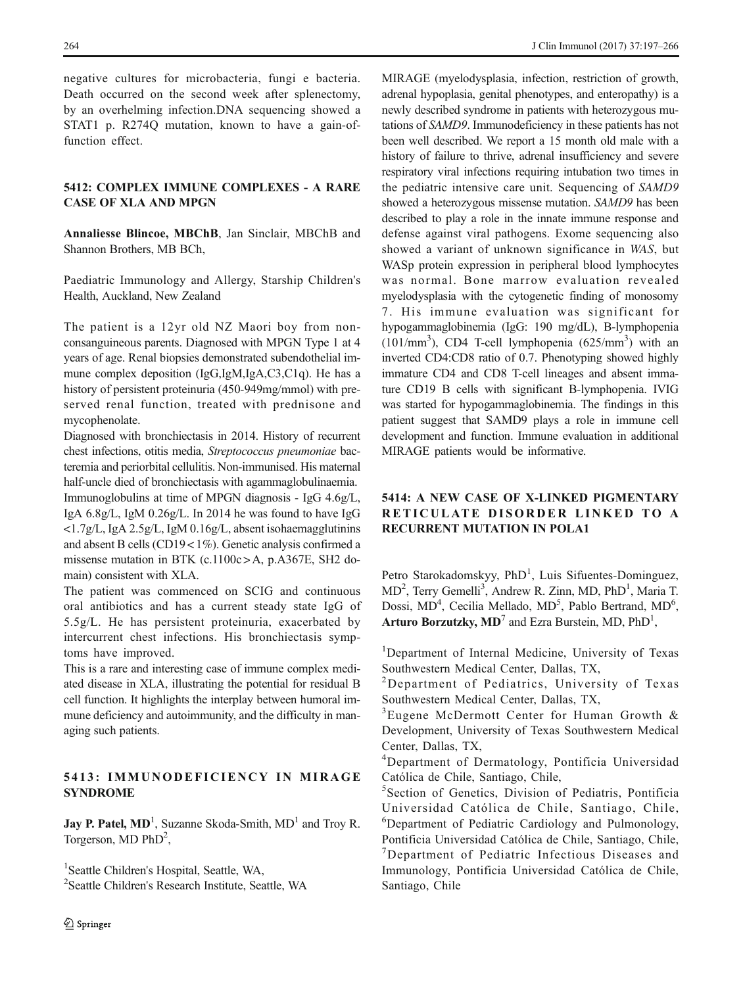negative cultures for microbacteria, fungi e bacteria. Death occurred on the second week after splenectomy, by an overhelming infection.DNA sequencing showed a STAT1 p. R2740 mutation, known to have a gain-offunction effect.

#### 5412: COMPLEX IMMUNE COMPLEXES - A RARE CASE OF XLA AND MPGN

Annaliesse Blincoe, MBChB, Jan Sinclair, MBChB and Shannon Brothers, MB BCh,

Paediatric Immunology and Allergy, Starship Children's Health, Auckland, New Zealand

The patient is a 12yr old NZ Maori boy from nonconsanguineous parents. Diagnosed with MPGN Type 1 at 4 years of age. Renal biopsies demonstrated subendothelial immune complex deposition (IgG,IgM,IgA,C3,C1q). He has a history of persistent proteinuria (450-949mg/mmol) with preserved renal function, treated with prednisone and mycophenolate.

Diagnosed with bronchiectasis in 2014. History of recurrent chest infections, otitis media, Streptococcus pneumoniae bacteremia and periorbital cellulitis. Non-immunised. His maternal half-uncle died of bronchiectasis with agammaglobulinaemia. Immunoglobulins at time of MPGN diagnosis - IgG 4.6g/L, IgA 6.8g/L, IgM 0.26g/L. In 2014 he was found to have IgG <1.7g/L, IgA 2.5g/L, IgM 0.16g/L, absent isohaemagglutinins and absent B cells (CD19 < 1%). Genetic analysis confirmed a missense mutation in BTK (c.1100c > A, p.A367E, SH2 domain) consistent with XLA.

The patient was commenced on SCIG and continuous oral antibiotics and has a current steady state IgG of 5.5g/L. He has persistent proteinuria, exacerbated by intercurrent chest infections. His bronchiectasis symptoms have improved.

This is a rare and interesting case of immune complex mediated disease in XLA, illustrating the potential for residual B cell function. It highlights the interplay between humoral immune deficiency and autoimmunity, and the difficulty in managing such patients.

### 5413: IMMUNODEFICIENCY IN MIRAGE SYNDROME

**Jay P. Patel, MD**<sup>1</sup>, Suzanne Skoda-Smith,  $MD$ <sup>1</sup> and Troy R. Torgerson, MD PhD<sup>2</sup>,

<sup>1</sup>Seattle Children's Hospital, Seattle, WA,

2 Seattle Children's Research Institute, Seattle, WA

MIRAGE (myelodysplasia, infection, restriction of growth, adrenal hypoplasia, genital phenotypes, and enteropathy) is a newly described syndrome in patients with heterozygous mutations of SAMD9. Immunodeficiency in these patients has not been well described. We report a 15 month old male with a history of failure to thrive, adrenal insufficiency and severe respiratory viral infections requiring intubation two times in the pediatric intensive care unit. Sequencing of SAMD9 showed a heterozygous missense mutation. SAMD9 has been described to play a role in the innate immune response and defense against viral pathogens. Exome sequencing also showed a variant of unknown significance in WAS, but WASp protein expression in peripheral blood lymphocytes was normal. Bone marrow evaluation revealed myelodysplasia with the cytogenetic finding of monosomy 7. His immune evaluation was significant for hypogammaglobinemia (IgG: 190 mg/dL), B-lymphopenia  $(101/mm<sup>3</sup>)$ , CD4 T-cell lymphopenia  $(625/mm<sup>3</sup>)$  with an inverted CD4:CD8 ratio of 0.7. Phenotyping showed highly immature CD4 and CD8 T-cell lineages and absent immature CD19 B cells with significant B-lymphopenia. IVIG was started for hypogammaglobinemia. The findings in this patient suggest that SAMD9 plays a role in immune cell development and function. Immune evaluation in additional MIRAGE patients would be informative.

# 5414: A NEW CASE OF X-LINKED PIGMENTARY RETICULATE DISORDER LINKED TO A RECURRENT MUTATION IN POLA1

Petro Starokadomskyy, PhD<sup>1</sup>, Luis Sifuentes-Dominguez, MD<sup>2</sup>, Terry Gemelli<sup>3</sup>, Andrew R. Zinn, MD, PhD<sup>1</sup>, Maria T. Dossi, MD<sup>4</sup>, Cecilia Mellado, MD<sup>5</sup>, Pablo Bertrand, MD<sup>6</sup>, Arturo Borzutzky,  $MD<sup>7</sup>$  and Ezra Burstein, MD,  $PhD<sup>1</sup>$ ,

<sup>1</sup>Department of Internal Medicine, University of Texas Southwestern Medical Center, Dallas, TX,

<sup>2</sup>Department of Pediatrics, University of Texas Southwestern Medical Center, Dallas, TX,

3 Eugene McDermott Center for Human Growth & Development, University of Texas Southwestern Medical Center, Dallas, TX,

4 Department of Dermatology, Pontificia Universidad Católica de Chile, Santiago, Chile,

5 Section of Genetics, Division of Pediatris, Pontificia Universidad Católica de Chile, Santiago, Chile, 6 Department of Pediatric Cardiology and Pulmonology, Pontificia Universidad Católica de Chile, Santiago, Chile, <sup>7</sup>Department of Pediatric Infectious Diseases and Immunology, Pontificia Universidad Católica de Chile, Santiago, Chile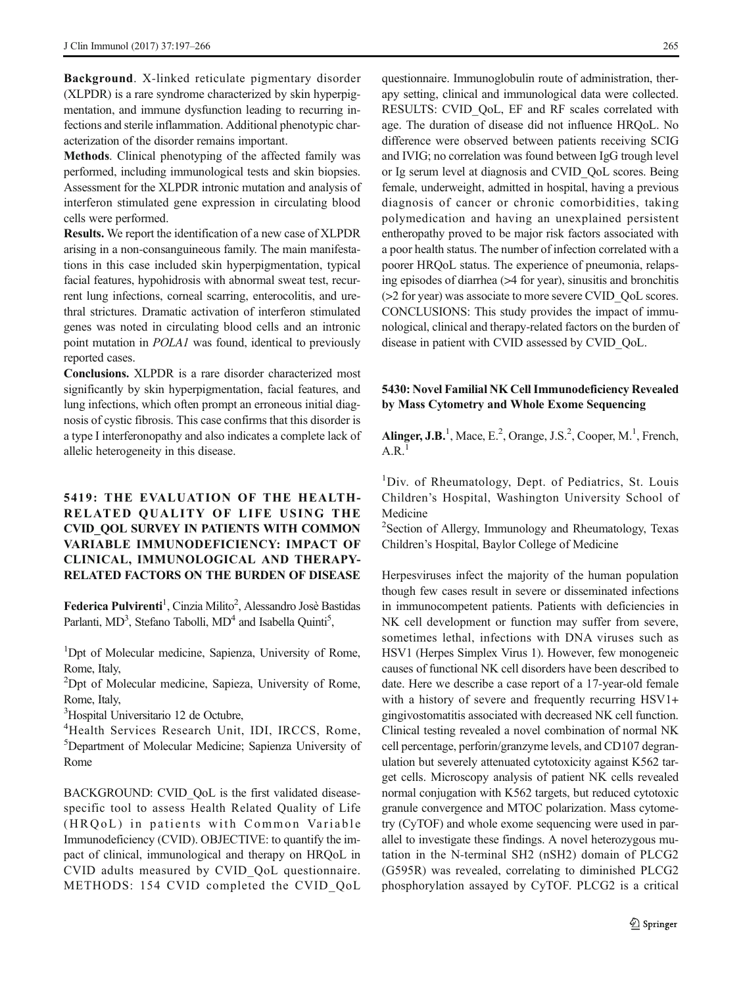Background. X-linked reticulate pigmentary disorder (XLPDR) is a rare syndrome characterized by skin hyperpigmentation, and immune dysfunction leading to recurring infections and sterile inflammation. Additional phenotypic characterization of the disorder remains important.

Methods. Clinical phenotyping of the affected family was performed, including immunological tests and skin biopsies. Assessment for the XLPDR intronic mutation and analysis of interferon stimulated gene expression in circulating blood cells were performed.

Results. We report the identification of a new case of XLPDR arising in a non-consanguineous family. The main manifestations in this case included skin hyperpigmentation, typical facial features, hypohidrosis with abnormal sweat test, recurrent lung infections, corneal scarring, enterocolitis, and urethral strictures. Dramatic activation of interferon stimulated genes was noted in circulating blood cells and an intronic point mutation in POLA1 was found, identical to previously reported cases.

Conclusions. XLPDR is a rare disorder characterized most significantly by skin hyperpigmentation, facial features, and lung infections, which often prompt an erroneous initial diagnosis of cystic fibrosis. This case confirms that this disorder is a type I interferonopathy and also indicates a complete lack of allelic heterogeneity in this disease.

# 5419: THE EVALUATION OF THE HEALTH-RELATED QUALITY OF LIFE USING THE CVID\_QOL SURVEY IN PATIENTS WITH COMMON VARIABLE IMMUNODEFICIENCY: IMPACT OF CLINICAL, IMMUNOLOGICAL AND THERAPY-RELATED FACTORS ON THE BURDEN OF DISEASE

Federica Pulvirenti<sup>1</sup>, Cinzia Milito<sup>2</sup>, Alessandro Josè Bastidas Parlanti, MD<sup>3</sup>, Stefano Tabolli, MD<sup>4</sup> and Isabella Quinti<sup>5</sup>,

<sup>1</sup>Dpt of Molecular medicine, Sapienza, University of Rome, Rome, Italy,

<sup>2</sup>Dpt of Molecular medicine, Sapieza, University of Rome, Rome, Italy,

3 Hospital Universitario 12 de Octubre,

4 Health Services Research Unit, IDI, IRCCS, Rome, 5 Department of Molecular Medicine; Sapienza University of Rome

BACKGROUND: CVID\_QoL is the first validated diseasespecific tool to assess Health Related Quality of Life (HRQoL) in patients with Common Variable Immunodeficiency (CVID). OBJECTIVE: to quantify the impact of clinical, immunological and therapy on HRQoL in CVID adults measured by CVID\_QoL questionnaire. METHODS: 154 CVID completed the CVID\_QoL questionnaire. Immunoglobulin route of administration, therapy setting, clinical and immunological data were collected. RESULTS: CVID\_QoL, EF and RF scales correlated with age. The duration of disease did not influence HRQoL. No difference were observed between patients receiving SCIG and IVIG; no correlation was found between IgG trough level or Ig serum level at diagnosis and CVID\_QoL scores. Being female, underweight, admitted in hospital, having a previous diagnosis of cancer or chronic comorbidities, taking polymedication and having an unexplained persistent entheropathy proved to be major risk factors associated with a poor health status. The number of infection correlated with a poorer HRQoL status. The experience of pneumonia, relapsing episodes of diarrhea (>4 for year), sinusitis and bronchitis (>2 for year) was associate to more severe CVID\_QoL scores. CONCLUSIONS: This study provides the impact of immunological, clinical and therapy-related factors on the burden of disease in patient with CVID assessed by CVID\_QoL.

#### 5430: Novel Familial NK Cell Immunodeficiency Revealed by Mass Cytometry and Whole Exome Sequencing

Alinger, J.B.<sup>1</sup>, Mace, E.<sup>2</sup>, Orange, J.S.<sup>2</sup>, Cooper, M.<sup>1</sup>, French,  $A.R.$ <sup>1</sup>

<sup>1</sup>Div. of Rheumatology, Dept. of Pediatrics, St. Louis Children's Hospital, Washington University School of Medicine

2 Section of Allergy, Immunology and Rheumatology, Texas Children's Hospital, Baylor College of Medicine

Herpesviruses infect the majority of the human population though few cases result in severe or disseminated infections in immunocompetent patients. Patients with deficiencies in NK cell development or function may suffer from severe, sometimes lethal, infections with DNA viruses such as HSV1 (Herpes Simplex Virus 1). However, few monogeneic causes of functional NK cell disorders have been described to date. Here we describe a case report of a 17-year-old female with a history of severe and frequently recurring HSV1+ gingivostomatitis associated with decreased NK cell function. Clinical testing revealed a novel combination of normal NK cell percentage, perforin/granzyme levels, and CD107 degranulation but severely attenuated cytotoxicity against K562 target cells. Microscopy analysis of patient NK cells revealed normal conjugation with K562 targets, but reduced cytotoxic granule convergence and MTOC polarization. Mass cytometry (CyTOF) and whole exome sequencing were used in parallel to investigate these findings. A novel heterozygous mutation in the N-terminal SH2 (nSH2) domain of PLCG2 (G595R) was revealed, correlating to diminished PLCG2 phosphorylation assayed by CyTOF. PLCG2 is a critical